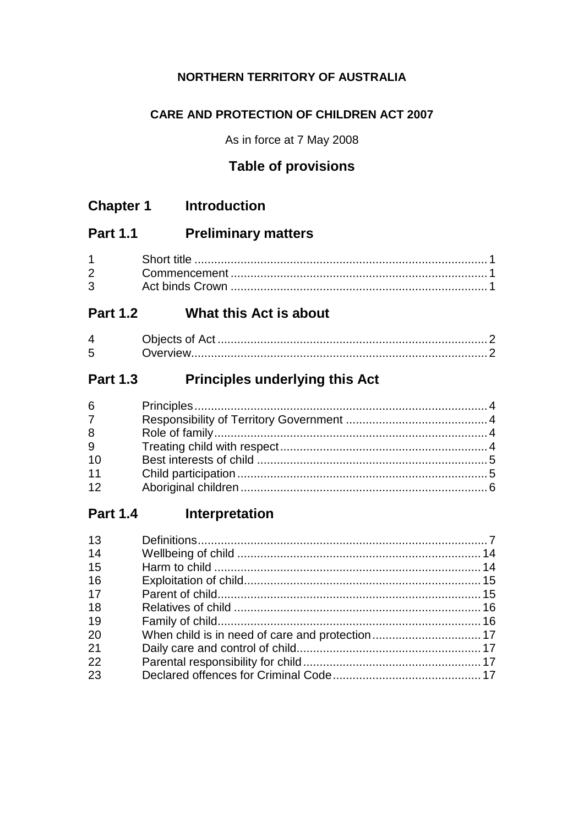### NORTHERN TERRITORY OF AUSTRALIA

### **CARE AND PROTECTION OF CHILDREN ACT 2007**

As in force at 7 May 2008

# **Table of provisions**

| <b>Chapter 1</b> |  | <b>Introduction</b> |
|------------------|--|---------------------|
|------------------|--|---------------------|

#### **Part 1.1 Preliminary matters**

| Short title. |
|--------------|
|              |
|              |

# Part 1.2 What this Act is about

| Δ |  |
|---|--|
| ൳ |  |

#### **Part 1.3 Principles underlying this Act**

#### Interpretation **Part 1.4**

| 13 |  |
|----|--|
| 14 |  |
| 15 |  |
| 16 |  |
| 17 |  |
| 18 |  |
| 19 |  |
| 20 |  |
| 21 |  |
| 22 |  |
| 23 |  |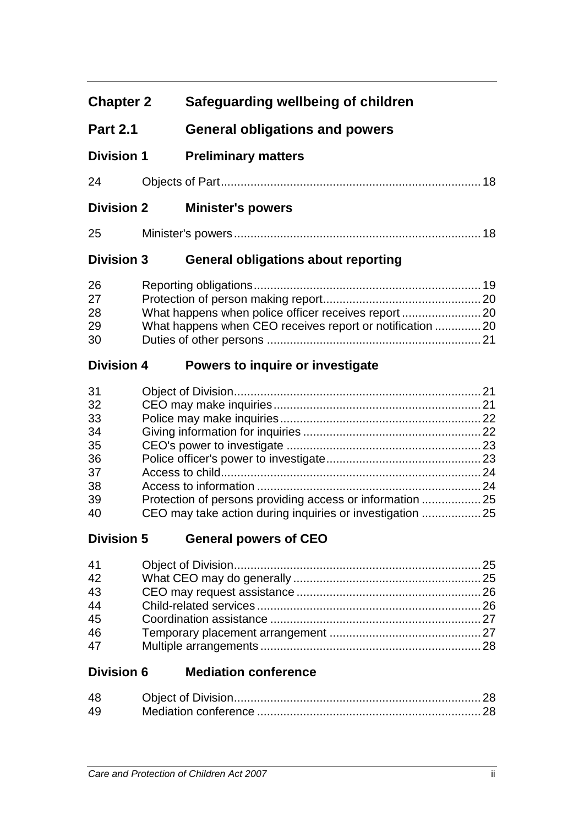| <b>Chapter 2</b>  | Safeguarding wellbeing of children                        |  |
|-------------------|-----------------------------------------------------------|--|
| <b>Part 2.1</b>   | <b>General obligations and powers</b>                     |  |
| <b>Division 1</b> | <b>Preliminary matters</b>                                |  |
| 24                |                                                           |  |
| <b>Division 2</b> | <b>Minister's powers</b>                                  |  |
| 25                |                                                           |  |
| <b>Division 3</b> | <b>General obligations about reporting</b>                |  |
| 26                |                                                           |  |
| 27                |                                                           |  |
| 28                |                                                           |  |
| 29                | What happens when CEO receives report or notification  20 |  |
| 30                |                                                           |  |
| <b>Division 4</b> | Powers to inquire or investigate                          |  |
| 31                |                                                           |  |
| 32                |                                                           |  |
| 33                |                                                           |  |
| 34                |                                                           |  |
| 35                |                                                           |  |
| 36                |                                                           |  |
| 37                |                                                           |  |
| 38                |                                                           |  |
| 39                | Protection of persons providing access or information  25 |  |
| 40                | CEO may take action during inquiries or investigation  25 |  |
| <b>Division 5</b> | <b>General powers of CEO</b>                              |  |
| 41                |                                                           |  |
| 42                |                                                           |  |
| 43                |                                                           |  |
| 44                |                                                           |  |
| 45                |                                                           |  |
| 46                |                                                           |  |
| 47                |                                                           |  |
| <b>Division 6</b> | <b>Mediation conference</b>                               |  |
| 48                |                                                           |  |
| 49                |                                                           |  |
|                   |                                                           |  |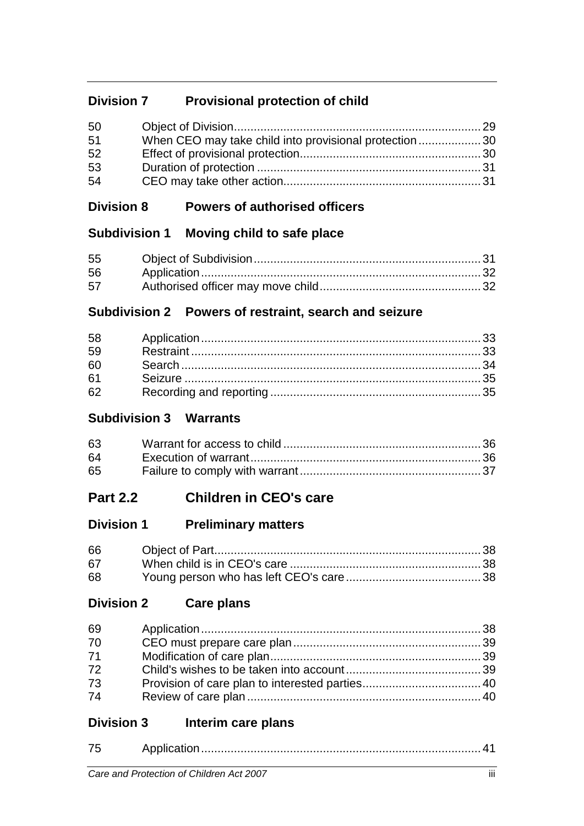# **Division 7 Provisional protection of child**

| 50 |                                                       |  |
|----|-------------------------------------------------------|--|
| 51 | When CEO may take child into provisional protection30 |  |
| 52 |                                                       |  |
| 53 |                                                       |  |
| 54 |                                                       |  |

### **Division 8 Powers of authorised officers**

# **Subdivision 1 Moving child to safe place**

| 55 |  |
|----|--|
| 56 |  |
| 57 |  |

# **Subdivision 2 Powers of restraint, search and seizure**

| 58 |  |
|----|--|
| 59 |  |
| 60 |  |
| 61 |  |
| 62 |  |

# **Subdivision 3 Warrants**

| 63   |  |
|------|--|
| 64 - |  |
| 65   |  |

# **Part 2.2 Children in CEO's care**

# **Division 1 Preliminary matters**

| 66 |  |
|----|--|
| 67 |  |
| 68 |  |

# **Division 2 Care plans**

| 69 |  |
|----|--|
| 70 |  |
| 71 |  |
| 72 |  |
| 73 |  |
| 74 |  |
|    |  |

# **Division 3 Interim care plans**

| $\rightarrow$ |  |
|---------------|--|
|               |  |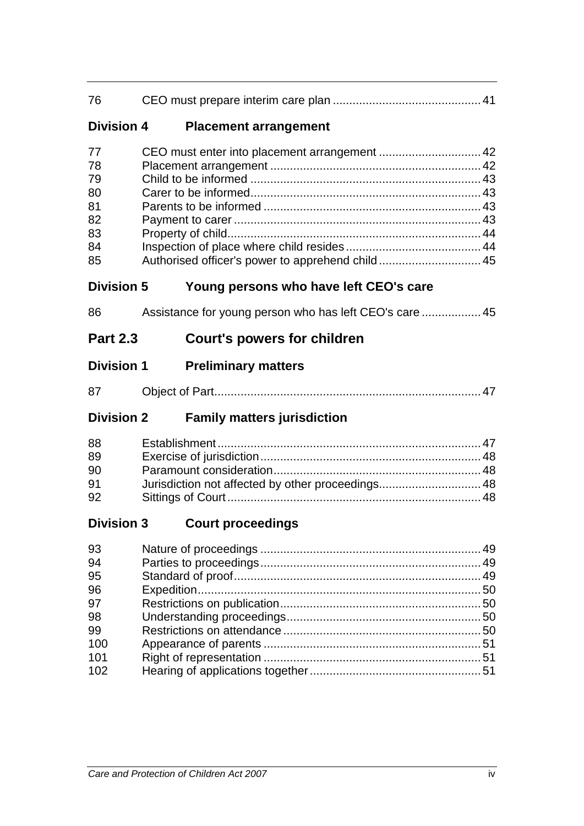| 76                                                 |                                                                                                   |  |
|----------------------------------------------------|---------------------------------------------------------------------------------------------------|--|
| <b>Division 4</b>                                  | <b>Placement arrangement</b>                                                                      |  |
| 77<br>78<br>79<br>80<br>81<br>82<br>83<br>84<br>85 | CEO must enter into placement arrangement  42<br>Authorised officer's power to apprehend child 45 |  |
| <b>Division 5</b>                                  | Young persons who have left CEO's care                                                            |  |
| 86                                                 | Assistance for young person who has left CEO's care  45                                           |  |
| <b>Part 2.3</b>                                    | <b>Court's powers for children</b>                                                                |  |
| <b>Division 1</b>                                  | <b>Preliminary matters</b>                                                                        |  |
| 87                                                 |                                                                                                   |  |
| <b>Division 2</b>                                  | <b>Family matters jurisdiction</b>                                                                |  |
| 88<br>89<br>90<br>91                               |                                                                                                   |  |
| 92                                                 | Jurisdiction not affected by other proceedings 48                                                 |  |
| <b>Division 3</b>                                  | <b>Court proceedings</b>                                                                          |  |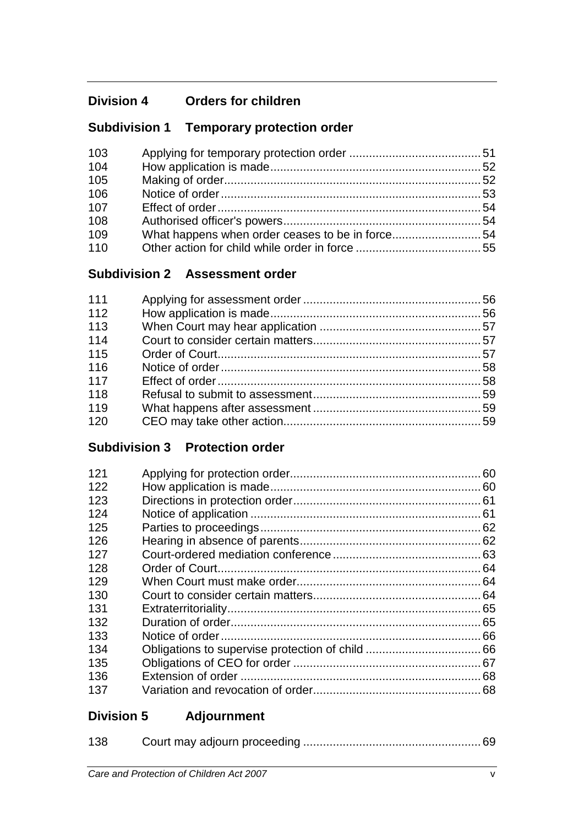# **Division 4 Orders for children**

# **Subdivision 1 Temporary protection order**

| 103 |                                                 |  |
|-----|-------------------------------------------------|--|
| 104 |                                                 |  |
| 105 |                                                 |  |
| 106 |                                                 |  |
| 107 |                                                 |  |
| 108 |                                                 |  |
| 109 | What happens when order ceases to be in force54 |  |
| 110 |                                                 |  |

# **Subdivision 2 Assessment order**

| 111 |  |
|-----|--|
| 112 |  |
| 113 |  |
| 114 |  |
| 115 |  |
| 116 |  |
| 117 |  |
| 118 |  |
| 119 |  |
| 120 |  |

# **Subdivision 3 Protection order**

| 121 |  |
|-----|--|
| 122 |  |
| 123 |  |
| 124 |  |
| 125 |  |
| 126 |  |
| 127 |  |
| 128 |  |
| 129 |  |
| 130 |  |
| 131 |  |
| 132 |  |
| 133 |  |
| 134 |  |
| 135 |  |
| 136 |  |
| 137 |  |
|     |  |

# **Division 5 Adjournment**

| 138 |  |
|-----|--|
|     |  |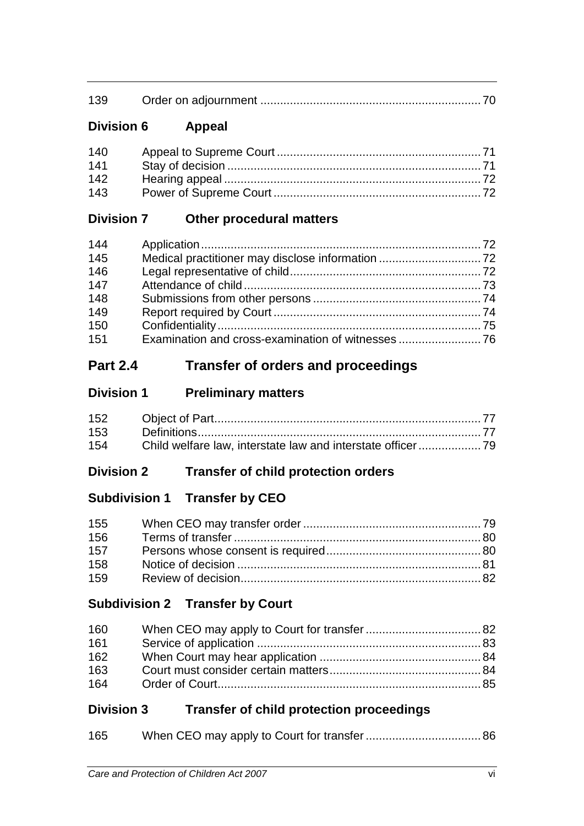| 139 |
|-----|
|-----|

# **Division 6 Appeal**

| 140 |  |
|-----|--|
| 141 |  |
| 142 |  |
| 143 |  |

# **Division 7 Other procedural matters**

| 144 |  |
|-----|--|
| 145 |  |
| 146 |  |
| 147 |  |
| 148 |  |
| 149 |  |
| 150 |  |
| 151 |  |

# **Part 2.4 Transfer of orders and proceedings**

### **Division 1 Preliminary matters**

| 153 |  |
|-----|--|
| 154 |  |

# **Division 2 Transfer of child protection orders**

# **Subdivision 1 Transfer by CEO**

| 155 |  |
|-----|--|
| 156 |  |
| 157 |  |
| 158 |  |
| 159 |  |

# **Subdivision 2 Transfer by Court**

| 160 |  |
|-----|--|
| 161 |  |
| 162 |  |
| 163 |  |
| 164 |  |

# **Division 3 Transfer of child protection proceedings**

| 165 |  |
|-----|--|
|     |  |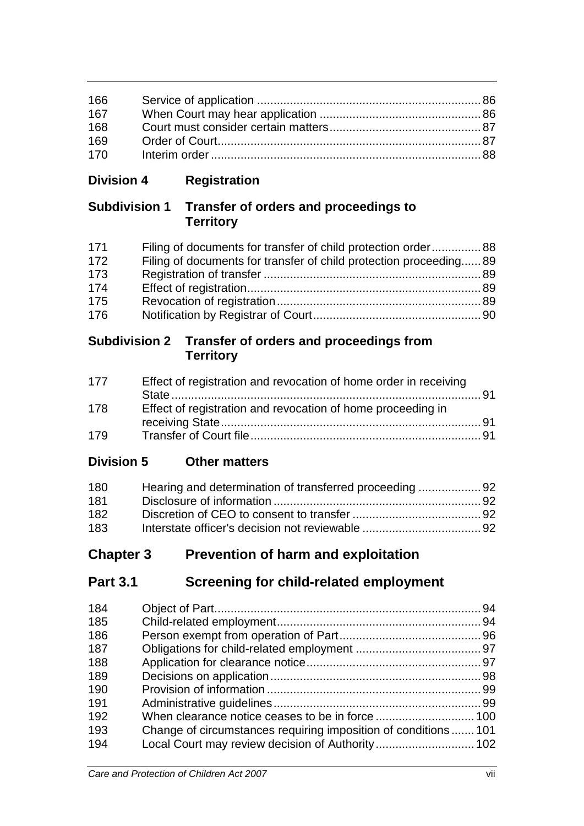| 166 |  |
|-----|--|
| 167 |  |
| 168 |  |
| 169 |  |
| 170 |  |

# **Division 4 Registration**

# **Subdivision 1 Transfer of orders and proceedings to Territory**

| 171 | Filing of documents for transfer of child protection order 88      |  |
|-----|--------------------------------------------------------------------|--|
| 172 | Filing of documents for transfer of child protection proceeding 89 |  |
| 173 |                                                                    |  |
| 174 |                                                                    |  |
| 175 |                                                                    |  |
| 176 |                                                                    |  |

### **Subdivision 2 Transfer of orders and proceedings from Territory**

| 177 | Effect of registration and revocation of home order in receiving |  |
|-----|------------------------------------------------------------------|--|
| 178 | Effect of registration and revocation of home proceeding in      |  |
| 179 |                                                                  |  |

# **Division 5 Other matters**

| 180 | Hearing and determination of transferred proceeding 92 |  |
|-----|--------------------------------------------------------|--|
| 181 |                                                        |  |
| 182 |                                                        |  |
| 183 |                                                        |  |

# **Chapter 3 Prevention of harm and exploitation**

# **Part 3.1 Screening for child-related employment**

| 184 |                                                                 |  |
|-----|-----------------------------------------------------------------|--|
| 185 |                                                                 |  |
| 186 |                                                                 |  |
| 187 |                                                                 |  |
| 188 |                                                                 |  |
| 189 |                                                                 |  |
| 190 |                                                                 |  |
| 191 |                                                                 |  |
| 192 |                                                                 |  |
| 193 | Change of circumstances requiring imposition of conditions  101 |  |
| 194 |                                                                 |  |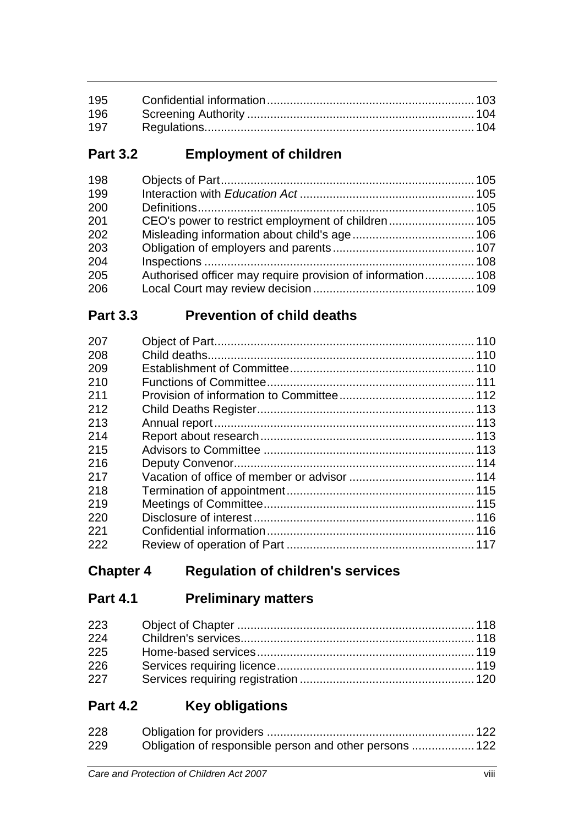| 197 |  |
|-----|--|

# **Part 3.2 Employment of children**

| 198 |                                                             |  |
|-----|-------------------------------------------------------------|--|
| 199 |                                                             |  |
| 200 |                                                             |  |
| 201 |                                                             |  |
| 202 |                                                             |  |
| 203 |                                                             |  |
| 204 |                                                             |  |
| 205 | Authorised officer may require provision of information 108 |  |
| 206 |                                                             |  |

# **Part 3.3 Prevention of child deaths**

| 207 |  |
|-----|--|
| 208 |  |
| 209 |  |
| 210 |  |
| 211 |  |
| 212 |  |
| 213 |  |
| 214 |  |
| 215 |  |
| 216 |  |
| 217 |  |
| 218 |  |
| 219 |  |
| 220 |  |
| 221 |  |
| 222 |  |

# **Chapter 4 Regulation of children's services**

# **Part 4.1 Preliminary matters**

| 223 |  |
|-----|--|
| 224 |  |
| 225 |  |
| 226 |  |
| 227 |  |

# **Part 4.2 Key obligations**

| 228 |  |
|-----|--|
| 229 |  |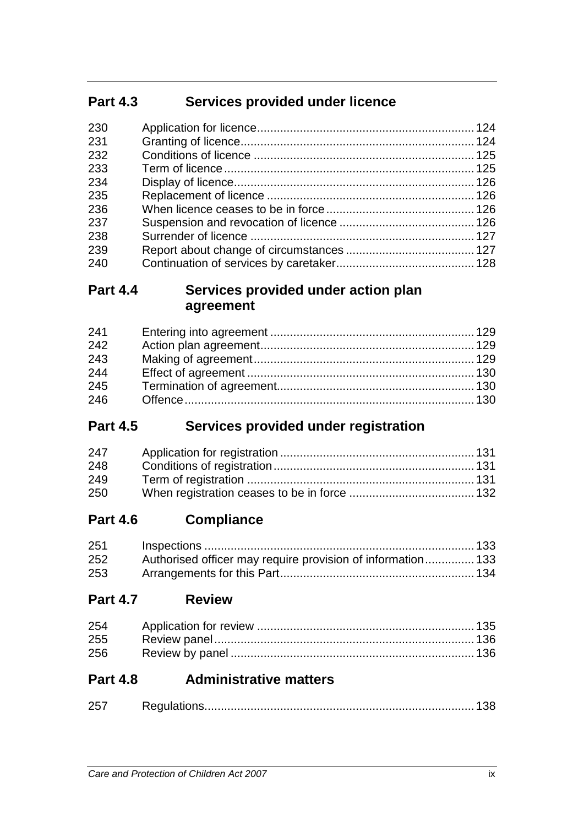# **Part 4.3 Services provided under licence**

| 230 |  |
|-----|--|
| 231 |  |
| 232 |  |
| 233 |  |
| 234 |  |
| 235 |  |
| 236 |  |
| 237 |  |
| 238 |  |
| 239 |  |
| 240 |  |

# **Part 4.4 Services provided under action plan agreement**

| 241 |  |
|-----|--|
| 242 |  |
| 243 |  |
| 244 |  |
| 245 |  |
| 246 |  |

# **Part 4.5 Services provided under registration**

| 247 |  |
|-----|--|
| 248 |  |
| 249 |  |
| 250 |  |

# **Part 4.6 Compliance**

| 251 |                                                             |  |
|-----|-------------------------------------------------------------|--|
| 252 | Authorised officer may require provision of information 133 |  |
| 253 |                                                             |  |

# **Part 4.7 Review**

| 256 |  |
|-----|--|

# **Part 4.8 Administrative matters**

| $\Omega$ |  |
|----------|--|
|          |  |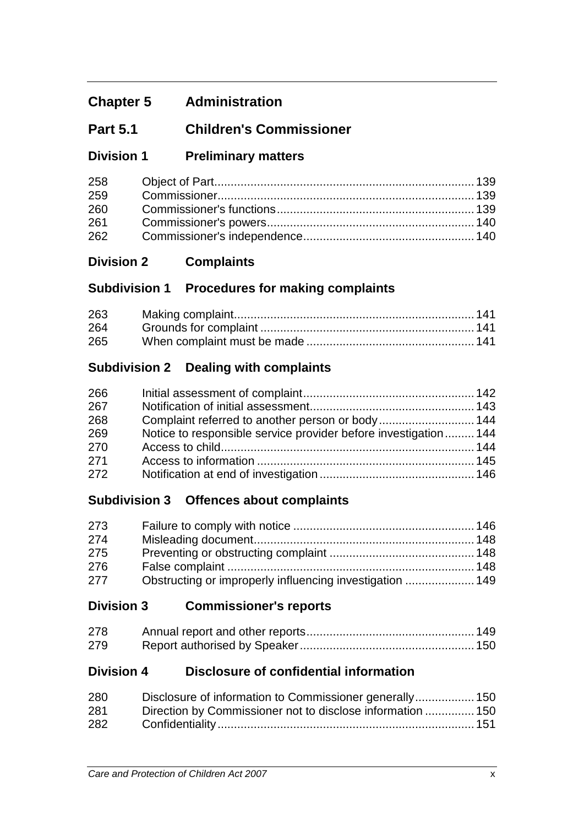# **Chapter 5 Administration**

# **Part 5.1 Children's Commissioner**

# **Division 1 Preliminary matters**

| 258 |  |
|-----|--|
| 259 |  |
| 260 |  |
| 261 |  |
| 262 |  |

# **Division 2 Complaints**

### **Subdivision 1 Procedures for making complaints**

| 263 |  |
|-----|--|
| 264 |  |
| 265 |  |

### **Subdivision 2 Dealing with complaints**

| 266 |                                                                |  |
|-----|----------------------------------------------------------------|--|
| 267 |                                                                |  |
| 268 |                                                                |  |
| 269 | Notice to responsible service provider before investigation144 |  |
| 270 |                                                                |  |
| 271 |                                                                |  |
| 272 |                                                                |  |

### **Subdivision 3 Offences about complaints**

| 273 |  |
|-----|--|
| 274 |  |
| 275 |  |
| 276 |  |
| 277 |  |

### **Division 3 Commissioner's reports**

| 278 |  |
|-----|--|
| 279 |  |

### **Division 4 Disclosure of confidential information**

| 280 | Disclosure of information to Commissioner generally 150    |  |
|-----|------------------------------------------------------------|--|
| 281 | Direction by Commissioner not to disclose information  150 |  |
| 282 |                                                            |  |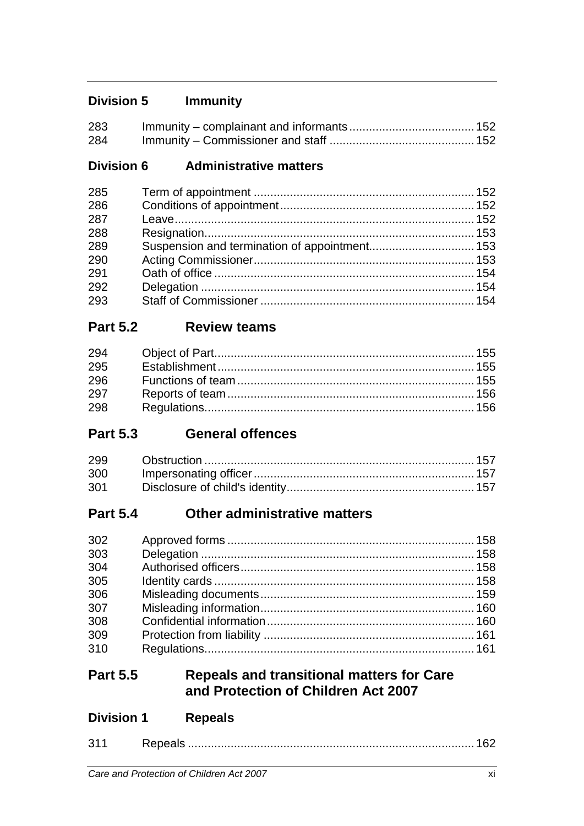# **Division 5 Immunity**

| 283 |  |
|-----|--|
| 284 |  |

### **Division 6 Administrative matters**

| 285 |  |
|-----|--|
| 286 |  |
| 287 |  |
| 288 |  |
| 289 |  |
| 290 |  |
| 291 |  |
| 292 |  |
| 293 |  |

# **Part 5.2 Review teams**

| 294 |  |
|-----|--|
| 295 |  |
| 296 |  |
| 297 |  |
| 298 |  |

# **Part 5.3 General offences**

| 300 |  |
|-----|--|
| 301 |  |

# **Part 5.4 Other administrative matters**

| 302<br>303<br>304 |  |
|-------------------|--|
| 305               |  |
| 306               |  |
| 307               |  |
| 308               |  |
| 309               |  |
| 310               |  |

# **Part 5.5 Repeals and transitional matters for Care and Protection of Children Act 2007**

| <b>Division 1</b> | <b>Repeals</b> |
|-------------------|----------------|
|                   |                |

| $\mathbf{A}$ |  |
|--------------|--|
|              |  |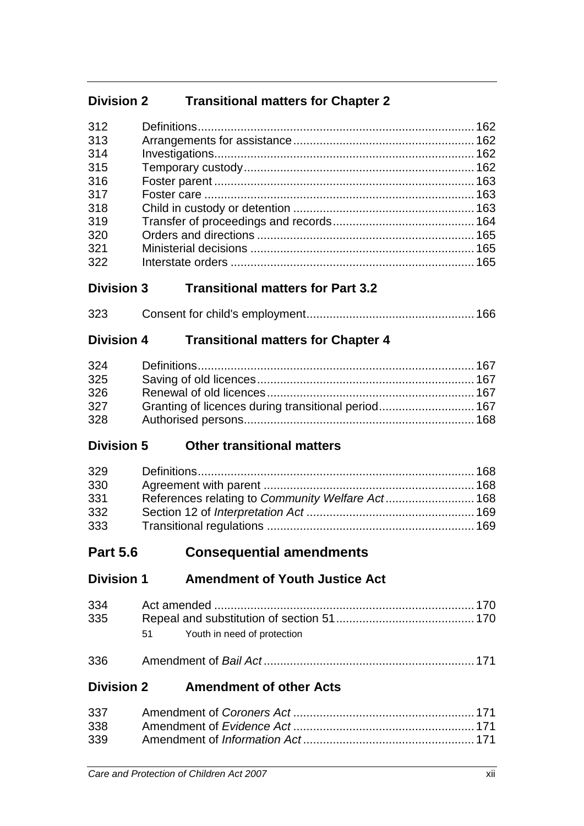# **Division 2 Transitional matters for Chapter 2**

| 312 |  |
|-----|--|
| 313 |  |
| 314 |  |
| 315 |  |
| 316 |  |
| 317 |  |
| 318 |  |
| 319 |  |
| 320 |  |
| 321 |  |
| 322 |  |
|     |  |

# **Division 3 Transitional matters for Part 3.2**

| 323 |  |
|-----|--|
|     |  |

# **Division 4 Transitional matters for Chapter 4**

| 324 |  |
|-----|--|
| 325 |  |
| 326 |  |
| 327 |  |
| 328 |  |

# **Division 5 Other transitional matters**

| 329 |  |
|-----|--|
| 330 |  |
| 331 |  |
| 332 |  |
| 333 |  |

# **Part 5.6 Consequential amendments**

**Division 1 Amendment of Youth Justice Act**

| 334<br>335 |                                   |  |
|------------|-----------------------------------|--|
|            | Youth in need of protection<br>51 |  |
|            |                                   |  |

**Division 2 Amendment of other Acts**

| 338 |  |
|-----|--|
| 339 |  |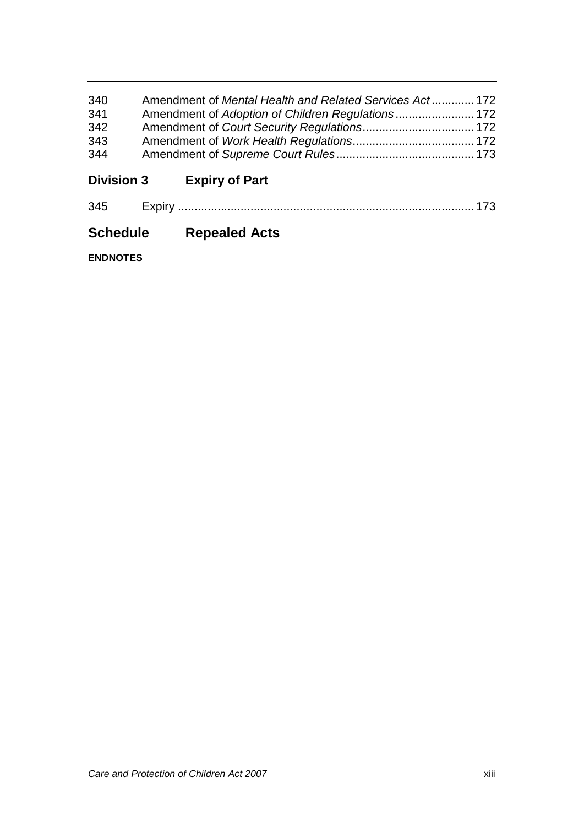| 340 | Amendment of Mental Health and Related Services Act 172 |  |
|-----|---------------------------------------------------------|--|
| 341 |                                                         |  |
| 342 |                                                         |  |
| 343 |                                                         |  |
| 344 |                                                         |  |
|     |                                                         |  |

**Division 3 Expiry of Part**

| $\sim$ $\sim$ |  |  |  |  |
|---------------|--|--|--|--|
|---------------|--|--|--|--|

# **Schedule Repealed Acts**

**ENDNOTES**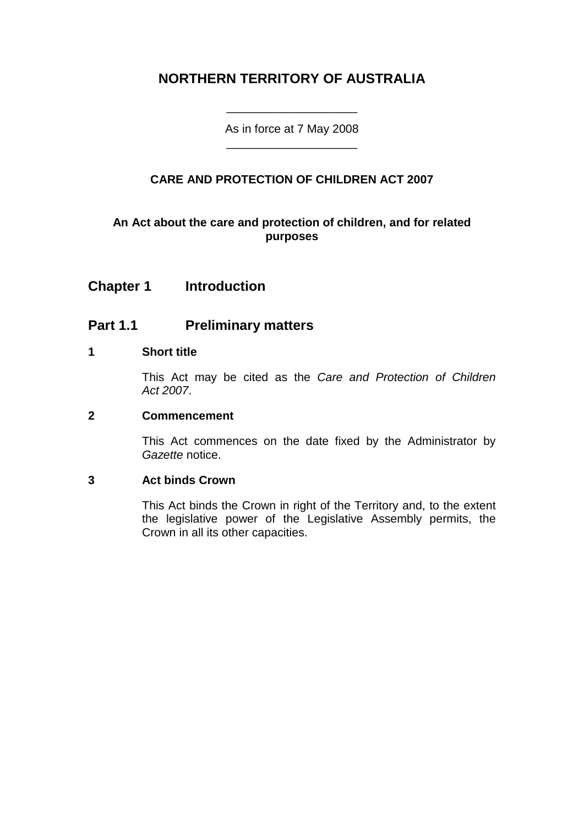# **NORTHERN TERRITORY OF AUSTRALIA**

As in force at 7 May 2008 \_\_\_\_\_\_\_\_\_\_\_\_\_\_\_\_\_\_\_\_

\_\_\_\_\_\_\_\_\_\_\_\_\_\_\_\_\_\_\_\_

### **CARE AND PROTECTION OF CHILDREN ACT 2007**

### **An Act about the care and protection of children, and for related purposes**

### **Chapter 1 Introduction**

### **Part 1.1 Preliminary matters**

### **1 Short title**

This Act may be cited as the *Care and Protection of Children Act 2007*.

#### **2 Commencement**

This Act commences on the date fixed by the Administrator by *Gazette* notice.

#### **3 Act binds Crown**

This Act binds the Crown in right of the Territory and, to the extent the legislative power of the Legislative Assembly permits, the Crown in all its other capacities.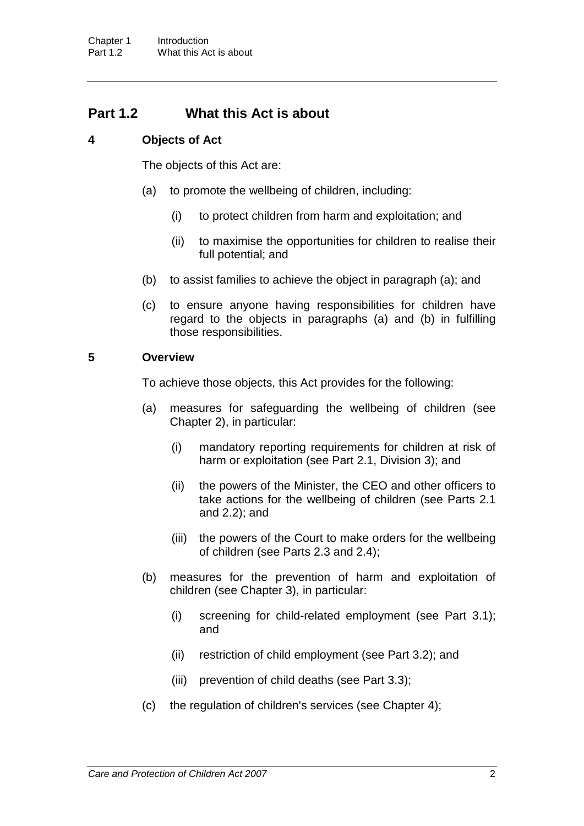### **Part 1.2 What this Act is about**

### **4 Objects of Act**

The objects of this Act are:

- (a) to promote the wellbeing of children, including:
	- (i) to protect children from harm and exploitation; and
	- (ii) to maximise the opportunities for children to realise their full potential; and
- (b) to assist families to achieve the object in paragraph (a); and
- (c) to ensure anyone having responsibilities for children have regard to the objects in paragraphs (a) and (b) in fulfilling those responsibilities.

#### **5 Overview**

To achieve those objects, this Act provides for the following:

- (a) measures for safeguarding the wellbeing of children (see Chapter 2), in particular:
	- (i) mandatory reporting requirements for children at risk of harm or exploitation (see Part 2.1, Division 3); and
	- (ii) the powers of the Minister, the CEO and other officers to take actions for the wellbeing of children (see Parts 2.1 and 2.2); and
	- (iii) the powers of the Court to make orders for the wellbeing of children (see Parts 2.3 and 2.4);
- (b) measures for the prevention of harm and exploitation of children (see Chapter 3), in particular:
	- (i) screening for child-related employment (see Part 3.1); and
	- (ii) restriction of child employment (see Part 3.2); and
	- (iii) prevention of child deaths (see Part 3.3);
- (c) the regulation of children's services (see Chapter 4);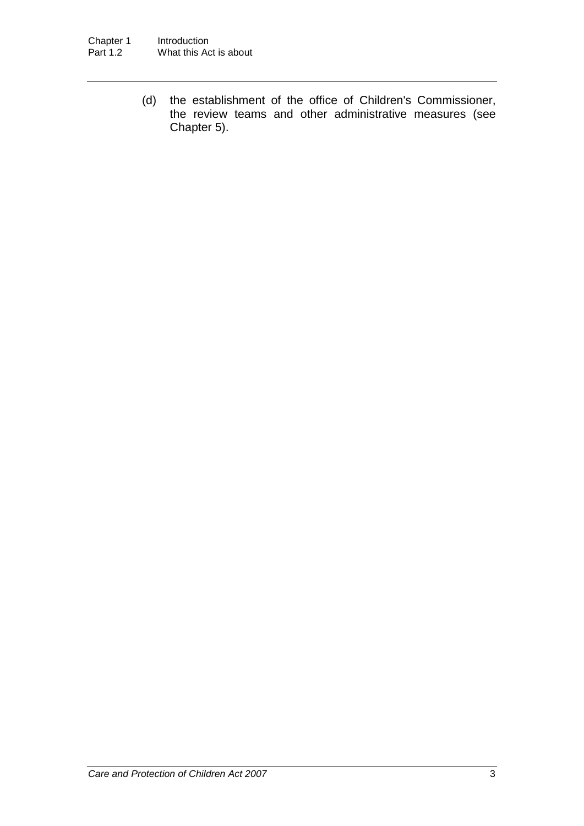(d) the establishment of the office of Children's Commissioner, the review teams and other administrative measures (see Chapter 5).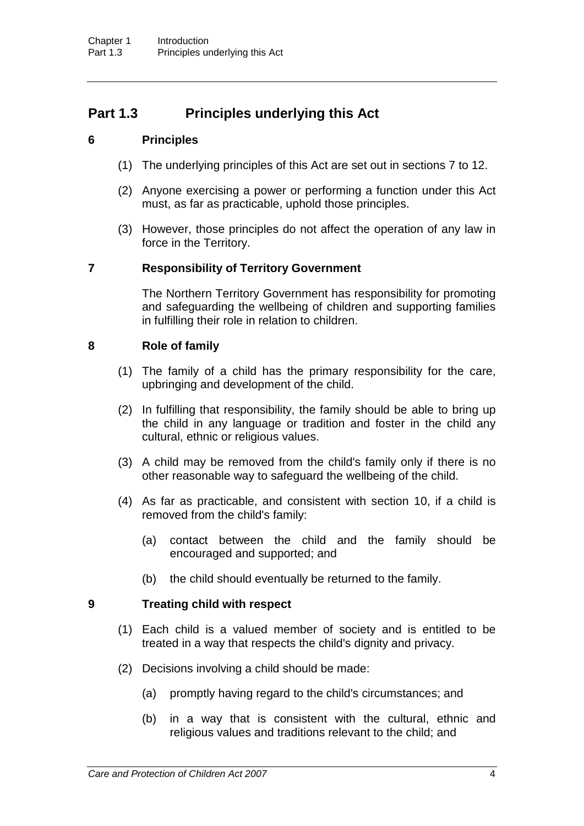# **Part 1.3 Principles underlying this Act**

### **6 Principles**

- (1) The underlying principles of this Act are set out in sections 7 to 12.
- (2) Anyone exercising a power or performing a function under this Act must, as far as practicable, uphold those principles.
- (3) However, those principles do not affect the operation of any law in force in the Territory.

### **7 Responsibility of Territory Government**

The Northern Territory Government has responsibility for promoting and safeguarding the wellbeing of children and supporting families in fulfilling their role in relation to children.

### **8 Role of family**

- (1) The family of a child has the primary responsibility for the care, upbringing and development of the child.
- (2) In fulfilling that responsibility, the family should be able to bring up the child in any language or tradition and foster in the child any cultural, ethnic or religious values.
- (3) A child may be removed from the child's family only if there is no other reasonable way to safeguard the wellbeing of the child.
- (4) As far as practicable, and consistent with section 10, if a child is removed from the child's family:
	- (a) contact between the child and the family should be encouraged and supported; and
	- (b) the child should eventually be returned to the family.

#### **9 Treating child with respect**

- (1) Each child is a valued member of society and is entitled to be treated in a way that respects the child's dignity and privacy.
- (2) Decisions involving a child should be made:
	- (a) promptly having regard to the child's circumstances; and
	- (b) in a way that is consistent with the cultural, ethnic and religious values and traditions relevant to the child; and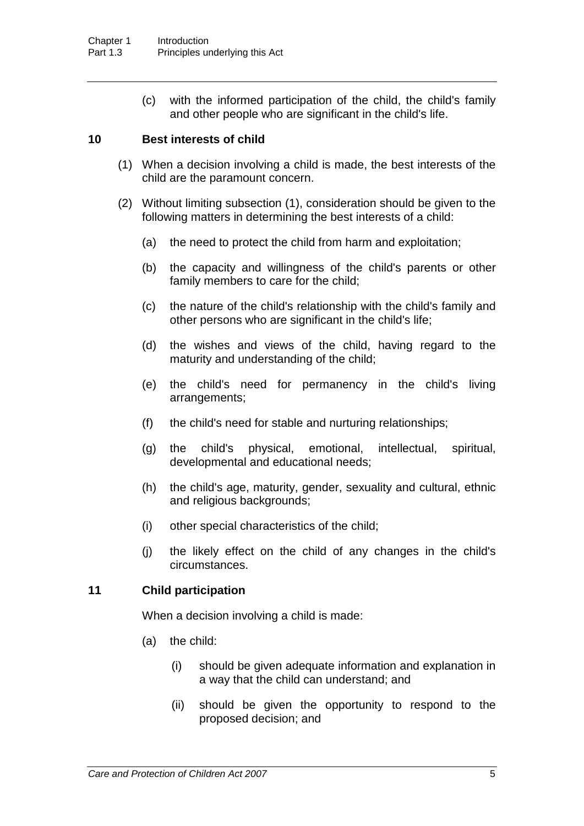(c) with the informed participation of the child, the child's family and other people who are significant in the child's life.

#### **10 Best interests of child**

- (1) When a decision involving a child is made, the best interests of the child are the paramount concern.
- (2) Without limiting subsection (1), consideration should be given to the following matters in determining the best interests of a child:
	- (a) the need to protect the child from harm and exploitation;
	- (b) the capacity and willingness of the child's parents or other family members to care for the child;
	- (c) the nature of the child's relationship with the child's family and other persons who are significant in the child's life;
	- (d) the wishes and views of the child, having regard to the maturity and understanding of the child;
	- (e) the child's need for permanency in the child's living arrangements;
	- (f) the child's need for stable and nurturing relationships;
	- (g) the child's physical, emotional, intellectual, spiritual, developmental and educational needs;
	- (h) the child's age, maturity, gender, sexuality and cultural, ethnic and religious backgrounds;
	- (i) other special characteristics of the child;
	- (j) the likely effect on the child of any changes in the child's circumstances.

#### **11 Child participation**

When a decision involving a child is made:

- (a) the child:
	- (i) should be given adequate information and explanation in a way that the child can understand; and
	- (ii) should be given the opportunity to respond to the proposed decision; and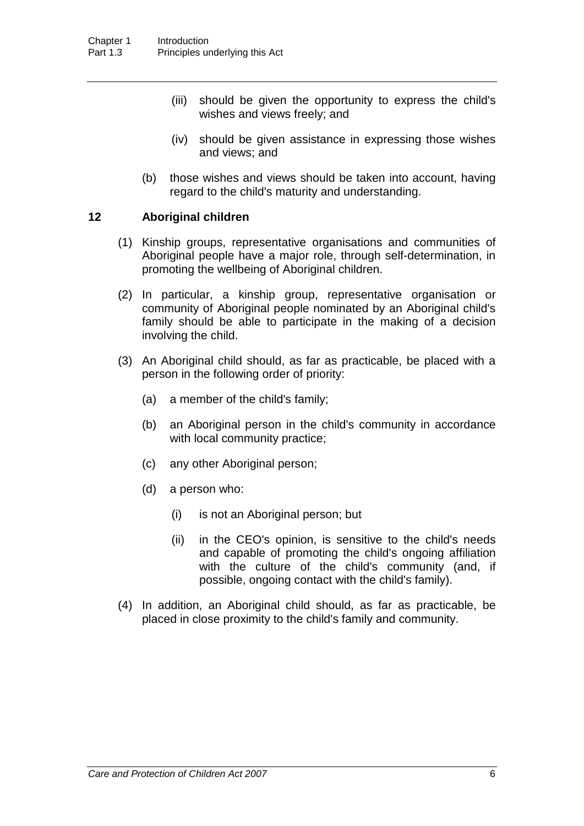- (iii) should be given the opportunity to express the child's wishes and views freely; and
- (iv) should be given assistance in expressing those wishes and views; and
- (b) those wishes and views should be taken into account, having regard to the child's maturity and understanding.

#### **12 Aboriginal children**

- (1) Kinship groups, representative organisations and communities of Aboriginal people have a major role, through self-determination, in promoting the wellbeing of Aboriginal children.
- (2) In particular, a kinship group, representative organisation or community of Aboriginal people nominated by an Aboriginal child's family should be able to participate in the making of a decision involving the child.
- (3) An Aboriginal child should, as far as practicable, be placed with a person in the following order of priority:
	- (a) a member of the child's family;
	- (b) an Aboriginal person in the child's community in accordance with local community practice;
	- (c) any other Aboriginal person;
	- (d) a person who:
		- (i) is not an Aboriginal person; but
		- (ii) in the CEO's opinion, is sensitive to the child's needs and capable of promoting the child's ongoing affiliation with the culture of the child's community (and, if possible, ongoing contact with the child's family).
- (4) In addition, an Aboriginal child should, as far as practicable, be placed in close proximity to the child's family and community.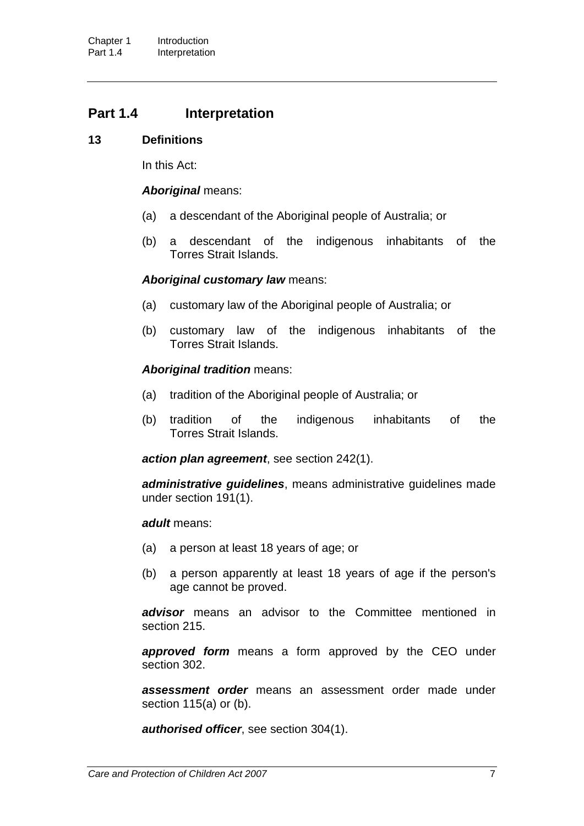### **Part 1.4 Interpretation**

#### **13 Definitions**

In this Act:

#### *Aboriginal* means:

- (a) a descendant of the Aboriginal people of Australia; or
- (b) a descendant of the indigenous inhabitants of the Torres Strait Islands.

#### *Aboriginal customary law* means:

- (a) customary law of the Aboriginal people of Australia; or
- (b) customary law of the indigenous inhabitants of the Torres Strait Islands.

#### *Aboriginal tradition* means:

- (a) tradition of the Aboriginal people of Australia; or
- (b) tradition of the indigenous inhabitants of the Torres Strait Islands.

*action plan agreement*, see section 242(1).

*administrative guidelines*, means administrative guidelines made under section 191(1).

#### *adult* means:

- (a) a person at least 18 years of age; or
- (b) a person apparently at least 18 years of age if the person's age cannot be proved.

**advisor** means an advisor to the Committee mentioned in section 215.

*approved form* means a form approved by the CEO under section 302.

*assessment order* means an assessment order made under section 115(a) or (b).

*authorised officer*, see section 304(1).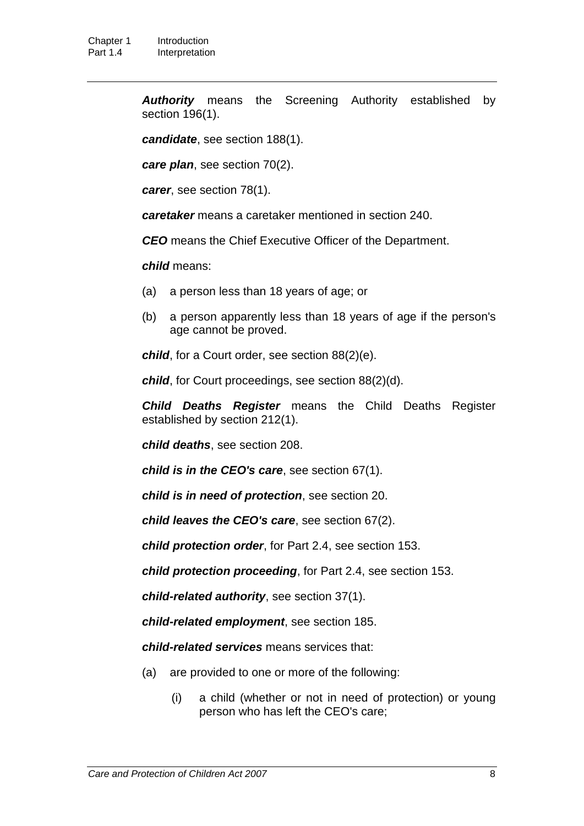*Authority* means the Screening Authority established by section 196(1).

*candidate*, see section 188(1).

*care plan*, see section 70(2).

*carer*, see section 78(1).

*caretaker* means a caretaker mentioned in section 240.

*CEO* means the Chief Executive Officer of the Department.

*child* means:

- (a) a person less than 18 years of age; or
- (b) a person apparently less than 18 years of age if the person's age cannot be proved.

*child*, for a Court order, see section 88(2)(e).

*child*, for Court proceedings, see section 88(2)(d).

*Child Deaths Register* means the Child Deaths Register established by section 212(1).

*child deaths*, see section 208.

*child is in the CEO's care*, see section 67(1).

*child is in need of protection*, see section 20.

*child leaves the CEO's care*, see section 67(2).

*child protection order*, for Part 2.4, see section 153.

*child protection proceeding*, for Part 2.4, see section 153.

*child-related authority*, see section 37(1).

*child-related employment*, see section 185.

*child-related services* means services that:

- (a) are provided to one or more of the following:
	- (i) a child (whether or not in need of protection) or young person who has left the CEO's care;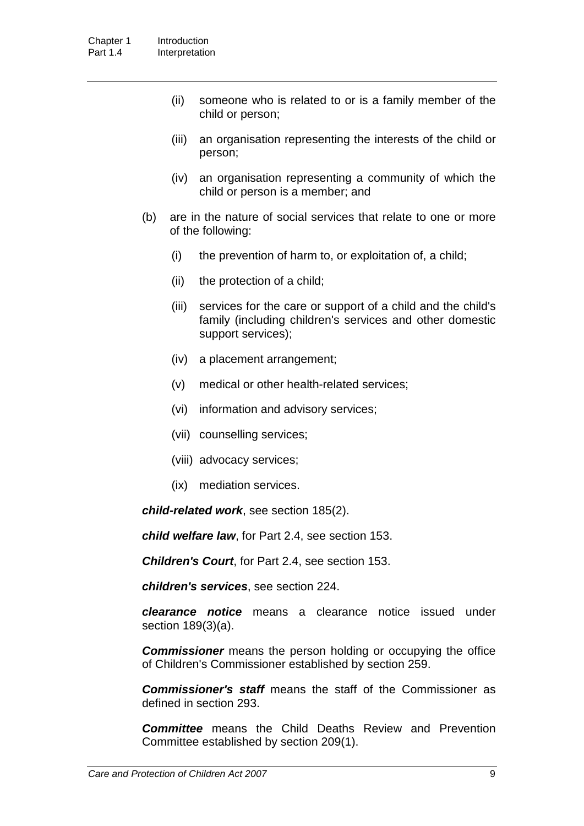- (ii) someone who is related to or is a family member of the child or person;
- (iii) an organisation representing the interests of the child or person;
- (iv) an organisation representing a community of which the child or person is a member; and
- (b) are in the nature of social services that relate to one or more of the following:
	- (i) the prevention of harm to, or exploitation of, a child;
	- (ii) the protection of a child;
	- (iii) services for the care or support of a child and the child's family (including children's services and other domestic support services);
	- (iv) a placement arrangement;
	- (v) medical or other health-related services;
	- (vi) information and advisory services;
	- (vii) counselling services;
	- (viii) advocacy services;
	- (ix) mediation services.

*child-related work*, see section 185(2).

*child welfare law*, for Part 2.4, see section 153.

*Children's Court*, for Part 2.4, see section 153.

*children's services*, see section 224.

*clearance notice* means a clearance notice issued under section 189(3)(a).

*Commissioner* means the person holding or occupying the office of Children's Commissioner established by section 259.

*Commissioner's staff* means the staff of the Commissioner as defined in section 293.

*Committee* means the Child Deaths Review and Prevention Committee established by section 209(1).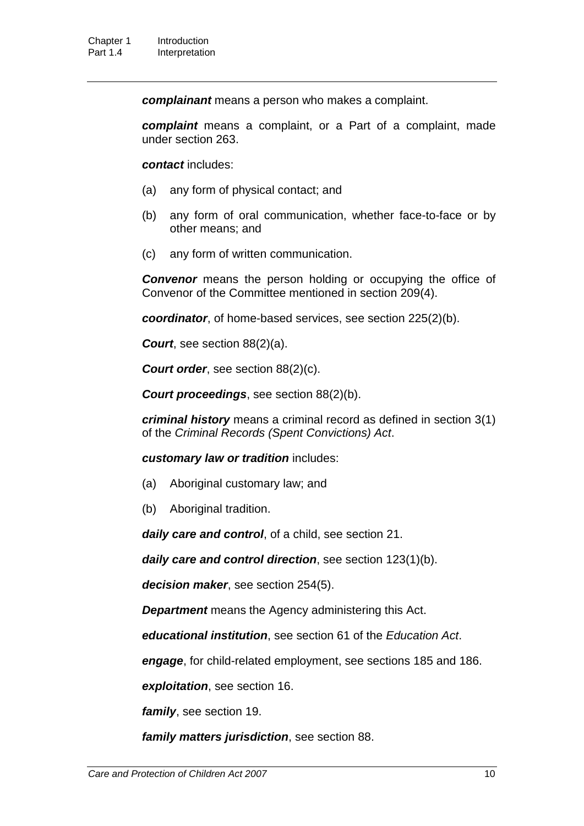*complainant* means a person who makes a complaint.

*complaint* means a complaint, or a Part of a complaint, made under section 263.

*contact* includes:

- (a) any form of physical contact; and
- (b) any form of oral communication, whether face-to-face or by other means; and
- (c) any form of written communication.

**Convenor** means the person holding or occupying the office of Convenor of the Committee mentioned in section 209(4).

*coordinator*, of home-based services, see section 225(2)(b).

*Court*, see section 88(2)(a).

*Court order, see section 88(2)(c).* 

*Court proceedings*, see section 88(2)(b).

*criminal history* means a criminal record as defined in section 3(1) of the *Criminal Records (Spent Convictions) Act*.

*customary law or tradition* includes:

- (a) Aboriginal customary law; and
- (b) Aboriginal tradition.

*daily care and control*, of a child, see section 21.

*daily care and control direction*, see section 123(1)(b).

*decision maker*, see section 254(5).

*Department* means the Agency administering this Act.

*educational institution*, see section 61 of the *Education Act*.

*engage*, for child-related employment, see sections 185 and 186.

*exploitation*, see section 16.

*family*, see section 19.

*family matters jurisdiction*, see section 88.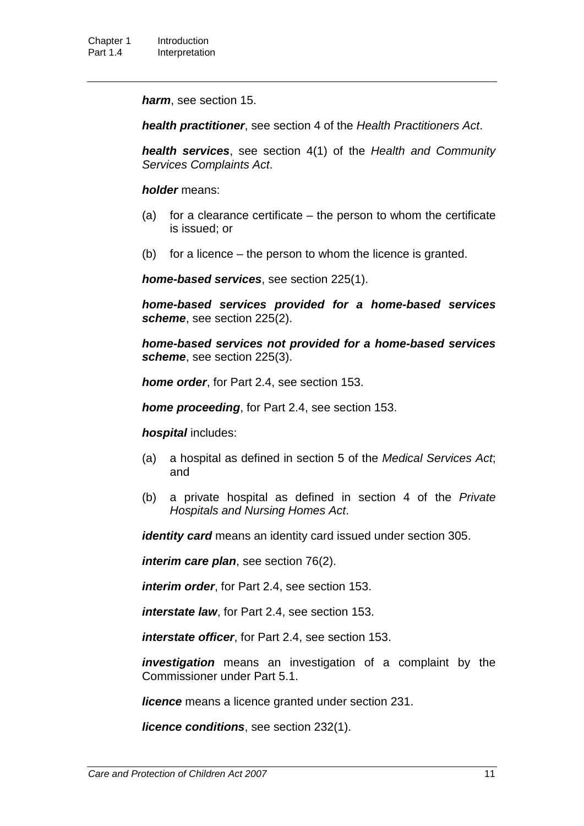*harm*, see section 15.

*health practitioner*, see section 4 of the *Health Practitioners Act*.

*health services*, see section 4(1) of the *Health and Community Services Complaints Act*.

*holder* means:

- (a) for a clearance certificate  $-$  the person to whom the certificate is issued; or
- (b) for a licence the person to whom the licence is granted.

*home-based services*, see section 225(1).

*home-based services provided for a home-based services scheme*, see section 225(2).

*home-based services not provided for a home-based services scheme*, see section 225(3).

*home order*, for Part 2.4, see section 153.

*home proceeding*, for Part 2.4, see section 153.

*hospital* includes:

- (a) a hospital as defined in section 5 of the *Medical Services Act*; and
- (b) a private hospital as defined in section 4 of the *Private Hospitals and Nursing Homes Act*.

*identity card* means an identity card issued under section 305.

*interim care plan*, see section 76(2).

*interim order*, for Part 2.4, see section 153.

*interstate law*, for Part 2.4, see section 153.

*interstate officer*, for Part 2.4, see section 153.

*investigation* means an investigation of a complaint by the Commissioner under Part 5.1.

*licence* means a licence granted under section 231.

*licence conditions*, see section 232(1).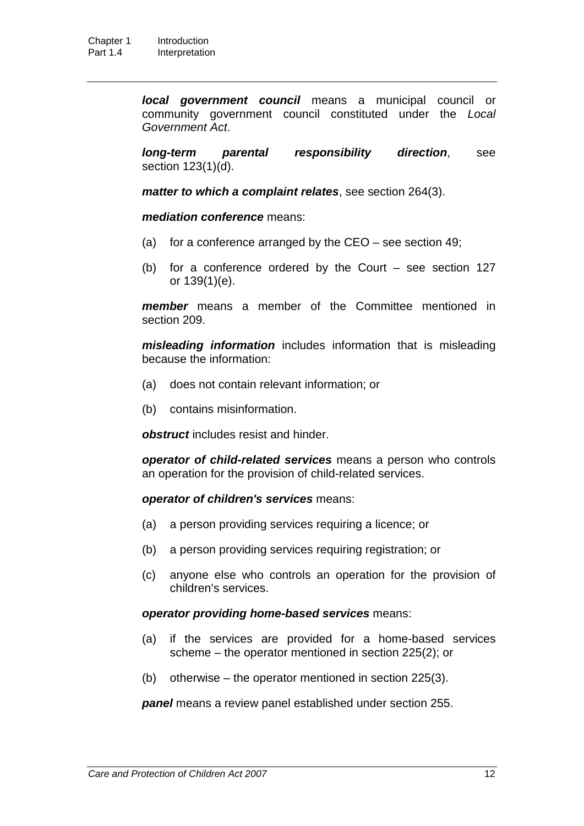*local government council* means a municipal council or community government council constituted under the *Local Government Act*.

*long-term parental responsibility direction*, see section 123(1)(d).

*matter to which a complaint relates*, see section 264(3).

*mediation conference* means:

- (a) for a conference arranged by the CEO see section 49;
- (b) for a conference ordered by the Court see section 127 or 139(1)(e).

*member* means a member of the Committee mentioned in section 209.

*misleading information* includes information that is misleading because the information:

- (a) does not contain relevant information; or
- (b) contains misinformation.

*obstruct* includes resist and hinder.

*operator of child-related services* means a person who controls an operation for the provision of child-related services.

#### *operator of children's services* means:

- (a) a person providing services requiring a licence; or
- (b) a person providing services requiring registration; or
- (c) anyone else who controls an operation for the provision of children's services.

#### *operator providing home-based services* means:

- (a) if the services are provided for a home-based services scheme – the operator mentioned in section 225(2); or
- (b) otherwise the operator mentioned in section 225(3).

*panel* means a review panel established under section 255.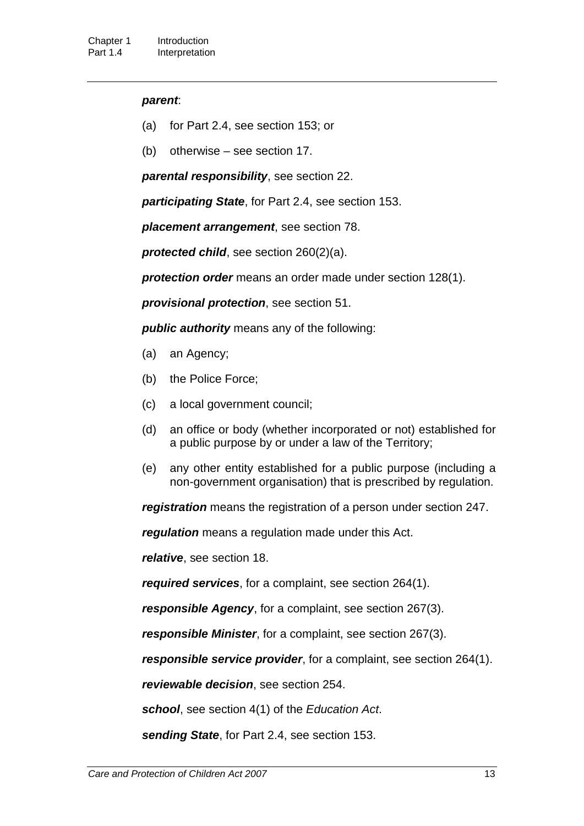#### *parent*:

- (a) for Part 2.4, see section 153; or
- (b) otherwise see section 17.

*parental responsibility*, see section 22.

*participating State*, for Part 2.4, see section 153.

*placement arrangement*, see section 78.

*protected child*, see section 260(2)(a).

*protection order* means an order made under section 128(1).

*provisional protection*, see section 51.

*public authority* means any of the following:

- (a) an Agency;
- (b) the Police Force;
- (c) a local government council;
- (d) an office or body (whether incorporated or not) established for a public purpose by or under a law of the Territory;
- (e) any other entity established for a public purpose (including a non-government organisation) that is prescribed by regulation.

*registration* means the registration of a person under section 247.

*regulation* means a regulation made under this Act.

*relative*, see section 18.

*required services*, for a complaint, see section 264(1).

*responsible Agency*, for a complaint, see section 267(3).

*responsible Minister*, for a complaint, see section 267(3).

*responsible service provider*, for a complaint, see section 264(1).

*reviewable decision*, see section 254.

*school*, see section 4(1) of the *Education Act*.

*sending State*, for Part 2.4, see section 153.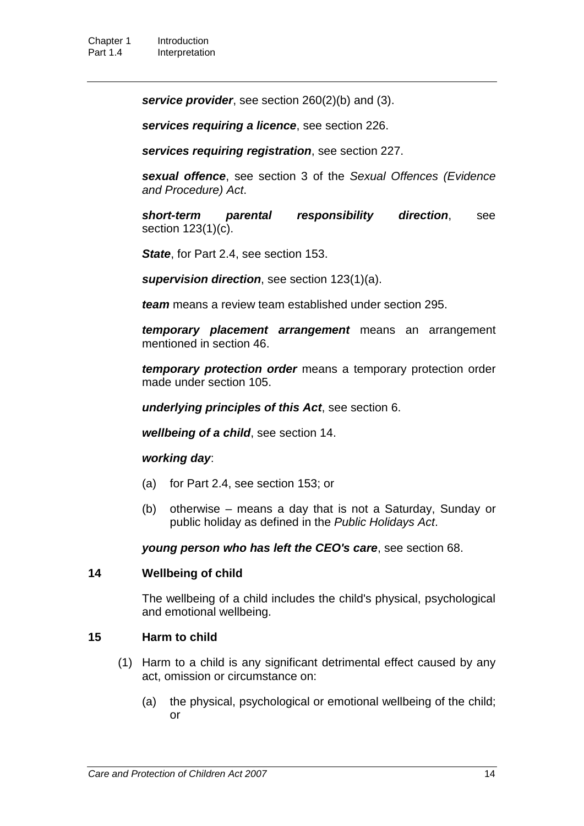*service provider*, see section 260(2)(b) and (3).

*services requiring a licence*, see section 226.

*services requiring registration*, see section 227.

*sexual offence*, see section 3 of the *Sexual Offences (Evidence and Procedure) Act*.

*short-term parental responsibility direction*, see section 123(1)(c).

*State*, for Part 2.4, see section 153.

*supervision direction*, see section 123(1)(a).

*team* means a review team established under section 295.

*temporary placement arrangement* means an arrangement mentioned in section 46.

*temporary protection order* means a temporary protection order made under section 105.

*underlying principles of this Act*, see section 6.

*wellbeing of a child*, see section 14.

#### *working day*:

- (a) for Part 2.4, see section 153; or
- (b) otherwise means a day that is not a Saturday, Sunday or public holiday as defined in the *Public Holidays Act*.

*young person who has left the CEO's care*, see section 68.

#### **14 Wellbeing of child**

The wellbeing of a child includes the child's physical, psychological and emotional wellbeing.

#### **15 Harm to child**

- (1) Harm to a child is any significant detrimental effect caused by any act, omission or circumstance on:
	- (a) the physical, psychological or emotional wellbeing of the child; or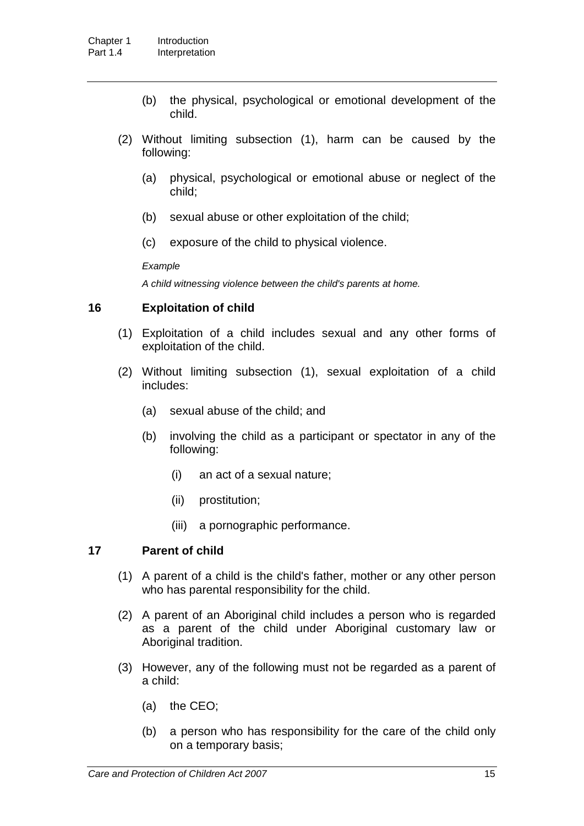- (b) the physical, psychological or emotional development of the child.
- (2) Without limiting subsection (1), harm can be caused by the following:
	- (a) physical, psychological or emotional abuse or neglect of the child;
	- (b) sexual abuse or other exploitation of the child;
	- (c) exposure of the child to physical violence.

#### *Example*

*A child witnessing violence between the child's parents at home.*

#### **16 Exploitation of child**

- (1) Exploitation of a child includes sexual and any other forms of exploitation of the child.
- (2) Without limiting subsection (1), sexual exploitation of a child includes:
	- (a) sexual abuse of the child; and
	- (b) involving the child as a participant or spectator in any of the following:
		- (i) an act of a sexual nature;
		- (ii) prostitution;
		- (iii) a pornographic performance.

#### **17 Parent of child**

- (1) A parent of a child is the child's father, mother or any other person who has parental responsibility for the child.
- (2) A parent of an Aboriginal child includes a person who is regarded as a parent of the child under Aboriginal customary law or Aboriginal tradition.
- (3) However, any of the following must not be regarded as a parent of a child:
	- (a) the CEO;
	- (b) a person who has responsibility for the care of the child only on a temporary basis;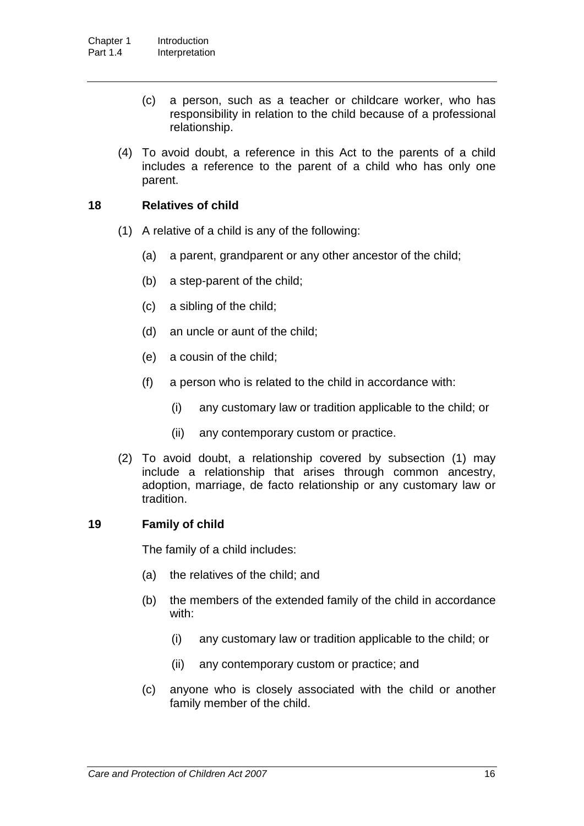- (c) a person, such as a teacher or childcare worker, who has responsibility in relation to the child because of a professional relationship.
- (4) To avoid doubt, a reference in this Act to the parents of a child includes a reference to the parent of a child who has only one parent.

#### **18 Relatives of child**

- (1) A relative of a child is any of the following:
	- (a) a parent, grandparent or any other ancestor of the child;
	- (b) a step-parent of the child;
	- (c) a sibling of the child;
	- (d) an uncle or aunt of the child;
	- (e) a cousin of the child;
	- (f) a person who is related to the child in accordance with:
		- (i) any customary law or tradition applicable to the child; or
		- (ii) any contemporary custom or practice.
- (2) To avoid doubt, a relationship covered by subsection (1) may include a relationship that arises through common ancestry, adoption, marriage, de facto relationship or any customary law or tradition.

#### **19 Family of child**

The family of a child includes:

- (a) the relatives of the child; and
- (b) the members of the extended family of the child in accordance with:
	- (i) any customary law or tradition applicable to the child; or
	- (ii) any contemporary custom or practice; and
- (c) anyone who is closely associated with the child or another family member of the child.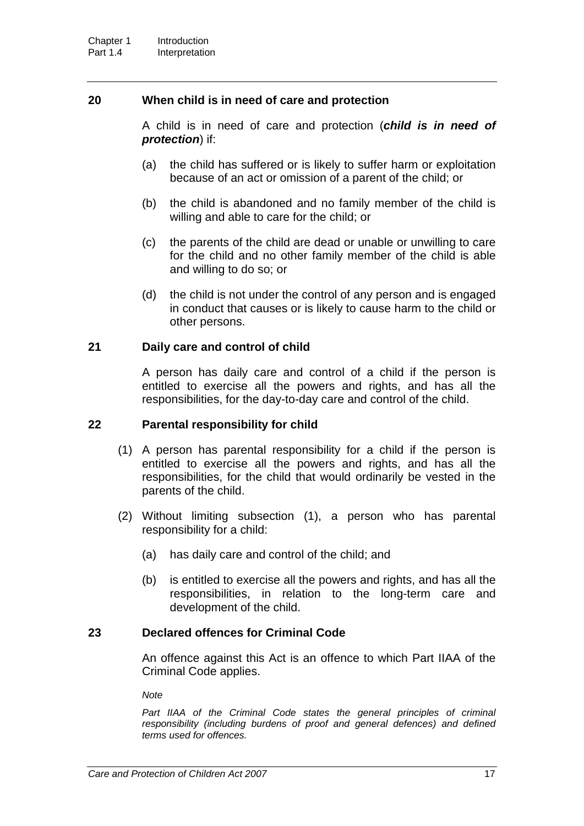#### **20 When child is in need of care and protection**

A child is in need of care and protection (*child is in need of protection*) if:

- (a) the child has suffered or is likely to suffer harm or exploitation because of an act or omission of a parent of the child; or
- (b) the child is abandoned and no family member of the child is willing and able to care for the child; or
- (c) the parents of the child are dead or unable or unwilling to care for the child and no other family member of the child is able and willing to do so; or
- (d) the child is not under the control of any person and is engaged in conduct that causes or is likely to cause harm to the child or other persons.

#### **21 Daily care and control of child**

A person has daily care and control of a child if the person is entitled to exercise all the powers and rights, and has all the responsibilities, for the day-to-day care and control of the child.

#### **22 Parental responsibility for child**

- (1) A person has parental responsibility for a child if the person is entitled to exercise all the powers and rights, and has all the responsibilities, for the child that would ordinarily be vested in the parents of the child.
- (2) Without limiting subsection (1), a person who has parental responsibility for a child:
	- (a) has daily care and control of the child; and
	- (b) is entitled to exercise all the powers and rights, and has all the responsibilities, in relation to the long-term care and development of the child.

### **23 Declared offences for Criminal Code**

An offence against this Act is an offence to which Part IIAA of the Criminal Code applies.

*Note*

Part IIAA of the Criminal Code states the general principles of criminal *responsibility (including burdens of proof and general defences) and defined terms used for offences.*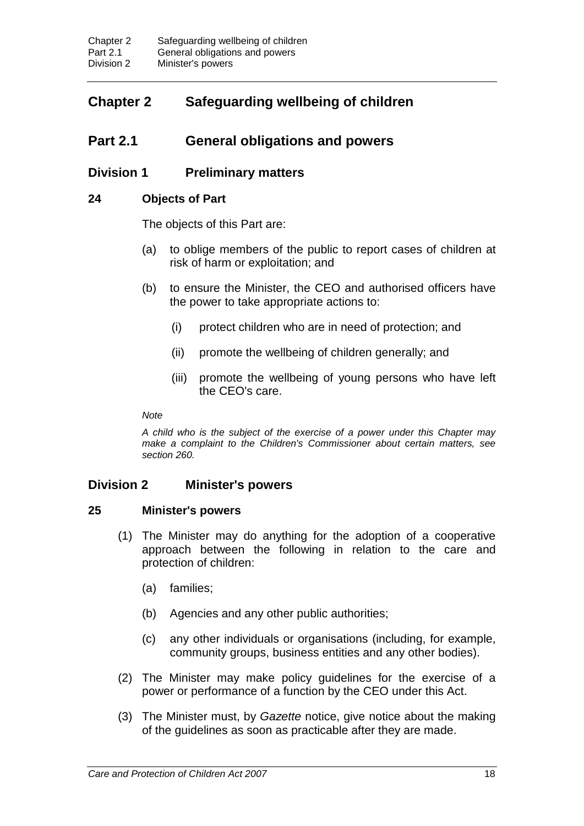# **Chapter 2 Safeguarding wellbeing of children**

### **Part 2.1 General obligations and powers**

### **Division 1 Preliminary matters**

#### **24 Objects of Part**

The objects of this Part are:

- (a) to oblige members of the public to report cases of children at risk of harm or exploitation; and
- (b) to ensure the Minister, the CEO and authorised officers have the power to take appropriate actions to:
	- (i) protect children who are in need of protection; and
	- (ii) promote the wellbeing of children generally; and
	- (iii) promote the wellbeing of young persons who have left the CEO's care.

*Note*

*A child who is the subject of the exercise of a power under this Chapter may make a complaint to the Children's Commissioner about certain matters, see section 260.*

### **Division 2 Minister's powers**

#### **25 Minister's powers**

- (1) The Minister may do anything for the adoption of a cooperative approach between the following in relation to the care and protection of children:
	- (a) families;
	- (b) Agencies and any other public authorities;
	- (c) any other individuals or organisations (including, for example, community groups, business entities and any other bodies).
- (2) The Minister may make policy guidelines for the exercise of a power or performance of a function by the CEO under this Act.
- (3) The Minister must, by *Gazette* notice, give notice about the making of the guidelines as soon as practicable after they are made.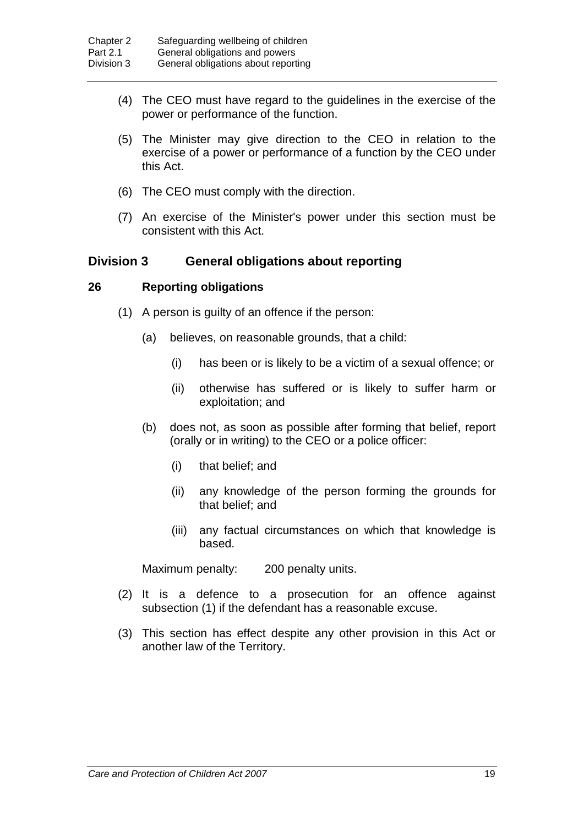- (4) The CEO must have regard to the guidelines in the exercise of the power or performance of the function.
- (5) The Minister may give direction to the CEO in relation to the exercise of a power or performance of a function by the CEO under this Act.
- (6) The CEO must comply with the direction.
- (7) An exercise of the Minister's power under this section must be consistent with this Act.

### **Division 3 General obligations about reporting**

#### **26 Reporting obligations**

- (1) A person is guilty of an offence if the person:
	- (a) believes, on reasonable grounds, that a child:
		- (i) has been or is likely to be a victim of a sexual offence; or
		- (ii) otherwise has suffered or is likely to suffer harm or exploitation; and
	- (b) does not, as soon as possible after forming that belief, report (orally or in writing) to the CEO or a police officer:
		- (i) that belief; and
		- (ii) any knowledge of the person forming the grounds for that belief; and
		- (iii) any factual circumstances on which that knowledge is based.

Maximum penalty: 200 penalty units.

- (2) It is a defence to a prosecution for an offence against subsection (1) if the defendant has a reasonable excuse.
- (3) This section has effect despite any other provision in this Act or another law of the Territory.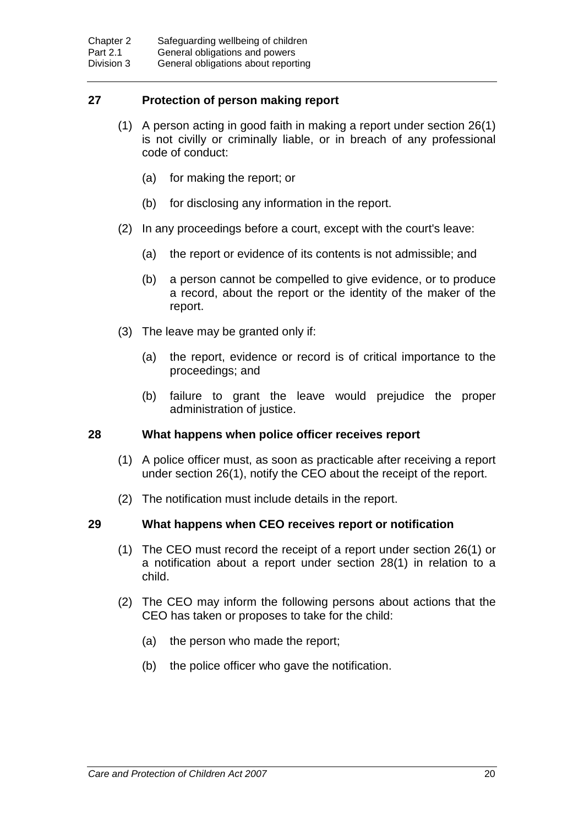### **27 Protection of person making report**

- (1) A person acting in good faith in making a report under section 26(1) is not civilly or criminally liable, or in breach of any professional code of conduct:
	- (a) for making the report; or
	- (b) for disclosing any information in the report.
- (2) In any proceedings before a court, except with the court's leave:
	- (a) the report or evidence of its contents is not admissible; and
	- (b) a person cannot be compelled to give evidence, or to produce a record, about the report or the identity of the maker of the report.
- (3) The leave may be granted only if:
	- (a) the report, evidence or record is of critical importance to the proceedings; and
	- (b) failure to grant the leave would prejudice the proper administration of justice.

#### **28 What happens when police officer receives report**

- (1) A police officer must, as soon as practicable after receiving a report under section 26(1), notify the CEO about the receipt of the report.
- (2) The notification must include details in the report.

#### **29 What happens when CEO receives report or notification**

- (1) The CEO must record the receipt of a report under section 26(1) or a notification about a report under section 28(1) in relation to a child.
- (2) The CEO may inform the following persons about actions that the CEO has taken or proposes to take for the child:
	- (a) the person who made the report;
	- (b) the police officer who gave the notification.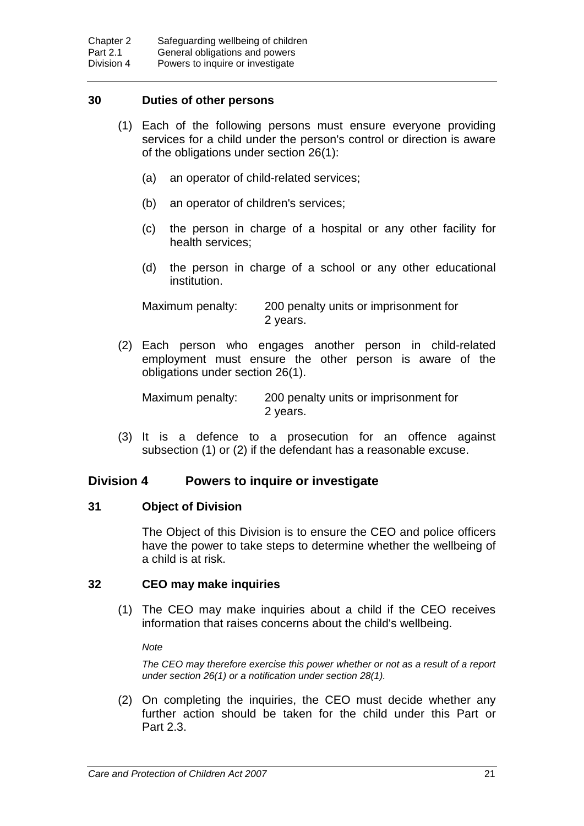#### **30 Duties of other persons**

- (1) Each of the following persons must ensure everyone providing services for a child under the person's control or direction is aware of the obligations under section 26(1):
	- (a) an operator of child-related services;
	- (b) an operator of children's services;
	- (c) the person in charge of a hospital or any other facility for health services;
	- (d) the person in charge of a school or any other educational institution.

Maximum penalty: 200 penalty units or imprisonment for 2 years.

(2) Each person who engages another person in child-related employment must ensure the other person is aware of the obligations under section 26(1).

Maximum penalty: 200 penalty units or imprisonment for 2 years.

(3) It is a defence to a prosecution for an offence against subsection (1) or (2) if the defendant has a reasonable excuse.

#### **Division 4 Powers to inquire or investigate**

#### **31 Object of Division**

The Object of this Division is to ensure the CEO and police officers have the power to take steps to determine whether the wellbeing of a child is at risk.

#### **32 CEO may make inquiries**

(1) The CEO may make inquiries about a child if the CEO receives information that raises concerns about the child's wellbeing.

*Note*

*The CEO may therefore exercise this power whether or not as a result of a report under section 26(1) or a notification under section 28(1).*

(2) On completing the inquiries, the CEO must decide whether any further action should be taken for the child under this Part or Part 2.3.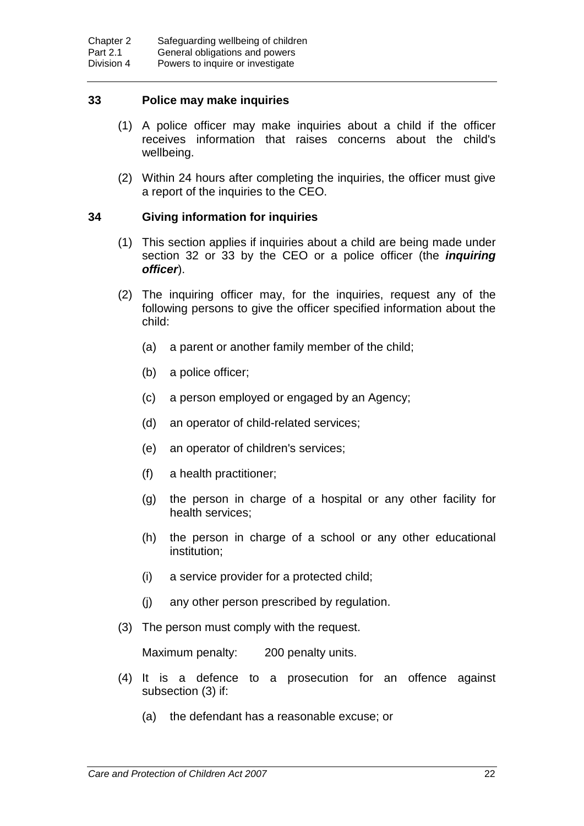#### **33 Police may make inquiries**

- (1) A police officer may make inquiries about a child if the officer receives information that raises concerns about the child's wellbeing.
- (2) Within 24 hours after completing the inquiries, the officer must give a report of the inquiries to the CEO.

#### **34 Giving information for inquiries**

- (1) This section applies if inquiries about a child are being made under section 32 or 33 by the CEO or a police officer (the *inquiring officer*).
- (2) The inquiring officer may, for the inquiries, request any of the following persons to give the officer specified information about the child:
	- (a) a parent or another family member of the child;
	- (b) a police officer;
	- (c) a person employed or engaged by an Agency;
	- (d) an operator of child-related services;
	- (e) an operator of children's services;
	- (f) a health practitioner;
	- (g) the person in charge of a hospital or any other facility for health services;
	- (h) the person in charge of a school or any other educational institution;
	- (i) a service provider for a protected child;
	- (j) any other person prescribed by regulation.
- (3) The person must comply with the request.

Maximum penalty: 200 penalty units.

- (4) It is a defence to a prosecution for an offence against subsection (3) if:
	- (a) the defendant has a reasonable excuse; or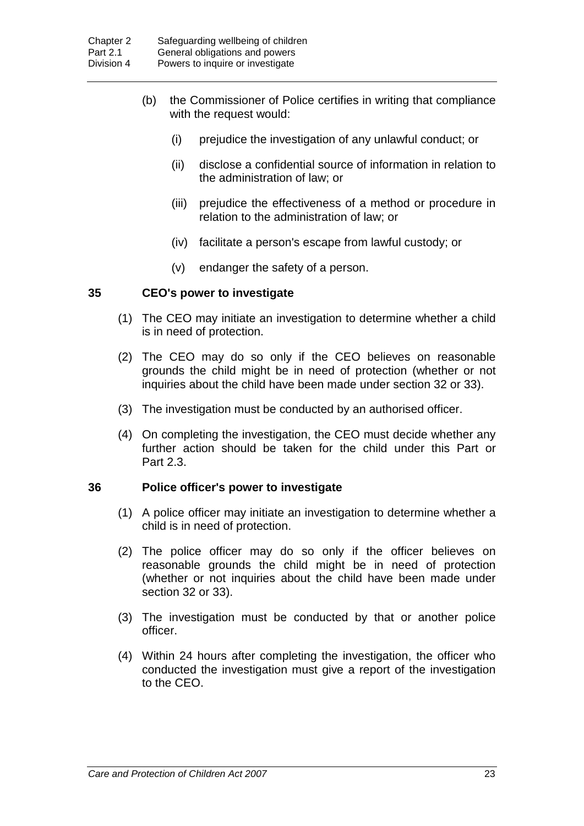- (b) the Commissioner of Police certifies in writing that compliance with the request would:
	- (i) prejudice the investigation of any unlawful conduct; or
	- (ii) disclose a confidential source of information in relation to the administration of law; or
	- (iii) prejudice the effectiveness of a method or procedure in relation to the administration of law; or
	- (iv) facilitate a person's escape from lawful custody; or
	- (v) endanger the safety of a person.

#### **35 CEO's power to investigate**

- (1) The CEO may initiate an investigation to determine whether a child is in need of protection.
- (2) The CEO may do so only if the CEO believes on reasonable grounds the child might be in need of protection (whether or not inquiries about the child have been made under section 32 or 33).
- (3) The investigation must be conducted by an authorised officer.
- (4) On completing the investigation, the CEO must decide whether any further action should be taken for the child under this Part or Part 2.3.

#### **36 Police officer's power to investigate**

- (1) A police officer may initiate an investigation to determine whether a child is in need of protection.
- (2) The police officer may do so only if the officer believes on reasonable grounds the child might be in need of protection (whether or not inquiries about the child have been made under section 32 or 33).
- (3) The investigation must be conducted by that or another police officer.
- (4) Within 24 hours after completing the investigation, the officer who conducted the investigation must give a report of the investigation to the CEO.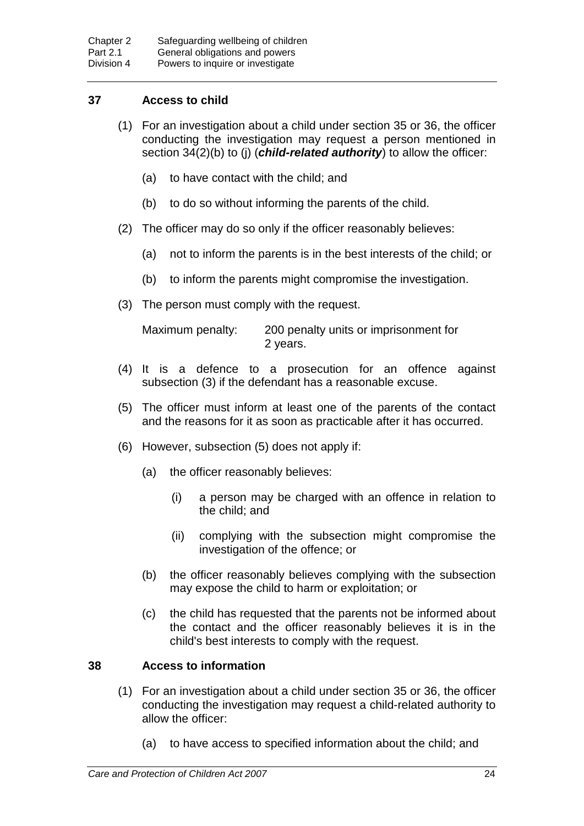# **37 Access to child**

- (1) For an investigation about a child under section 35 or 36, the officer conducting the investigation may request a person mentioned in section 34(2)(b) to (j) (*child-related authority*) to allow the officer:
	- (a) to have contact with the child; and
	- (b) to do so without informing the parents of the child.
- (2) The officer may do so only if the officer reasonably believes:
	- (a) not to inform the parents is in the best interests of the child; or
	- (b) to inform the parents might compromise the investigation.
- (3) The person must comply with the request.

Maximum penalty: 200 penalty units or imprisonment for 2 years.

- (4) It is a defence to a prosecution for an offence against subsection (3) if the defendant has a reasonable excuse.
- (5) The officer must inform at least one of the parents of the contact and the reasons for it as soon as practicable after it has occurred.
- (6) However, subsection (5) does not apply if:
	- (a) the officer reasonably believes:
		- (i) a person may be charged with an offence in relation to the child; and
		- (ii) complying with the subsection might compromise the investigation of the offence; or
	- (b) the officer reasonably believes complying with the subsection may expose the child to harm or exploitation; or
	- (c) the child has requested that the parents not be informed about the contact and the officer reasonably believes it is in the child's best interests to comply with the request.

## **38 Access to information**

- (1) For an investigation about a child under section 35 or 36, the officer conducting the investigation may request a child-related authority to allow the officer:
	- (a) to have access to specified information about the child; and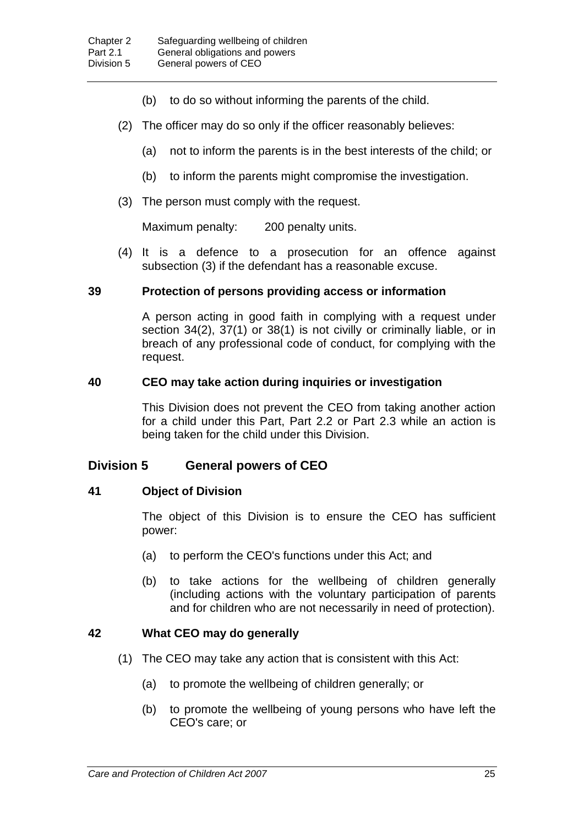- (b) to do so without informing the parents of the child.
- (2) The officer may do so only if the officer reasonably believes:
	- (a) not to inform the parents is in the best interests of the child; or
	- (b) to inform the parents might compromise the investigation.
- (3) The person must comply with the request.

Maximum penalty: 200 penalty units.

(4) It is a defence to a prosecution for an offence against subsection (3) if the defendant has a reasonable excuse.

### **39 Protection of persons providing access or information**

A person acting in good faith in complying with a request under section 34(2), 37(1) or 38(1) is not civilly or criminally liable, or in breach of any professional code of conduct, for complying with the request.

### **40 CEO may take action during inquiries or investigation**

This Division does not prevent the CEO from taking another action for a child under this Part, Part 2.2 or Part 2.3 while an action is being taken for the child under this Division.

# **Division 5 General powers of CEO**

### **41 Object of Division**

The object of this Division is to ensure the CEO has sufficient power:

- (a) to perform the CEO's functions under this Act; and
- (b) to take actions for the wellbeing of children generally (including actions with the voluntary participation of parents and for children who are not necessarily in need of protection).

### **42 What CEO may do generally**

- (1) The CEO may take any action that is consistent with this Act:
	- (a) to promote the wellbeing of children generally; or
	- (b) to promote the wellbeing of young persons who have left the CEO's care; or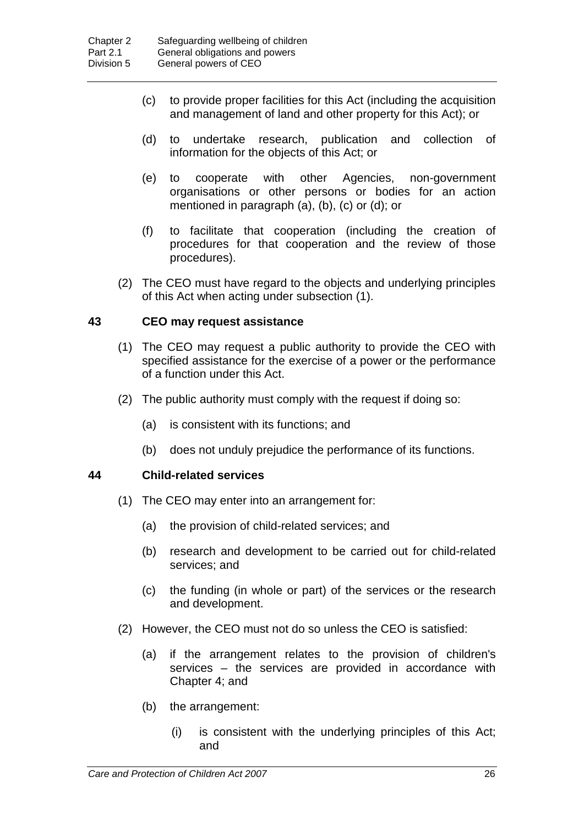- (c) to provide proper facilities for this Act (including the acquisition and management of land and other property for this Act); or
- (d) to undertake research, publication and collection of information for the objects of this Act; or
- (e) to cooperate with other Agencies, non-government organisations or other persons or bodies for an action mentioned in paragraph (a), (b), (c) or (d); or
- (f) to facilitate that cooperation (including the creation of procedures for that cooperation and the review of those procedures).
- (2) The CEO must have regard to the objects and underlying principles of this Act when acting under subsection (1).

### **43 CEO may request assistance**

- (1) The CEO may request a public authority to provide the CEO with specified assistance for the exercise of a power or the performance of a function under this Act.
- (2) The public authority must comply with the request if doing so:
	- (a) is consistent with its functions; and
	- (b) does not unduly prejudice the performance of its functions.

### **44 Child-related services**

- (1) The CEO may enter into an arrangement for:
	- (a) the provision of child-related services; and
	- (b) research and development to be carried out for child-related services; and
	- (c) the funding (in whole or part) of the services or the research and development.
- (2) However, the CEO must not do so unless the CEO is satisfied:
	- (a) if the arrangement relates to the provision of children's services – the services are provided in accordance with Chapter 4; and
	- (b) the arrangement:
		- (i) is consistent with the underlying principles of this Act; and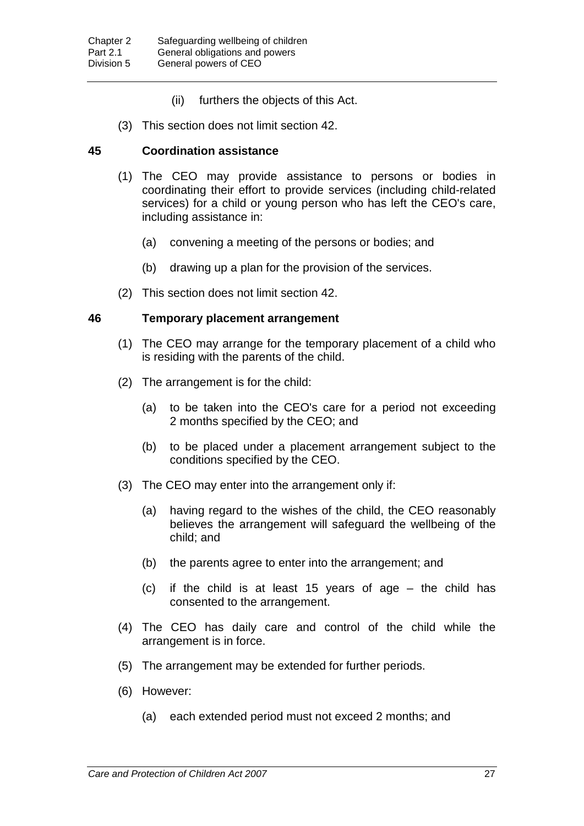- (ii) furthers the objects of this Act.
- (3) This section does not limit section 42.

#### **45 Coordination assistance**

- (1) The CEO may provide assistance to persons or bodies in coordinating their effort to provide services (including child-related services) for a child or young person who has left the CEO's care, including assistance in:
	- (a) convening a meeting of the persons or bodies; and
	- (b) drawing up a plan for the provision of the services.
- (2) This section does not limit section 42.

#### **46 Temporary placement arrangement**

- (1) The CEO may arrange for the temporary placement of a child who is residing with the parents of the child.
- (2) The arrangement is for the child:
	- (a) to be taken into the CEO's care for a period not exceeding 2 months specified by the CEO; and
	- (b) to be placed under a placement arrangement subject to the conditions specified by the CEO.
- (3) The CEO may enter into the arrangement only if:
	- (a) having regard to the wishes of the child, the CEO reasonably believes the arrangement will safeguard the wellbeing of the child; and
	- (b) the parents agree to enter into the arrangement; and
	- (c) if the child is at least 15 years of age the child has consented to the arrangement.
- (4) The CEO has daily care and control of the child while the arrangement is in force.
- (5) The arrangement may be extended for further periods.
- (6) However:
	- (a) each extended period must not exceed 2 months; and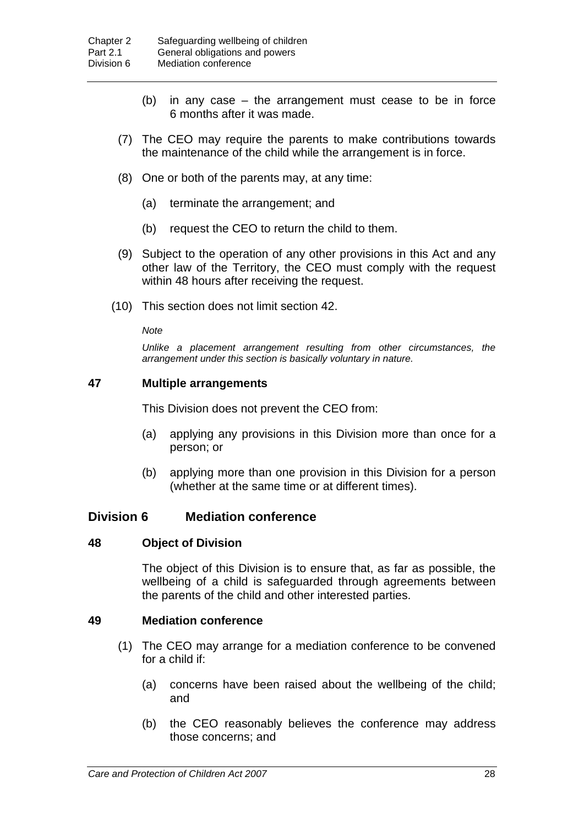- (b) in any case the arrangement must cease to be in force 6 months after it was made.
- (7) The CEO may require the parents to make contributions towards the maintenance of the child while the arrangement is in force.
- (8) One or both of the parents may, at any time:
	- (a) terminate the arrangement; and
	- (b) request the CEO to return the child to them.
- (9) Subject to the operation of any other provisions in this Act and any other law of the Territory, the CEO must comply with the request within 48 hours after receiving the request.
- (10) This section does not limit section 42.

*Note*

*Unlike a placement arrangement resulting from other circumstances, the arrangement under this section is basically voluntary in nature.*

#### **47 Multiple arrangements**

This Division does not prevent the CEO from:

- (a) applying any provisions in this Division more than once for a person; or
- (b) applying more than one provision in this Division for a person (whether at the same time or at different times).

### **Division 6 Mediation conference**

#### **48 Object of Division**

The object of this Division is to ensure that, as far as possible, the wellbeing of a child is safeguarded through agreements between the parents of the child and other interested parties.

#### **49 Mediation conference**

- (1) The CEO may arrange for a mediation conference to be convened for a child if:
	- (a) concerns have been raised about the wellbeing of the child; and
	- (b) the CEO reasonably believes the conference may address those concerns; and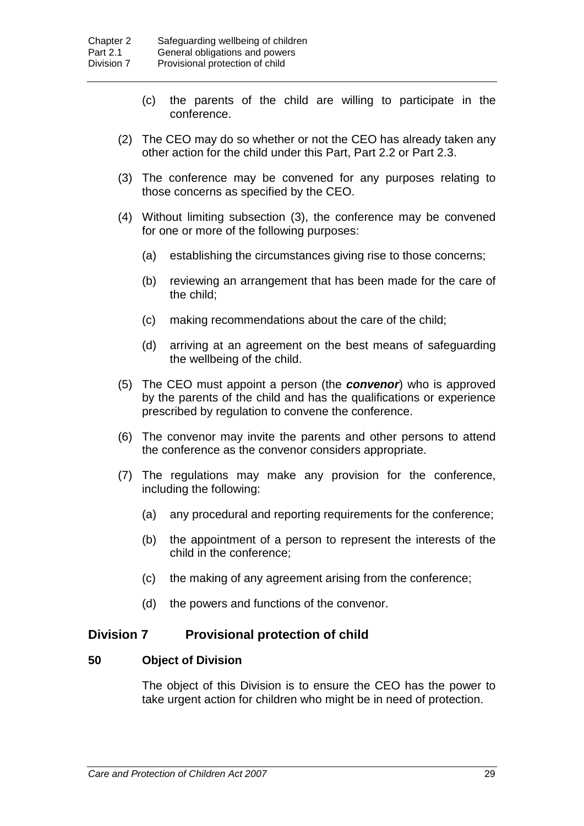- (c) the parents of the child are willing to participate in the conference.
- (2) The CEO may do so whether or not the CEO has already taken any other action for the child under this Part, Part 2.2 or Part 2.3.
- (3) The conference may be convened for any purposes relating to those concerns as specified by the CEO.
- (4) Without limiting subsection (3), the conference may be convened for one or more of the following purposes:
	- (a) establishing the circumstances giving rise to those concerns;
	- (b) reviewing an arrangement that has been made for the care of the child;
	- (c) making recommendations about the care of the child;
	- (d) arriving at an agreement on the best means of safeguarding the wellbeing of the child.
- (5) The CEO must appoint a person (the *convenor*) who is approved by the parents of the child and has the qualifications or experience prescribed by regulation to convene the conference.
- (6) The convenor may invite the parents and other persons to attend the conference as the convenor considers appropriate.
- (7) The regulations may make any provision for the conference, including the following:
	- (a) any procedural and reporting requirements for the conference;
	- (b) the appointment of a person to represent the interests of the child in the conference;
	- (c) the making of any agreement arising from the conference;
	- (d) the powers and functions of the convenor.

### **Division 7 Provisional protection of child**

### **50 Object of Division**

The object of this Division is to ensure the CEO has the power to take urgent action for children who might be in need of protection.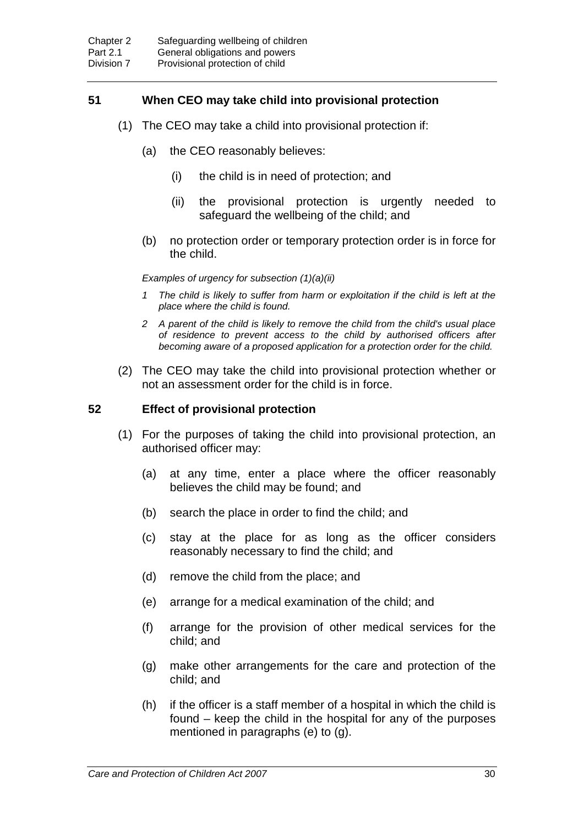## **51 When CEO may take child into provisional protection**

- (1) The CEO may take a child into provisional protection if:
	- (a) the CEO reasonably believes:
		- (i) the child is in need of protection; and
		- (ii) the provisional protection is urgently needed to safeguard the wellbeing of the child; and
	- (b) no protection order or temporary protection order is in force for the child.

*Examples of urgency for subsection (1)(a)(ii)*

- *1 The child is likely to suffer from harm or exploitation if the child is left at the place where the child is found.*
- *2 A parent of the child is likely to remove the child from the child's usual place of residence to prevent access to the child by authorised officers after becoming aware of a proposed application for a protection order for the child.*
- (2) The CEO may take the child into provisional protection whether or not an assessment order for the child is in force.

#### **52 Effect of provisional protection**

- (1) For the purposes of taking the child into provisional protection, an authorised officer may:
	- (a) at any time, enter a place where the officer reasonably believes the child may be found; and
	- (b) search the place in order to find the child; and
	- (c) stay at the place for as long as the officer considers reasonably necessary to find the child; and
	- (d) remove the child from the place; and
	- (e) arrange for a medical examination of the child; and
	- (f) arrange for the provision of other medical services for the child; and
	- (g) make other arrangements for the care and protection of the child; and
	- (h) if the officer is a staff member of a hospital in which the child is found – keep the child in the hospital for any of the purposes mentioned in paragraphs (e) to (g).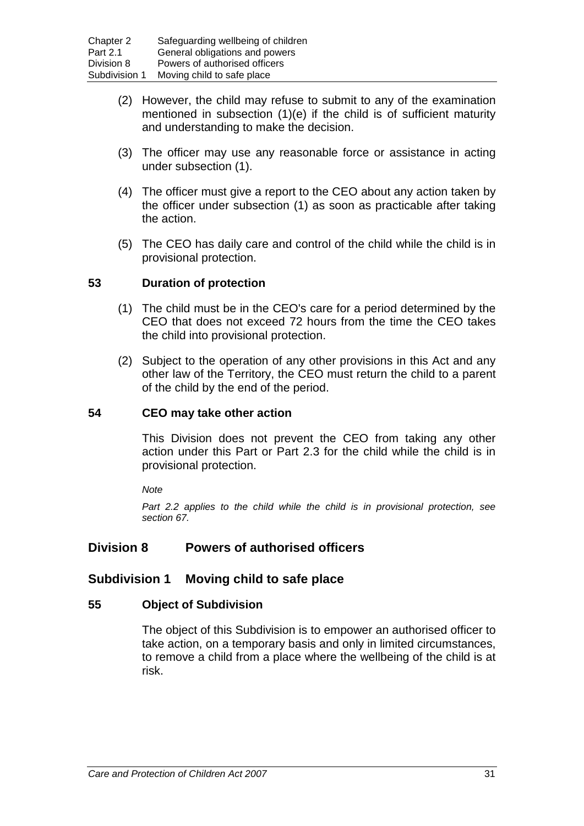- (2) However, the child may refuse to submit to any of the examination mentioned in subsection (1)(e) if the child is of sufficient maturity and understanding to make the decision.
- (3) The officer may use any reasonable force or assistance in acting under subsection (1).
- (4) The officer must give a report to the CEO about any action taken by the officer under subsection (1) as soon as practicable after taking the action.
- (5) The CEO has daily care and control of the child while the child is in provisional protection.

### **53 Duration of protection**

- (1) The child must be in the CEO's care for a period determined by the CEO that does not exceed 72 hours from the time the CEO takes the child into provisional protection.
- (2) Subject to the operation of any other provisions in this Act and any other law of the Territory, the CEO must return the child to a parent of the child by the end of the period.

### **54 CEO may take other action**

This Division does not prevent the CEO from taking any other action under this Part or Part 2.3 for the child while the child is in provisional protection.

*Note*

*Part 2.2 applies to the child while the child is in provisional protection, see section 67.*

# **Division 8 Powers of authorised officers**

### **Subdivision 1 Moving child to safe place**

#### **55 Object of Subdivision**

The object of this Subdivision is to empower an authorised officer to take action, on a temporary basis and only in limited circumstances, to remove a child from a place where the wellbeing of the child is at risk.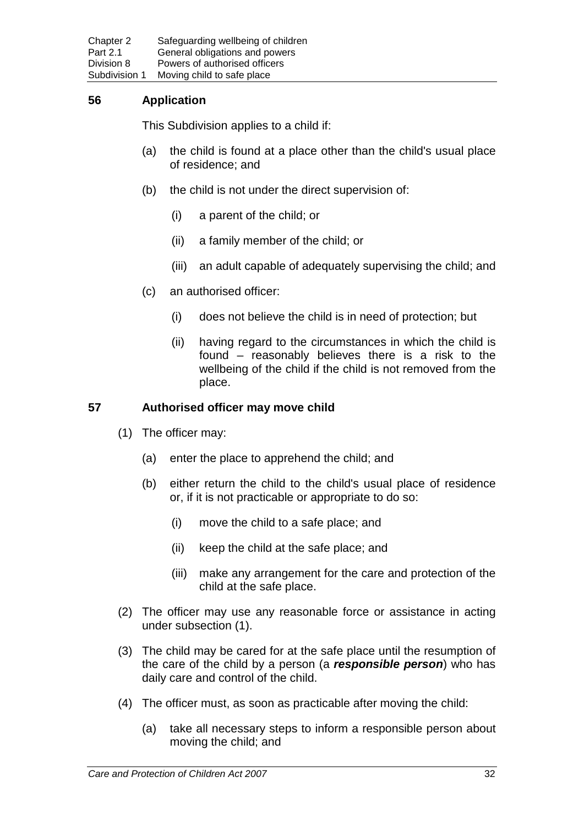# **56 Application**

This Subdivision applies to a child if:

- (a) the child is found at a place other than the child's usual place of residence; and
- (b) the child is not under the direct supervision of:
	- (i) a parent of the child; or
	- (ii) a family member of the child; or
	- (iii) an adult capable of adequately supervising the child; and
- (c) an authorised officer:
	- (i) does not believe the child is in need of protection; but
	- (ii) having regard to the circumstances in which the child is found – reasonably believes there is a risk to the wellbeing of the child if the child is not removed from the place.

### **57 Authorised officer may move child**

- (1) The officer may:
	- (a) enter the place to apprehend the child; and
	- (b) either return the child to the child's usual place of residence or, if it is not practicable or appropriate to do so:
		- (i) move the child to a safe place; and
		- (ii) keep the child at the safe place; and
		- (iii) make any arrangement for the care and protection of the child at the safe place.
- (2) The officer may use any reasonable force or assistance in acting under subsection (1).
- (3) The child may be cared for at the safe place until the resumption of the care of the child by a person (a *responsible person*) who has daily care and control of the child.
- (4) The officer must, as soon as practicable after moving the child:
	- (a) take all necessary steps to inform a responsible person about moving the child; and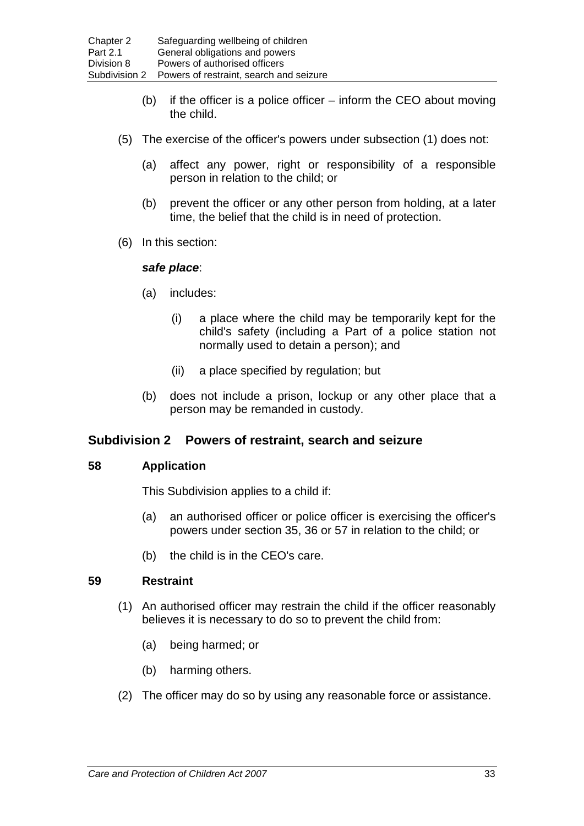- (b) if the officer is a police officer inform the CEO about moving the child.
- (5) The exercise of the officer's powers under subsection (1) does not:
	- (a) affect any power, right or responsibility of a responsible person in relation to the child; or
	- (b) prevent the officer or any other person from holding, at a later time, the belief that the child is in need of protection.
- (6) In this section:

### *safe place*:

- (a) includes:
	- (i) a place where the child may be temporarily kept for the child's safety (including a Part of a police station not normally used to detain a person); and
	- (ii) a place specified by regulation; but
- (b) does not include a prison, lockup or any other place that a person may be remanded in custody.

# **Subdivision 2 Powers of restraint, search and seizure**

### **58 Application**

This Subdivision applies to a child if:

- (a) an authorised officer or police officer is exercising the officer's powers under section 35, 36 or 57 in relation to the child; or
- (b) the child is in the CEO's care.

### **59 Restraint**

- (1) An authorised officer may restrain the child if the officer reasonably believes it is necessary to do so to prevent the child from:
	- (a) being harmed; or
	- (b) harming others.
- (2) The officer may do so by using any reasonable force or assistance.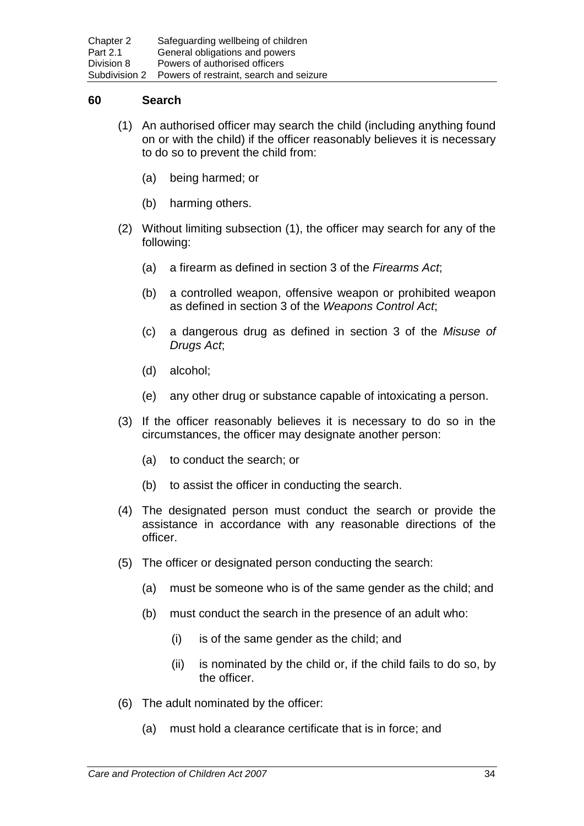#### **60 Search**

- (1) An authorised officer may search the child (including anything found on or with the child) if the officer reasonably believes it is necessary to do so to prevent the child from:
	- (a) being harmed; or
	- (b) harming others.
- (2) Without limiting subsection (1), the officer may search for any of the following:
	- (a) a firearm as defined in section 3 of the *Firearms Act*;
	- (b) a controlled weapon, offensive weapon or prohibited weapon as defined in section 3 of the *Weapons Control Act*;
	- (c) a dangerous drug as defined in section 3 of the *Misuse of Drugs Act*;
	- (d) alcohol;
	- (e) any other drug or substance capable of intoxicating a person.
- (3) If the officer reasonably believes it is necessary to do so in the circumstances, the officer may designate another person:
	- (a) to conduct the search; or
	- (b) to assist the officer in conducting the search.
- (4) The designated person must conduct the search or provide the assistance in accordance with any reasonable directions of the officer.
- (5) The officer or designated person conducting the search:
	- (a) must be someone who is of the same gender as the child; and
	- (b) must conduct the search in the presence of an adult who:
		- (i) is of the same gender as the child; and
		- (ii) is nominated by the child or, if the child fails to do so, by the officer.
- (6) The adult nominated by the officer:
	- (a) must hold a clearance certificate that is in force; and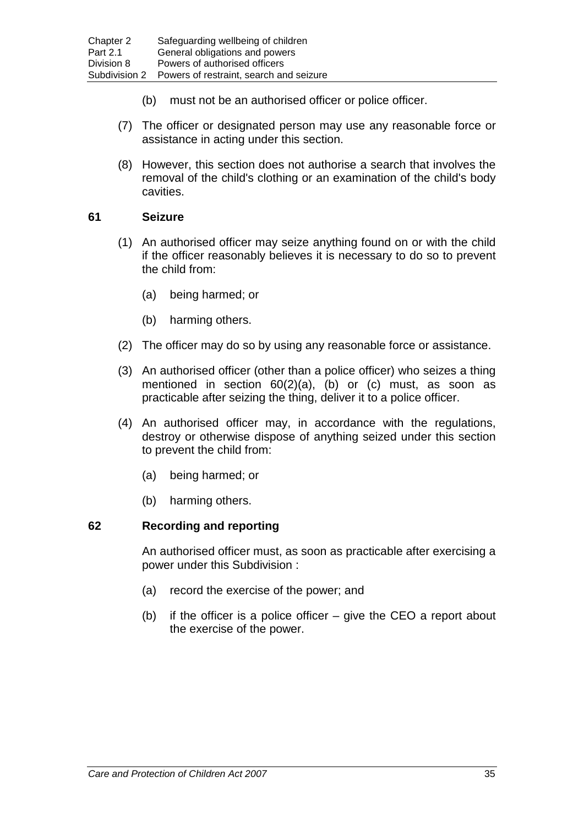- (b) must not be an authorised officer or police officer.
- (7) The officer or designated person may use any reasonable force or assistance in acting under this section.
- (8) However, this section does not authorise a search that involves the removal of the child's clothing or an examination of the child's body cavities.

## **61 Seizure**

- (1) An authorised officer may seize anything found on or with the child if the officer reasonably believes it is necessary to do so to prevent the child from:
	- (a) being harmed; or
	- (b) harming others.
- (2) The officer may do so by using any reasonable force or assistance.
- (3) An authorised officer (other than a police officer) who seizes a thing mentioned in section 60(2)(a), (b) or (c) must, as soon as practicable after seizing the thing, deliver it to a police officer.
- (4) An authorised officer may, in accordance with the regulations, destroy or otherwise dispose of anything seized under this section to prevent the child from:
	- (a) being harmed; or
	- (b) harming others.

### **62 Recording and reporting**

An authorised officer must, as soon as practicable after exercising a power under this Subdivision :

- (a) record the exercise of the power; and
- (b) if the officer is a police officer give the CEO a report about the exercise of the power.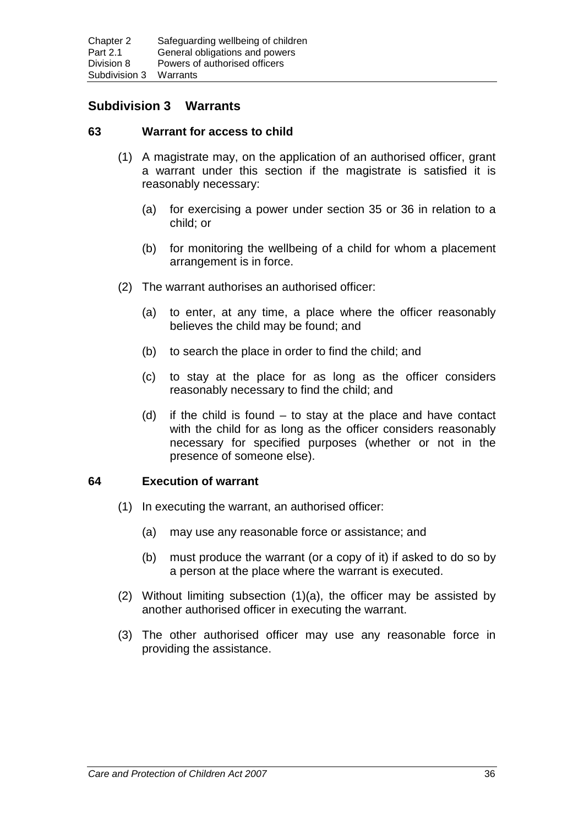# **Subdivision 3 Warrants**

#### **63 Warrant for access to child**

- (1) A magistrate may, on the application of an authorised officer, grant a warrant under this section if the magistrate is satisfied it is reasonably necessary:
	- (a) for exercising a power under section 35 or 36 in relation to a child; or
	- (b) for monitoring the wellbeing of a child for whom a placement arrangement is in force.
- (2) The warrant authorises an authorised officer:
	- (a) to enter, at any time, a place where the officer reasonably believes the child may be found; and
	- (b) to search the place in order to find the child; and
	- (c) to stay at the place for as long as the officer considers reasonably necessary to find the child; and
	- (d) if the child is found to stay at the place and have contact with the child for as long as the officer considers reasonably necessary for specified purposes (whether or not in the presence of someone else).

### **64 Execution of warrant**

- (1) In executing the warrant, an authorised officer:
	- (a) may use any reasonable force or assistance; and
	- (b) must produce the warrant (or a copy of it) if asked to do so by a person at the place where the warrant is executed.
- (2) Without limiting subsection (1)(a), the officer may be assisted by another authorised officer in executing the warrant.
- (3) The other authorised officer may use any reasonable force in providing the assistance.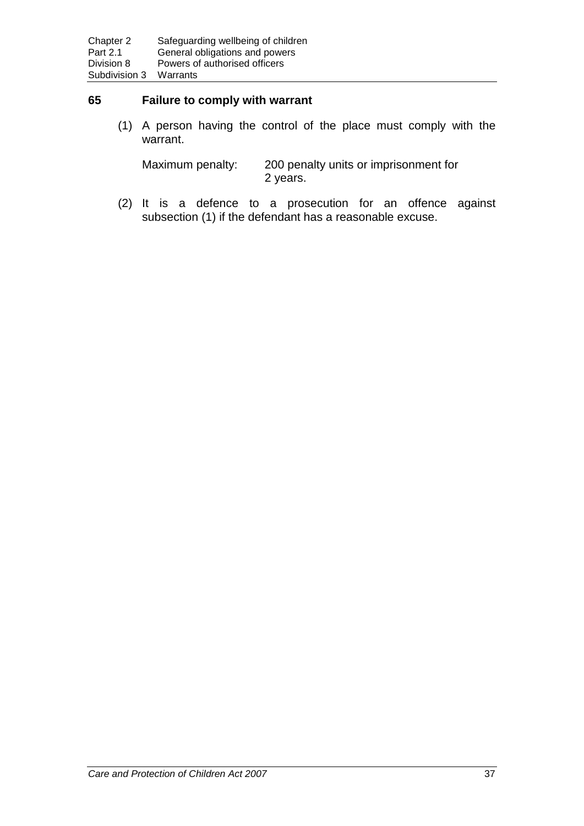#### **65 Failure to comply with warrant**

(1) A person having the control of the place must comply with the warrant.

Maximum penalty: 200 penalty units or imprisonment for 2 years.

(2) It is a defence to a prosecution for an offence against subsection (1) if the defendant has a reasonable excuse.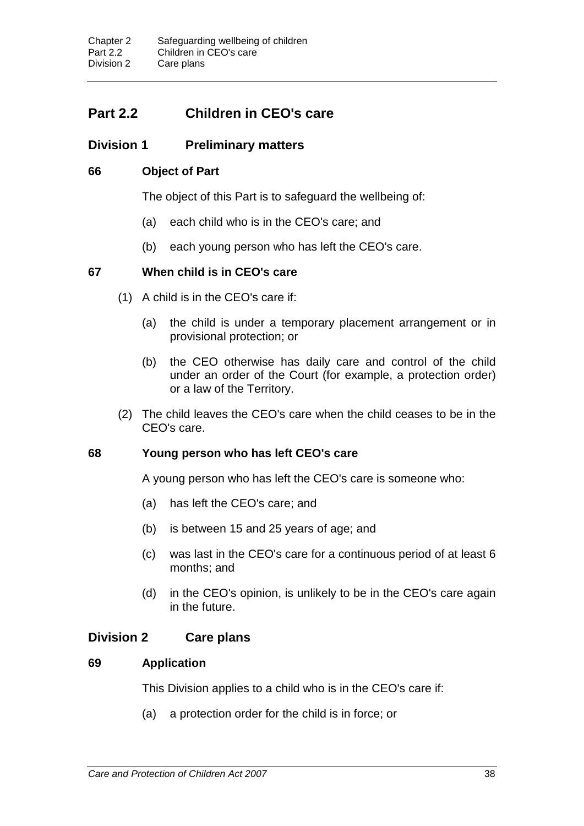# **Part 2.2 Children in CEO's care**

# **Division 1 Preliminary matters**

## **66 Object of Part**

The object of this Part is to safeguard the wellbeing of:

- (a) each child who is in the CEO's care; and
- (b) each young person who has left the CEO's care.

### **67 When child is in CEO's care**

- (1) A child is in the CEO's care if:
	- (a) the child is under a temporary placement arrangement or in provisional protection; or
	- (b) the CEO otherwise has daily care and control of the child under an order of the Court (for example, a protection order) or a law of the Territory.
- (2) The child leaves the CEO's care when the child ceases to be in the CEO's care.

### **68 Young person who has left CEO's care**

A young person who has left the CEO's care is someone who:

- (a) has left the CEO's care; and
- (b) is between 15 and 25 years of age; and
- (c) was last in the CEO's care for a continuous period of at least 6 months; and
- (d) in the CEO's opinion, is unlikely to be in the CEO's care again in the future.

# **Division 2 Care plans**

### **69 Application**

This Division applies to a child who is in the CEO's care if:

(a) a protection order for the child is in force; or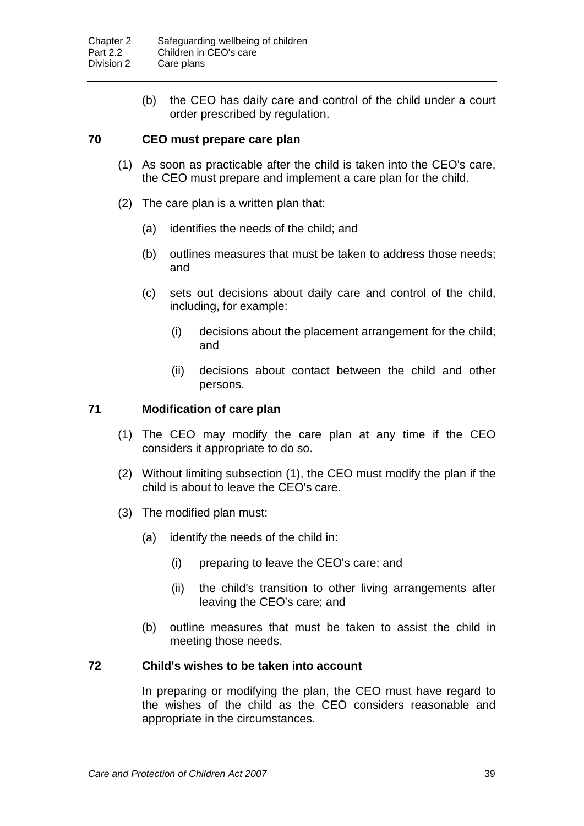(b) the CEO has daily care and control of the child under a court order prescribed by regulation.

### **70 CEO must prepare care plan**

- (1) As soon as practicable after the child is taken into the CEO's care, the CEO must prepare and implement a care plan for the child.
- (2) The care plan is a written plan that:
	- (a) identifies the needs of the child; and
	- (b) outlines measures that must be taken to address those needs; and
	- (c) sets out decisions about daily care and control of the child, including, for example:
		- (i) decisions about the placement arrangement for the child; and
		- (ii) decisions about contact between the child and other persons.

### **71 Modification of care plan**

- (1) The CEO may modify the care plan at any time if the CEO considers it appropriate to do so.
- (2) Without limiting subsection (1), the CEO must modify the plan if the child is about to leave the CEO's care.
- (3) The modified plan must:
	- (a) identify the needs of the child in:
		- (i) preparing to leave the CEO's care; and
		- (ii) the child's transition to other living arrangements after leaving the CEO's care; and
	- (b) outline measures that must be taken to assist the child in meeting those needs.

### **72 Child's wishes to be taken into account**

In preparing or modifying the plan, the CEO must have regard to the wishes of the child as the CEO considers reasonable and appropriate in the circumstances.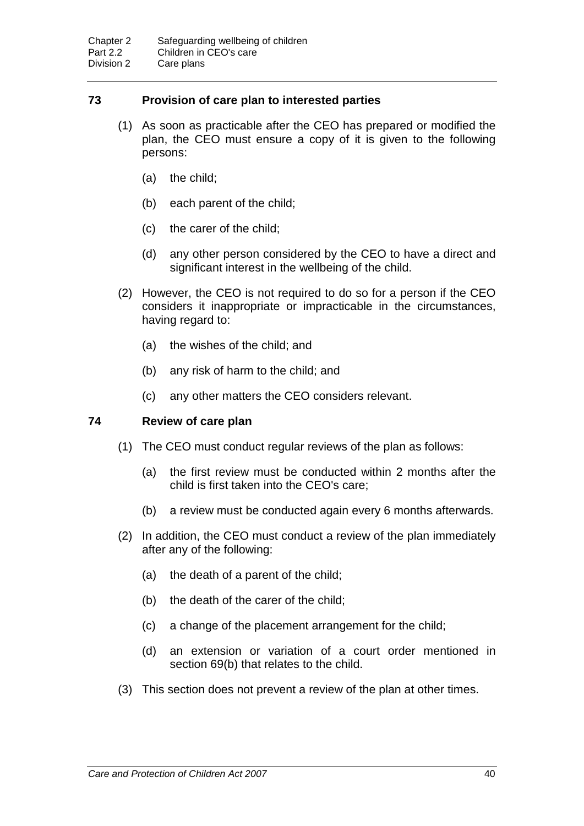### **73 Provision of care plan to interested parties**

- (1) As soon as practicable after the CEO has prepared or modified the plan, the CEO must ensure a copy of it is given to the following persons:
	- (a) the child;
	- (b) each parent of the child;
	- (c) the carer of the child;
	- (d) any other person considered by the CEO to have a direct and significant interest in the wellbeing of the child.
- (2) However, the CEO is not required to do so for a person if the CEO considers it inappropriate or impracticable in the circumstances, having regard to:
	- (a) the wishes of the child; and
	- (b) any risk of harm to the child; and
	- (c) any other matters the CEO considers relevant.

### **74 Review of care plan**

- (1) The CEO must conduct regular reviews of the plan as follows:
	- (a) the first review must be conducted within 2 months after the child is first taken into the CEO's care;
	- (b) a review must be conducted again every 6 months afterwards.
- (2) In addition, the CEO must conduct a review of the plan immediately after any of the following:
	- (a) the death of a parent of the child;
	- (b) the death of the carer of the child;
	- (c) a change of the placement arrangement for the child;
	- (d) an extension or variation of a court order mentioned in section 69(b) that relates to the child.
- (3) This section does not prevent a review of the plan at other times.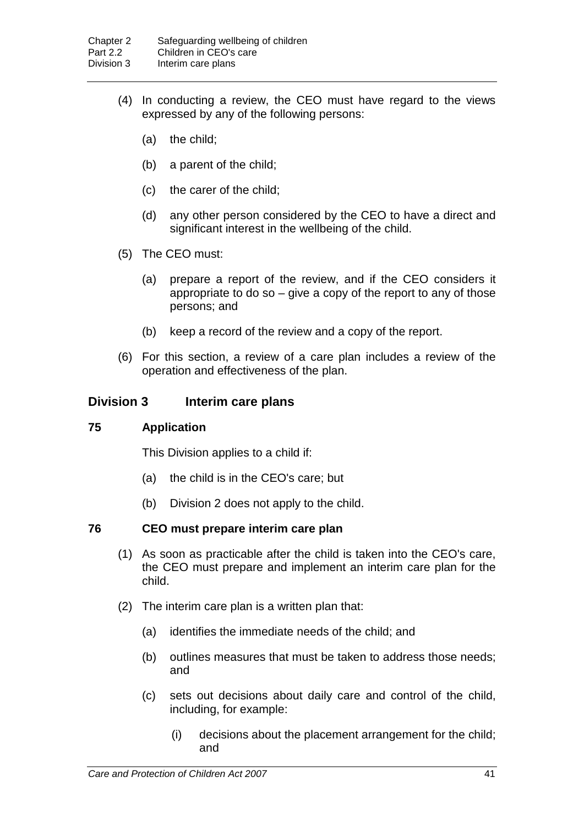- (4) In conducting a review, the CEO must have regard to the views expressed by any of the following persons:
	- (a) the child;
	- (b) a parent of the child;
	- (c) the carer of the child;
	- (d) any other person considered by the CEO to have a direct and significant interest in the wellbeing of the child.
- (5) The CEO must:
	- (a) prepare a report of the review, and if the CEO considers it appropriate to do so  $-$  give a copy of the report to any of those persons; and
	- (b) keep a record of the review and a copy of the report.
- (6) For this section, a review of a care plan includes a review of the operation and effectiveness of the plan.

### **Division 3 Interim care plans**

### **75 Application**

This Division applies to a child if:

- (a) the child is in the CEO's care; but
- (b) Division 2 does not apply to the child.

### **76 CEO must prepare interim care plan**

- (1) As soon as practicable after the child is taken into the CEO's care, the CEO must prepare and implement an interim care plan for the child.
- (2) The interim care plan is a written plan that:
	- (a) identifies the immediate needs of the child; and
	- (b) outlines measures that must be taken to address those needs; and
	- (c) sets out decisions about daily care and control of the child, including, for example:
		- (i) decisions about the placement arrangement for the child; and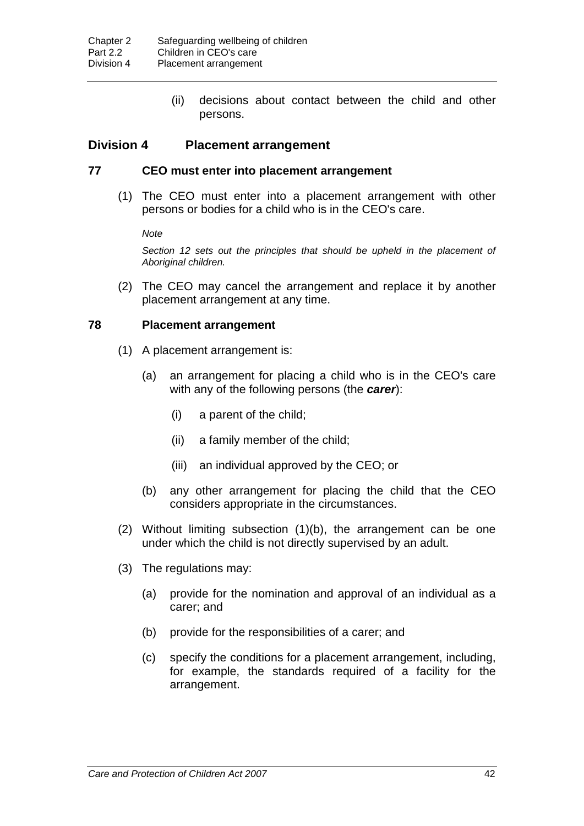(ii) decisions about contact between the child and other persons.

# **Division 4 Placement arrangement**

### **77 CEO must enter into placement arrangement**

(1) The CEO must enter into a placement arrangement with other persons or bodies for a child who is in the CEO's care.

*Note*

*Section 12 sets out the principles that should be upheld in the placement of Aboriginal children.*

(2) The CEO may cancel the arrangement and replace it by another placement arrangement at any time.

#### **78 Placement arrangement**

- (1) A placement arrangement is:
	- (a) an arrangement for placing a child who is in the CEO's care with any of the following persons (the *carer*):
		- (i) a parent of the child;
		- (ii) a family member of the child;
		- (iii) an individual approved by the CEO; or
	- (b) any other arrangement for placing the child that the CEO considers appropriate in the circumstances.
- (2) Without limiting subsection (1)(b), the arrangement can be one under which the child is not directly supervised by an adult.
- (3) The regulations may:
	- (a) provide for the nomination and approval of an individual as a carer; and
	- (b) provide for the responsibilities of a carer; and
	- (c) specify the conditions for a placement arrangement, including, for example, the standards required of a facility for the arrangement.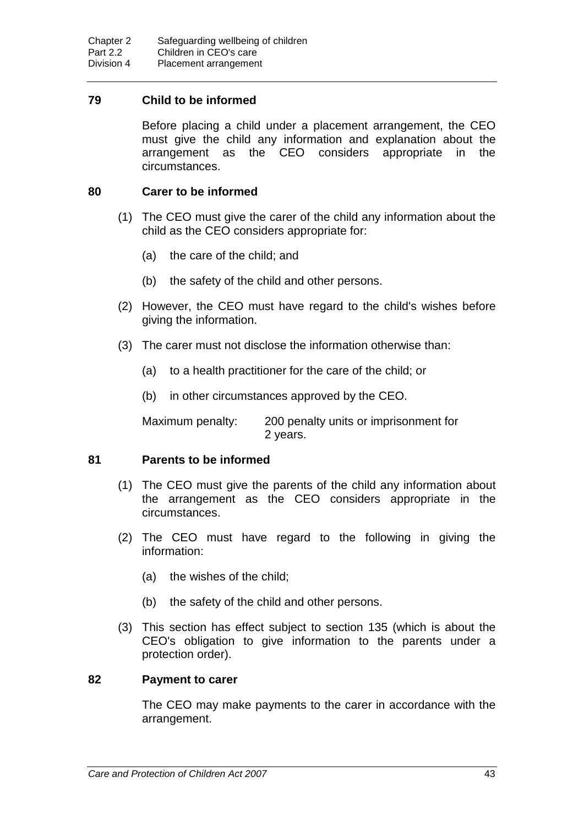### **79 Child to be informed**

Before placing a child under a placement arrangement, the CEO must give the child any information and explanation about the arrangement as the CEO considers appropriate in the circumstances.

### **80 Carer to be informed**

- (1) The CEO must give the carer of the child any information about the child as the CEO considers appropriate for:
	- (a) the care of the child; and
	- (b) the safety of the child and other persons.
- (2) However, the CEO must have regard to the child's wishes before giving the information.
- (3) The carer must not disclose the information otherwise than:
	- (a) to a health practitioner for the care of the child; or
	- (b) in other circumstances approved by the CEO.

Maximum penalty: 200 penalty units or imprisonment for 2 years.

### **81 Parents to be informed**

- (1) The CEO must give the parents of the child any information about the arrangement as the CEO considers appropriate in the circumstances.
- (2) The CEO must have regard to the following in giving the information:
	- (a) the wishes of the child;
	- (b) the safety of the child and other persons.
- (3) This section has effect subject to section 135 (which is about the CEO's obligation to give information to the parents under a protection order).

#### **82 Payment to carer**

The CEO may make payments to the carer in accordance with the arrangement.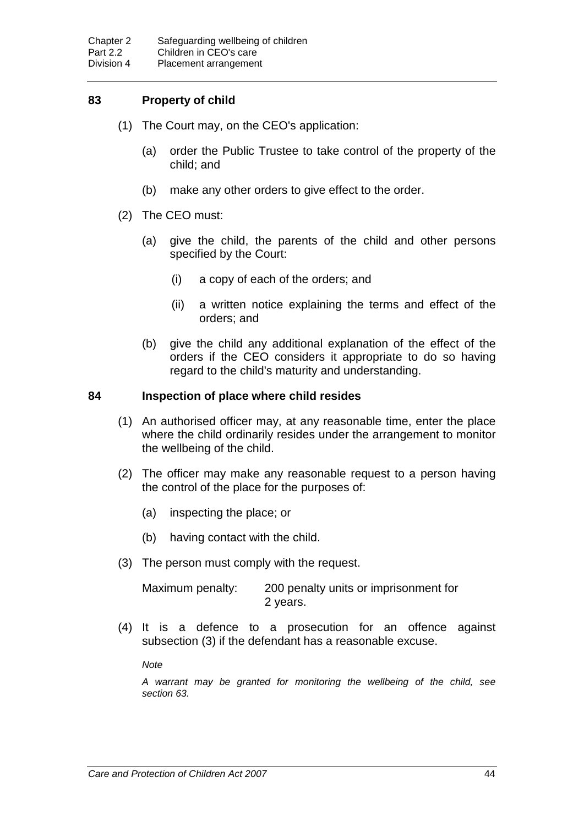## **83 Property of child**

- (1) The Court may, on the CEO's application:
	- (a) order the Public Trustee to take control of the property of the child; and
	- (b) make any other orders to give effect to the order.
- (2) The CEO must:
	- (a) give the child, the parents of the child and other persons specified by the Court:
		- (i) a copy of each of the orders; and
		- (ii) a written notice explaining the terms and effect of the orders; and
	- (b) give the child any additional explanation of the effect of the orders if the CEO considers it appropriate to do so having regard to the child's maturity and understanding.

#### **84 Inspection of place where child resides**

- (1) An authorised officer may, at any reasonable time, enter the place where the child ordinarily resides under the arrangement to monitor the wellbeing of the child.
- (2) The officer may make any reasonable request to a person having the control of the place for the purposes of:
	- (a) inspecting the place; or
	- (b) having contact with the child.
- (3) The person must comply with the request.

| Maximum penalty: | 200 penalty units or imprisonment for |
|------------------|---------------------------------------|
|                  | 2 years.                              |

(4) It is a defence to a prosecution for an offence against subsection (3) if the defendant has a reasonable excuse.

*Note*

*A warrant may be granted for monitoring the wellbeing of the child, see section 63.*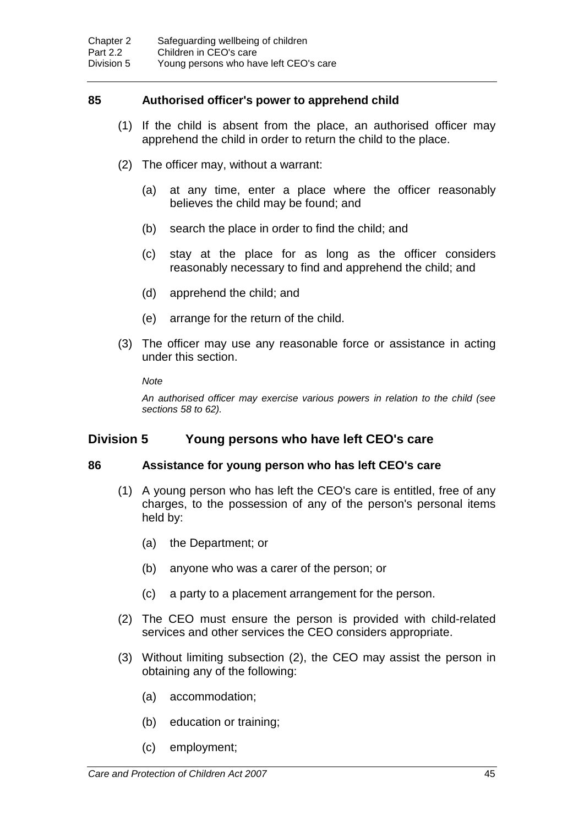### **85 Authorised officer's power to apprehend child**

- (1) If the child is absent from the place, an authorised officer may apprehend the child in order to return the child to the place.
- (2) The officer may, without a warrant:
	- (a) at any time, enter a place where the officer reasonably believes the child may be found; and
	- (b) search the place in order to find the child; and
	- (c) stay at the place for as long as the officer considers reasonably necessary to find and apprehend the child; and
	- (d) apprehend the child; and
	- (e) arrange for the return of the child.
- (3) The officer may use any reasonable force or assistance in acting under this section.

*Note*

*An authorised officer may exercise various powers in relation to the child (see sections 58 to 62).*

### **Division 5 Young persons who have left CEO's care**

#### **86 Assistance for young person who has left CEO's care**

- (1) A young person who has left the CEO's care is entitled, free of any charges, to the possession of any of the person's personal items held by:
	- (a) the Department; or
	- (b) anyone who was a carer of the person; or
	- (c) a party to a placement arrangement for the person.
- (2) The CEO must ensure the person is provided with child-related services and other services the CEO considers appropriate.
- (3) Without limiting subsection (2), the CEO may assist the person in obtaining any of the following:
	- (a) accommodation;
	- (b) education or training;
	- (c) employment;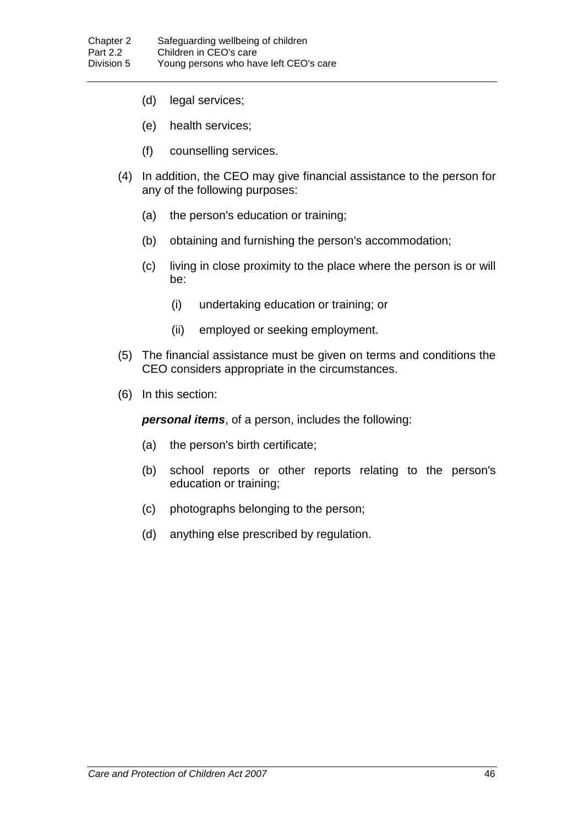- (d) legal services;
- (e) health services;
- (f) counselling services.
- (4) In addition, the CEO may give financial assistance to the person for any of the following purposes:
	- (a) the person's education or training;
	- (b) obtaining and furnishing the person's accommodation;
	- (c) living in close proximity to the place where the person is or will be:
		- (i) undertaking education or training; or
		- (ii) employed or seeking employment.
- (5) The financial assistance must be given on terms and conditions the CEO considers appropriate in the circumstances.
- (6) In this section:

*personal items*, of a person, includes the following:

- (a) the person's birth certificate;
- (b) school reports or other reports relating to the person's education or training;
- (c) photographs belonging to the person;
- (d) anything else prescribed by regulation.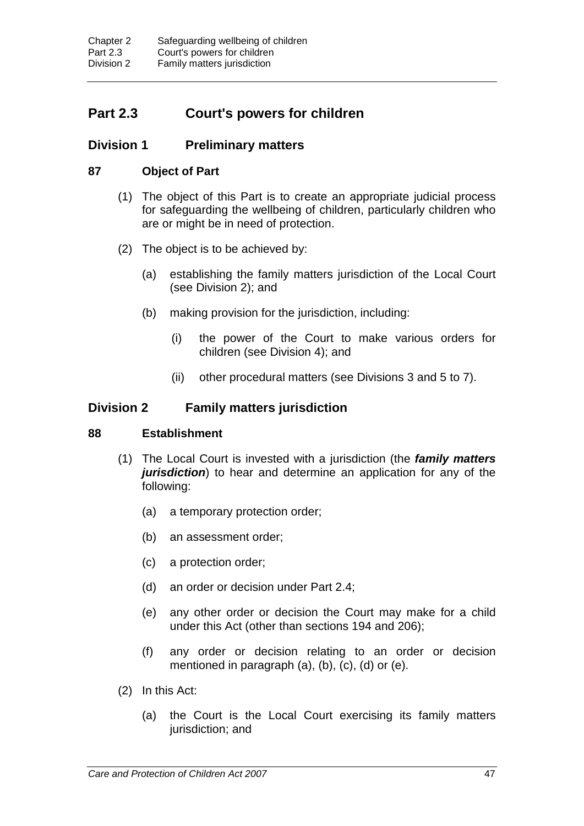# **Part 2.3 Court's powers for children**

# **Division 1 Preliminary matters**

# **87 Object of Part**

- (1) The object of this Part is to create an appropriate judicial process for safeguarding the wellbeing of children, particularly children who are or might be in need of protection.
- (2) The object is to be achieved by:
	- (a) establishing the family matters jurisdiction of the Local Court (see Division 2); and
	- (b) making provision for the jurisdiction, including:
		- (i) the power of the Court to make various orders for children (see Division 4); and
		- (ii) other procedural matters (see Divisions 3 and 5 to 7).

# **Division 2 Family matters jurisdiction**

### **88 Establishment**

- (1) The Local Court is invested with a jurisdiction (the *family matters jurisdiction*) to hear and determine an application for any of the following:
	- (a) a temporary protection order;
	- (b) an assessment order;
	- (c) a protection order;
	- (d) an order or decision under Part 2.4;
	- (e) any other order or decision the Court may make for a child under this Act (other than sections 194 and 206);
	- (f) any order or decision relating to an order or decision mentioned in paragraph (a), (b), (c), (d) or (e).
- (2) In this Act:
	- (a) the Court is the Local Court exercising its family matters jurisdiction; and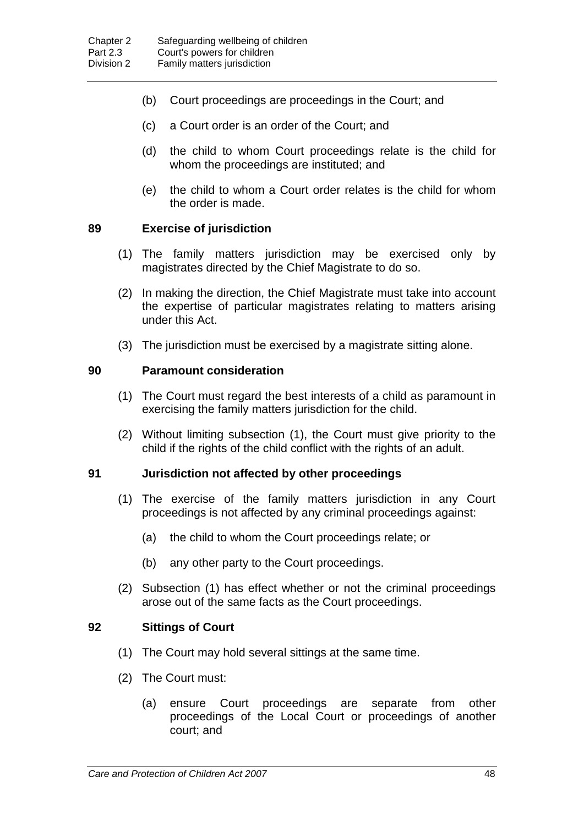- (b) Court proceedings are proceedings in the Court; and
- (c) a Court order is an order of the Court; and
- (d) the child to whom Court proceedings relate is the child for whom the proceedings are instituted; and
- (e) the child to whom a Court order relates is the child for whom the order is made.

### **89 Exercise of jurisdiction**

- (1) The family matters jurisdiction may be exercised only by magistrates directed by the Chief Magistrate to do so.
- (2) In making the direction, the Chief Magistrate must take into account the expertise of particular magistrates relating to matters arising under this Act.
- (3) The jurisdiction must be exercised by a magistrate sitting alone.

#### **90 Paramount consideration**

- (1) The Court must regard the best interests of a child as paramount in exercising the family matters jurisdiction for the child.
- (2) Without limiting subsection (1), the Court must give priority to the child if the rights of the child conflict with the rights of an adult.

#### **91 Jurisdiction not affected by other proceedings**

- (1) The exercise of the family matters jurisdiction in any Court proceedings is not affected by any criminal proceedings against:
	- (a) the child to whom the Court proceedings relate; or
	- (b) any other party to the Court proceedings.
- (2) Subsection (1) has effect whether or not the criminal proceedings arose out of the same facts as the Court proceedings.

#### **92 Sittings of Court**

- (1) The Court may hold several sittings at the same time.
- (2) The Court must:
	- (a) ensure Court proceedings are separate from other proceedings of the Local Court or proceedings of another court; and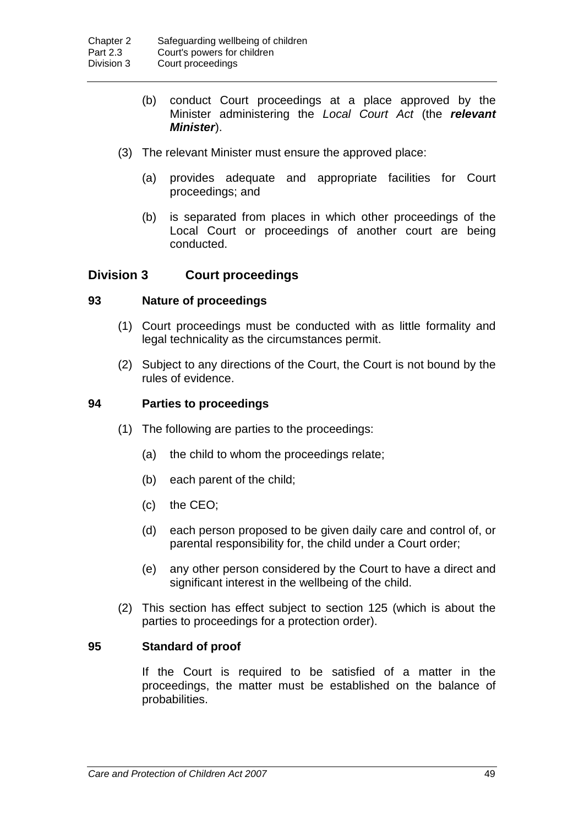- (b) conduct Court proceedings at a place approved by the Minister administering the *Local Court Act* (the *relevant Minister*).
- (3) The relevant Minister must ensure the approved place:
	- (a) provides adequate and appropriate facilities for Court proceedings; and
	- (b) is separated from places in which other proceedings of the Local Court or proceedings of another court are being conducted.

### **Division 3 Court proceedings**

#### **93 Nature of proceedings**

- (1) Court proceedings must be conducted with as little formality and legal technicality as the circumstances permit.
- (2) Subject to any directions of the Court, the Court is not bound by the rules of evidence.

#### **94 Parties to proceedings**

- (1) The following are parties to the proceedings:
	- (a) the child to whom the proceedings relate;
	- (b) each parent of the child;
	- (c) the CEO;
	- (d) each person proposed to be given daily care and control of, or parental responsibility for, the child under a Court order;
	- (e) any other person considered by the Court to have a direct and significant interest in the wellbeing of the child.
- (2) This section has effect subject to section 125 (which is about the parties to proceedings for a protection order).

#### **95 Standard of proof**

If the Court is required to be satisfied of a matter in the proceedings, the matter must be established on the balance of probabilities.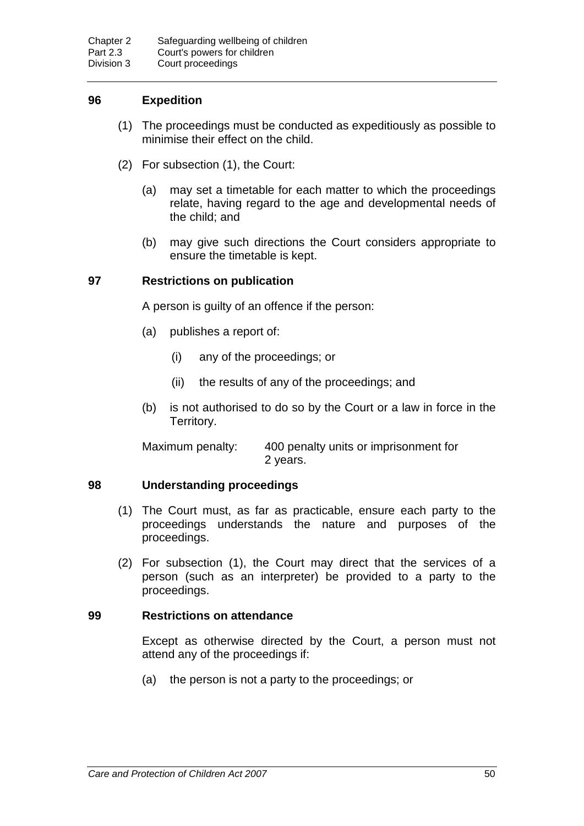## **96 Expedition**

- (1) The proceedings must be conducted as expeditiously as possible to minimise their effect on the child.
- (2) For subsection (1), the Court:
	- (a) may set a timetable for each matter to which the proceedings relate, having regard to the age and developmental needs of the child; and
	- (b) may give such directions the Court considers appropriate to ensure the timetable is kept.

#### **97 Restrictions on publication**

A person is guilty of an offence if the person:

- (a) publishes a report of:
	- (i) any of the proceedings; or
	- (ii) the results of any of the proceedings; and
- (b) is not authorised to do so by the Court or a law in force in the Territory.

Maximum penalty: 400 penalty units or imprisonment for 2 years.

### **98 Understanding proceedings**

- (1) The Court must, as far as practicable, ensure each party to the proceedings understands the nature and purposes of the proceedings.
- (2) For subsection (1), the Court may direct that the services of a person (such as an interpreter) be provided to a party to the proceedings.

### **99 Restrictions on attendance**

Except as otherwise directed by the Court, a person must not attend any of the proceedings if:

(a) the person is not a party to the proceedings; or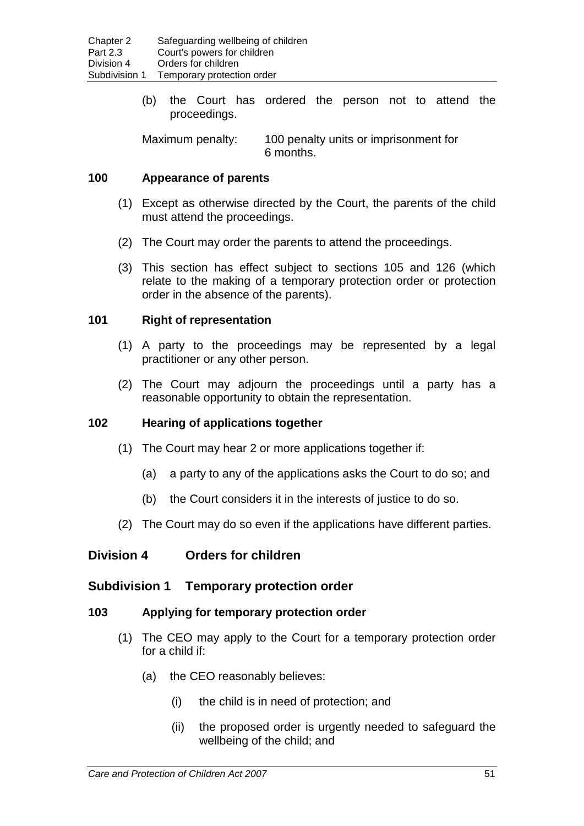(b) the Court has ordered the person not to attend the proceedings.

Maximum penalty: 100 penalty units or imprisonment for 6 months.

## **100 Appearance of parents**

- (1) Except as otherwise directed by the Court, the parents of the child must attend the proceedings.
- (2) The Court may order the parents to attend the proceedings.
- (3) This section has effect subject to sections 105 and 126 (which relate to the making of a temporary protection order or protection order in the absence of the parents).

## **101 Right of representation**

- (1) A party to the proceedings may be represented by a legal practitioner or any other person.
- (2) The Court may adjourn the proceedings until a party has a reasonable opportunity to obtain the representation.

### **102 Hearing of applications together**

- (1) The Court may hear 2 or more applications together if:
	- (a) a party to any of the applications asks the Court to do so; and
	- (b) the Court considers it in the interests of justice to do so.
- (2) The Court may do so even if the applications have different parties.

# **Division 4 Orders for children**

### **Subdivision 1 Temporary protection order**

### **103 Applying for temporary protection order**

- (1) The CEO may apply to the Court for a temporary protection order for a child if:
	- (a) the CEO reasonably believes:
		- (i) the child is in need of protection; and
		- (ii) the proposed order is urgently needed to safeguard the wellbeing of the child; and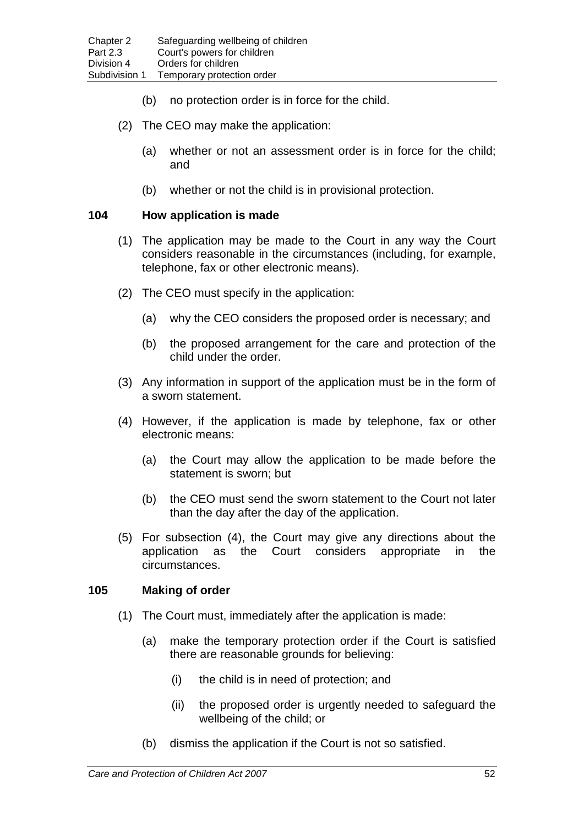- (b) no protection order is in force for the child.
- (2) The CEO may make the application:
	- (a) whether or not an assessment order is in force for the child; and
	- (b) whether or not the child is in provisional protection.

#### **104 How application is made**

- (1) The application may be made to the Court in any way the Court considers reasonable in the circumstances (including, for example, telephone, fax or other electronic means).
- (2) The CEO must specify in the application:
	- (a) why the CEO considers the proposed order is necessary; and
	- (b) the proposed arrangement for the care and protection of the child under the order.
- (3) Any information in support of the application must be in the form of a sworn statement.
- (4) However, if the application is made by telephone, fax or other electronic means:
	- (a) the Court may allow the application to be made before the statement is sworn; but
	- (b) the CEO must send the sworn statement to the Court not later than the day after the day of the application.
- (5) For subsection (4), the Court may give any directions about the application as the Court considers appropriate in the circumstances.

### **105 Making of order**

- (1) The Court must, immediately after the application is made:
	- (a) make the temporary protection order if the Court is satisfied there are reasonable grounds for believing:
		- (i) the child is in need of protection; and
		- (ii) the proposed order is urgently needed to safeguard the wellbeing of the child; or
	- (b) dismiss the application if the Court is not so satisfied.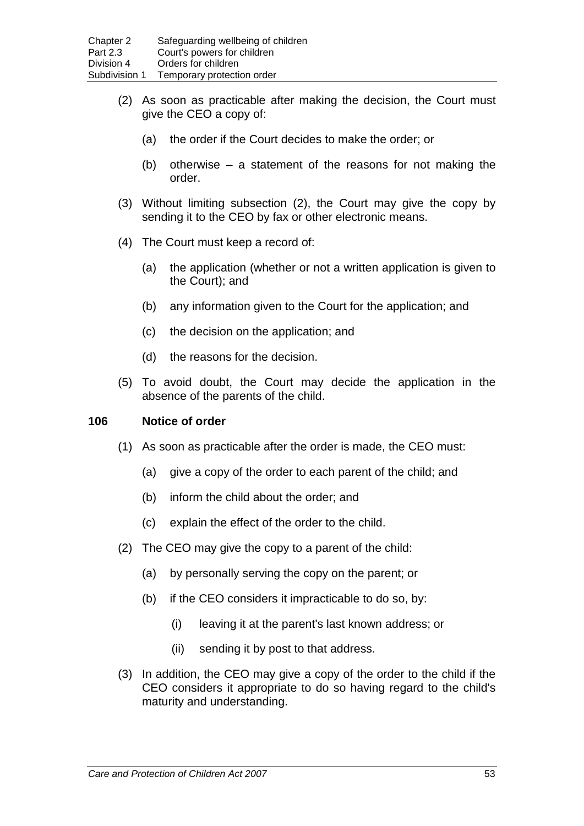- (2) As soon as practicable after making the decision, the Court must give the CEO a copy of:
	- (a) the order if the Court decides to make the order; or
	- (b) otherwise a statement of the reasons for not making the order.
- (3) Without limiting subsection (2), the Court may give the copy by sending it to the CEO by fax or other electronic means.
- (4) The Court must keep a record of:
	- (a) the application (whether or not a written application is given to the Court); and
	- (b) any information given to the Court for the application; and
	- (c) the decision on the application; and
	- (d) the reasons for the decision.
- (5) To avoid doubt, the Court may decide the application in the absence of the parents of the child.

#### **106 Notice of order**

- (1) As soon as practicable after the order is made, the CEO must:
	- (a) give a copy of the order to each parent of the child; and
	- (b) inform the child about the order; and
	- (c) explain the effect of the order to the child.
- (2) The CEO may give the copy to a parent of the child:
	- (a) by personally serving the copy on the parent; or
	- (b) if the CEO considers it impracticable to do so, by:
		- (i) leaving it at the parent's last known address; or
		- (ii) sending it by post to that address.
- (3) In addition, the CEO may give a copy of the order to the child if the CEO considers it appropriate to do so having regard to the child's maturity and understanding.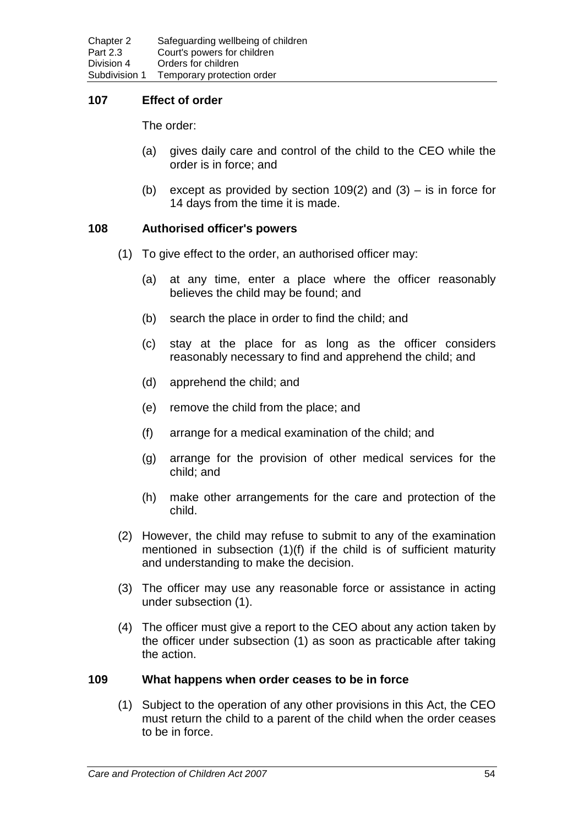### **107 Effect of order**

The order:

- (a) gives daily care and control of the child to the CEO while the order is in force; and
- (b) except as provided by section  $109(2)$  and  $(3)$  is in force for 14 days from the time it is made.

### **108 Authorised officer's powers**

- (1) To give effect to the order, an authorised officer may:
	- (a) at any time, enter a place where the officer reasonably believes the child may be found; and
	- (b) search the place in order to find the child; and
	- (c) stay at the place for as long as the officer considers reasonably necessary to find and apprehend the child; and
	- (d) apprehend the child; and
	- (e) remove the child from the place; and
	- (f) arrange for a medical examination of the child; and
	- (g) arrange for the provision of other medical services for the child; and
	- (h) make other arrangements for the care and protection of the child.
- (2) However, the child may refuse to submit to any of the examination mentioned in subsection (1)(f) if the child is of sufficient maturity and understanding to make the decision.
- (3) The officer may use any reasonable force or assistance in acting under subsection (1).
- (4) The officer must give a report to the CEO about any action taken by the officer under subsection (1) as soon as practicable after taking the action.

### **109 What happens when order ceases to be in force**

(1) Subject to the operation of any other provisions in this Act, the CEO must return the child to a parent of the child when the order ceases to be in force.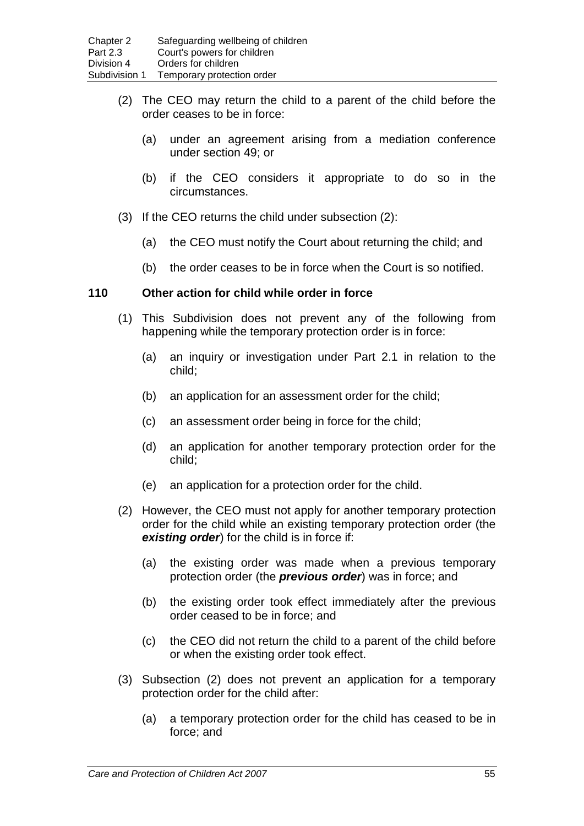- (2) The CEO may return the child to a parent of the child before the order ceases to be in force:
	- (a) under an agreement arising from a mediation conference under section 49; or
	- (b) if the CEO considers it appropriate to do so in the circumstances.
- (3) If the CEO returns the child under subsection (2):
	- (a) the CEO must notify the Court about returning the child; and
	- (b) the order ceases to be in force when the Court is so notified.

#### **110 Other action for child while order in force**

- (1) This Subdivision does not prevent any of the following from happening while the temporary protection order is in force:
	- (a) an inquiry or investigation under Part 2.1 in relation to the child;
	- (b) an application for an assessment order for the child;
	- (c) an assessment order being in force for the child;
	- (d) an application for another temporary protection order for the child;
	- (e) an application for a protection order for the child.
- (2) However, the CEO must not apply for another temporary protection order for the child while an existing temporary protection order (the *existing order*) for the child is in force if:
	- (a) the existing order was made when a previous temporary protection order (the *previous order*) was in force; and
	- (b) the existing order took effect immediately after the previous order ceased to be in force; and
	- (c) the CEO did not return the child to a parent of the child before or when the existing order took effect.
- (3) Subsection (2) does not prevent an application for a temporary protection order for the child after:
	- (a) a temporary protection order for the child has ceased to be in force; and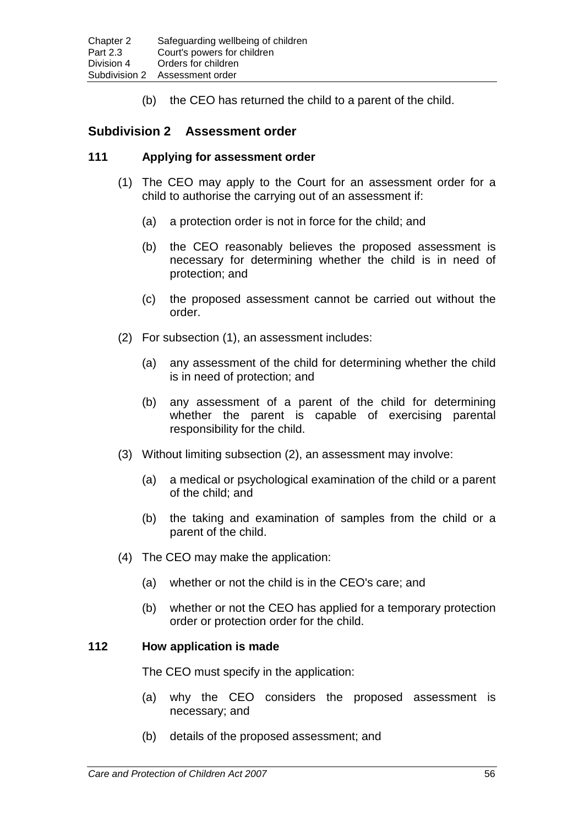(b) the CEO has returned the child to a parent of the child.

### **Subdivision 2 Assessment order**

#### **111 Applying for assessment order**

- (1) The CEO may apply to the Court for an assessment order for a child to authorise the carrying out of an assessment if:
	- (a) a protection order is not in force for the child; and
	- (b) the CEO reasonably believes the proposed assessment is necessary for determining whether the child is in need of protection; and
	- (c) the proposed assessment cannot be carried out without the order.
- (2) For subsection (1), an assessment includes:
	- (a) any assessment of the child for determining whether the child is in need of protection; and
	- (b) any assessment of a parent of the child for determining whether the parent is capable of exercising parental responsibility for the child.
- (3) Without limiting subsection (2), an assessment may involve:
	- (a) a medical or psychological examination of the child or a parent of the child; and
	- (b) the taking and examination of samples from the child or a parent of the child.
- (4) The CEO may make the application:
	- (a) whether or not the child is in the CEO's care; and
	- (b) whether or not the CEO has applied for a temporary protection order or protection order for the child.

### **112 How application is made**

The CEO must specify in the application:

- (a) why the CEO considers the proposed assessment is necessary; and
- (b) details of the proposed assessment; and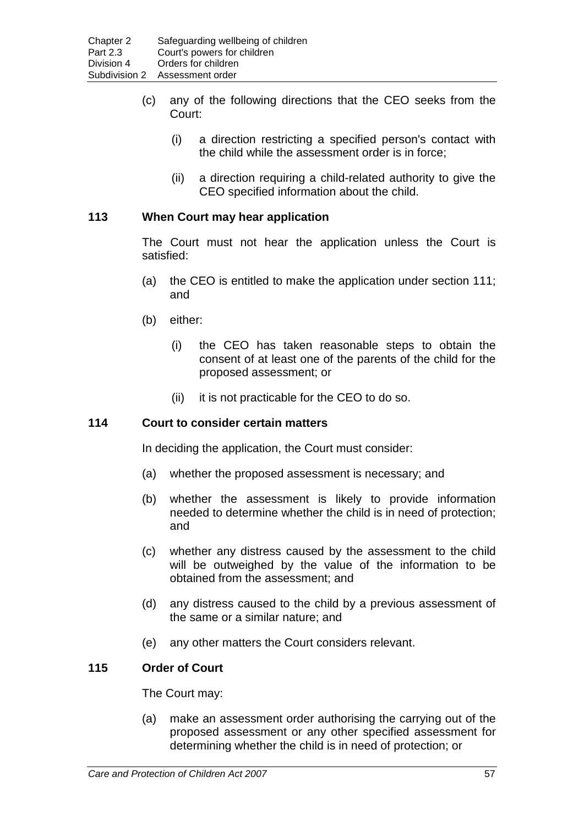- (c) any of the following directions that the CEO seeks from the Court:
	- (i) a direction restricting a specified person's contact with the child while the assessment order is in force;
	- (ii) a direction requiring a child-related authority to give the CEO specified information about the child.

## **113 When Court may hear application**

The Court must not hear the application unless the Court is satisfied:

- (a) the CEO is entitled to make the application under section 111; and
- (b) either:
	- (i) the CEO has taken reasonable steps to obtain the consent of at least one of the parents of the child for the proposed assessment; or
	- (ii) it is not practicable for the CEO to do so.

### **114 Court to consider certain matters**

In deciding the application, the Court must consider:

- (a) whether the proposed assessment is necessary; and
- (b) whether the assessment is likely to provide information needed to determine whether the child is in need of protection; and
- (c) whether any distress caused by the assessment to the child will be outweighed by the value of the information to be obtained from the assessment; and
- (d) any distress caused to the child by a previous assessment of the same or a similar nature; and
- (e) any other matters the Court considers relevant.

### **115 Order of Court**

The Court may:

(a) make an assessment order authorising the carrying out of the proposed assessment or any other specified assessment for determining whether the child is in need of protection; or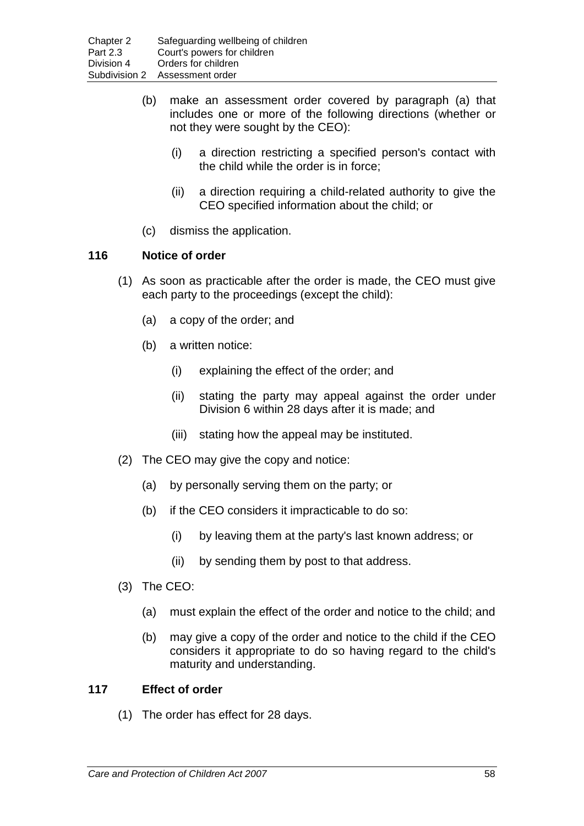- (b) make an assessment order covered by paragraph (a) that includes one or more of the following directions (whether or not they were sought by the CEO):
	- (i) a direction restricting a specified person's contact with the child while the order is in force;
	- (ii) a direction requiring a child-related authority to give the CEO specified information about the child; or
- (c) dismiss the application.

### **116 Notice of order**

- (1) As soon as practicable after the order is made, the CEO must give each party to the proceedings (except the child):
	- (a) a copy of the order; and
	- (b) a written notice:
		- (i) explaining the effect of the order; and
		- (ii) stating the party may appeal against the order under Division 6 within 28 days after it is made; and
		- (iii) stating how the appeal may be instituted.
- (2) The CEO may give the copy and notice:
	- (a) by personally serving them on the party; or
	- (b) if the CEO considers it impracticable to do so:
		- (i) by leaving them at the party's last known address; or
		- (ii) by sending them by post to that address.
- (3) The CEO:
	- (a) must explain the effect of the order and notice to the child; and
	- (b) may give a copy of the order and notice to the child if the CEO considers it appropriate to do so having regard to the child's maturity and understanding.

#### **117 Effect of order**

(1) The order has effect for 28 days.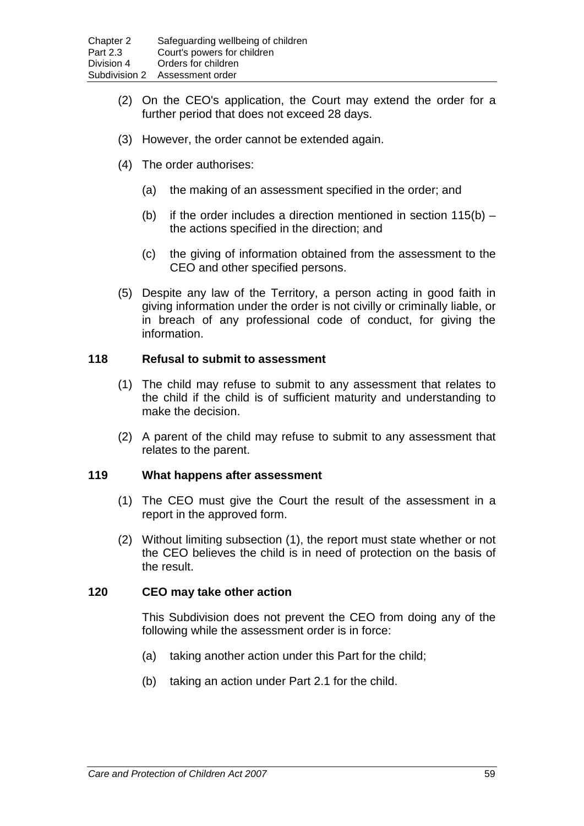- (2) On the CEO's application, the Court may extend the order for a further period that does not exceed 28 days.
- (3) However, the order cannot be extended again.
- (4) The order authorises:
	- (a) the making of an assessment specified in the order; and
	- (b) if the order includes a direction mentioned in section  $115(b)$  the actions specified in the direction; and
	- (c) the giving of information obtained from the assessment to the CEO and other specified persons.
- (5) Despite any law of the Territory, a person acting in good faith in giving information under the order is not civilly or criminally liable, or in breach of any professional code of conduct, for giving the information.

#### **118 Refusal to submit to assessment**

- (1) The child may refuse to submit to any assessment that relates to the child if the child is of sufficient maturity and understanding to make the decision.
- (2) A parent of the child may refuse to submit to any assessment that relates to the parent.

#### **119 What happens after assessment**

- (1) The CEO must give the Court the result of the assessment in a report in the approved form.
- (2) Without limiting subsection (1), the report must state whether or not the CEO believes the child is in need of protection on the basis of the result.

#### **120 CEO may take other action**

This Subdivision does not prevent the CEO from doing any of the following while the assessment order is in force:

- (a) taking another action under this Part for the child;
- (b) taking an action under Part 2.1 for the child.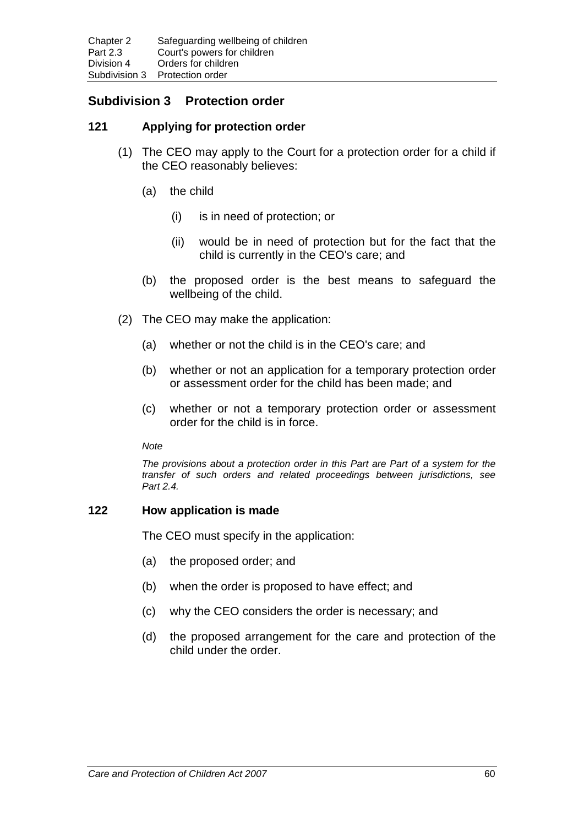# **Subdivision 3 Protection order**

## **121 Applying for protection order**

- (1) The CEO may apply to the Court for a protection order for a child if the CEO reasonably believes:
	- (a) the child
		- (i) is in need of protection; or
		- (ii) would be in need of protection but for the fact that the child is currently in the CEO's care; and
	- (b) the proposed order is the best means to safeguard the wellbeing of the child.
- (2) The CEO may make the application:
	- (a) whether or not the child is in the CEO's care; and
	- (b) whether or not an application for a temporary protection order or assessment order for the child has been made; and
	- (c) whether or not a temporary protection order or assessment order for the child is in force.

*Note*

*The provisions about a protection order in this Part are Part of a system for the transfer of such orders and related proceedings between jurisdictions, see Part 2.4.*

## **122 How application is made**

The CEO must specify in the application:

- (a) the proposed order; and
- (b) when the order is proposed to have effect; and
- (c) why the CEO considers the order is necessary; and
- (d) the proposed arrangement for the care and protection of the child under the order.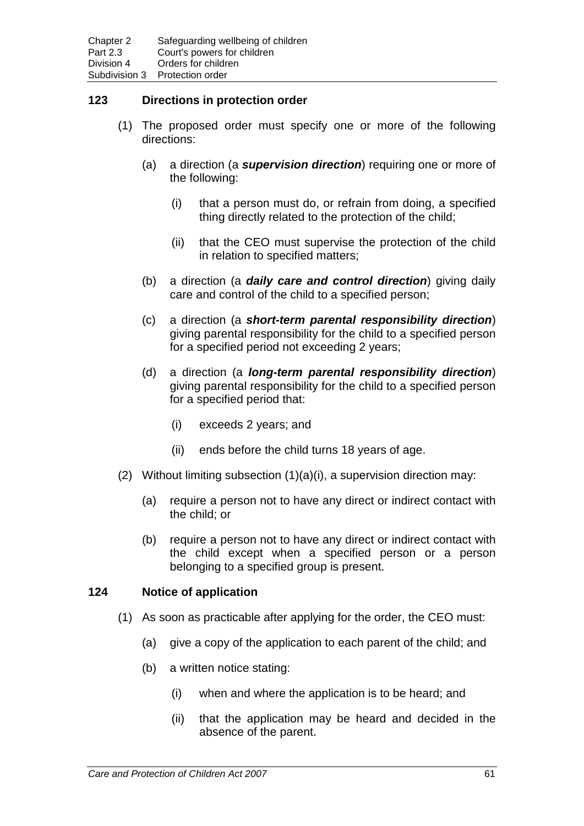## **123 Directions in protection order**

- (1) The proposed order must specify one or more of the following directions:
	- (a) a direction (a *supervision direction*) requiring one or more of the following:
		- (i) that a person must do, or refrain from doing, a specified thing directly related to the protection of the child;
		- (ii) that the CEO must supervise the protection of the child in relation to specified matters;
	- (b) a direction (a *daily care and control direction*) giving daily care and control of the child to a specified person;
	- (c) a direction (a *short-term parental responsibility direction*) giving parental responsibility for the child to a specified person for a specified period not exceeding 2 years;
	- (d) a direction (a *long-term parental responsibility direction*) giving parental responsibility for the child to a specified person for a specified period that:
		- (i) exceeds 2 years; and
		- (ii) ends before the child turns 18 years of age.
- (2) Without limiting subsection (1)(a)(i), a supervision direction may:
	- (a) require a person not to have any direct or indirect contact with the child; or
	- (b) require a person not to have any direct or indirect contact with the child except when a specified person or a person belonging to a specified group is present.

#### **124 Notice of application**

- (1) As soon as practicable after applying for the order, the CEO must:
	- (a) give a copy of the application to each parent of the child; and
	- (b) a written notice stating:
		- (i) when and where the application is to be heard; and
		- (ii) that the application may be heard and decided in the absence of the parent.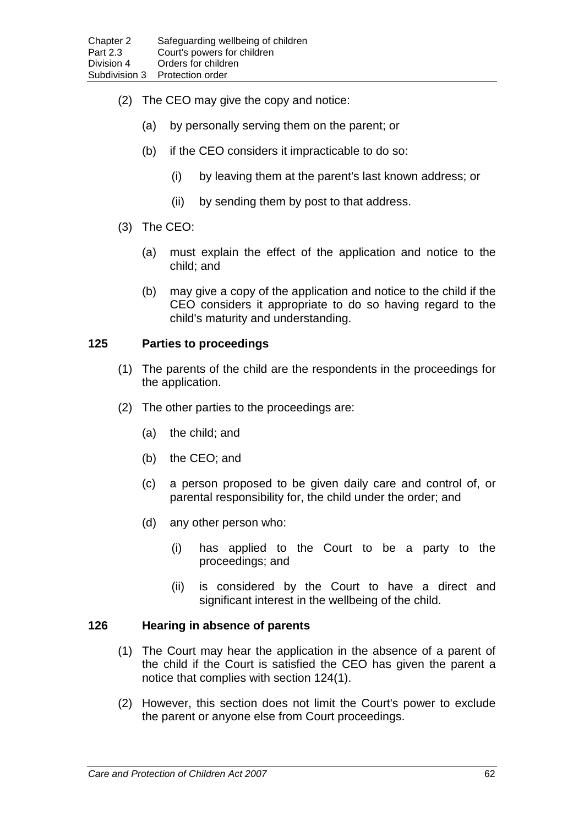- (2) The CEO may give the copy and notice:
	- (a) by personally serving them on the parent; or
	- (b) if the CEO considers it impracticable to do so:
		- (i) by leaving them at the parent's last known address; or
		- (ii) by sending them by post to that address.
- (3) The CEO:
	- (a) must explain the effect of the application and notice to the child; and
	- (b) may give a copy of the application and notice to the child if the CEO considers it appropriate to do so having regard to the child's maturity and understanding.

#### **125 Parties to proceedings**

- (1) The parents of the child are the respondents in the proceedings for the application.
- (2) The other parties to the proceedings are:
	- (a) the child; and
	- (b) the CEO; and
	- (c) a person proposed to be given daily care and control of, or parental responsibility for, the child under the order; and
	- (d) any other person who:
		- (i) has applied to the Court to be a party to the proceedings; and
		- (ii) is considered by the Court to have a direct and significant interest in the wellbeing of the child.

#### **126 Hearing in absence of parents**

- (1) The Court may hear the application in the absence of a parent of the child if the Court is satisfied the CEO has given the parent a notice that complies with section 124(1).
- (2) However, this section does not limit the Court's power to exclude the parent or anyone else from Court proceedings.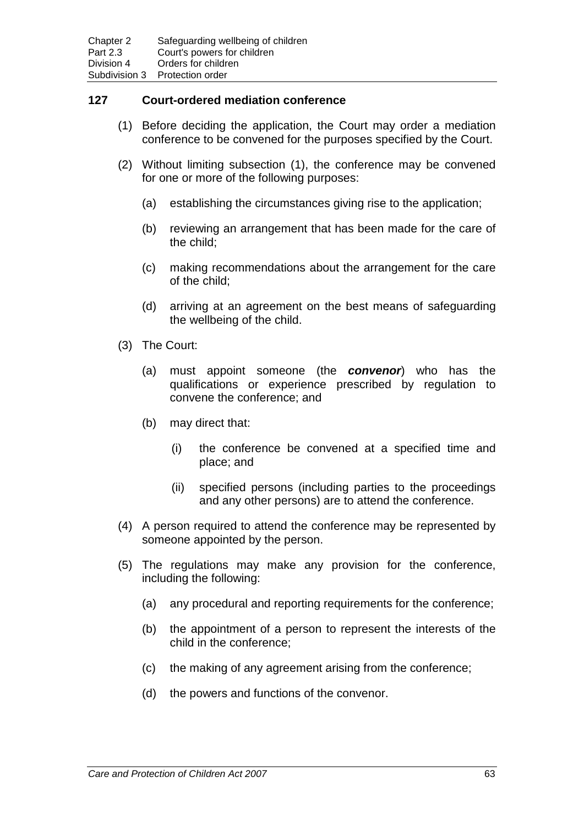## **127 Court-ordered mediation conference**

- (1) Before deciding the application, the Court may order a mediation conference to be convened for the purposes specified by the Court.
- (2) Without limiting subsection (1), the conference may be convened for one or more of the following purposes:
	- (a) establishing the circumstances giving rise to the application;
	- (b) reviewing an arrangement that has been made for the care of the child;
	- (c) making recommendations about the arrangement for the care of the child;
	- (d) arriving at an agreement on the best means of safeguarding the wellbeing of the child.
- (3) The Court:
	- (a) must appoint someone (the *convenor*) who has the qualifications or experience prescribed by regulation to convene the conference; and
	- (b) may direct that:
		- (i) the conference be convened at a specified time and place; and
		- (ii) specified persons (including parties to the proceedings and any other persons) are to attend the conference.
- (4) A person required to attend the conference may be represented by someone appointed by the person.
- (5) The regulations may make any provision for the conference, including the following:
	- (a) any procedural and reporting requirements for the conference;
	- (b) the appointment of a person to represent the interests of the child in the conference;
	- (c) the making of any agreement arising from the conference;
	- (d) the powers and functions of the convenor.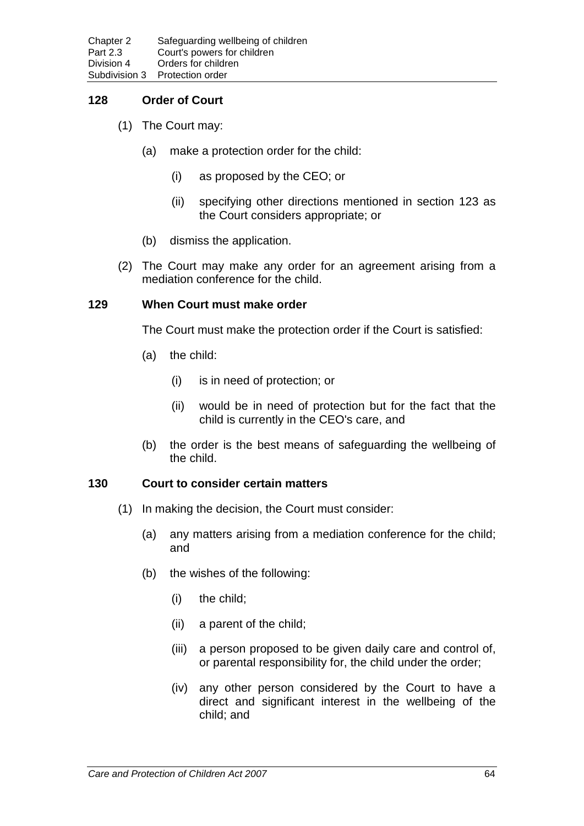## **128 Order of Court**

- (1) The Court may:
	- (a) make a protection order for the child:
		- (i) as proposed by the CEO; or
		- (ii) specifying other directions mentioned in section 123 as the Court considers appropriate; or
	- (b) dismiss the application.
- (2) The Court may make any order for an agreement arising from a mediation conference for the child.

#### **129 When Court must make order**

The Court must make the protection order if the Court is satisfied:

- (a) the child:
	- (i) is in need of protection; or
	- (ii) would be in need of protection but for the fact that the child is currently in the CEO's care, and
- (b) the order is the best means of safeguarding the wellbeing of the child.

#### **130 Court to consider certain matters**

- (1) In making the decision, the Court must consider:
	- (a) any matters arising from a mediation conference for the child; and
	- (b) the wishes of the following:
		- (i) the child;
		- (ii) a parent of the child;
		- (iii) a person proposed to be given daily care and control of, or parental responsibility for, the child under the order;
		- (iv) any other person considered by the Court to have a direct and significant interest in the wellbeing of the child; and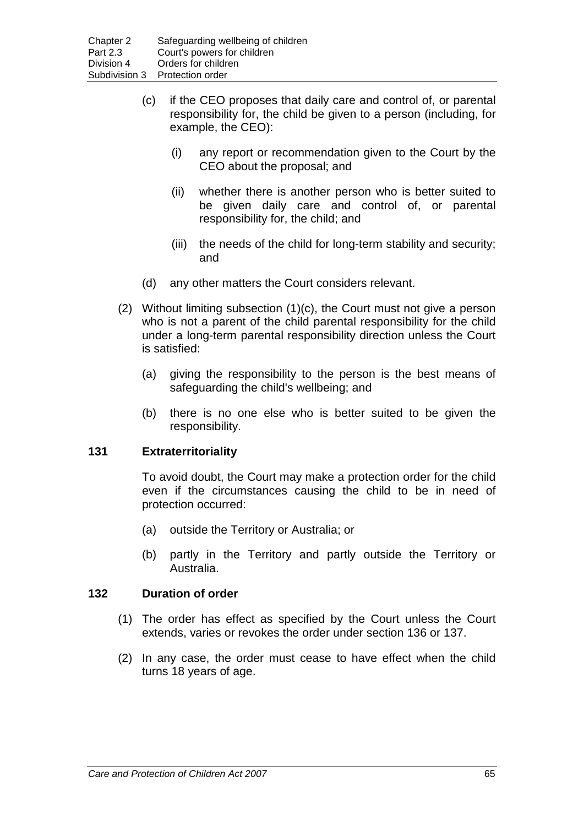- (c) if the CEO proposes that daily care and control of, or parental responsibility for, the child be given to a person (including, for example, the CEO):
	- (i) any report or recommendation given to the Court by the CEO about the proposal; and
	- (ii) whether there is another person who is better suited to be given daily care and control of, or parental responsibility for, the child; and
	- (iii) the needs of the child for long-term stability and security; and
- (d) any other matters the Court considers relevant.
- (2) Without limiting subsection (1)(c), the Court must not give a person who is not a parent of the child parental responsibility for the child under a long-term parental responsibility direction unless the Court is satisfied:
	- (a) giving the responsibility to the person is the best means of safeguarding the child's wellbeing; and
	- (b) there is no one else who is better suited to be given the responsibility.

#### **131 Extraterritoriality**

To avoid doubt, the Court may make a protection order for the child even if the circumstances causing the child to be in need of protection occurred:

- (a) outside the Territory or Australia; or
- (b) partly in the Territory and partly outside the Territory or Australia.

#### **132 Duration of order**

- (1) The order has effect as specified by the Court unless the Court extends, varies or revokes the order under section 136 or 137.
- (2) In any case, the order must cease to have effect when the child turns 18 years of age.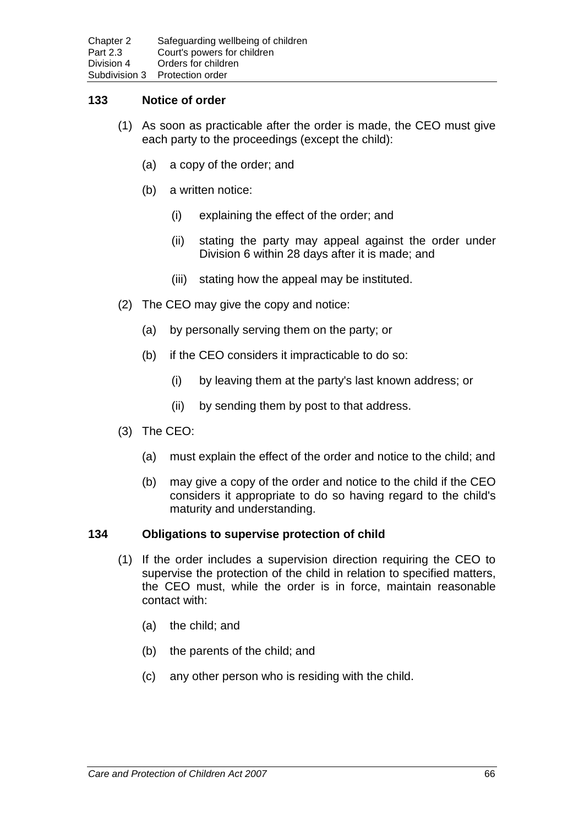## **133 Notice of order**

- (1) As soon as practicable after the order is made, the CEO must give each party to the proceedings (except the child):
	- (a) a copy of the order; and
	- (b) a written notice:
		- (i) explaining the effect of the order; and
		- (ii) stating the party may appeal against the order under Division 6 within 28 days after it is made; and
		- (iii) stating how the appeal may be instituted.
- (2) The CEO may give the copy and notice:
	- (a) by personally serving them on the party; or
	- (b) if the CEO considers it impracticable to do so:
		- (i) by leaving them at the party's last known address; or
		- (ii) by sending them by post to that address.
- (3) The CEO:
	- (a) must explain the effect of the order and notice to the child; and
	- (b) may give a copy of the order and notice to the child if the CEO considers it appropriate to do so having regard to the child's maturity and understanding.

#### **134 Obligations to supervise protection of child**

- (1) If the order includes a supervision direction requiring the CEO to supervise the protection of the child in relation to specified matters, the CEO must, while the order is in force, maintain reasonable contact with:
	- (a) the child; and
	- (b) the parents of the child; and
	- (c) any other person who is residing with the child.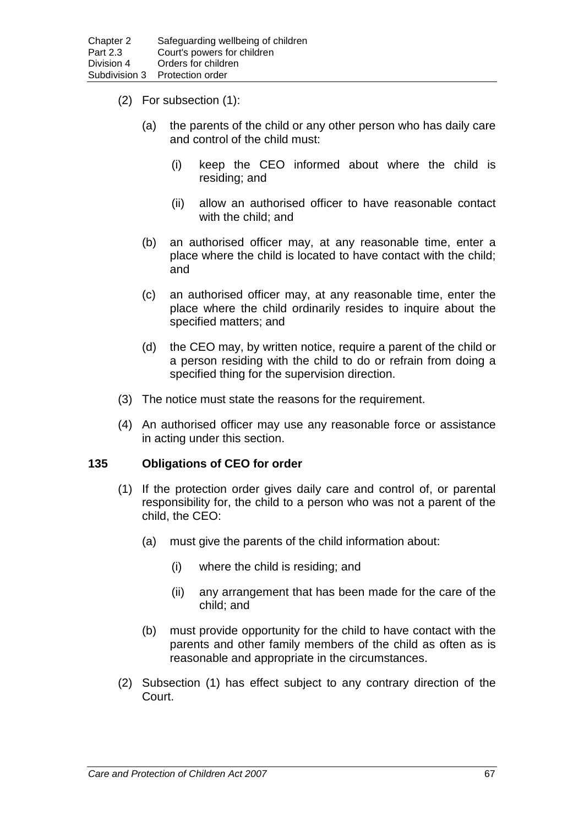- (2) For subsection (1):
	- (a) the parents of the child or any other person who has daily care and control of the child must:
		- (i) keep the CEO informed about where the child is residing; and
		- (ii) allow an authorised officer to have reasonable contact with the child; and
	- (b) an authorised officer may, at any reasonable time, enter a place where the child is located to have contact with the child; and
	- (c) an authorised officer may, at any reasonable time, enter the place where the child ordinarily resides to inquire about the specified matters; and
	- (d) the CEO may, by written notice, require a parent of the child or a person residing with the child to do or refrain from doing a specified thing for the supervision direction.
- (3) The notice must state the reasons for the requirement.
- (4) An authorised officer may use any reasonable force or assistance in acting under this section.

## **135 Obligations of CEO for order**

- (1) If the protection order gives daily care and control of, or parental responsibility for, the child to a person who was not a parent of the child, the CEO:
	- (a) must give the parents of the child information about:
		- (i) where the child is residing; and
		- (ii) any arrangement that has been made for the care of the child; and
	- (b) must provide opportunity for the child to have contact with the parents and other family members of the child as often as is reasonable and appropriate in the circumstances.
- (2) Subsection (1) has effect subject to any contrary direction of the Court.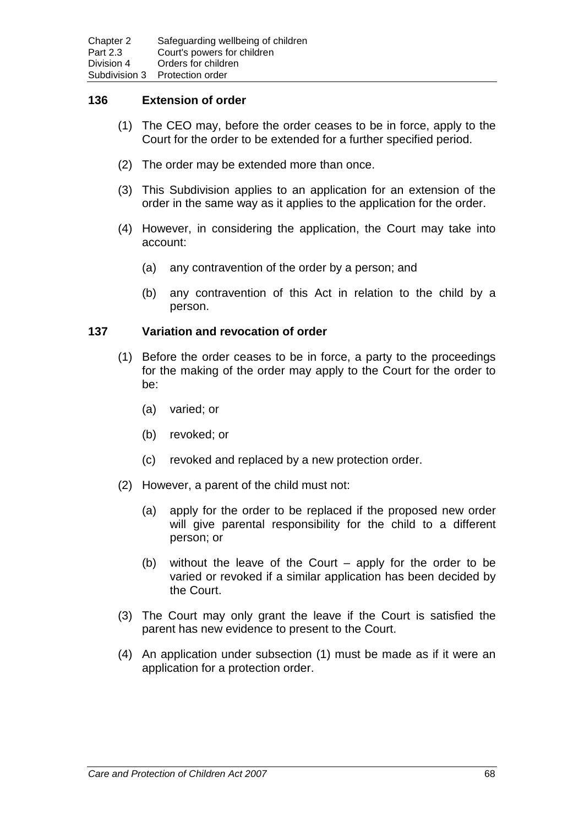#### **136 Extension of order**

- (1) The CEO may, before the order ceases to be in force, apply to the Court for the order to be extended for a further specified period.
- (2) The order may be extended more than once.
- (3) This Subdivision applies to an application for an extension of the order in the same way as it applies to the application for the order.
- (4) However, in considering the application, the Court may take into account:
	- (a) any contravention of the order by a person; and
	- (b) any contravention of this Act in relation to the child by a person.

#### **137 Variation and revocation of order**

- (1) Before the order ceases to be in force, a party to the proceedings for the making of the order may apply to the Court for the order to be:
	- (a) varied; or
	- (b) revoked; or
	- (c) revoked and replaced by a new protection order.
- (2) However, a parent of the child must not:
	- (a) apply for the order to be replaced if the proposed new order will give parental responsibility for the child to a different person; or
	- (b) without the leave of the Court apply for the order to be varied or revoked if a similar application has been decided by the Court.
- (3) The Court may only grant the leave if the Court is satisfied the parent has new evidence to present to the Court.
- (4) An application under subsection (1) must be made as if it were an application for a protection order.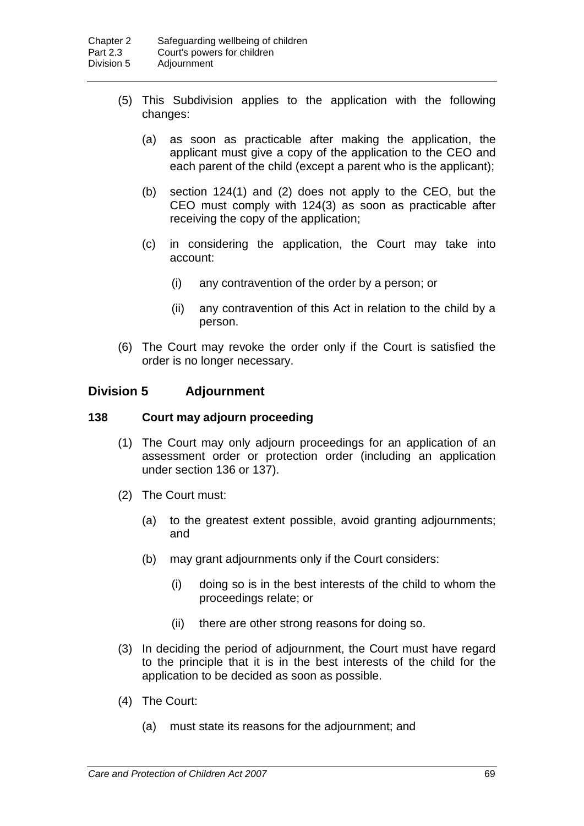- (5) This Subdivision applies to the application with the following changes:
	- (a) as soon as practicable after making the application, the applicant must give a copy of the application to the CEO and each parent of the child (except a parent who is the applicant);
	- (b) section 124(1) and (2) does not apply to the CEO, but the CEO must comply with 124(3) as soon as practicable after receiving the copy of the application;
	- (c) in considering the application, the Court may take into account:
		- (i) any contravention of the order by a person; or
		- (ii) any contravention of this Act in relation to the child by a person.
- (6) The Court may revoke the order only if the Court is satisfied the order is no longer necessary.

## **Division 5 Adjournment**

#### **138 Court may adjourn proceeding**

- (1) The Court may only adjourn proceedings for an application of an assessment order or protection order (including an application under section 136 or 137).
- (2) The Court must:
	- (a) to the greatest extent possible, avoid granting adjournments; and
	- (b) may grant adjournments only if the Court considers:
		- (i) doing so is in the best interests of the child to whom the proceedings relate; or
		- (ii) there are other strong reasons for doing so.
- (3) In deciding the period of adjournment, the Court must have regard to the principle that it is in the best interests of the child for the application to be decided as soon as possible.
- (4) The Court:
	- (a) must state its reasons for the adjournment; and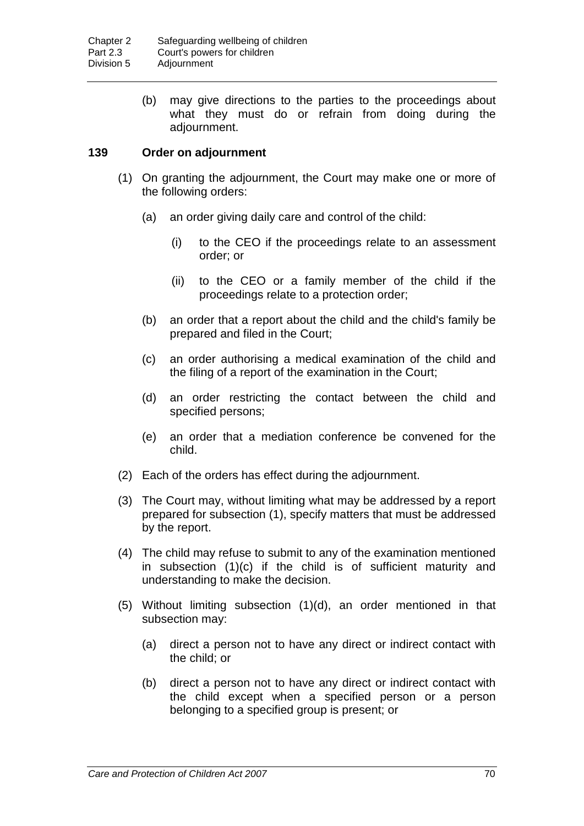(b) may give directions to the parties to the proceedings about what they must do or refrain from doing during the adjournment.

## **139 Order on adjournment**

- (1) On granting the adjournment, the Court may make one or more of the following orders:
	- (a) an order giving daily care and control of the child:
		- (i) to the CEO if the proceedings relate to an assessment order; or
		- (ii) to the CEO or a family member of the child if the proceedings relate to a protection order;
	- (b) an order that a report about the child and the child's family be prepared and filed in the Court;
	- (c) an order authorising a medical examination of the child and the filing of a report of the examination in the Court;
	- (d) an order restricting the contact between the child and specified persons;
	- (e) an order that a mediation conference be convened for the child.
- (2) Each of the orders has effect during the adjournment.
- (3) The Court may, without limiting what may be addressed by a report prepared for subsection (1), specify matters that must be addressed by the report.
- (4) The child may refuse to submit to any of the examination mentioned in subsection (1)(c) if the child is of sufficient maturity and understanding to make the decision.
- (5) Without limiting subsection (1)(d), an order mentioned in that subsection may:
	- (a) direct a person not to have any direct or indirect contact with the child; or
	- (b) direct a person not to have any direct or indirect contact with the child except when a specified person or a person belonging to a specified group is present; or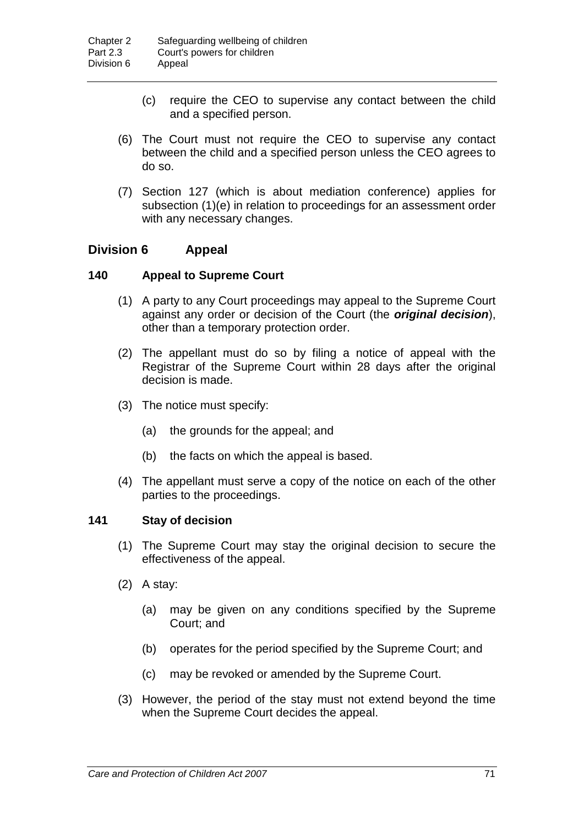- (c) require the CEO to supervise any contact between the child and a specified person.
- (6) The Court must not require the CEO to supervise any contact between the child and a specified person unless the CEO agrees to do so.
- (7) Section 127 (which is about mediation conference) applies for subsection (1)(e) in relation to proceedings for an assessment order with any necessary changes.

# **Division 6 Appeal**

## **140 Appeal to Supreme Court**

- (1) A party to any Court proceedings may appeal to the Supreme Court against any order or decision of the Court (the *original decision*), other than a temporary protection order.
- (2) The appellant must do so by filing a notice of appeal with the Registrar of the Supreme Court within 28 days after the original decision is made.
- (3) The notice must specify:
	- (a) the grounds for the appeal; and
	- (b) the facts on which the appeal is based.
- (4) The appellant must serve a copy of the notice on each of the other parties to the proceedings.

## **141 Stay of decision**

- (1) The Supreme Court may stay the original decision to secure the effectiveness of the appeal.
- (2) A stay:
	- (a) may be given on any conditions specified by the Supreme Court; and
	- (b) operates for the period specified by the Supreme Court; and
	- (c) may be revoked or amended by the Supreme Court.
- (3) However, the period of the stay must not extend beyond the time when the Supreme Court decides the appeal.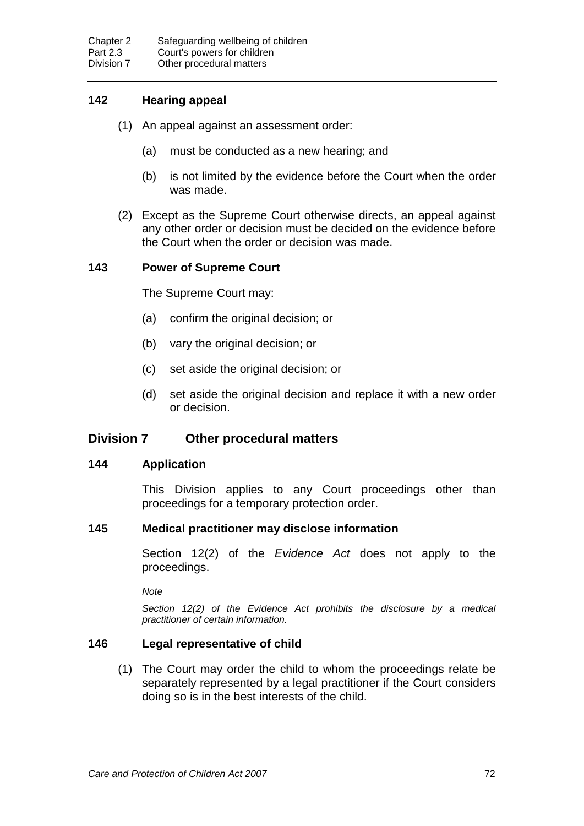# **142 Hearing appeal**

- (1) An appeal against an assessment order:
	- (a) must be conducted as a new hearing; and
	- (b) is not limited by the evidence before the Court when the order was made.
- (2) Except as the Supreme Court otherwise directs, an appeal against any other order or decision must be decided on the evidence before the Court when the order or decision was made.

## **143 Power of Supreme Court**

The Supreme Court may:

- (a) confirm the original decision; or
- (b) vary the original decision; or
- (c) set aside the original decision; or
- (d) set aside the original decision and replace it with a new order or decision.

# **Division 7 Other procedural matters**

#### **144 Application**

This Division applies to any Court proceedings other than proceedings for a temporary protection order.

## **145 Medical practitioner may disclose information**

Section 12(2) of the *Evidence Act* does not apply to the proceedings.

*Note*

*Section 12(2) of the Evidence Act prohibits the disclosure by a medical practitioner of certain information.*

## **146 Legal representative of child**

(1) The Court may order the child to whom the proceedings relate be separately represented by a legal practitioner if the Court considers doing so is in the best interests of the child.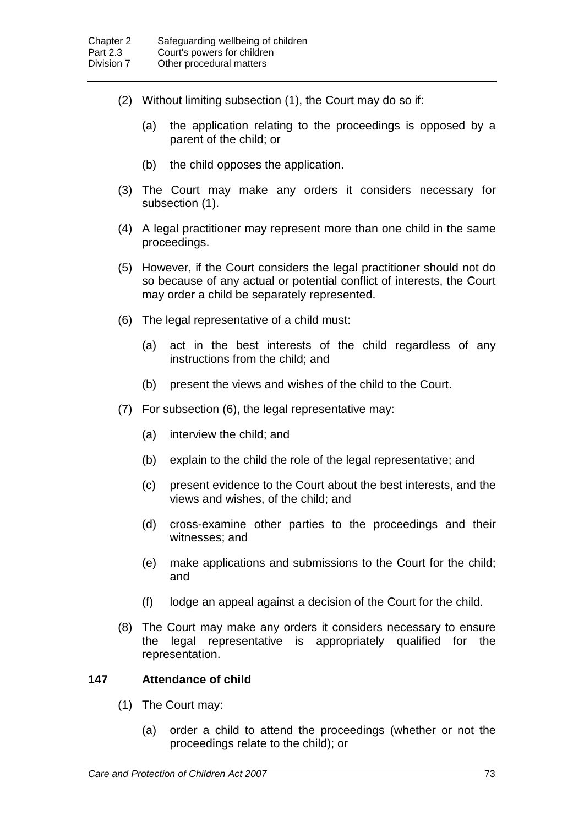- (2) Without limiting subsection (1), the Court may do so if:
	- (a) the application relating to the proceedings is opposed by a parent of the child; or
	- (b) the child opposes the application.
- (3) The Court may make any orders it considers necessary for subsection (1).
- (4) A legal practitioner may represent more than one child in the same proceedings.
- (5) However, if the Court considers the legal practitioner should not do so because of any actual or potential conflict of interests, the Court may order a child be separately represented.
- (6) The legal representative of a child must:
	- (a) act in the best interests of the child regardless of any instructions from the child; and
	- (b) present the views and wishes of the child to the Court.
- (7) For subsection (6), the legal representative may:
	- (a) interview the child; and
	- (b) explain to the child the role of the legal representative; and
	- (c) present evidence to the Court about the best interests, and the views and wishes, of the child; and
	- (d) cross-examine other parties to the proceedings and their witnesses; and
	- (e) make applications and submissions to the Court for the child; and
	- (f) lodge an appeal against a decision of the Court for the child.
- (8) The Court may make any orders it considers necessary to ensure the legal representative is appropriately qualified for the representation.

#### **147 Attendance of child**

- (1) The Court may:
	- (a) order a child to attend the proceedings (whether or not the proceedings relate to the child); or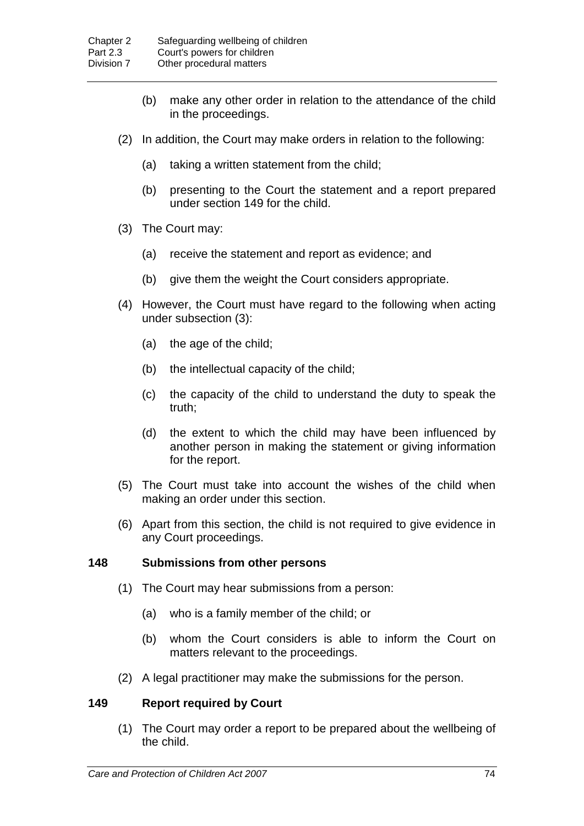- (b) make any other order in relation to the attendance of the child in the proceedings.
- (2) In addition, the Court may make orders in relation to the following:
	- (a) taking a written statement from the child;
	- (b) presenting to the Court the statement and a report prepared under section 149 for the child.
- (3) The Court may:
	- (a) receive the statement and report as evidence; and
	- (b) give them the weight the Court considers appropriate.
- (4) However, the Court must have regard to the following when acting under subsection (3):
	- (a) the age of the child;
	- (b) the intellectual capacity of the child;
	- (c) the capacity of the child to understand the duty to speak the truth;
	- (d) the extent to which the child may have been influenced by another person in making the statement or giving information for the report.
- (5) The Court must take into account the wishes of the child when making an order under this section.
- (6) Apart from this section, the child is not required to give evidence in any Court proceedings.

## **148 Submissions from other persons**

- (1) The Court may hear submissions from a person:
	- (a) who is a family member of the child; or
	- (b) whom the Court considers is able to inform the Court on matters relevant to the proceedings.
- (2) A legal practitioner may make the submissions for the person.

## **149 Report required by Court**

(1) The Court may order a report to be prepared about the wellbeing of the child.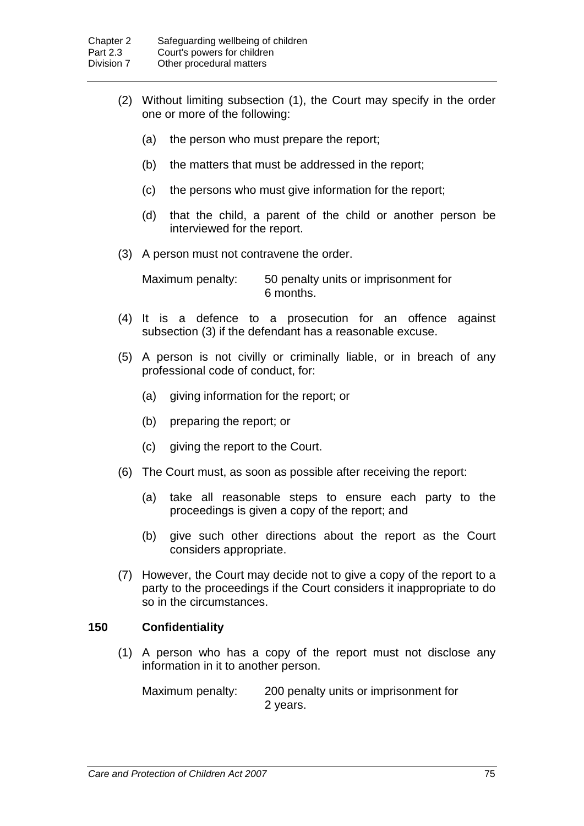- (2) Without limiting subsection (1), the Court may specify in the order one or more of the following:
	- (a) the person who must prepare the report;
	- (b) the matters that must be addressed in the report;
	- (c) the persons who must give information for the report;
	- (d) that the child, a parent of the child or another person be interviewed for the report.
- (3) A person must not contravene the order.

Maximum penalty: 50 penalty units or imprisonment for 6 months.

- (4) It is a defence to a prosecution for an offence against subsection (3) if the defendant has a reasonable excuse.
- (5) A person is not civilly or criminally liable, or in breach of any professional code of conduct, for:
	- (a) giving information for the report; or
	- (b) preparing the report; or
	- (c) giving the report to the Court.
- (6) The Court must, as soon as possible after receiving the report:
	- (a) take all reasonable steps to ensure each party to the proceedings is given a copy of the report; and
	- (b) give such other directions about the report as the Court considers appropriate.
- (7) However, the Court may decide not to give a copy of the report to a party to the proceedings if the Court considers it inappropriate to do so in the circumstances.

## **150 Confidentiality**

(1) A person who has a copy of the report must not disclose any information in it to another person.

Maximum penalty: 200 penalty units or imprisonment for 2 years.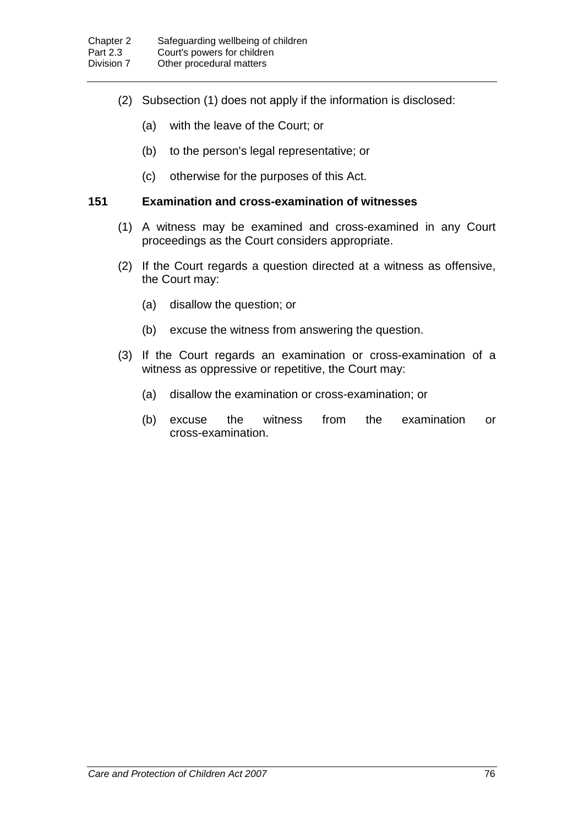- (2) Subsection (1) does not apply if the information is disclosed:
	- (a) with the leave of the Court; or
	- (b) to the person's legal representative; or
	- (c) otherwise for the purposes of this Act.

## **151 Examination and cross-examination of witnesses**

- (1) A witness may be examined and cross-examined in any Court proceedings as the Court considers appropriate.
- (2) If the Court regards a question directed at a witness as offensive, the Court may:
	- (a) disallow the question; or
	- (b) excuse the witness from answering the question.
- (3) If the Court regards an examination or cross-examination of a witness as oppressive or repetitive, the Court may:
	- (a) disallow the examination or cross-examination; or
	- (b) excuse the witness from the examination or cross-examination.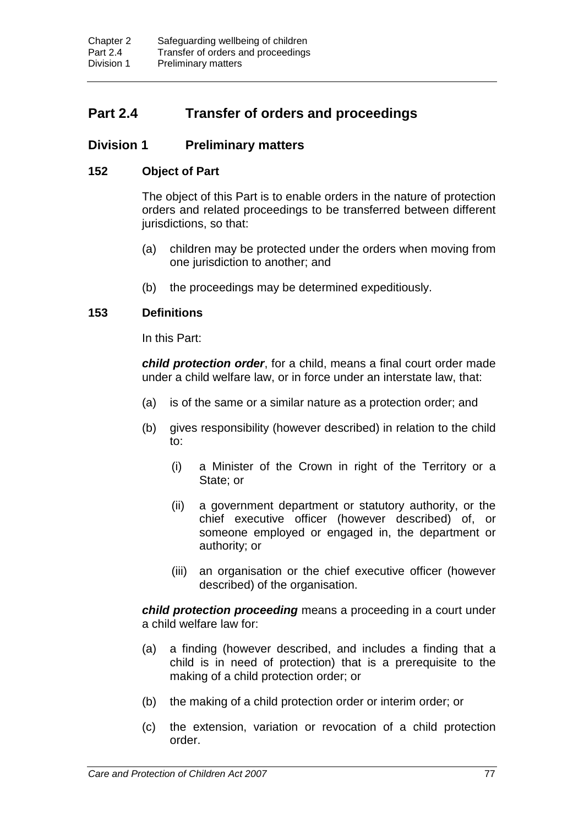# **Part 2.4 Transfer of orders and proceedings**

# **Division 1 Preliminary matters**

## **152 Object of Part**

The object of this Part is to enable orders in the nature of protection orders and related proceedings to be transferred between different jurisdictions, so that:

- (a) children may be protected under the orders when moving from one jurisdiction to another; and
- (b) the proceedings may be determined expeditiously.

## **153 Definitions**

In this Part:

*child protection order*, for a child, means a final court order made under a child welfare law, or in force under an interstate law, that:

- (a) is of the same or a similar nature as a protection order; and
- (b) gives responsibility (however described) in relation to the child to:
	- (i) a Minister of the Crown in right of the Territory or a State; or
	- (ii) a government department or statutory authority, or the chief executive officer (however described) of, or someone employed or engaged in, the department or authority; or
	- (iii) an organisation or the chief executive officer (however described) of the organisation.

*child protection proceeding* means a proceeding in a court under a child welfare law for:

- (a) a finding (however described, and includes a finding that a child is in need of protection) that is a prerequisite to the making of a child protection order; or
- (b) the making of a child protection order or interim order; or
- (c) the extension, variation or revocation of a child protection order.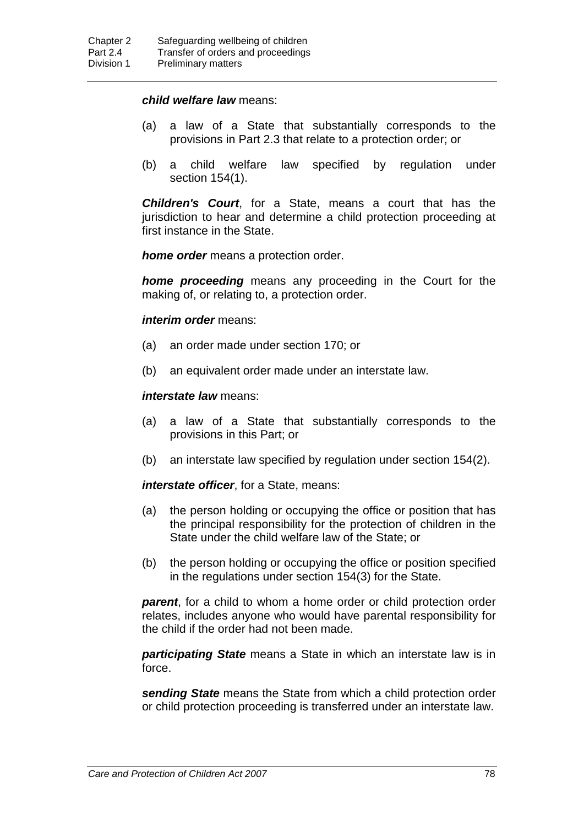#### *child welfare law* means:

- (a) a law of a State that substantially corresponds to the provisions in Part 2.3 that relate to a protection order; or
- (b) a child welfare law specified by regulation under section 154(1).

*Children's Court*, for a State, means a court that has the jurisdiction to hear and determine a child protection proceeding at first instance in the State.

*home order* means a protection order.

*home proceeding* means any proceeding in the Court for the making of, or relating to, a protection order.

*interim order* means:

- (a) an order made under section 170; or
- (b) an equivalent order made under an interstate law.

#### *interstate law* means:

- (a) a law of a State that substantially corresponds to the provisions in this Part; or
- (b) an interstate law specified by regulation under section 154(2).

*interstate officer*, for a State, means:

- (a) the person holding or occupying the office or position that has the principal responsibility for the protection of children in the State under the child welfare law of the State; or
- (b) the person holding or occupying the office or position specified in the regulations under section 154(3) for the State.

*parent*, for a child to whom a home order or child protection order relates, includes anyone who would have parental responsibility for the child if the order had not been made.

*participating State* means a State in which an interstate law is in force.

*sending State* means the State from which a child protection order or child protection proceeding is transferred under an interstate law.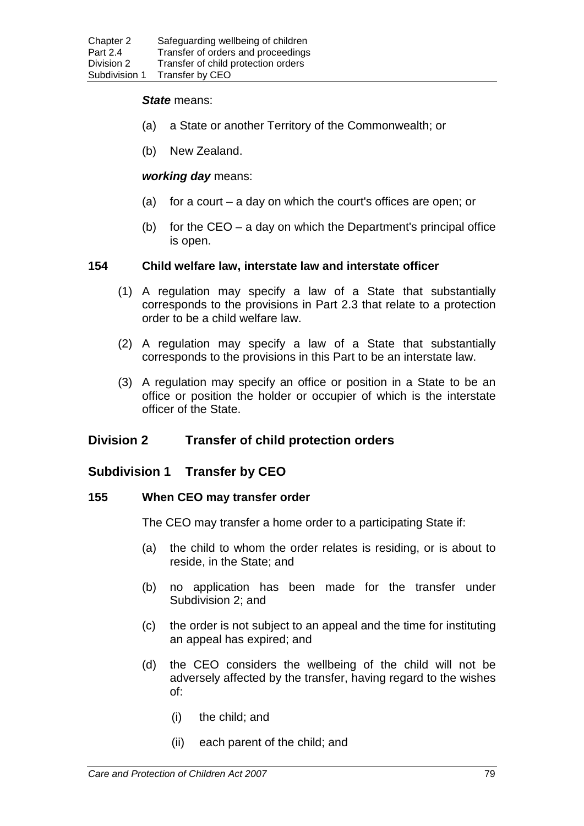#### *State* means:

- (a) a State or another Territory of the Commonwealth; or
- (b) New Zealand.

#### *working day* means:

- (a) for a court a day on which the court's offices are open; or
- (b) for the  $CEO a$  day on which the Department's principal office is open.

#### **154 Child welfare law, interstate law and interstate officer**

- (1) A regulation may specify a law of a State that substantially corresponds to the provisions in Part 2.3 that relate to a protection order to be a child welfare law.
- (2) A regulation may specify a law of a State that substantially corresponds to the provisions in this Part to be an interstate law.
- (3) A regulation may specify an office or position in a State to be an office or position the holder or occupier of which is the interstate officer of the State.

# **Division 2 Transfer of child protection orders**

## **Subdivision 1 Transfer by CEO**

#### **155 When CEO may transfer order**

The CEO may transfer a home order to a participating State if:

- (a) the child to whom the order relates is residing, or is about to reside, in the State; and
- (b) no application has been made for the transfer under Subdivision 2; and
- (c) the order is not subject to an appeal and the time for instituting an appeal has expired; and
- (d) the CEO considers the wellbeing of the child will not be adversely affected by the transfer, having regard to the wishes of:
	- (i) the child; and
	- (ii) each parent of the child; and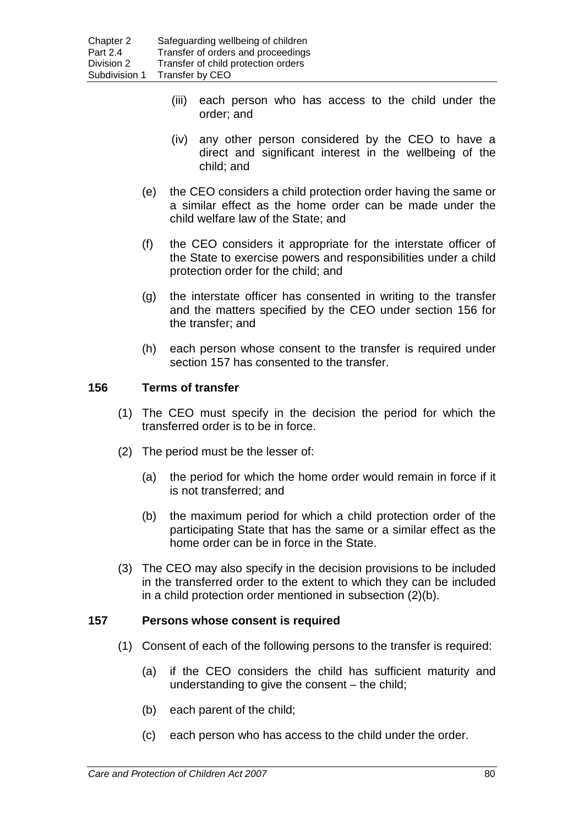- (iii) each person who has access to the child under the order; and
- (iv) any other person considered by the CEO to have a direct and significant interest in the wellbeing of the child; and
- (e) the CEO considers a child protection order having the same or a similar effect as the home order can be made under the child welfare law of the State; and
- (f) the CEO considers it appropriate for the interstate officer of the State to exercise powers and responsibilities under a child protection order for the child; and
- (g) the interstate officer has consented in writing to the transfer and the matters specified by the CEO under section 156 for the transfer; and
- (h) each person whose consent to the transfer is required under section 157 has consented to the transfer.

## **156 Terms of transfer**

- (1) The CEO must specify in the decision the period for which the transferred order is to be in force.
- (2) The period must be the lesser of:
	- (a) the period for which the home order would remain in force if it is not transferred; and
	- (b) the maximum period for which a child protection order of the participating State that has the same or a similar effect as the home order can be in force in the State.
- (3) The CEO may also specify in the decision provisions to be included in the transferred order to the extent to which they can be included in a child protection order mentioned in subsection (2)(b).

## **157 Persons whose consent is required**

- (1) Consent of each of the following persons to the transfer is required:
	- (a) if the CEO considers the child has sufficient maturity and understanding to give the consent – the child;
	- (b) each parent of the child;
	- (c) each person who has access to the child under the order.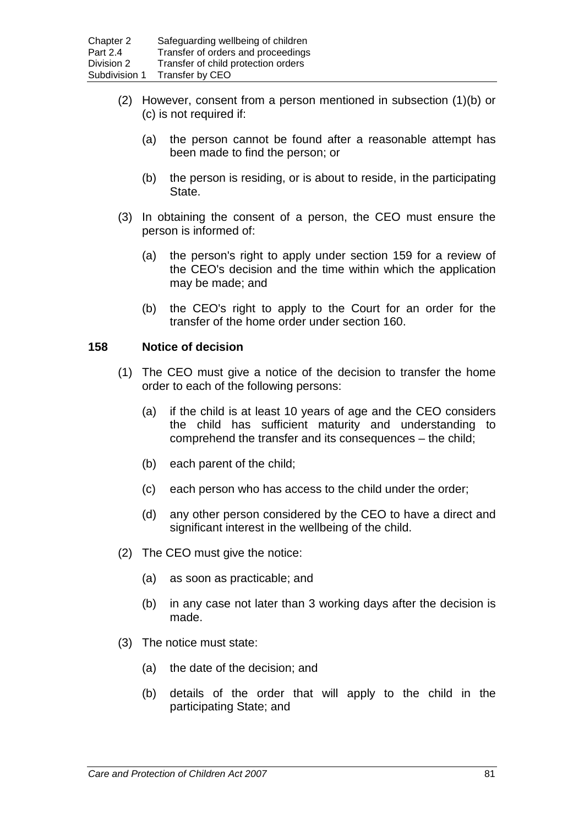- (2) However, consent from a person mentioned in subsection (1)(b) or (c) is not required if:
	- (a) the person cannot be found after a reasonable attempt has been made to find the person; or
	- (b) the person is residing, or is about to reside, in the participating State.
- (3) In obtaining the consent of a person, the CEO must ensure the person is informed of:
	- (a) the person's right to apply under section 159 for a review of the CEO's decision and the time within which the application may be made; and
	- (b) the CEO's right to apply to the Court for an order for the transfer of the home order under section 160.

## **158 Notice of decision**

- (1) The CEO must give a notice of the decision to transfer the home order to each of the following persons:
	- (a) if the child is at least 10 years of age and the CEO considers the child has sufficient maturity and understanding to comprehend the transfer and its consequences – the child;
	- (b) each parent of the child;
	- (c) each person who has access to the child under the order;
	- (d) any other person considered by the CEO to have a direct and significant interest in the wellbeing of the child.
- (2) The CEO must give the notice:
	- (a) as soon as practicable; and
	- (b) in any case not later than 3 working days after the decision is made.
- (3) The notice must state:
	- (a) the date of the decision; and
	- (b) details of the order that will apply to the child in the participating State; and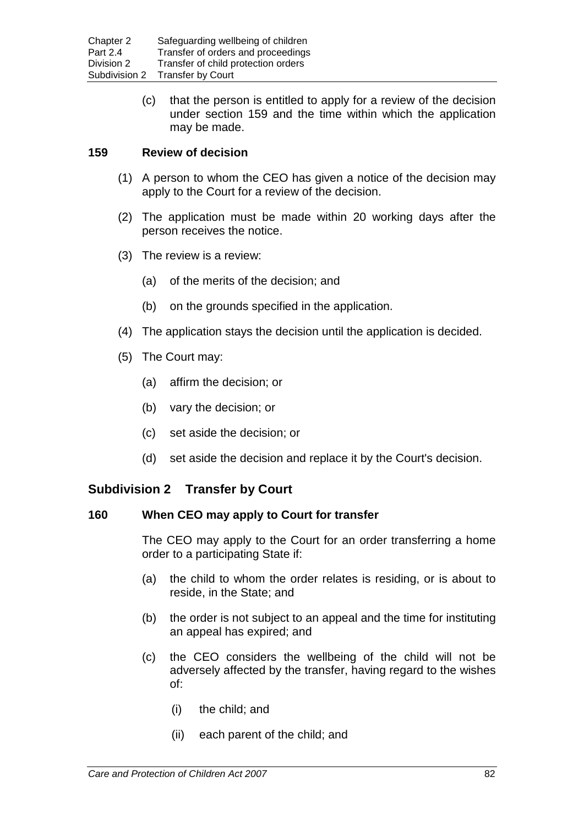(c) that the person is entitled to apply for a review of the decision under section 159 and the time within which the application may be made.

## **159 Review of decision**

- (1) A person to whom the CEO has given a notice of the decision may apply to the Court for a review of the decision.
- (2) The application must be made within 20 working days after the person receives the notice.
- (3) The review is a review:
	- (a) of the merits of the decision; and
	- (b) on the grounds specified in the application.
- (4) The application stays the decision until the application is decided.
- (5) The Court may:
	- (a) affirm the decision; or
	- (b) vary the decision; or
	- (c) set aside the decision; or
	- (d) set aside the decision and replace it by the Court's decision.

# **Subdivision 2 Transfer by Court**

## **160 When CEO may apply to Court for transfer**

The CEO may apply to the Court for an order transferring a home order to a participating State if:

- (a) the child to whom the order relates is residing, or is about to reside, in the State; and
- (b) the order is not subject to an appeal and the time for instituting an appeal has expired; and
- (c) the CEO considers the wellbeing of the child will not be adversely affected by the transfer, having regard to the wishes of:
	- (i) the child; and
	- (ii) each parent of the child; and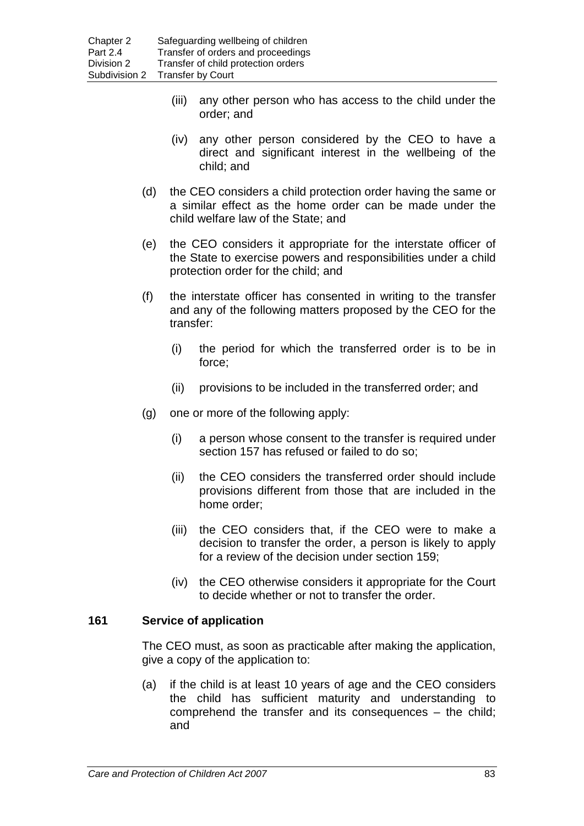- (iii) any other person who has access to the child under the order; and
- (iv) any other person considered by the CEO to have a direct and significant interest in the wellbeing of the child; and
- (d) the CEO considers a child protection order having the same or a similar effect as the home order can be made under the child welfare law of the State; and
- (e) the CEO considers it appropriate for the interstate officer of the State to exercise powers and responsibilities under a child protection order for the child; and
- (f) the interstate officer has consented in writing to the transfer and any of the following matters proposed by the CEO for the transfer:
	- (i) the period for which the transferred order is to be in force;
	- (ii) provisions to be included in the transferred order; and
- (g) one or more of the following apply:
	- (i) a person whose consent to the transfer is required under section 157 has refused or failed to do so;
	- (ii) the CEO considers the transferred order should include provisions different from those that are included in the home order;
	- (iii) the CEO considers that, if the CEO were to make a decision to transfer the order, a person is likely to apply for a review of the decision under section 159;
	- (iv) the CEO otherwise considers it appropriate for the Court to decide whether or not to transfer the order.

## **161 Service of application**

The CEO must, as soon as practicable after making the application, give a copy of the application to:

(a) if the child is at least 10 years of age and the CEO considers the child has sufficient maturity and understanding to comprehend the transfer and its consequences – the child; and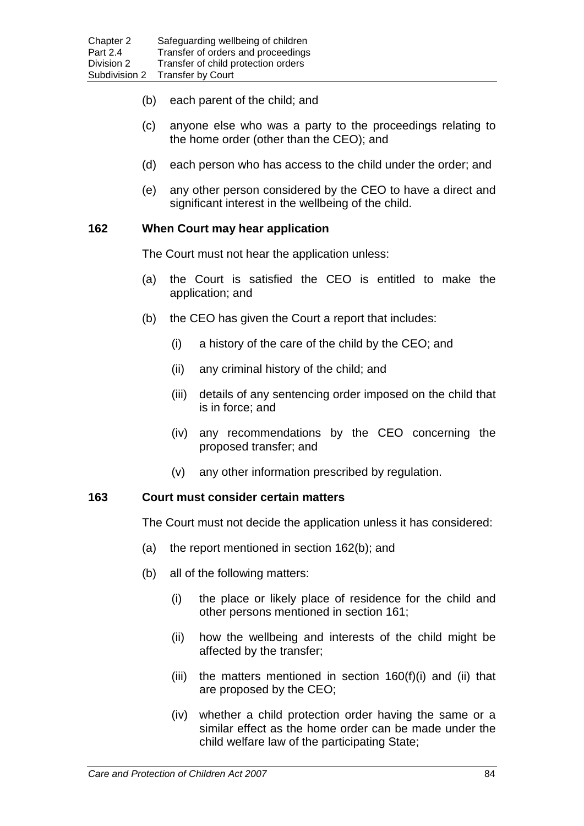- (b) each parent of the child; and
- (c) anyone else who was a party to the proceedings relating to the home order (other than the CEO); and
- (d) each person who has access to the child under the order; and
- (e) any other person considered by the CEO to have a direct and significant interest in the wellbeing of the child.

## **162 When Court may hear application**

The Court must not hear the application unless:

- (a) the Court is satisfied the CEO is entitled to make the application; and
- (b) the CEO has given the Court a report that includes:
	- (i) a history of the care of the child by the CEO; and
	- (ii) any criminal history of the child; and
	- (iii) details of any sentencing order imposed on the child that is in force; and
	- (iv) any recommendations by the CEO concerning the proposed transfer; and
	- (v) any other information prescribed by regulation.

## **163 Court must consider certain matters**

The Court must not decide the application unless it has considered:

- (a) the report mentioned in section 162(b); and
- (b) all of the following matters:
	- (i) the place or likely place of residence for the child and other persons mentioned in section 161;
	- (ii) how the wellbeing and interests of the child might be affected by the transfer;
	- (iii) the matters mentioned in section  $160(f)(i)$  and (ii) that are proposed by the CEO;
	- (iv) whether a child protection order having the same or a similar effect as the home order can be made under the child welfare law of the participating State;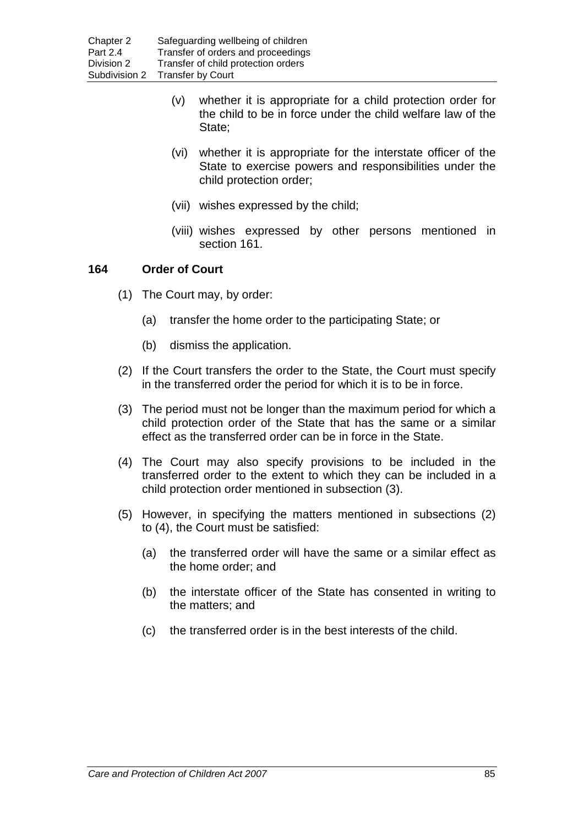- (v) whether it is appropriate for a child protection order for the child to be in force under the child welfare law of the State;
- (vi) whether it is appropriate for the interstate officer of the State to exercise powers and responsibilities under the child protection order;
- (vii) wishes expressed by the child;
- (viii) wishes expressed by other persons mentioned in section 161.

## **164 Order of Court**

- (1) The Court may, by order:
	- (a) transfer the home order to the participating State; or
	- (b) dismiss the application.
- (2) If the Court transfers the order to the State, the Court must specify in the transferred order the period for which it is to be in force.
- (3) The period must not be longer than the maximum period for which a child protection order of the State that has the same or a similar effect as the transferred order can be in force in the State.
- (4) The Court may also specify provisions to be included in the transferred order to the extent to which they can be included in a child protection order mentioned in subsection (3).
- (5) However, in specifying the matters mentioned in subsections (2) to (4), the Court must be satisfied:
	- (a) the transferred order will have the same or a similar effect as the home order; and
	- (b) the interstate officer of the State has consented in writing to the matters; and
	- (c) the transferred order is in the best interests of the child.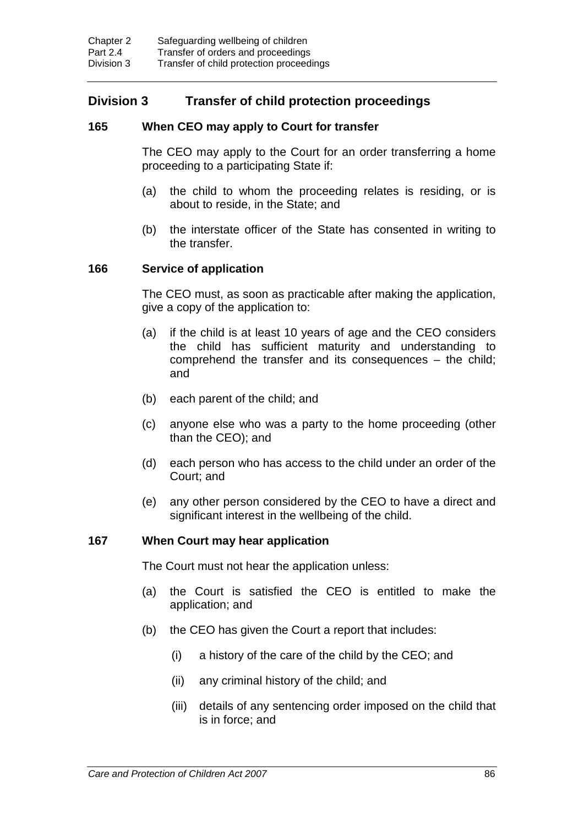# **Division 3 Transfer of child protection proceedings**

## **165 When CEO may apply to Court for transfer**

The CEO may apply to the Court for an order transferring a home proceeding to a participating State if:

- (a) the child to whom the proceeding relates is residing, or is about to reside, in the State; and
- (b) the interstate officer of the State has consented in writing to the transfer.

## **166 Service of application**

The CEO must, as soon as practicable after making the application, give a copy of the application to:

- (a) if the child is at least 10 years of age and the CEO considers the child has sufficient maturity and understanding to comprehend the transfer and its consequences – the child; and
- (b) each parent of the child; and
- (c) anyone else who was a party to the home proceeding (other than the CEO); and
- (d) each person who has access to the child under an order of the Court; and
- (e) any other person considered by the CEO to have a direct and significant interest in the wellbeing of the child.

## **167 When Court may hear application**

The Court must not hear the application unless:

- (a) the Court is satisfied the CEO is entitled to make the application; and
- (b) the CEO has given the Court a report that includes:
	- (i) a history of the care of the child by the CEO; and
	- (ii) any criminal history of the child; and
	- (iii) details of any sentencing order imposed on the child that is in force; and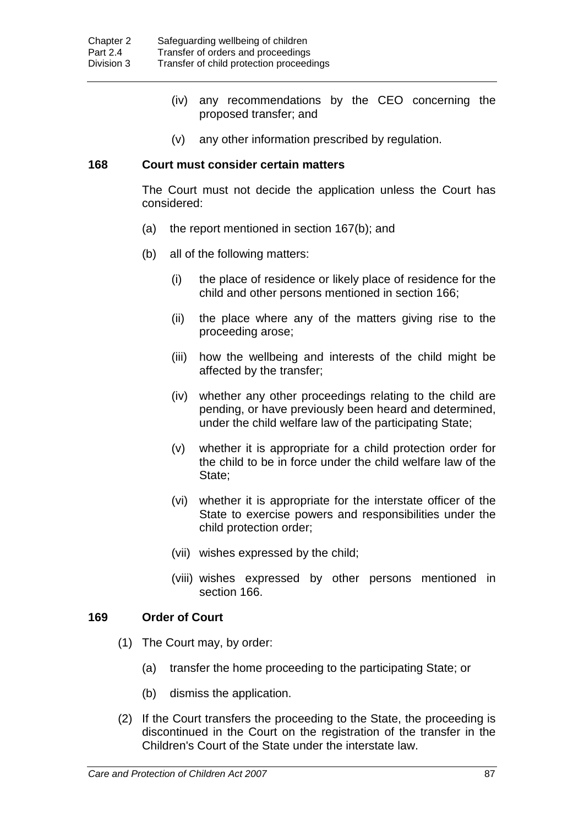- (iv) any recommendations by the CEO concerning the proposed transfer; and
- (v) any other information prescribed by regulation.

#### **168 Court must consider certain matters**

The Court must not decide the application unless the Court has considered:

- (a) the report mentioned in section 167(b); and
- (b) all of the following matters:
	- (i) the place of residence or likely place of residence for the child and other persons mentioned in section 166;
	- (ii) the place where any of the matters giving rise to the proceeding arose;
	- (iii) how the wellbeing and interests of the child might be affected by the transfer;
	- (iv) whether any other proceedings relating to the child are pending, or have previously been heard and determined, under the child welfare law of the participating State;
	- (v) whether it is appropriate for a child protection order for the child to be in force under the child welfare law of the State;
	- (vi) whether it is appropriate for the interstate officer of the State to exercise powers and responsibilities under the child protection order;
	- (vii) wishes expressed by the child;
	- (viii) wishes expressed by other persons mentioned in section 166.

## **169 Order of Court**

- (1) The Court may, by order:
	- (a) transfer the home proceeding to the participating State; or
	- (b) dismiss the application.
- (2) If the Court transfers the proceeding to the State, the proceeding is discontinued in the Court on the registration of the transfer in the Children's Court of the State under the interstate law.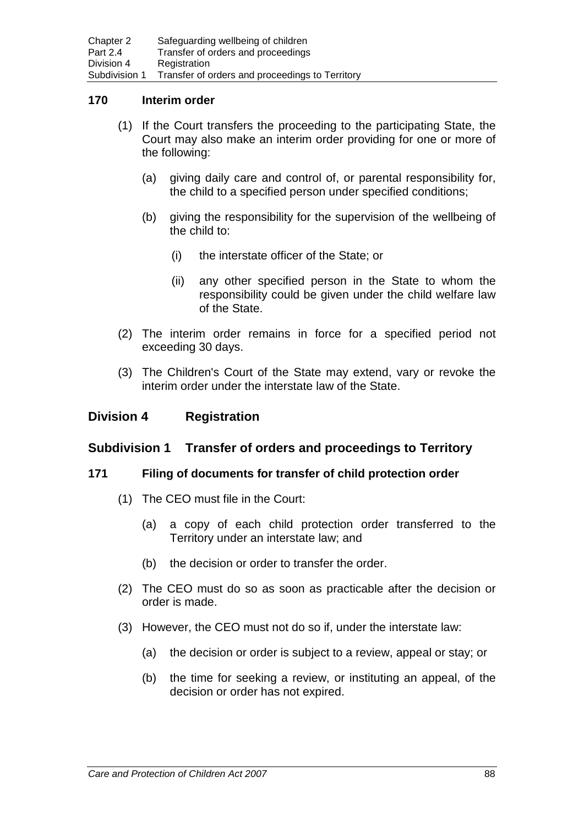#### **170 Interim order**

- (1) If the Court transfers the proceeding to the participating State, the Court may also make an interim order providing for one or more of the following:
	- (a) giving daily care and control of, or parental responsibility for, the child to a specified person under specified conditions;
	- (b) giving the responsibility for the supervision of the wellbeing of the child to:
		- (i) the interstate officer of the State; or
		- (ii) any other specified person in the State to whom the responsibility could be given under the child welfare law of the State.
- (2) The interim order remains in force for a specified period not exceeding 30 days.
- (3) The Children's Court of the State may extend, vary or revoke the interim order under the interstate law of the State.

## **Division 4 Registration**

## **Subdivision 1 Transfer of orders and proceedings to Territory**

#### **171 Filing of documents for transfer of child protection order**

- (1) The CEO must file in the Court:
	- (a) a copy of each child protection order transferred to the Territory under an interstate law; and
	- (b) the decision or order to transfer the order.
- (2) The CEO must do so as soon as practicable after the decision or order is made.
- (3) However, the CEO must not do so if, under the interstate law:
	- (a) the decision or order is subject to a review, appeal or stay; or
	- (b) the time for seeking a review, or instituting an appeal, of the decision or order has not expired.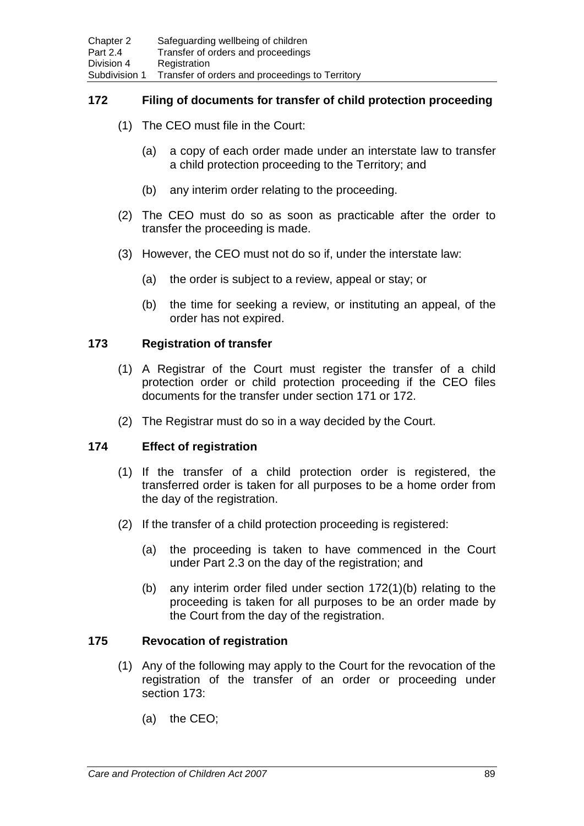## **172 Filing of documents for transfer of child protection proceeding**

- (1) The CEO must file in the Court:
	- (a) a copy of each order made under an interstate law to transfer a child protection proceeding to the Territory; and
	- (b) any interim order relating to the proceeding.
- (2) The CEO must do so as soon as practicable after the order to transfer the proceeding is made.
- (3) However, the CEO must not do so if, under the interstate law:
	- (a) the order is subject to a review, appeal or stay; or
	- (b) the time for seeking a review, or instituting an appeal, of the order has not expired.

## **173 Registration of transfer**

- (1) A Registrar of the Court must register the transfer of a child protection order or child protection proceeding if the CEO files documents for the transfer under section 171 or 172.
- (2) The Registrar must do so in a way decided by the Court.

## **174 Effect of registration**

- (1) If the transfer of a child protection order is registered, the transferred order is taken for all purposes to be a home order from the day of the registration.
- (2) If the transfer of a child protection proceeding is registered:
	- (a) the proceeding is taken to have commenced in the Court under Part 2.3 on the day of the registration; and
	- (b) any interim order filed under section 172(1)(b) relating to the proceeding is taken for all purposes to be an order made by the Court from the day of the registration.

## **175 Revocation of registration**

- (1) Any of the following may apply to the Court for the revocation of the registration of the transfer of an order or proceeding under section 173:
	- (a) the CEO;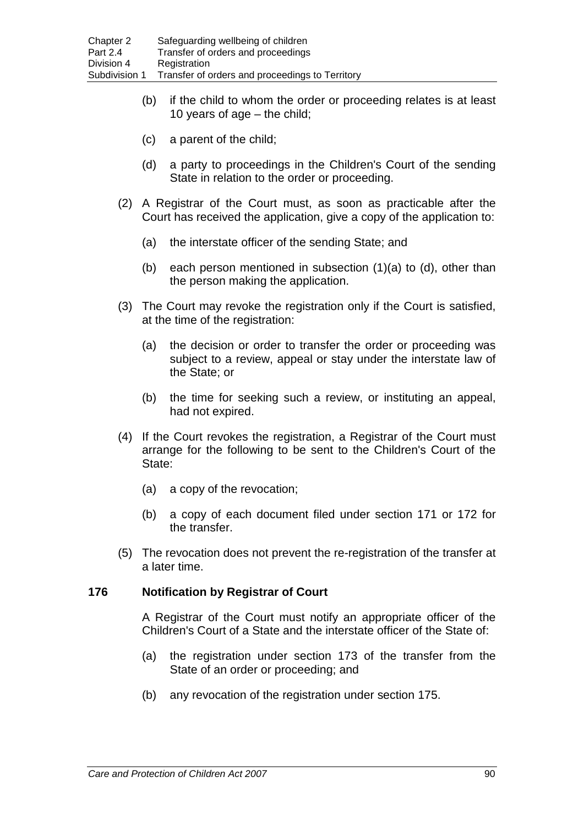- (b) if the child to whom the order or proceeding relates is at least 10 years of age – the child;
- (c) a parent of the child;
- (d) a party to proceedings in the Children's Court of the sending State in relation to the order or proceeding.
- (2) A Registrar of the Court must, as soon as practicable after the Court has received the application, give a copy of the application to:
	- (a) the interstate officer of the sending State; and
	- (b) each person mentioned in subsection (1)(a) to (d), other than the person making the application.
- (3) The Court may revoke the registration only if the Court is satisfied, at the time of the registration:
	- (a) the decision or order to transfer the order or proceeding was subject to a review, appeal or stay under the interstate law of the State; or
	- (b) the time for seeking such a review, or instituting an appeal, had not expired.
- (4) If the Court revokes the registration, a Registrar of the Court must arrange for the following to be sent to the Children's Court of the State:
	- (a) a copy of the revocation;
	- (b) a copy of each document filed under section 171 or 172 for the transfer.
- (5) The revocation does not prevent the re-registration of the transfer at a later time.

## **176 Notification by Registrar of Court**

A Registrar of the Court must notify an appropriate officer of the Children's Court of a State and the interstate officer of the State of:

- (a) the registration under section 173 of the transfer from the State of an order or proceeding; and
- (b) any revocation of the registration under section 175.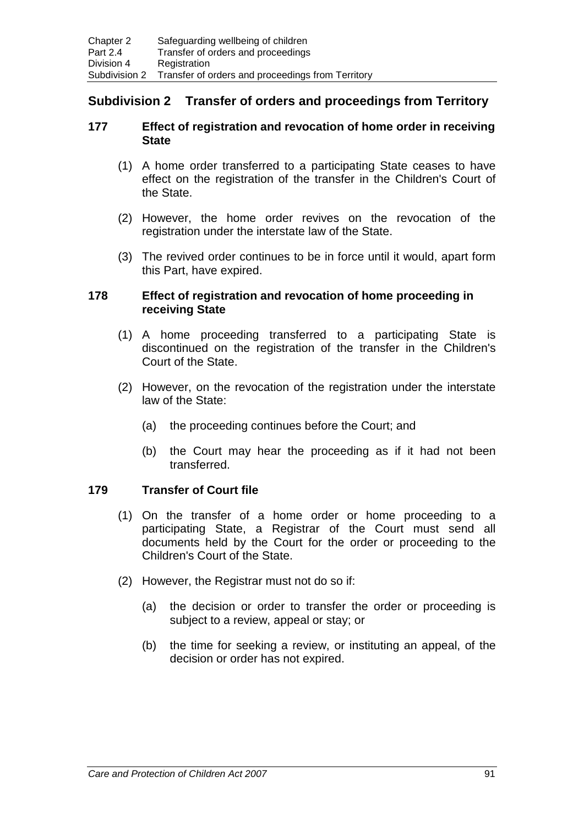# **Subdivision 2 Transfer of orders and proceedings from Territory**

## **177 Effect of registration and revocation of home order in receiving State**

- (1) A home order transferred to a participating State ceases to have effect on the registration of the transfer in the Children's Court of the State.
- (2) However, the home order revives on the revocation of the registration under the interstate law of the State.
- (3) The revived order continues to be in force until it would, apart form this Part, have expired.

#### **178 Effect of registration and revocation of home proceeding in receiving State**

- (1) A home proceeding transferred to a participating State is discontinued on the registration of the transfer in the Children's Court of the State.
- (2) However, on the revocation of the registration under the interstate law of the State:
	- (a) the proceeding continues before the Court; and
	- (b) the Court may hear the proceeding as if it had not been transferred.

# **179 Transfer of Court file**

- (1) On the transfer of a home order or home proceeding to a participating State, a Registrar of the Court must send all documents held by the Court for the order or proceeding to the Children's Court of the State.
- (2) However, the Registrar must not do so if:
	- (a) the decision or order to transfer the order or proceeding is subject to a review, appeal or stay; or
	- (b) the time for seeking a review, or instituting an appeal, of the decision or order has not expired.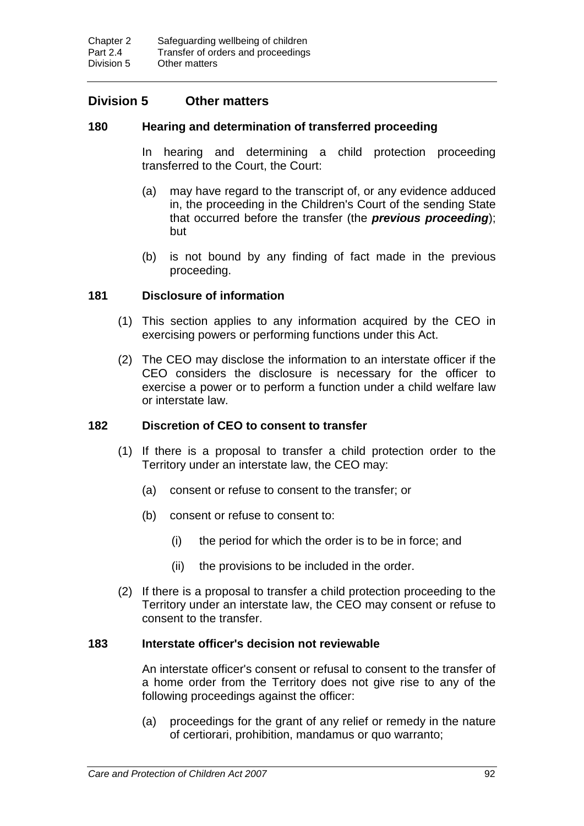# **Division 5 Other matters**

#### **180 Hearing and determination of transferred proceeding**

In hearing and determining a child protection proceeding transferred to the Court, the Court:

- (a) may have regard to the transcript of, or any evidence adduced in, the proceeding in the Children's Court of the sending State that occurred before the transfer (the *previous proceeding*); but
- (b) is not bound by any finding of fact made in the previous proceeding.

## **181 Disclosure of information**

- (1) This section applies to any information acquired by the CEO in exercising powers or performing functions under this Act.
- (2) The CEO may disclose the information to an interstate officer if the CEO considers the disclosure is necessary for the officer to exercise a power or to perform a function under a child welfare law or interstate law.

#### **182 Discretion of CEO to consent to transfer**

- (1) If there is a proposal to transfer a child protection order to the Territory under an interstate law, the CEO may:
	- (a) consent or refuse to consent to the transfer; or
	- (b) consent or refuse to consent to:
		- (i) the period for which the order is to be in force; and
		- (ii) the provisions to be included in the order.
- (2) If there is a proposal to transfer a child protection proceeding to the Territory under an interstate law, the CEO may consent or refuse to consent to the transfer.

## **183 Interstate officer's decision not reviewable**

An interstate officer's consent or refusal to consent to the transfer of a home order from the Territory does not give rise to any of the following proceedings against the officer:

(a) proceedings for the grant of any relief or remedy in the nature of certiorari, prohibition, mandamus or quo warranto;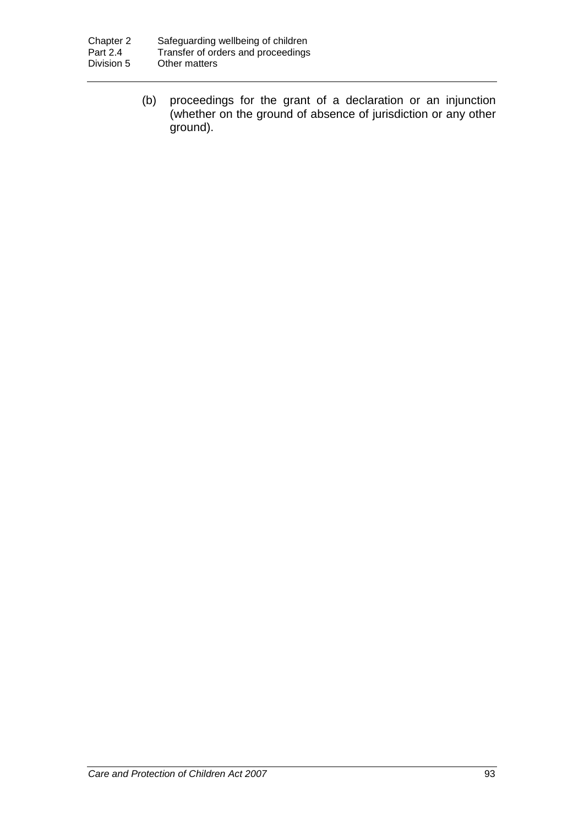(b) proceedings for the grant of a declaration or an injunction (whether on the ground of absence of jurisdiction or any other ground).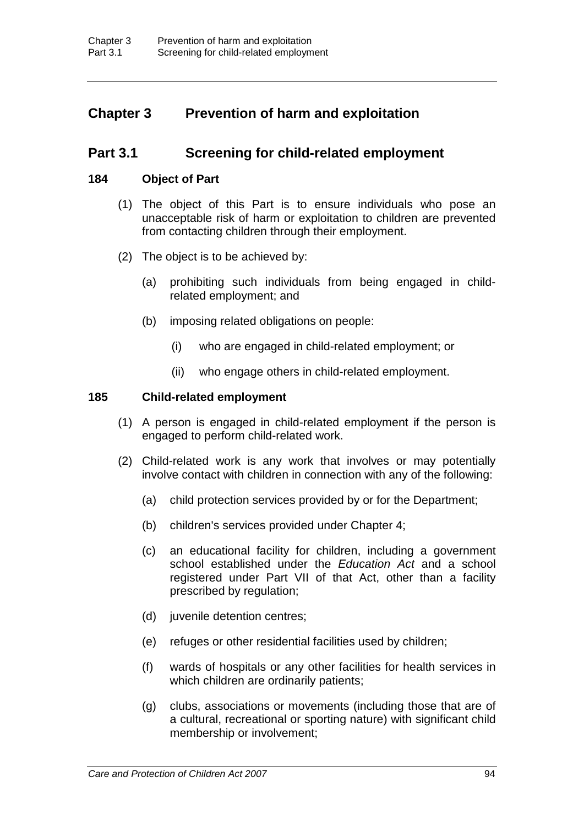# **Chapter 3 Prevention of harm and exploitation**

# **Part 3.1 Screening for child-related employment**

#### **184 Object of Part**

- (1) The object of this Part is to ensure individuals who pose an unacceptable risk of harm or exploitation to children are prevented from contacting children through their employment.
- (2) The object is to be achieved by:
	- (a) prohibiting such individuals from being engaged in childrelated employment; and
	- (b) imposing related obligations on people:
		- (i) who are engaged in child-related employment; or
		- (ii) who engage others in child-related employment.

#### **185 Child-related employment**

- (1) A person is engaged in child-related employment if the person is engaged to perform child-related work.
- (2) Child-related work is any work that involves or may potentially involve contact with children in connection with any of the following:
	- (a) child protection services provided by or for the Department;
	- (b) children's services provided under Chapter 4;
	- (c) an educational facility for children, including a government school established under the *Education Act* and a school registered under Part VII of that Act, other than a facility prescribed by regulation;
	- (d) juvenile detention centres;
	- (e) refuges or other residential facilities used by children;
	- (f) wards of hospitals or any other facilities for health services in which children are ordinarily patients;
	- (g) clubs, associations or movements (including those that are of a cultural, recreational or sporting nature) with significant child membership or involvement;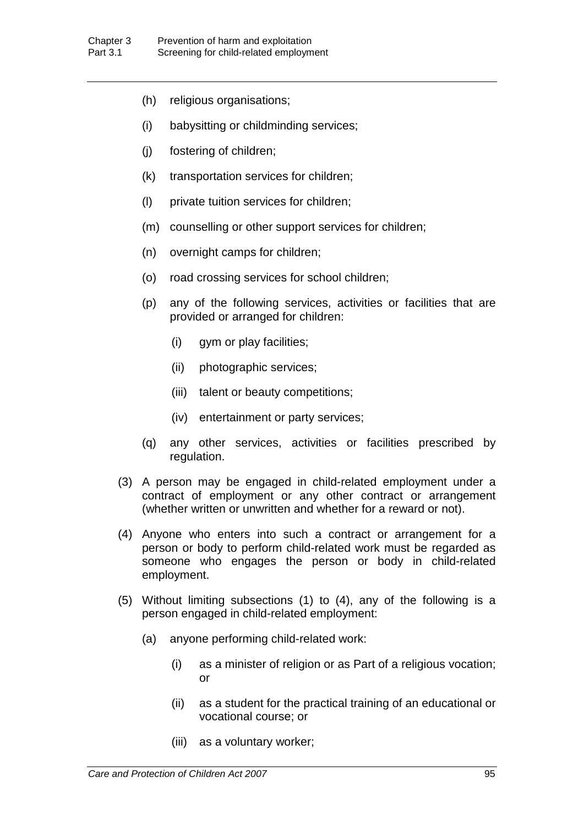- (h) religious organisations;
- (i) babysitting or childminding services;
- (j) fostering of children;
- (k) transportation services for children;
- (l) private tuition services for children;
- (m) counselling or other support services for children;
- (n) overnight camps for children;
- (o) road crossing services for school children;
- (p) any of the following services, activities or facilities that are provided or arranged for children:
	- (i) gym or play facilities;
	- (ii) photographic services;
	- (iii) talent or beauty competitions;
	- (iv) entertainment or party services;
- (q) any other services, activities or facilities prescribed by regulation.
- (3) A person may be engaged in child-related employment under a contract of employment or any other contract or arrangement (whether written or unwritten and whether for a reward or not).
- (4) Anyone who enters into such a contract or arrangement for a person or body to perform child-related work must be regarded as someone who engages the person or body in child-related employment.
- (5) Without limiting subsections (1) to (4), any of the following is a person engaged in child-related employment:
	- (a) anyone performing child-related work:
		- (i) as a minister of religion or as Part of a religious vocation; or
		- (ii) as a student for the practical training of an educational or vocational course; or
		- (iii) as a voluntary worker;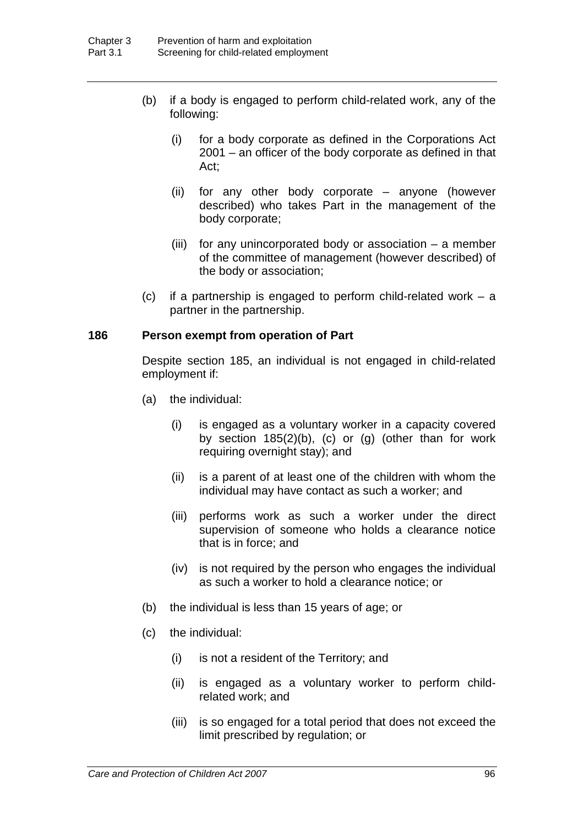- (b) if a body is engaged to perform child-related work, any of the following:
	- (i) for a body corporate as defined in the Corporations Act 2001 – an officer of the body corporate as defined in that Act;
	- (ii) for any other body corporate anyone (however described) who takes Part in the management of the body corporate;
	- (iii) for any unincorporated body or association a member of the committee of management (however described) of the body or association;
- (c) if a partnership is engaged to perform child-related work a partner in the partnership.

## **186 Person exempt from operation of Part**

Despite section 185, an individual is not engaged in child-related employment if:

- (a) the individual:
	- (i) is engaged as a voluntary worker in a capacity covered by section  $185(2)(b)$ , (c) or (g) (other than for work requiring overnight stay); and
	- (ii) is a parent of at least one of the children with whom the individual may have contact as such a worker; and
	- (iii) performs work as such a worker under the direct supervision of someone who holds a clearance notice that is in force; and
	- (iv) is not required by the person who engages the individual as such a worker to hold a clearance notice; or
- (b) the individual is less than 15 years of age; or
- (c) the individual:
	- (i) is not a resident of the Territory; and
	- (ii) is engaged as a voluntary worker to perform childrelated work; and
	- (iii) is so engaged for a total period that does not exceed the limit prescribed by regulation; or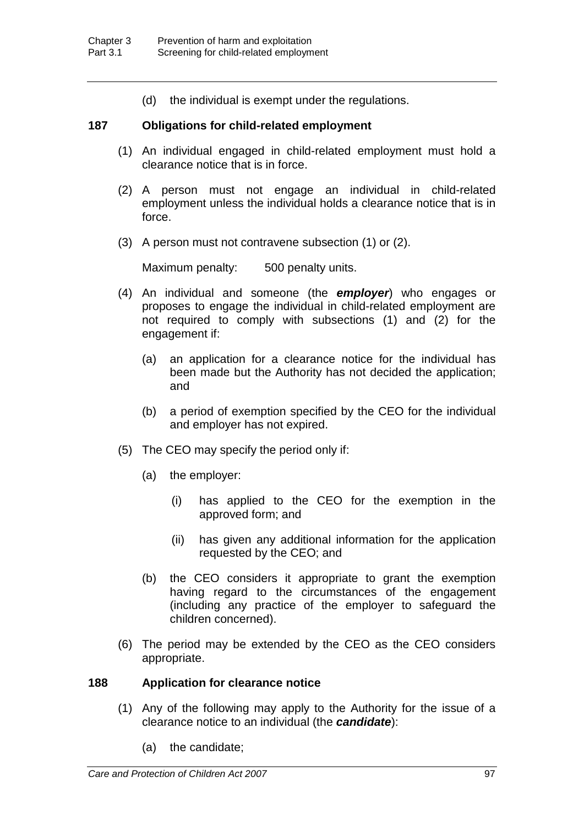(d) the individual is exempt under the regulations.

## **187 Obligations for child-related employment**

- (1) An individual engaged in child-related employment must hold a clearance notice that is in force.
- (2) A person must not engage an individual in child-related employment unless the individual holds a clearance notice that is in force.
- (3) A person must not contravene subsection (1) or (2).

Maximum penalty: 500 penalty units.

- (4) An individual and someone (the *employer*) who engages or proposes to engage the individual in child-related employment are not required to comply with subsections (1) and (2) for the engagement if:
	- (a) an application for a clearance notice for the individual has been made but the Authority has not decided the application; and
	- (b) a period of exemption specified by the CEO for the individual and employer has not expired.
- (5) The CEO may specify the period only if:
	- (a) the employer:
		- (i) has applied to the CEO for the exemption in the approved form; and
		- (ii) has given any additional information for the application requested by the CEO; and
	- (b) the CEO considers it appropriate to grant the exemption having regard to the circumstances of the engagement (including any practice of the employer to safeguard the children concerned).
- (6) The period may be extended by the CEO as the CEO considers appropriate.

## **188 Application for clearance notice**

- (1) Any of the following may apply to the Authority for the issue of a clearance notice to an individual (the *candidate*):
	- (a) the candidate;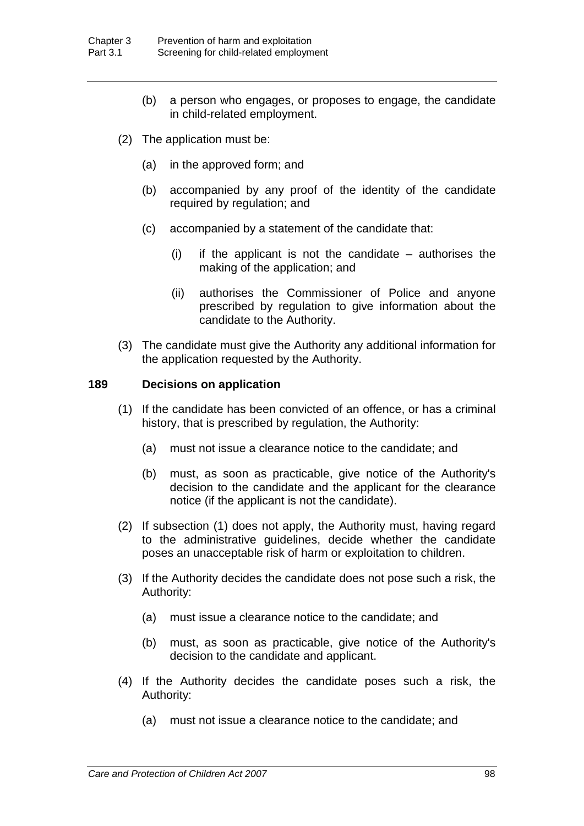- (b) a person who engages, or proposes to engage, the candidate in child-related employment.
- (2) The application must be:
	- (a) in the approved form; and
	- (b) accompanied by any proof of the identity of the candidate required by regulation; and
	- (c) accompanied by a statement of the candidate that:
		- (i) if the applicant is not the candidate authorises the making of the application; and
		- (ii) authorises the Commissioner of Police and anyone prescribed by regulation to give information about the candidate to the Authority.
- (3) The candidate must give the Authority any additional information for the application requested by the Authority.

### **189 Decisions on application**

- (1) If the candidate has been convicted of an offence, or has a criminal history, that is prescribed by regulation, the Authority:
	- (a) must not issue a clearance notice to the candidate; and
	- (b) must, as soon as practicable, give notice of the Authority's decision to the candidate and the applicant for the clearance notice (if the applicant is not the candidate).
- (2) If subsection (1) does not apply, the Authority must, having regard to the administrative guidelines, decide whether the candidate poses an unacceptable risk of harm or exploitation to children.
- (3) If the Authority decides the candidate does not pose such a risk, the Authority:
	- (a) must issue a clearance notice to the candidate; and
	- (b) must, as soon as practicable, give notice of the Authority's decision to the candidate and applicant.
- (4) If the Authority decides the candidate poses such a risk, the Authority:
	- (a) must not issue a clearance notice to the candidate; and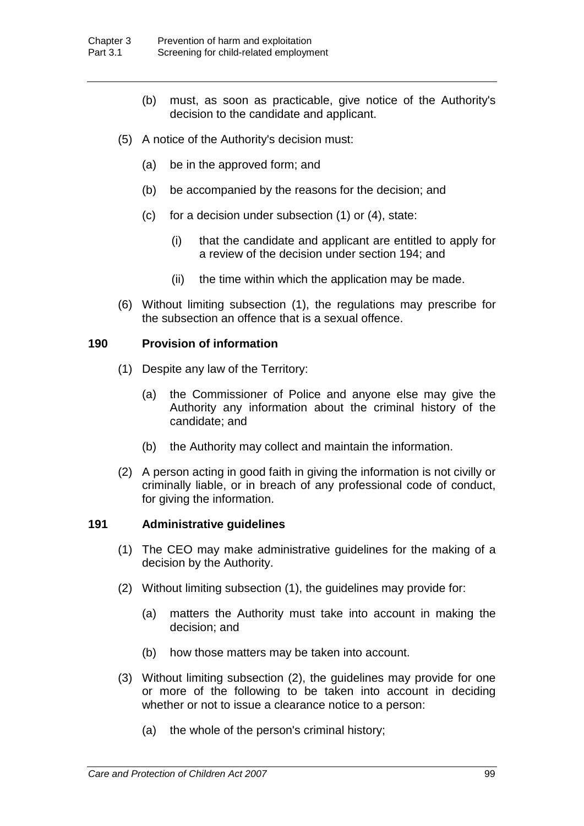- (b) must, as soon as practicable, give notice of the Authority's decision to the candidate and applicant.
- (5) A notice of the Authority's decision must:
	- (a) be in the approved form; and
	- (b) be accompanied by the reasons for the decision; and
	- (c) for a decision under subsection (1) or (4), state:
		- (i) that the candidate and applicant are entitled to apply for a review of the decision under section 194; and
		- (ii) the time within which the application may be made.
- (6) Without limiting subsection (1), the regulations may prescribe for the subsection an offence that is a sexual offence.

# **190 Provision of information**

- (1) Despite any law of the Territory:
	- (a) the Commissioner of Police and anyone else may give the Authority any information about the criminal history of the candidate; and
	- (b) the Authority may collect and maintain the information.
- (2) A person acting in good faith in giving the information is not civilly or criminally liable, or in breach of any professional code of conduct, for giving the information.

### **191 Administrative guidelines**

- (1) The CEO may make administrative guidelines for the making of a decision by the Authority.
- (2) Without limiting subsection (1), the guidelines may provide for:
	- (a) matters the Authority must take into account in making the decision; and
	- (b) how those matters may be taken into account.
- (3) Without limiting subsection (2), the guidelines may provide for one or more of the following to be taken into account in deciding whether or not to issue a clearance notice to a person:
	- (a) the whole of the person's criminal history;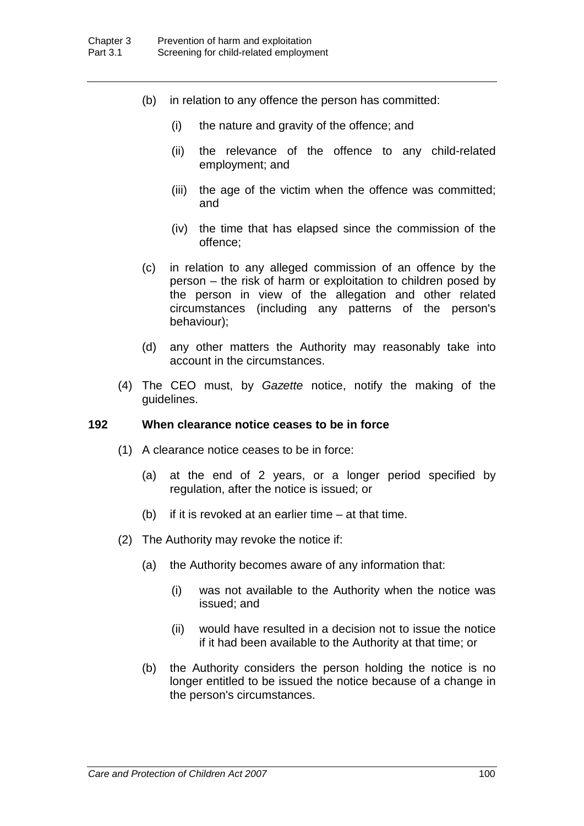- (b) in relation to any offence the person has committed:
	- (i) the nature and gravity of the offence; and
	- (ii) the relevance of the offence to any child-related employment; and
	- (iii) the age of the victim when the offence was committed; and
	- (iv) the time that has elapsed since the commission of the offence;
- (c) in relation to any alleged commission of an offence by the person – the risk of harm or exploitation to children posed by the person in view of the allegation and other related circumstances (including any patterns of the person's behaviour);
- (d) any other matters the Authority may reasonably take into account in the circumstances.
- (4) The CEO must, by *Gazette* notice, notify the making of the guidelines.

## **192 When clearance notice ceases to be in force**

- (1) A clearance notice ceases to be in force:
	- (a) at the end of 2 years, or a longer period specified by regulation, after the notice is issued; or
	- (b) if it is revoked at an earlier time at that time.
- (2) The Authority may revoke the notice if:
	- (a) the Authority becomes aware of any information that:
		- (i) was not available to the Authority when the notice was issued; and
		- (ii) would have resulted in a decision not to issue the notice if it had been available to the Authority at that time; or
	- (b) the Authority considers the person holding the notice is no longer entitled to be issued the notice because of a change in the person's circumstances.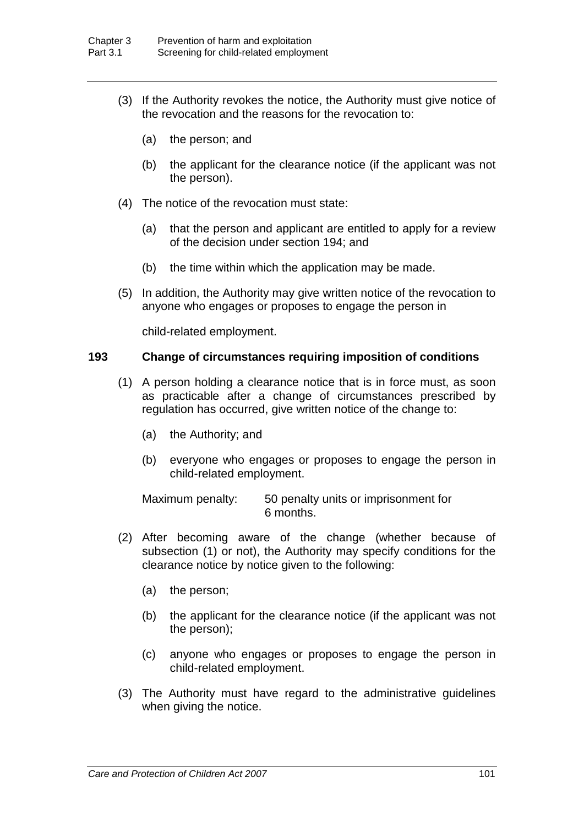- (3) If the Authority revokes the notice, the Authority must give notice of the revocation and the reasons for the revocation to:
	- (a) the person; and
	- (b) the applicant for the clearance notice (if the applicant was not the person).
- (4) The notice of the revocation must state:
	- (a) that the person and applicant are entitled to apply for a review of the decision under section 194; and
	- (b) the time within which the application may be made.
- (5) In addition, the Authority may give written notice of the revocation to anyone who engages or proposes to engage the person in

child-related employment.

## **193 Change of circumstances requiring imposition of conditions**

- (1) A person holding a clearance notice that is in force must, as soon as practicable after a change of circumstances prescribed by regulation has occurred, give written notice of the change to:
	- (a) the Authority; and
	- (b) everyone who engages or proposes to engage the person in child-related employment.

Maximum penalty: 50 penalty units or imprisonment for 6 months.

- (2) After becoming aware of the change (whether because of subsection (1) or not), the Authority may specify conditions for the clearance notice by notice given to the following:
	- (a) the person;
	- (b) the applicant for the clearance notice (if the applicant was not the person);
	- (c) anyone who engages or proposes to engage the person in child-related employment.
- (3) The Authority must have regard to the administrative guidelines when giving the notice.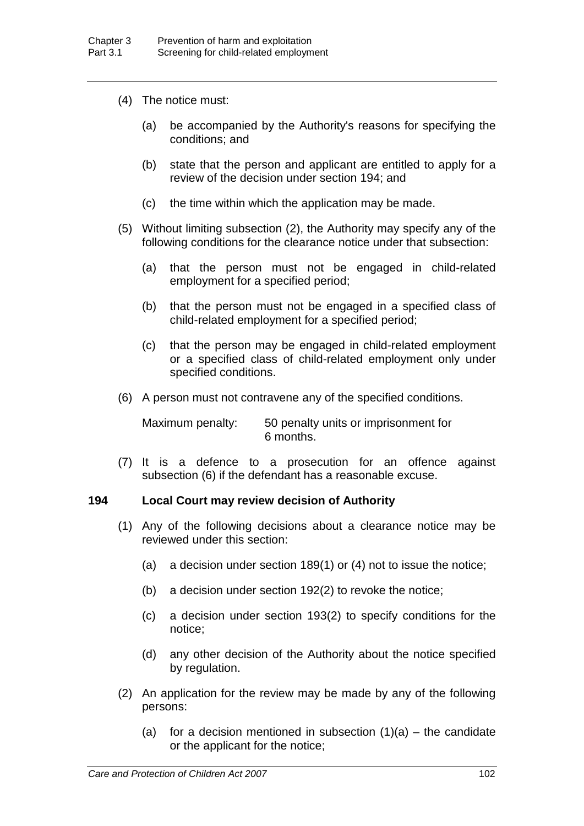- (4) The notice must:
	- (a) be accompanied by the Authority's reasons for specifying the conditions; and
	- (b) state that the person and applicant are entitled to apply for a review of the decision under section 194; and
	- (c) the time within which the application may be made.
- (5) Without limiting subsection (2), the Authority may specify any of the following conditions for the clearance notice under that subsection:
	- (a) that the person must not be engaged in child-related employment for a specified period;
	- (b) that the person must not be engaged in a specified class of child-related employment for a specified period;
	- (c) that the person may be engaged in child-related employment or a specified class of child-related employment only under specified conditions.
- (6) A person must not contravene any of the specified conditions.

Maximum penalty: 50 penalty units or imprisonment for 6 months.

(7) It is a defence to a prosecution for an offence against subsection (6) if the defendant has a reasonable excuse.

## **194 Local Court may review decision of Authority**

- (1) Any of the following decisions about a clearance notice may be reviewed under this section:
	- (a) a decision under section 189(1) or (4) not to issue the notice;
	- (b) a decision under section 192(2) to revoke the notice;
	- (c) a decision under section 193(2) to specify conditions for the notice;
	- (d) any other decision of the Authority about the notice specified by regulation.
- (2) An application for the review may be made by any of the following persons:
	- (a) for a decision mentioned in subsection  $(1)(a)$  the candidate or the applicant for the notice;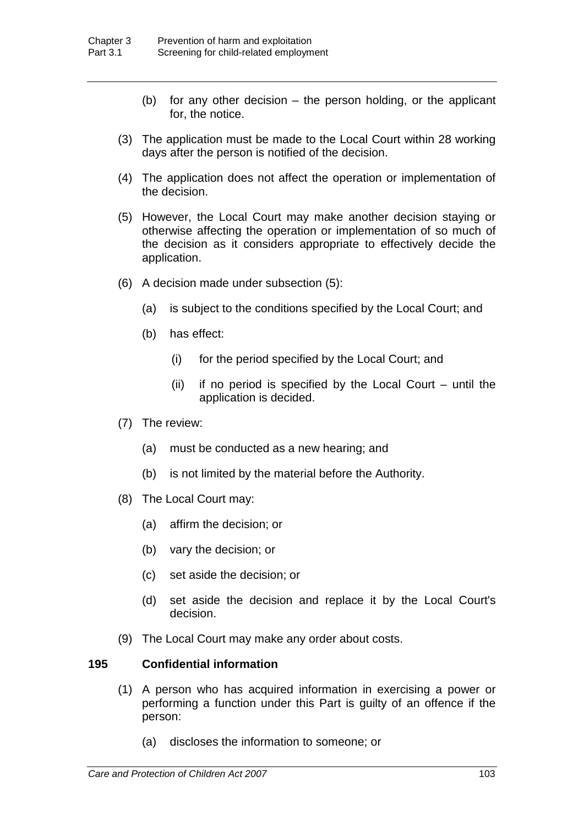- (b) for any other decision the person holding, or the applicant for, the notice.
- (3) The application must be made to the Local Court within 28 working days after the person is notified of the decision.
- (4) The application does not affect the operation or implementation of the decision.
- (5) However, the Local Court may make another decision staying or otherwise affecting the operation or implementation of so much of the decision as it considers appropriate to effectively decide the application.
- (6) A decision made under subsection (5):
	- (a) is subject to the conditions specified by the Local Court; and
	- (b) has effect:
		- (i) for the period specified by the Local Court; and
		- (ii) if no period is specified by the Local Court until the application is decided.
- (7) The review:
	- (a) must be conducted as a new hearing; and
	- (b) is not limited by the material before the Authority.
- (8) The Local Court may:
	- (a) affirm the decision; or
	- (b) vary the decision; or
	- (c) set aside the decision; or
	- (d) set aside the decision and replace it by the Local Court's decision.
- (9) The Local Court may make any order about costs.

# **195 Confidential information**

- (1) A person who has acquired information in exercising a power or performing a function under this Part is guilty of an offence if the person:
	- (a) discloses the information to someone; or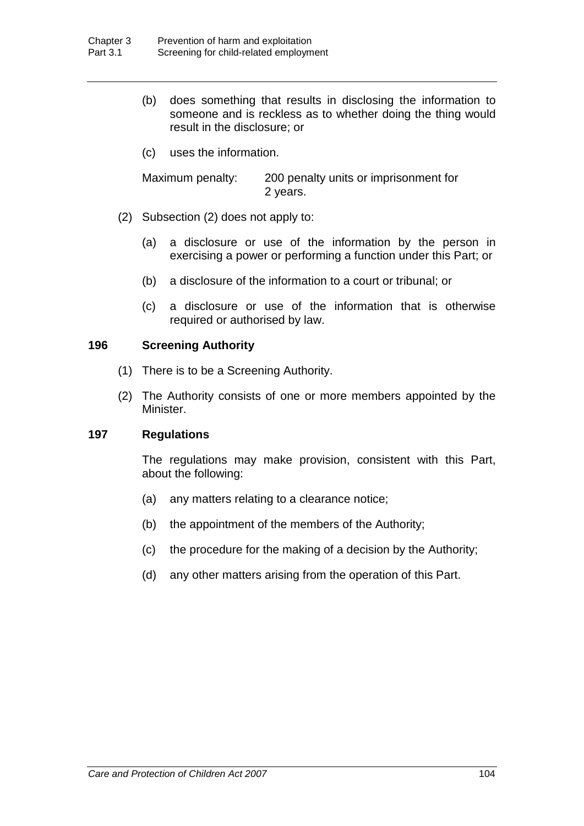- (b) does something that results in disclosing the information to someone and is reckless as to whether doing the thing would result in the disclosure; or
- (c) uses the information.

Maximum penalty: 200 penalty units or imprisonment for 2 years.

- (2) Subsection (2) does not apply to:
	- (a) a disclosure or use of the information by the person in exercising a power or performing a function under this Part; or
	- (b) a disclosure of the information to a court or tribunal; or
	- (c) a disclosure or use of the information that is otherwise required or authorised by law.

### **196 Screening Authority**

- (1) There is to be a Screening Authority.
- (2) The Authority consists of one or more members appointed by the Minister.

# **197 Regulations**

The regulations may make provision, consistent with this Part, about the following:

- (a) any matters relating to a clearance notice;
- (b) the appointment of the members of the Authority;
- (c) the procedure for the making of a decision by the Authority;
- (d) any other matters arising from the operation of this Part.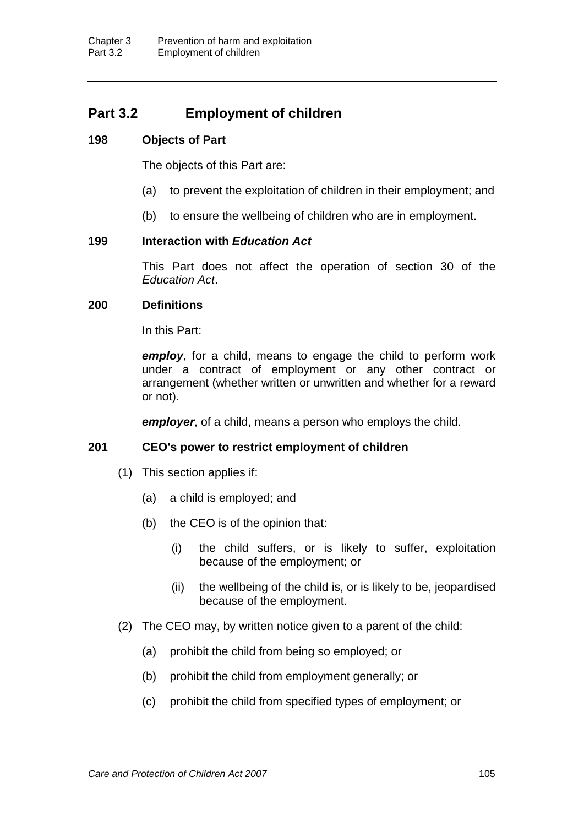# **Part 3.2 Employment of children**

## **198 Objects of Part**

The objects of this Part are:

- (a) to prevent the exploitation of children in their employment; and
- (b) to ensure the wellbeing of children who are in employment.

## **199 Interaction with** *Education Act*

This Part does not affect the operation of section 30 of the *Education Act*.

### **200 Definitions**

In this Part:

*employ*, for a child, means to engage the child to perform work under a contract of employment or any other contract or arrangement (whether written or unwritten and whether for a reward or not).

*employer*, of a child, means a person who employs the child.

### **201 CEO's power to restrict employment of children**

- (1) This section applies if:
	- (a) a child is employed; and
	- (b) the CEO is of the opinion that:
		- (i) the child suffers, or is likely to suffer, exploitation because of the employment; or
		- (ii) the wellbeing of the child is, or is likely to be, jeopardised because of the employment.
- (2) The CEO may, by written notice given to a parent of the child:
	- (a) prohibit the child from being so employed; or
	- (b) prohibit the child from employment generally; or
	- (c) prohibit the child from specified types of employment; or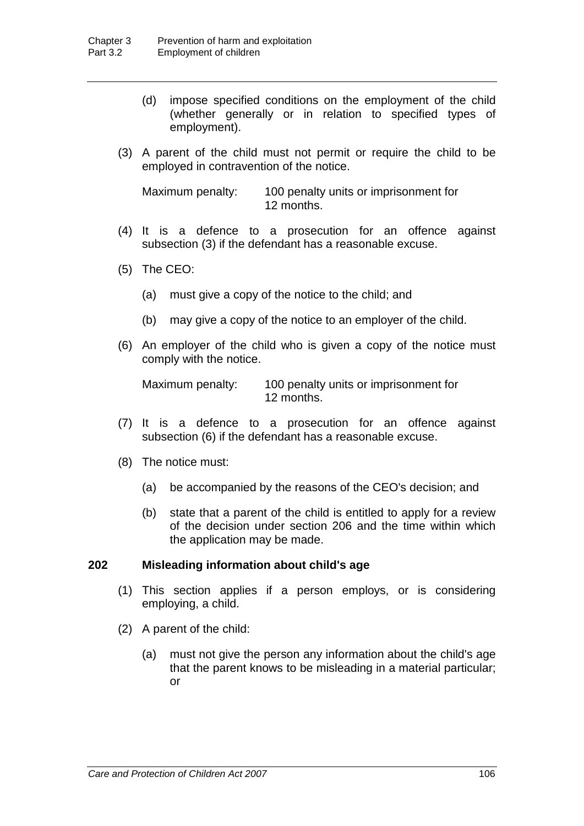- (d) impose specified conditions on the employment of the child (whether generally or in relation to specified types of employment).
- (3) A parent of the child must not permit or require the child to be employed in contravention of the notice.

Maximum penalty: 100 penalty units or imprisonment for 12 months.

- (4) It is a defence to a prosecution for an offence against subsection (3) if the defendant has a reasonable excuse.
- (5) The CEO:
	- (a) must give a copy of the notice to the child; and
	- (b) may give a copy of the notice to an employer of the child.
- (6) An employer of the child who is given a copy of the notice must comply with the notice.

Maximum penalty: 100 penalty units or imprisonment for 12 months.

- (7) It is a defence to a prosecution for an offence against subsection (6) if the defendant has a reasonable excuse.
- (8) The notice must:
	- (a) be accompanied by the reasons of the CEO's decision; and
	- (b) state that a parent of the child is entitled to apply for a review of the decision under section 206 and the time within which the application may be made.

# **202 Misleading information about child's age**

- (1) This section applies if a person employs, or is considering employing, a child.
- (2) A parent of the child:
	- (a) must not give the person any information about the child's age that the parent knows to be misleading in a material particular; or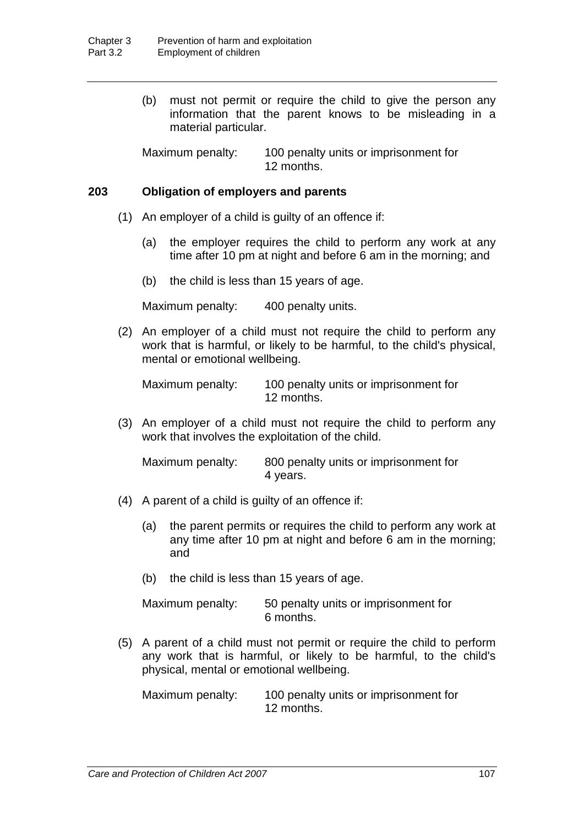(b) must not permit or require the child to give the person any information that the parent knows to be misleading in a material particular.

Maximum penalty: 100 penalty units or imprisonment for 12 months.

## **203 Obligation of employers and parents**

- (1) An employer of a child is guilty of an offence if:
	- (a) the employer requires the child to perform any work at any time after 10 pm at night and before 6 am in the morning; and
	- (b) the child is less than 15 years of age.

Maximum penalty: 400 penalty units.

(2) An employer of a child must not require the child to perform any work that is harmful, or likely to be harmful, to the child's physical, mental or emotional wellbeing.

Maximum penalty: 100 penalty units or imprisonment for 12 months.

(3) An employer of a child must not require the child to perform any work that involves the exploitation of the child.

Maximum penalty: 800 penalty units or imprisonment for 4 years.

- (4) A parent of a child is guilty of an offence if:
	- (a) the parent permits or requires the child to perform any work at any time after 10 pm at night and before 6 am in the morning; and
	- (b) the child is less than 15 years of age.

| Maximum penalty: | 50 penalty units or imprisonment for |
|------------------|--------------------------------------|
|                  | 6 months.                            |

(5) A parent of a child must not permit or require the child to perform any work that is harmful, or likely to be harmful, to the child's physical, mental or emotional wellbeing.

Maximum penalty: 100 penalty units or imprisonment for 12 months.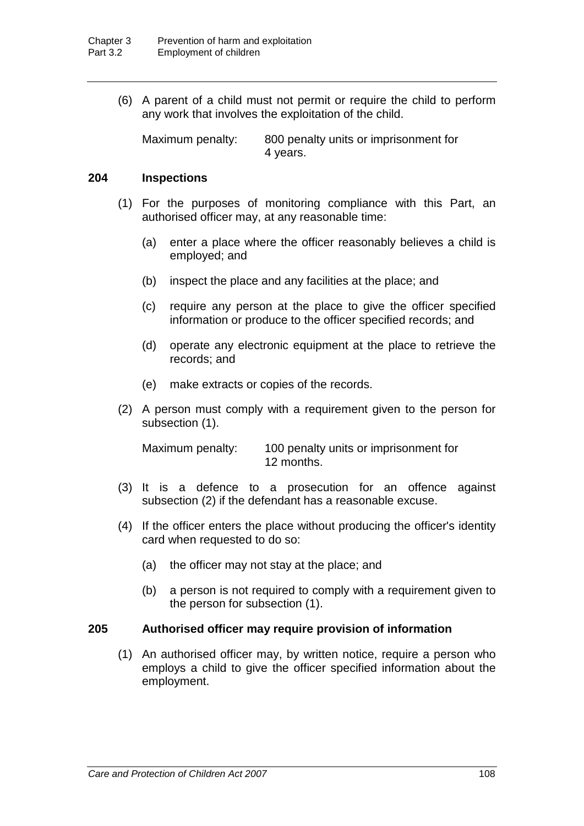(6) A parent of a child must not permit or require the child to perform any work that involves the exploitation of the child.

Maximum penalty: 800 penalty units or imprisonment for 4 years.

### **204 Inspections**

- (1) For the purposes of monitoring compliance with this Part, an authorised officer may, at any reasonable time:
	- (a) enter a place where the officer reasonably believes a child is employed; and
	- (b) inspect the place and any facilities at the place; and
	- (c) require any person at the place to give the officer specified information or produce to the officer specified records; and
	- (d) operate any electronic equipment at the place to retrieve the records; and
	- (e) make extracts or copies of the records.
- (2) A person must comply with a requirement given to the person for subsection (1).

Maximum penalty: 100 penalty units or imprisonment for 12 months.

- (3) It is a defence to a prosecution for an offence against subsection (2) if the defendant has a reasonable excuse.
- (4) If the officer enters the place without producing the officer's identity card when requested to do so:
	- (a) the officer may not stay at the place; and
	- (b) a person is not required to comply with a requirement given to the person for subsection (1).

### **205 Authorised officer may require provision of information**

(1) An authorised officer may, by written notice, require a person who employs a child to give the officer specified information about the employment.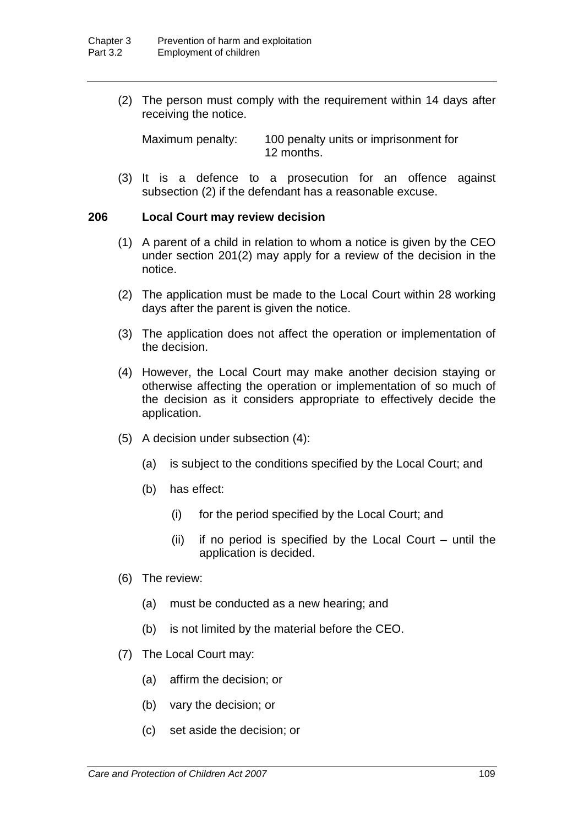(2) The person must comply with the requirement within 14 days after receiving the notice.

Maximum penalty: 100 penalty units or imprisonment for 12 months.

(3) It is a defence to a prosecution for an offence against subsection (2) if the defendant has a reasonable excuse.

## **206 Local Court may review decision**

- (1) A parent of a child in relation to whom a notice is given by the CEO under section 201(2) may apply for a review of the decision in the notice.
- (2) The application must be made to the Local Court within 28 working days after the parent is given the notice.
- (3) The application does not affect the operation or implementation of the decision.
- (4) However, the Local Court may make another decision staying or otherwise affecting the operation or implementation of so much of the decision as it considers appropriate to effectively decide the application.
- (5) A decision under subsection (4):
	- (a) is subject to the conditions specified by the Local Court; and
	- (b) has effect:
		- (i) for the period specified by the Local Court; and
		- (ii) if no period is specified by the Local Court until the application is decided.
- (6) The review:
	- (a) must be conducted as a new hearing; and
	- (b) is not limited by the material before the CEO.
- (7) The Local Court may:
	- (a) affirm the decision; or
	- (b) vary the decision; or
	- (c) set aside the decision; or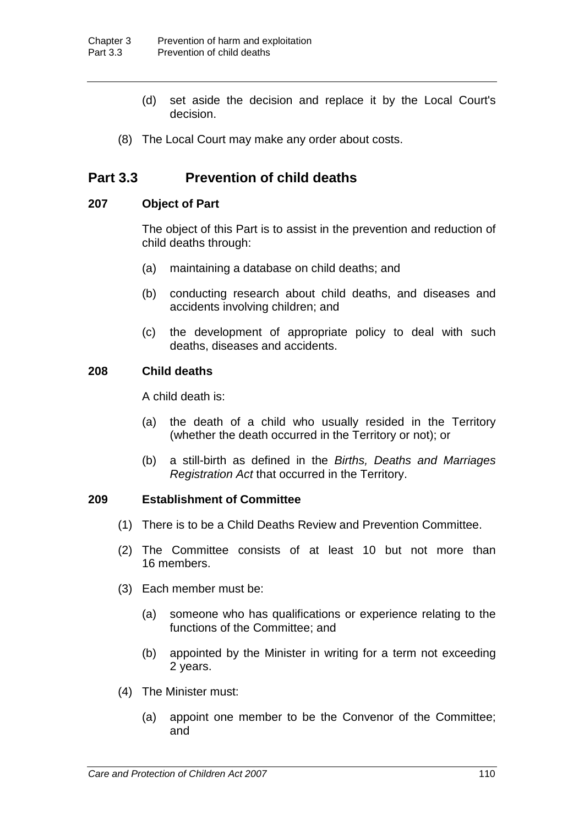- (d) set aside the decision and replace it by the Local Court's decision.
- (8) The Local Court may make any order about costs.

# **Part 3.3 Prevention of child deaths**

## **207 Object of Part**

The object of this Part is to assist in the prevention and reduction of child deaths through:

- (a) maintaining a database on child deaths; and
- (b) conducting research about child deaths, and diseases and accidents involving children; and
- (c) the development of appropriate policy to deal with such deaths, diseases and accidents.

# **208 Child deaths**

A child death is:

- (a) the death of a child who usually resided in the Territory (whether the death occurred in the Territory or not); or
- (b) a still-birth as defined in the *Births, Deaths and Marriages Registration Act* that occurred in the Territory.

### **209 Establishment of Committee**

- (1) There is to be a Child Deaths Review and Prevention Committee.
- (2) The Committee consists of at least 10 but not more than 16 members.
- (3) Each member must be:
	- (a) someone who has qualifications or experience relating to the functions of the Committee; and
	- (b) appointed by the Minister in writing for a term not exceeding 2 years.
- (4) The Minister must:
	- (a) appoint one member to be the Convenor of the Committee; and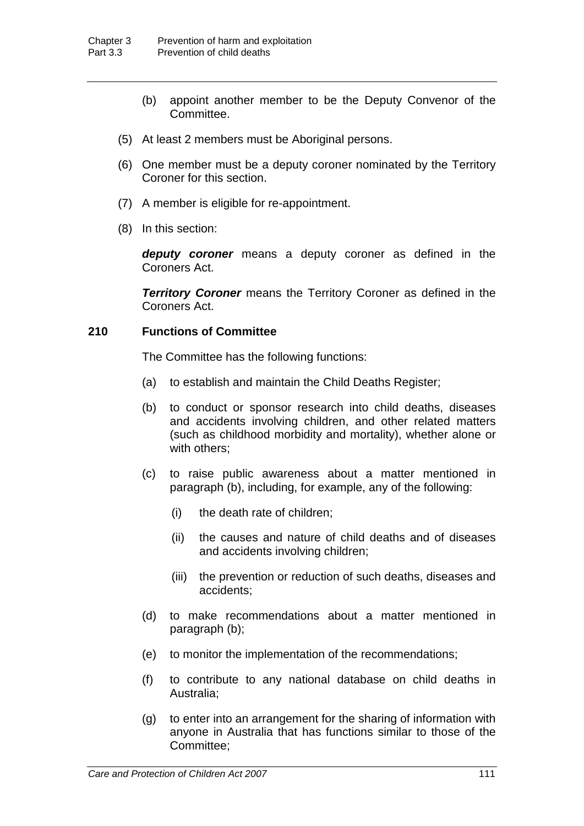- (b) appoint another member to be the Deputy Convenor of the Committee.
- (5) At least 2 members must be Aboriginal persons.
- (6) One member must be a deputy coroner nominated by the Territory Coroner for this section.
- (7) A member is eligible for re-appointment.
- (8) In this section:

*deputy coroner* means a deputy coroner as defined in the Coroners Act.

*Territory Coroner* means the Territory Coroner as defined in the Coroners Act.

# **210 Functions of Committee**

The Committee has the following functions:

- (a) to establish and maintain the Child Deaths Register;
- (b) to conduct or sponsor research into child deaths, diseases and accidents involving children, and other related matters (such as childhood morbidity and mortality), whether alone or with others;
- (c) to raise public awareness about a matter mentioned in paragraph (b), including, for example, any of the following:
	- (i) the death rate of children;
	- (ii) the causes and nature of child deaths and of diseases and accidents involving children;
	- (iii) the prevention or reduction of such deaths, diseases and accidents;
- (d) to make recommendations about a matter mentioned in paragraph (b);
- (e) to monitor the implementation of the recommendations;
- (f) to contribute to any national database on child deaths in Australia;
- (g) to enter into an arrangement for the sharing of information with anyone in Australia that has functions similar to those of the Committee;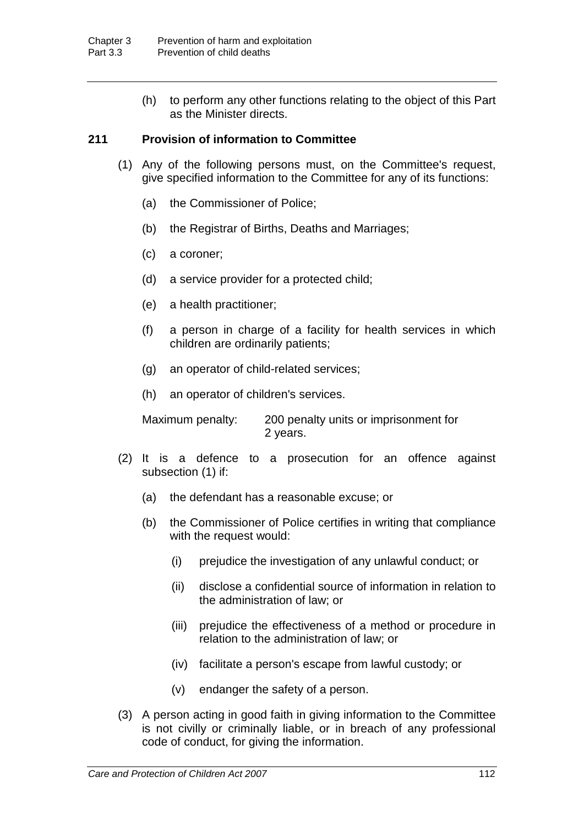(h) to perform any other functions relating to the object of this Part as the Minister directs.

## **211 Provision of information to Committee**

- (1) Any of the following persons must, on the Committee's request, give specified information to the Committee for any of its functions:
	- (a) the Commissioner of Police;
	- (b) the Registrar of Births, Deaths and Marriages;
	- (c) a coroner;
	- (d) a service provider for a protected child;
	- (e) a health practitioner;
	- (f) a person in charge of a facility for health services in which children are ordinarily patients;
	- (g) an operator of child-related services;
	- (h) an operator of children's services.

Maximum penalty: 200 penalty units or imprisonment for 2 years.

- (2) It is a defence to a prosecution for an offence against subsection (1) if:
	- (a) the defendant has a reasonable excuse; or
	- (b) the Commissioner of Police certifies in writing that compliance with the request would:
		- (i) prejudice the investigation of any unlawful conduct; or
		- (ii) disclose a confidential source of information in relation to the administration of law; or
		- (iii) prejudice the effectiveness of a method or procedure in relation to the administration of law; or
		- (iv) facilitate a person's escape from lawful custody; or
		- (v) endanger the safety of a person.
- (3) A person acting in good faith in giving information to the Committee is not civilly or criminally liable, or in breach of any professional code of conduct, for giving the information.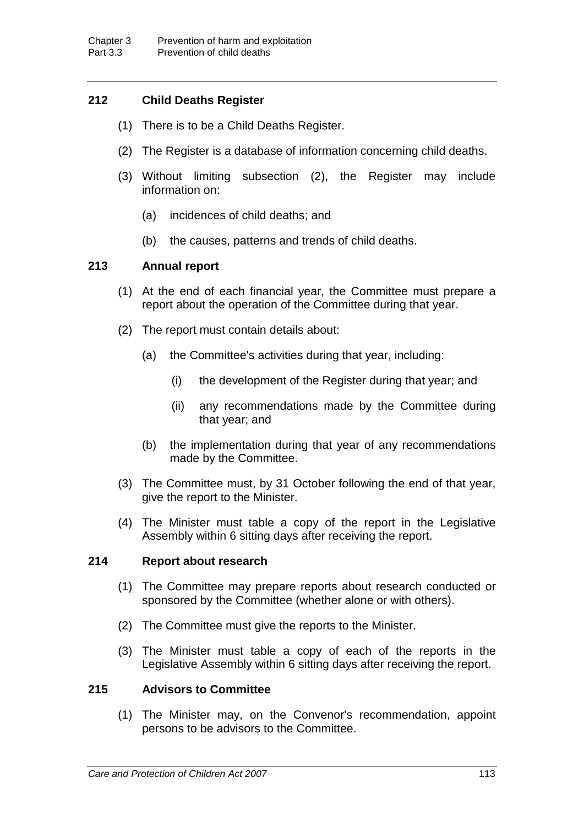# **212 Child Deaths Register**

- (1) There is to be a Child Deaths Register.
- (2) The Register is a database of information concerning child deaths.
- (3) Without limiting subsection (2), the Register may include information on:
	- (a) incidences of child deaths; and
	- (b) the causes, patterns and trends of child deaths.

# **213 Annual report**

- (1) At the end of each financial year, the Committee must prepare a report about the operation of the Committee during that year.
- (2) The report must contain details about:
	- (a) the Committee's activities during that year, including:
		- (i) the development of the Register during that year; and
		- (ii) any recommendations made by the Committee during that year; and
	- (b) the implementation during that year of any recommendations made by the Committee.
- (3) The Committee must, by 31 October following the end of that year, give the report to the Minister.
- (4) The Minister must table a copy of the report in the Legislative Assembly within 6 sitting days after receiving the report.

### **214 Report about research**

- (1) The Committee may prepare reports about research conducted or sponsored by the Committee (whether alone or with others).
- (2) The Committee must give the reports to the Minister.
- (3) The Minister must table a copy of each of the reports in the Legislative Assembly within 6 sitting days after receiving the report.

## **215 Advisors to Committee**

(1) The Minister may, on the Convenor's recommendation, appoint persons to be advisors to the Committee.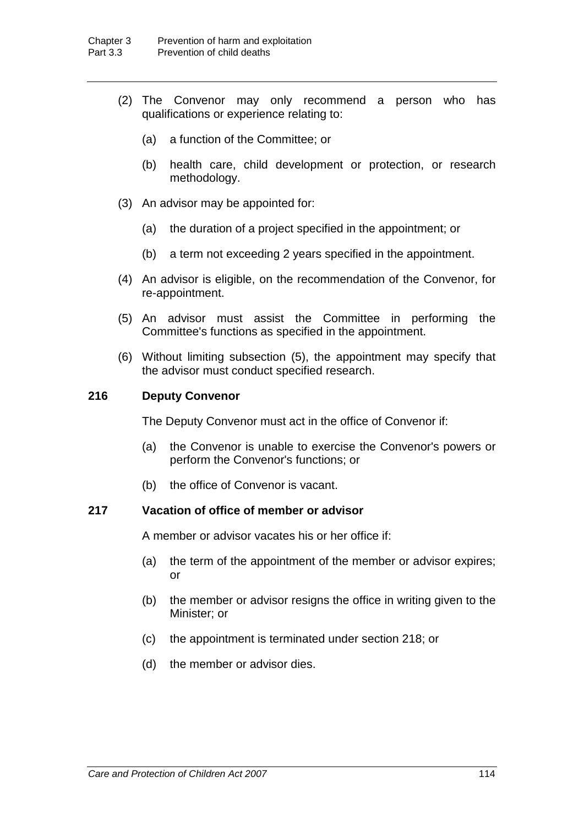- (2) The Convenor may only recommend a person who has qualifications or experience relating to:
	- (a) a function of the Committee; or
	- (b) health care, child development or protection, or research methodology.
- (3) An advisor may be appointed for:
	- (a) the duration of a project specified in the appointment; or
	- (b) a term not exceeding 2 years specified in the appointment.
- (4) An advisor is eligible, on the recommendation of the Convenor, for re-appointment.
- (5) An advisor must assist the Committee in performing the Committee's functions as specified in the appointment.
- (6) Without limiting subsection (5), the appointment may specify that the advisor must conduct specified research.

### **216 Deputy Convenor**

The Deputy Convenor must act in the office of Convenor if:

- (a) the Convenor is unable to exercise the Convenor's powers or perform the Convenor's functions; or
- (b) the office of Convenor is vacant.

## **217 Vacation of office of member or advisor**

A member or advisor vacates his or her office if:

- (a) the term of the appointment of the member or advisor expires; or
- (b) the member or advisor resigns the office in writing given to the Minister; or
- (c) the appointment is terminated under section 218; or
- (d) the member or advisor dies.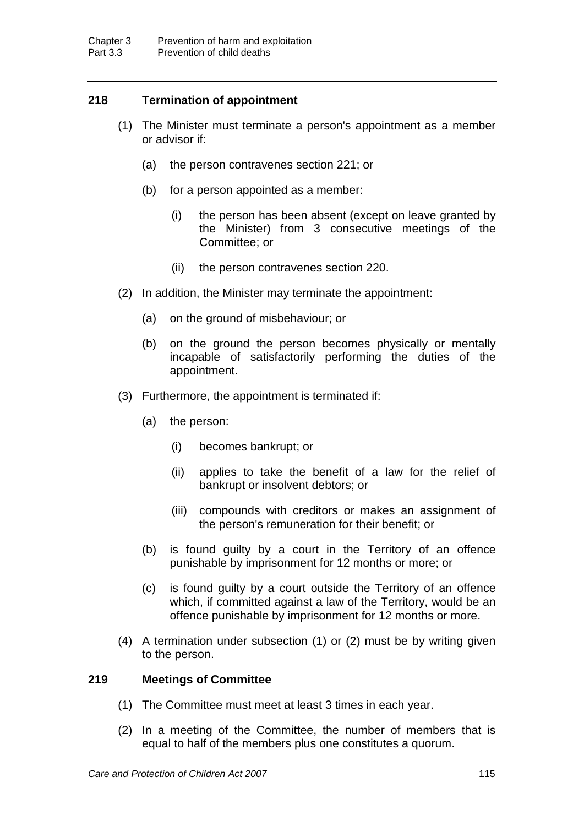# **218 Termination of appointment**

- (1) The Minister must terminate a person's appointment as a member or advisor if:
	- (a) the person contravenes section 221; or
	- (b) for a person appointed as a member:
		- (i) the person has been absent (except on leave granted by the Minister) from 3 consecutive meetings of the Committee; or
		- (ii) the person contravenes section 220.
- (2) In addition, the Minister may terminate the appointment:
	- (a) on the ground of misbehaviour; or
	- (b) on the ground the person becomes physically or mentally incapable of satisfactorily performing the duties of the appointment.
- (3) Furthermore, the appointment is terminated if:
	- (a) the person:
		- (i) becomes bankrupt; or
		- (ii) applies to take the benefit of a law for the relief of bankrupt or insolvent debtors; or
		- (iii) compounds with creditors or makes an assignment of the person's remuneration for their benefit; or
	- (b) is found guilty by a court in the Territory of an offence punishable by imprisonment for 12 months or more; or
	- (c) is found guilty by a court outside the Territory of an offence which, if committed against a law of the Territory, would be an offence punishable by imprisonment for 12 months or more.
- (4) A termination under subsection (1) or (2) must be by writing given to the person.

# **219 Meetings of Committee**

- (1) The Committee must meet at least 3 times in each year.
- (2) In a meeting of the Committee, the number of members that is equal to half of the members plus one constitutes a quorum.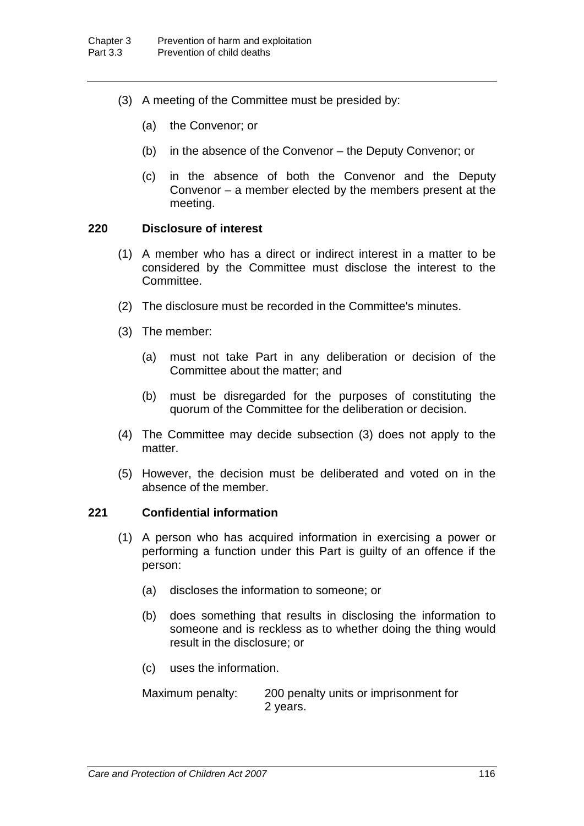- (3) A meeting of the Committee must be presided by:
	- (a) the Convenor; or
	- (b) in the absence of the Convenor the Deputy Convenor; or
	- (c) in the absence of both the Convenor and the Deputy Convenor – a member elected by the members present at the meeting.

## **220 Disclosure of interest**

- (1) A member who has a direct or indirect interest in a matter to be considered by the Committee must disclose the interest to the Committee.
- (2) The disclosure must be recorded in the Committee's minutes.
- (3) The member:
	- (a) must not take Part in any deliberation or decision of the Committee about the matter; and
	- (b) must be disregarded for the purposes of constituting the quorum of the Committee for the deliberation or decision.
- (4) The Committee may decide subsection (3) does not apply to the matter.
- (5) However, the decision must be deliberated and voted on in the absence of the member.

## **221 Confidential information**

- (1) A person who has acquired information in exercising a power or performing a function under this Part is guilty of an offence if the person:
	- (a) discloses the information to someone; or
	- (b) does something that results in disclosing the information to someone and is reckless as to whether doing the thing would result in the disclosure; or
	- (c) uses the information.

Maximum penalty: 200 penalty units or imprisonment for 2 years.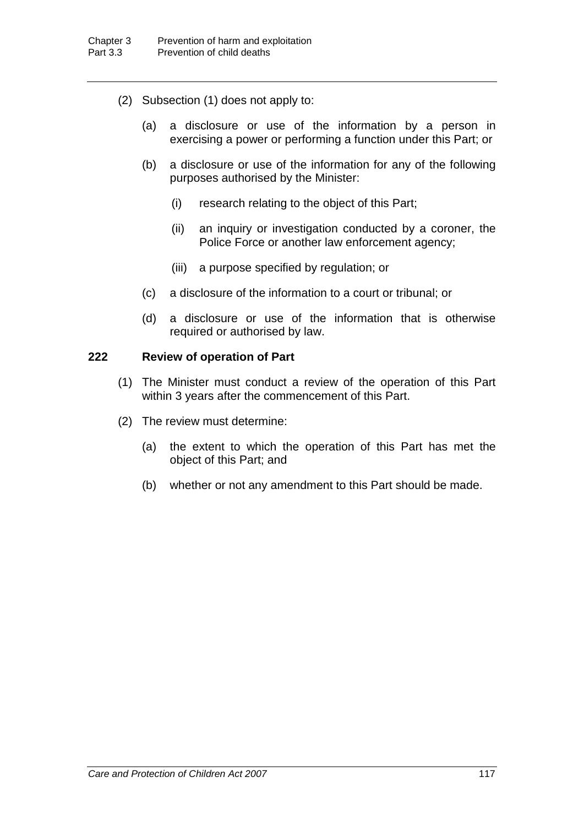- (2) Subsection (1) does not apply to:
	- (a) a disclosure or use of the information by a person in exercising a power or performing a function under this Part; or
	- (b) a disclosure or use of the information for any of the following purposes authorised by the Minister:
		- (i) research relating to the object of this Part;
		- (ii) an inquiry or investigation conducted by a coroner, the Police Force or another law enforcement agency;
		- (iii) a purpose specified by regulation; or
	- (c) a disclosure of the information to a court or tribunal; or
	- (d) a disclosure or use of the information that is otherwise required or authorised by law.

# **222 Review of operation of Part**

- (1) The Minister must conduct a review of the operation of this Part within 3 years after the commencement of this Part.
- (2) The review must determine:
	- (a) the extent to which the operation of this Part has met the object of this Part; and
	- (b) whether or not any amendment to this Part should be made.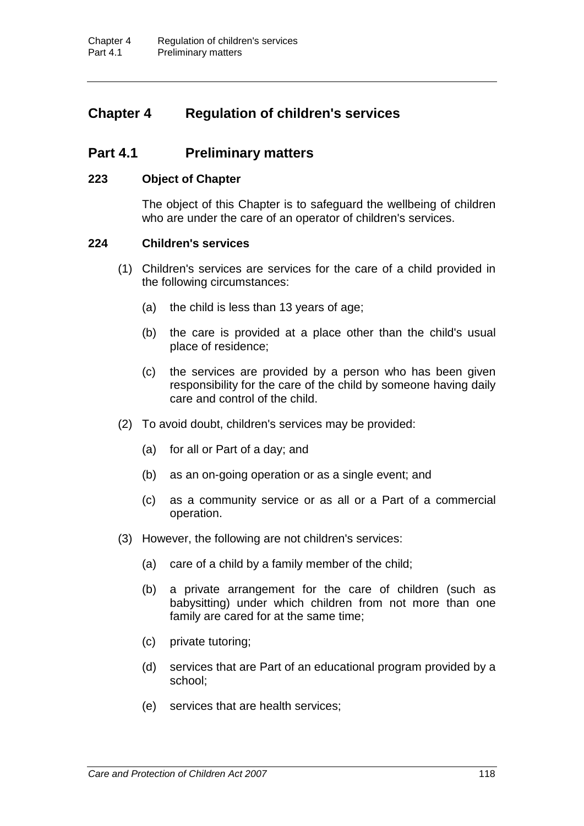# **Chapter 4 Regulation of children's services**

# **Part 4.1 Preliminary matters**

## **223 Object of Chapter**

The object of this Chapter is to safeguard the wellbeing of children who are under the care of an operator of children's services.

## **224 Children's services**

- (1) Children's services are services for the care of a child provided in the following circumstances:
	- (a) the child is less than 13 years of age:
	- (b) the care is provided at a place other than the child's usual place of residence;
	- (c) the services are provided by a person who has been given responsibility for the care of the child by someone having daily care and control of the child.
- (2) To avoid doubt, children's services may be provided:
	- (a) for all or Part of a day; and
	- (b) as an on-going operation or as a single event; and
	- (c) as a community service or as all or a Part of a commercial operation.
- (3) However, the following are not children's services:
	- (a) care of a child by a family member of the child;
	- (b) a private arrangement for the care of children (such as babysitting) under which children from not more than one family are cared for at the same time;
	- (c) private tutoring;
	- (d) services that are Part of an educational program provided by a school;
	- (e) services that are health services;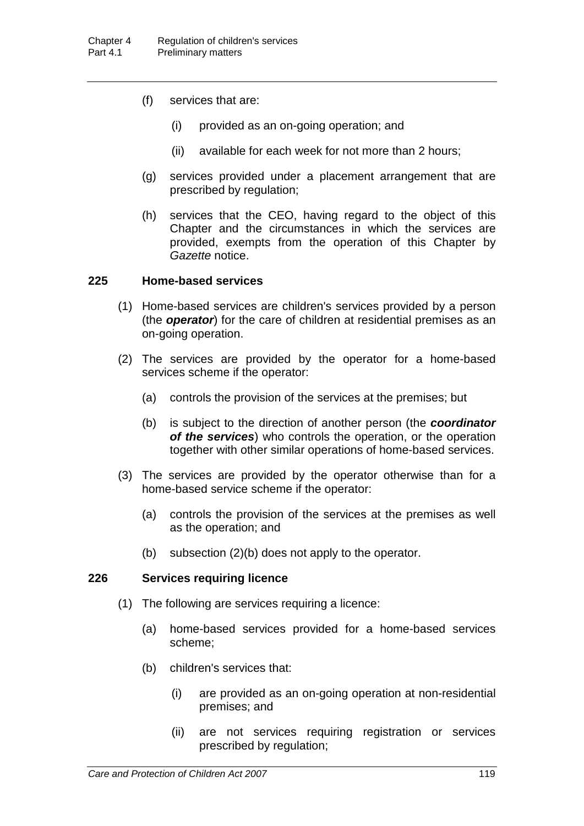- (f) services that are:
	- (i) provided as an on-going operation; and
	- (ii) available for each week for not more than 2 hours;
- (g) services provided under a placement arrangement that are prescribed by regulation;
- (h) services that the CEO, having regard to the object of this Chapter and the circumstances in which the services are provided, exempts from the operation of this Chapter by *Gazette* notice.

# **225 Home-based services**

- (1) Home-based services are children's services provided by a person (the *operator*) for the care of children at residential premises as an on-going operation.
- (2) The services are provided by the operator for a home-based services scheme if the operator:
	- (a) controls the provision of the services at the premises; but
	- (b) is subject to the direction of another person (the *coordinator of the services*) who controls the operation, or the operation together with other similar operations of home-based services.
- (3) The services are provided by the operator otherwise than for a home-based service scheme if the operator:
	- (a) controls the provision of the services at the premises as well as the operation; and
	- (b) subsection (2)(b) does not apply to the operator.

# **226 Services requiring licence**

- (1) The following are services requiring a licence:
	- (a) home-based services provided for a home-based services scheme;
	- (b) children's services that:
		- (i) are provided as an on-going operation at non-residential premises; and
		- (ii) are not services requiring registration or services prescribed by regulation;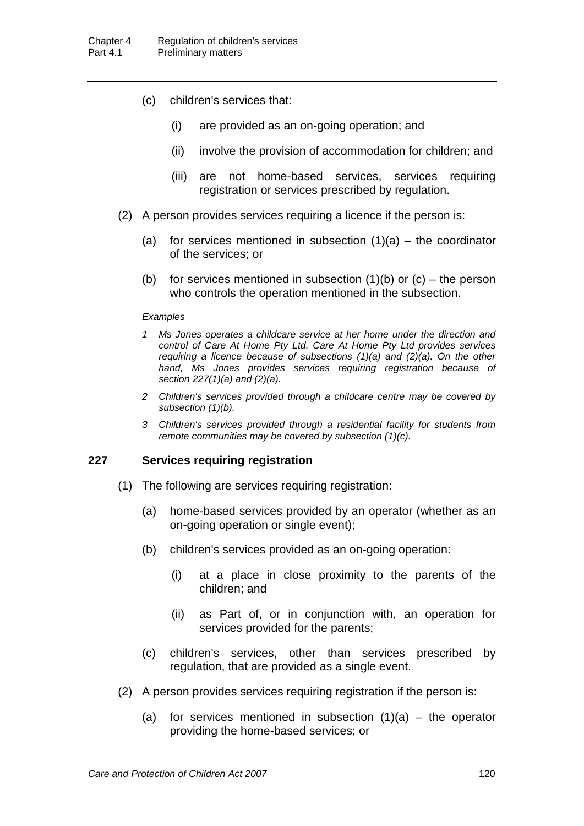- (c) children's services that:
	- (i) are provided as an on-going operation; and
	- (ii) involve the provision of accommodation for children; and
	- (iii) are not home-based services, services requiring registration or services prescribed by regulation.
- (2) A person provides services requiring a licence if the person is:
	- (a) for services mentioned in subsection  $(1)(a)$  the coordinator of the services; or
	- (b) for services mentioned in subsection  $(1)(b)$  or  $(c)$  the person who controls the operation mentioned in the subsection.

#### *Examples*

- *1 Ms Jones operates a childcare service at her home under the direction and control of Care At Home Pty Ltd. Care At Home Pty Ltd provides services requiring a licence because of subsections (1)(a) and (2)(a). On the other hand, Ms Jones provides services requiring registration because of section 227(1)(a) and (2)(a).*
- *2 Children's services provided through a childcare centre may be covered by subsection (1)(b).*
- *3 Children's services provided through a residential facility for students from remote communities may be covered by subsection (1)(c).*

### **227 Services requiring registration**

- (1) The following are services requiring registration:
	- (a) home-based services provided by an operator (whether as an on-going operation or single event);
	- (b) children's services provided as an on-going operation:
		- (i) at a place in close proximity to the parents of the children; and
		- (ii) as Part of, or in conjunction with, an operation for services provided for the parents;
	- (c) children's services, other than services prescribed by regulation, that are provided as a single event.
- (2) A person provides services requiring registration if the person is:
	- (a) for services mentioned in subsection  $(1)(a)$  the operator providing the home-based services; or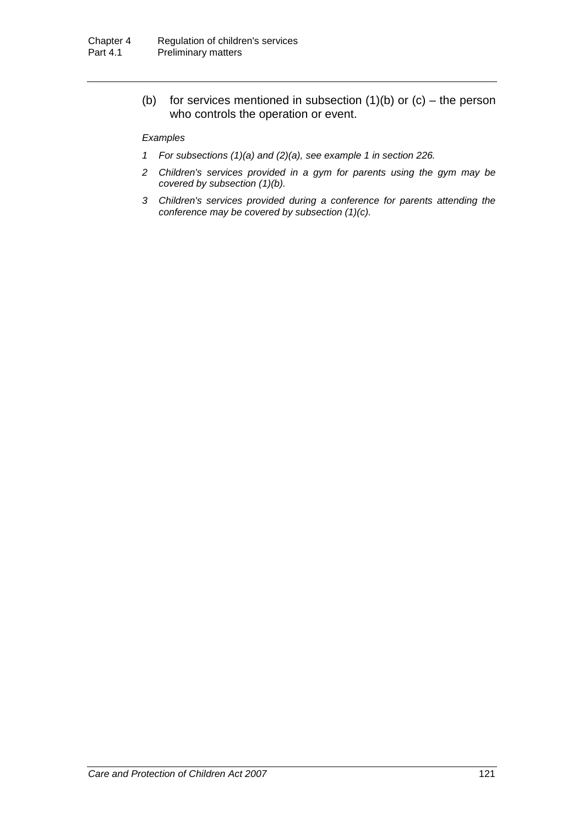(b) for services mentioned in subsection  $(1)(b)$  or  $(c)$  – the person who controls the operation or event.

#### *Examples*

- *1 For subsections (1)(a) and (2)(a), see example 1 in section 226.*
- *2 Children's services provided in a gym for parents using the gym may be covered by subsection (1)(b).*
- *3 Children's services provided during a conference for parents attending the conference may be covered by subsection (1)(c).*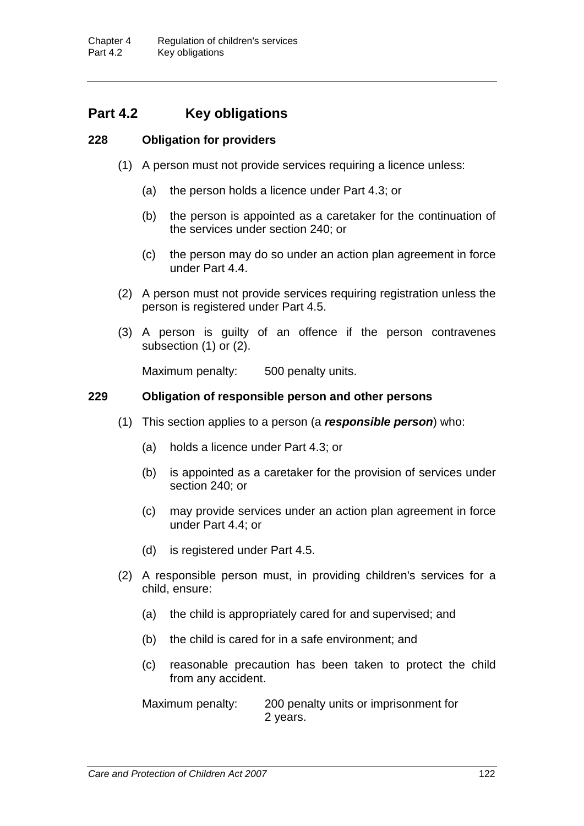# **Part 4.2 Key obligations**

# **228 Obligation for providers**

- (1) A person must not provide services requiring a licence unless:
	- (a) the person holds a licence under Part 4.3; or
	- (b) the person is appointed as a caretaker for the continuation of the services under section 240; or
	- (c) the person may do so under an action plan agreement in force under Part 4.4.
- (2) A person must not provide services requiring registration unless the person is registered under Part 4.5.
- (3) A person is guilty of an offence if the person contravenes subsection (1) or (2).

Maximum penalty: 500 penalty units.

# **229 Obligation of responsible person and other persons**

- (1) This section applies to a person (a *responsible person*) who:
	- (a) holds a licence under Part 4.3; or
	- (b) is appointed as a caretaker for the provision of services under section 240; or
	- (c) may provide services under an action plan agreement in force under Part 4.4; or
	- (d) is registered under Part 4.5.
- (2) A responsible person must, in providing children's services for a child, ensure:
	- (a) the child is appropriately cared for and supervised; and
	- (b) the child is cared for in a safe environment; and
	- (c) reasonable precaution has been taken to protect the child from any accident.

Maximum penalty: 200 penalty units or imprisonment for 2 years.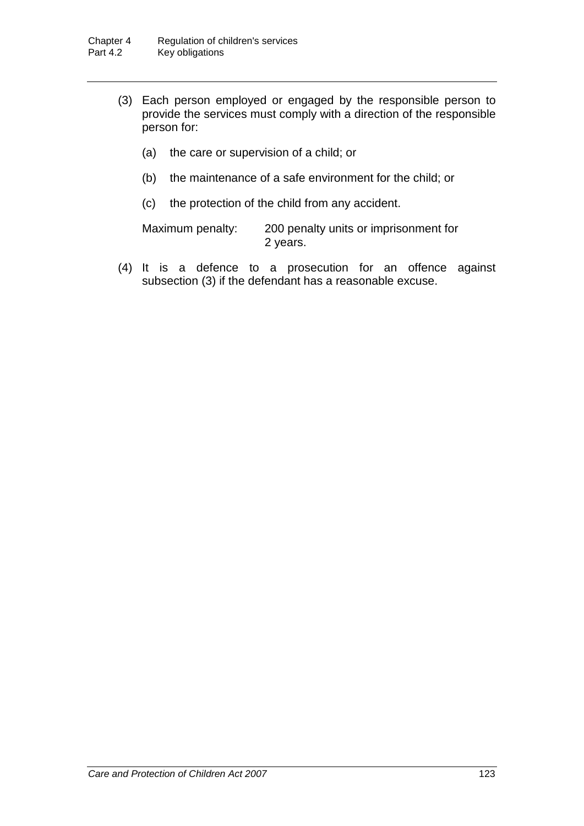- (3) Each person employed or engaged by the responsible person to provide the services must comply with a direction of the responsible person for:
	- (a) the care or supervision of a child; or
	- (b) the maintenance of a safe environment for the child; or
	- (c) the protection of the child from any accident.

Maximum penalty: 200 penalty units or imprisonment for 2 years.

(4) It is a defence to a prosecution for an offence against subsection (3) if the defendant has a reasonable excuse.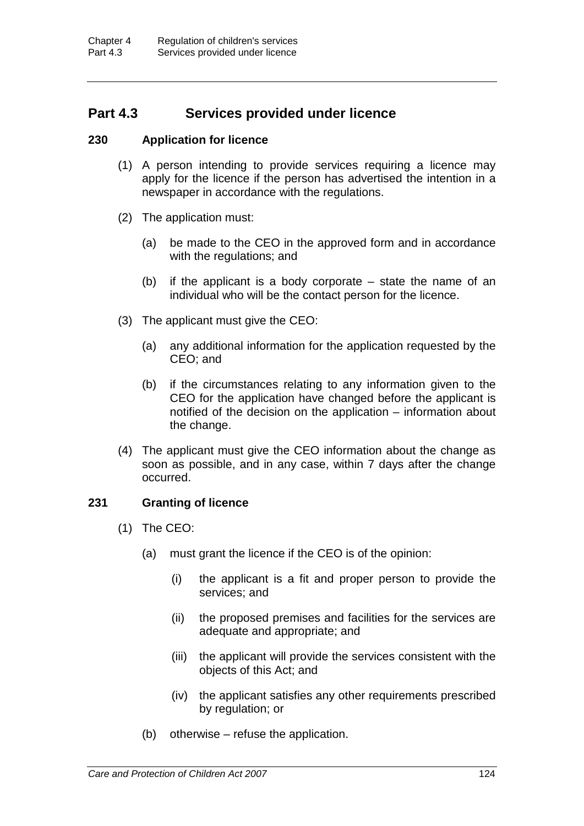# **Part 4.3 Services provided under licence**

# **230 Application for licence**

- (1) A person intending to provide services requiring a licence may apply for the licence if the person has advertised the intention in a newspaper in accordance with the regulations.
- (2) The application must:
	- (a) be made to the CEO in the approved form and in accordance with the regulations; and
	- (b) if the applicant is a body corporate state the name of an individual who will be the contact person for the licence.
- (3) The applicant must give the CEO:
	- (a) any additional information for the application requested by the CEO; and
	- (b) if the circumstances relating to any information given to the CEO for the application have changed before the applicant is notified of the decision on the application – information about the change.
- (4) The applicant must give the CEO information about the change as soon as possible, and in any case, within 7 days after the change occurred.

# **231 Granting of licence**

- (1) The CEO:
	- (a) must grant the licence if the CEO is of the opinion:
		- (i) the applicant is a fit and proper person to provide the services; and
		- (ii) the proposed premises and facilities for the services are adequate and appropriate; and
		- (iii) the applicant will provide the services consistent with the objects of this Act; and
		- (iv) the applicant satisfies any other requirements prescribed by regulation; or
	- (b) otherwise refuse the application.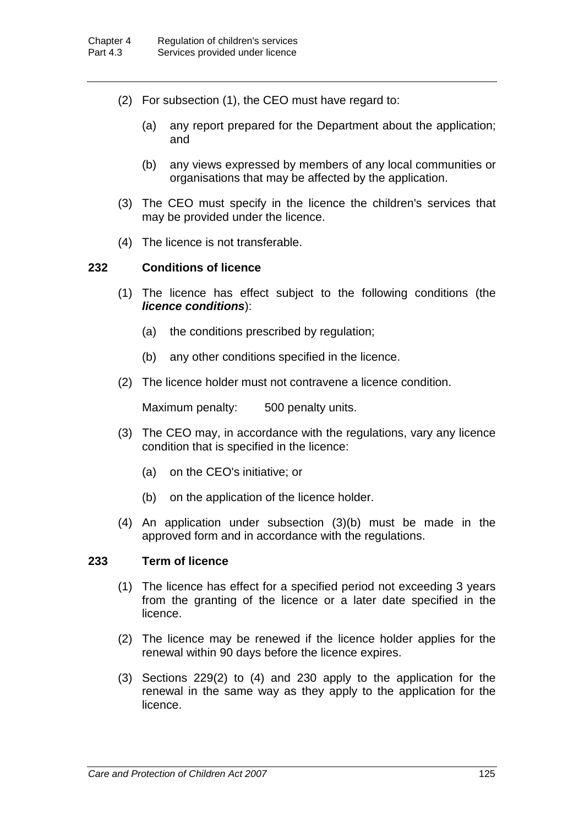- (2) For subsection (1), the CEO must have regard to:
	- (a) any report prepared for the Department about the application; and
	- (b) any views expressed by members of any local communities or organisations that may be affected by the application.
- (3) The CEO must specify in the licence the children's services that may be provided under the licence.
- (4) The licence is not transferable.

## **232 Conditions of licence**

- (1) The licence has effect subject to the following conditions (the *licence conditions*):
	- (a) the conditions prescribed by regulation;
	- (b) any other conditions specified in the licence.
- (2) The licence holder must not contravene a licence condition.

Maximum penalty: 500 penalty units.

- (3) The CEO may, in accordance with the regulations, vary any licence condition that is specified in the licence:
	- (a) on the CEO's initiative; or
	- (b) on the application of the licence holder.
- (4) An application under subsection (3)(b) must be made in the approved form and in accordance with the regulations.

### **233 Term of licence**

- (1) The licence has effect for a specified period not exceeding 3 years from the granting of the licence or a later date specified in the licence.
- (2) The licence may be renewed if the licence holder applies for the renewal within 90 days before the licence expires.
- (3) Sections 229(2) to (4) and 230 apply to the application for the renewal in the same way as they apply to the application for the licence.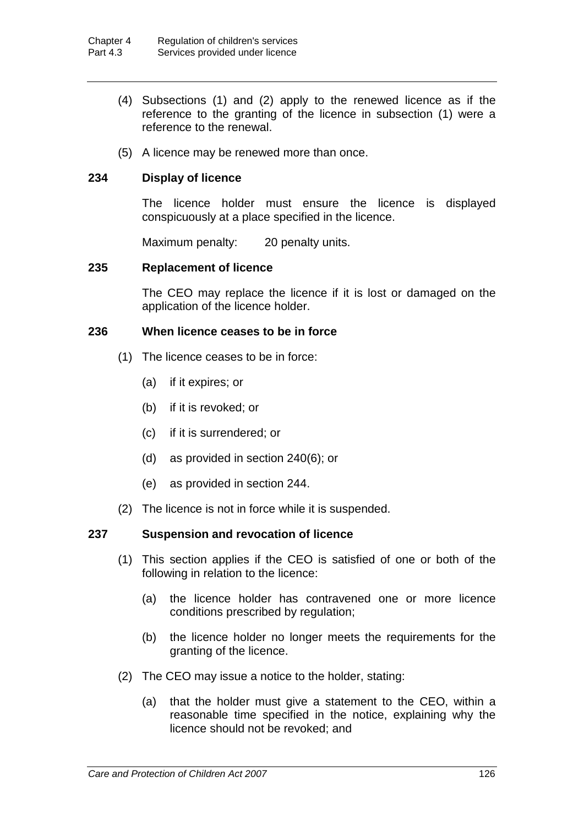- (4) Subsections (1) and (2) apply to the renewed licence as if the reference to the granting of the licence in subsection (1) were a reference to the renewal.
- (5) A licence may be renewed more than once.

# **234 Display of licence**

The licence holder must ensure the licence is displayed conspicuously at a place specified in the licence.

Maximum penalty: 20 penalty units.

#### **235 Replacement of licence**

The CEO may replace the licence if it is lost or damaged on the application of the licence holder.

#### **236 When licence ceases to be in force**

- (1) The licence ceases to be in force:
	- (a) if it expires; or
	- (b) if it is revoked; or
	- (c) if it is surrendered; or
	- (d) as provided in section 240(6); or
	- (e) as provided in section 244.
- (2) The licence is not in force while it is suspended.

### **237 Suspension and revocation of licence**

- (1) This section applies if the CEO is satisfied of one or both of the following in relation to the licence:
	- (a) the licence holder has contravened one or more licence conditions prescribed by regulation;
	- (b) the licence holder no longer meets the requirements for the granting of the licence.
- (2) The CEO may issue a notice to the holder, stating:
	- (a) that the holder must give a statement to the CEO, within a reasonable time specified in the notice, explaining why the licence should not be revoked; and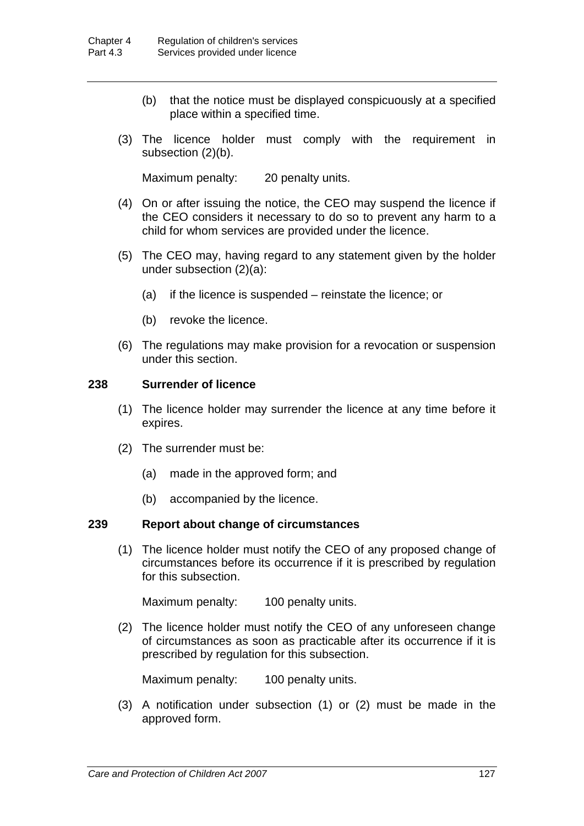- (b) that the notice must be displayed conspicuously at a specified place within a specified time.
- (3) The licence holder must comply with the requirement in subsection (2)(b).

Maximum penalty: 20 penalty units.

- (4) On or after issuing the notice, the CEO may suspend the licence if the CEO considers it necessary to do so to prevent any harm to a child for whom services are provided under the licence.
- (5) The CEO may, having regard to any statement given by the holder under subsection (2)(a):
	- (a) if the licence is suspended reinstate the licence; or
	- (b) revoke the licence.
- (6) The regulations may make provision for a revocation or suspension under this section.

## **238 Surrender of licence**

- (1) The licence holder may surrender the licence at any time before it expires.
- (2) The surrender must be:
	- (a) made in the approved form; and
	- (b) accompanied by the licence.

### **239 Report about change of circumstances**

(1) The licence holder must notify the CEO of any proposed change of circumstances before its occurrence if it is prescribed by regulation for this subsection.

Maximum penalty: 100 penalty units.

(2) The licence holder must notify the CEO of any unforeseen change of circumstances as soon as practicable after its occurrence if it is prescribed by regulation for this subsection.

Maximum penalty: 100 penalty units.

(3) A notification under subsection (1) or (2) must be made in the approved form.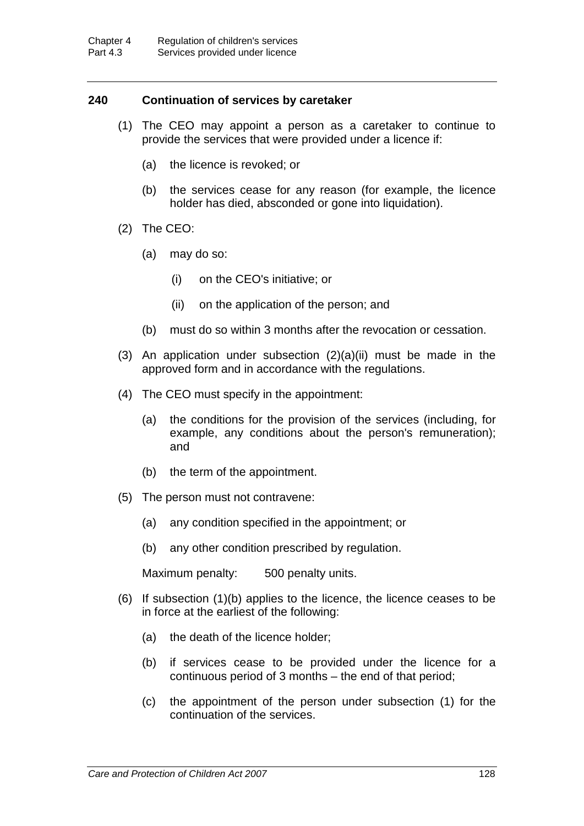# **240 Continuation of services by caretaker**

- (1) The CEO may appoint a person as a caretaker to continue to provide the services that were provided under a licence if:
	- (a) the licence is revoked; or
	- (b) the services cease for any reason (for example, the licence holder has died, absconded or gone into liquidation).
- (2) The CEO:
	- (a) may do so:
		- (i) on the CEO's initiative; or
		- (ii) on the application of the person; and
	- (b) must do so within 3 months after the revocation or cessation.
- (3) An application under subsection  $(2)(a)(ii)$  must be made in the approved form and in accordance with the regulations.
- (4) The CEO must specify in the appointment:
	- (a) the conditions for the provision of the services (including, for example, any conditions about the person's remuneration); and
	- (b) the term of the appointment.
- (5) The person must not contravene:
	- (a) any condition specified in the appointment; or
	- (b) any other condition prescribed by regulation.

Maximum penalty: 500 penalty units.

- (6) If subsection (1)(b) applies to the licence, the licence ceases to be in force at the earliest of the following:
	- (a) the death of the licence holder;
	- (b) if services cease to be provided under the licence for a continuous period of 3 months – the end of that period;
	- (c) the appointment of the person under subsection (1) for the continuation of the services.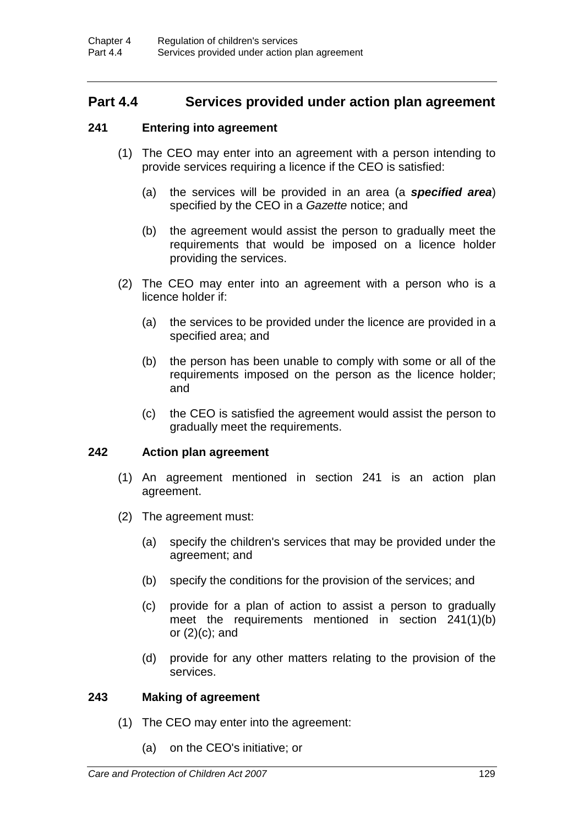# **Part 4.4 Services provided under action plan agreement**

## **241 Entering into agreement**

- (1) The CEO may enter into an agreement with a person intending to provide services requiring a licence if the CEO is satisfied:
	- (a) the services will be provided in an area (a *specified area*) specified by the CEO in a *Gazette* notice; and
	- (b) the agreement would assist the person to gradually meet the requirements that would be imposed on a licence holder providing the services.
- (2) The CEO may enter into an agreement with a person who is a licence holder if:
	- (a) the services to be provided under the licence are provided in a specified area; and
	- (b) the person has been unable to comply with some or all of the requirements imposed on the person as the licence holder; and
	- (c) the CEO is satisfied the agreement would assist the person to gradually meet the requirements.

### **242 Action plan agreement**

- (1) An agreement mentioned in section 241 is an action plan agreement.
- (2) The agreement must:
	- (a) specify the children's services that may be provided under the agreement; and
	- (b) specify the conditions for the provision of the services; and
	- (c) provide for a plan of action to assist a person to gradually meet the requirements mentioned in section 241(1)(b) or  $(2)(c)$ ; and
	- (d) provide for any other matters relating to the provision of the services.

### **243 Making of agreement**

- (1) The CEO may enter into the agreement:
	- (a) on the CEO's initiative; or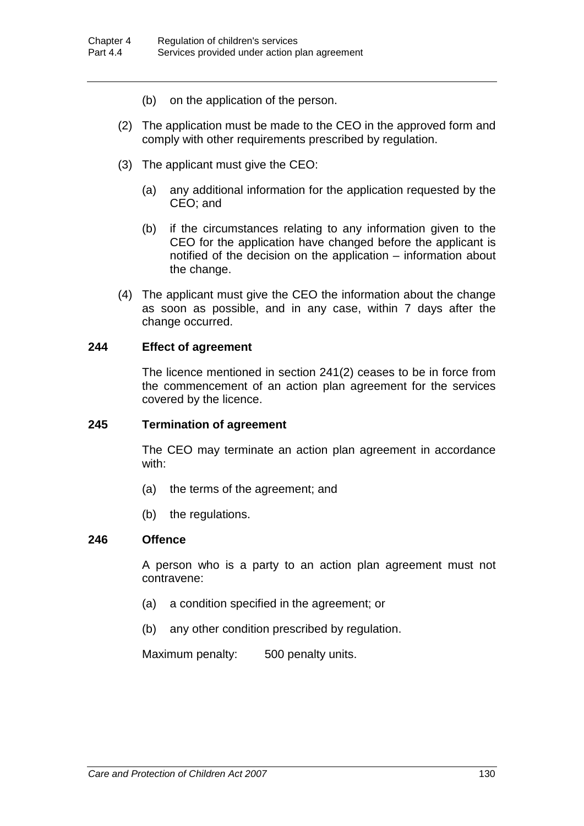- (b) on the application of the person.
- (2) The application must be made to the CEO in the approved form and comply with other requirements prescribed by regulation.
- (3) The applicant must give the CEO:
	- (a) any additional information for the application requested by the CEO; and
	- (b) if the circumstances relating to any information given to the CEO for the application have changed before the applicant is notified of the decision on the application – information about the change.
- (4) The applicant must give the CEO the information about the change as soon as possible, and in any case, within 7 days after the change occurred.

### **244 Effect of agreement**

The licence mentioned in section 241(2) ceases to be in force from the commencement of an action plan agreement for the services covered by the licence.

### **245 Termination of agreement**

The CEO may terminate an action plan agreement in accordance with:

- (a) the terms of the agreement; and
- (b) the regulations.

## **246 Offence**

A person who is a party to an action plan agreement must not contravene:

- (a) a condition specified in the agreement; or
- (b) any other condition prescribed by regulation.

Maximum penalty: 500 penalty units.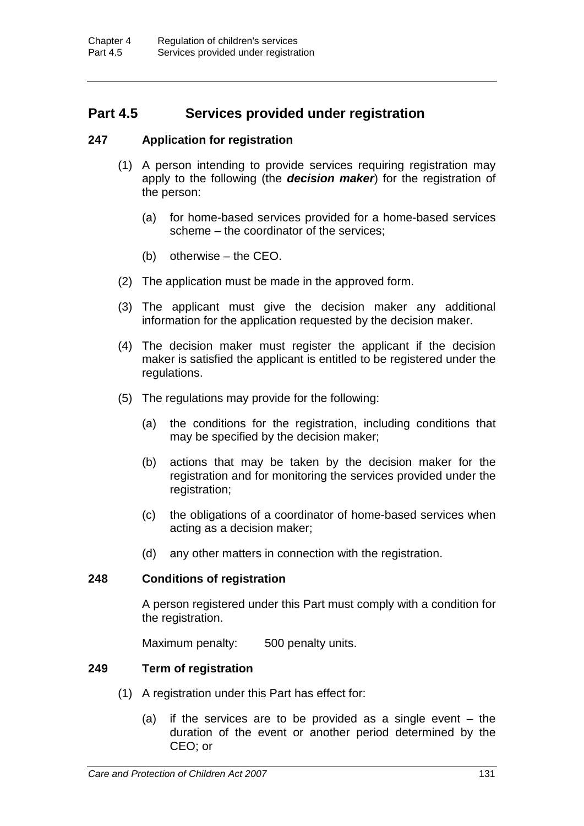# **Part 4.5 Services provided under registration**

## **247 Application for registration**

- (1) A person intending to provide services requiring registration may apply to the following (the *decision maker*) for the registration of the person:
	- (a) for home-based services provided for a home-based services scheme – the coordinator of the services;
	- (b) otherwise the CEO.
- (2) The application must be made in the approved form.
- (3) The applicant must give the decision maker any additional information for the application requested by the decision maker.
- (4) The decision maker must register the applicant if the decision maker is satisfied the applicant is entitled to be registered under the regulations.
- (5) The regulations may provide for the following:
	- (a) the conditions for the registration, including conditions that may be specified by the decision maker;
	- (b) actions that may be taken by the decision maker for the registration and for monitoring the services provided under the registration;
	- (c) the obligations of a coordinator of home-based services when acting as a decision maker;
	- (d) any other matters in connection with the registration.

#### **248 Conditions of registration**

A person registered under this Part must comply with a condition for the registration.

Maximum penalty: 500 penalty units.

#### **249 Term of registration**

- (1) A registration under this Part has effect for:
	- (a) if the services are to be provided as a single event the duration of the event or another period determined by the CEO; or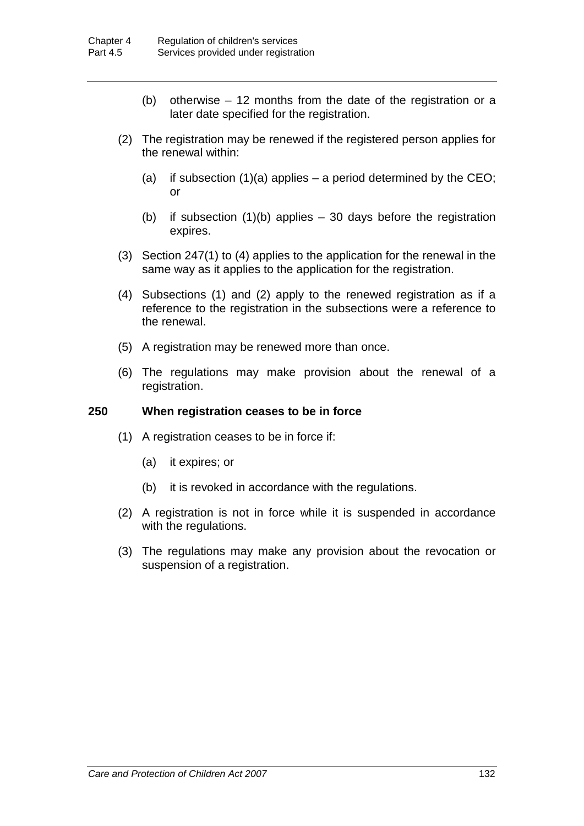- (b) otherwise 12 months from the date of the registration or a later date specified for the registration.
- (2) The registration may be renewed if the registered person applies for the renewal within:
	- (a) if subsection  $(1)(a)$  applies a period determined by the CEO; or
	- (b) if subsection  $(1)(b)$  applies  $-30$  days before the registration expires.
- (3) Section 247(1) to (4) applies to the application for the renewal in the same way as it applies to the application for the registration.
- (4) Subsections (1) and (2) apply to the renewed registration as if a reference to the registration in the subsections were a reference to the renewal.
- (5) A registration may be renewed more than once.
- (6) The regulations may make provision about the renewal of a registration.

## **250 When registration ceases to be in force**

- (1) A registration ceases to be in force if:
	- (a) it expires; or
	- (b) it is revoked in accordance with the regulations.
- (2) A registration is not in force while it is suspended in accordance with the regulations.
- (3) The regulations may make any provision about the revocation or suspension of a registration.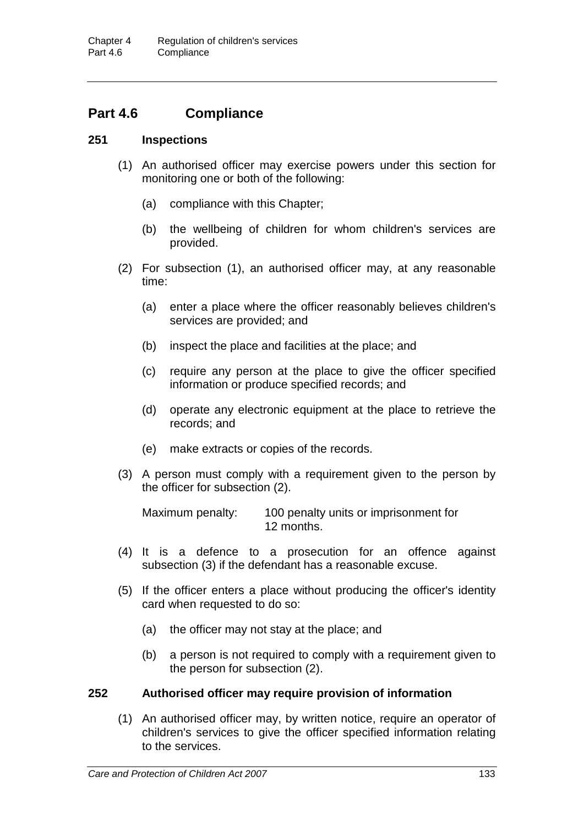# **Part 4.6 Compliance**

## **251 Inspections**

- (1) An authorised officer may exercise powers under this section for monitoring one or both of the following:
	- (a) compliance with this Chapter;
	- (b) the wellbeing of children for whom children's services are provided.
- (2) For subsection (1), an authorised officer may, at any reasonable time:
	- (a) enter a place where the officer reasonably believes children's services are provided; and
	- (b) inspect the place and facilities at the place; and
	- (c) require any person at the place to give the officer specified information or produce specified records; and
	- (d) operate any electronic equipment at the place to retrieve the records; and
	- (e) make extracts or copies of the records.
- (3) A person must comply with a requirement given to the person by the officer for subsection (2).

Maximum penalty: 100 penalty units or imprisonment for 12 months.

- (4) It is a defence to a prosecution for an offence against subsection (3) if the defendant has a reasonable excuse.
- (5) If the officer enters a place without producing the officer's identity card when requested to do so:
	- (a) the officer may not stay at the place; and
	- (b) a person is not required to comply with a requirement given to the person for subsection (2).

## **252 Authorised officer may require provision of information**

(1) An authorised officer may, by written notice, require an operator of children's services to give the officer specified information relating to the services.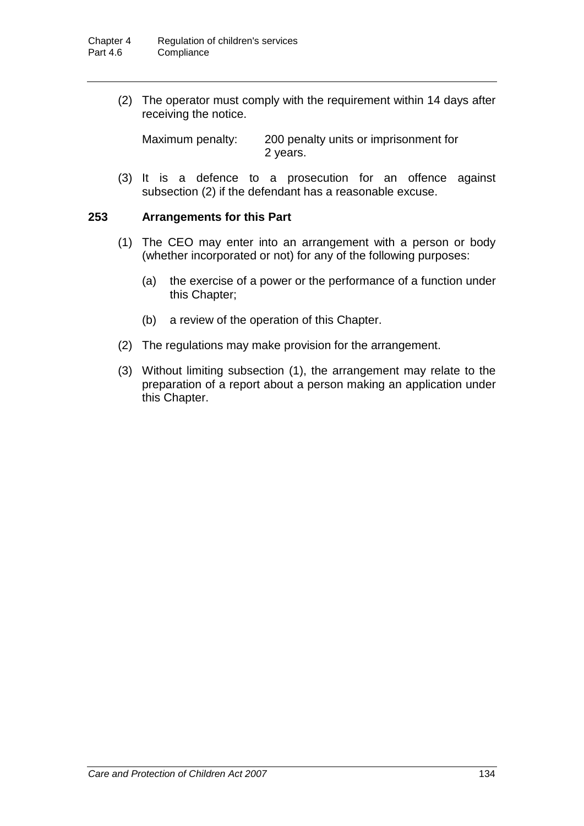(2) The operator must comply with the requirement within 14 days after receiving the notice.

Maximum penalty: 200 penalty units or imprisonment for 2 years.

(3) It is a defence to a prosecution for an offence against subsection (2) if the defendant has a reasonable excuse.

## **253 Arrangements for this Part**

- (1) The CEO may enter into an arrangement with a person or body (whether incorporated or not) for any of the following purposes:
	- (a) the exercise of a power or the performance of a function under this Chapter;
	- (b) a review of the operation of this Chapter.
- (2) The regulations may make provision for the arrangement.
- (3) Without limiting subsection (1), the arrangement may relate to the preparation of a report about a person making an application under this Chapter.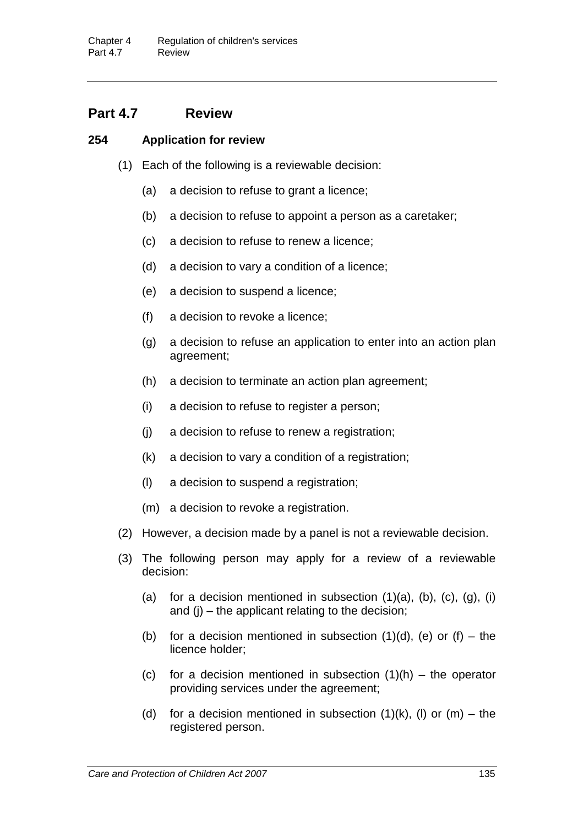# **Part 4.7 Review**

## **254 Application for review**

- (1) Each of the following is a reviewable decision:
	- (a) a decision to refuse to grant a licence;
	- (b) a decision to refuse to appoint a person as a caretaker;
	- (c) a decision to refuse to renew a licence;
	- (d) a decision to vary a condition of a licence;
	- (e) a decision to suspend a licence;
	- (f) a decision to revoke a licence;
	- (g) a decision to refuse an application to enter into an action plan agreement;
	- (h) a decision to terminate an action plan agreement;
	- (i) a decision to refuse to register a person;
	- (j) a decision to refuse to renew a registration;
	- (k) a decision to vary a condition of a registration;
	- (l) a decision to suspend a registration;
	- (m) a decision to revoke a registration.
- (2) However, a decision made by a panel is not a reviewable decision.
- (3) The following person may apply for a review of a reviewable decision:
	- (a) for a decision mentioned in subsection  $(1)(a)$ ,  $(b)$ ,  $(c)$ ,  $(q)$ ,  $(i)$ and  $(i)$  – the applicant relating to the decision;
	- (b) for a decision mentioned in subsection  $(1)(d)$ ,  $(e)$  or  $(f)$  the licence holder;
	- (c) for a decision mentioned in subsection  $(1)(h)$  the operator providing services under the agreement;
	- (d) for a decision mentioned in subsection  $(1)(k)$ , (l) or  $(m)$  the registered person.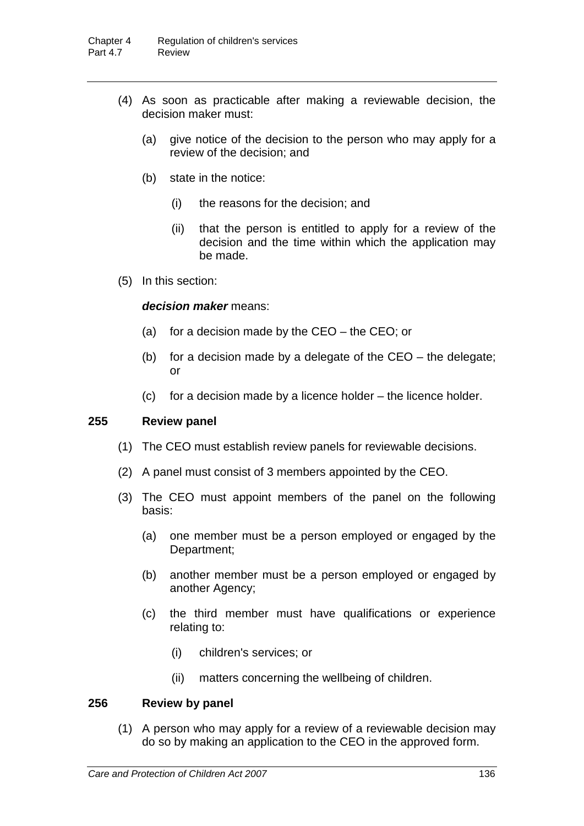- (4) As soon as practicable after making a reviewable decision, the decision maker must:
	- (a) give notice of the decision to the person who may apply for a review of the decision; and
	- (b) state in the notice:
		- (i) the reasons for the decision; and
		- (ii) that the person is entitled to apply for a review of the decision and the time within which the application may be made.
- (5) In this section:

## *decision maker* means:

- (a) for a decision made by the  $CEO -$  the  $CEO$ ; or
- (b) for a decision made by a delegate of the CEO the delegate; or
- (c) for a decision made by a licence holder the licence holder.

#### **255 Review panel**

- (1) The CEO must establish review panels for reviewable decisions.
- (2) A panel must consist of 3 members appointed by the CEO.
- (3) The CEO must appoint members of the panel on the following basis:
	- (a) one member must be a person employed or engaged by the Department;
	- (b) another member must be a person employed or engaged by another Agency;
	- (c) the third member must have qualifications or experience relating to:
		- (i) children's services; or
		- (ii) matters concerning the wellbeing of children.

## **256 Review by panel**

(1) A person who may apply for a review of a reviewable decision may do so by making an application to the CEO in the approved form.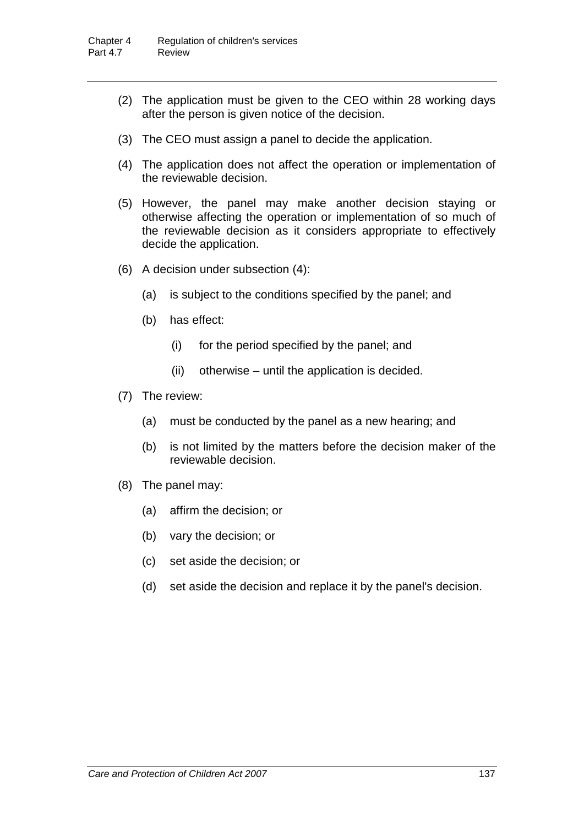- (2) The application must be given to the CEO within 28 working days after the person is given notice of the decision.
- (3) The CEO must assign a panel to decide the application.
- (4) The application does not affect the operation or implementation of the reviewable decision.
- (5) However, the panel may make another decision staying or otherwise affecting the operation or implementation of so much of the reviewable decision as it considers appropriate to effectively decide the application.
- (6) A decision under subsection (4):
	- (a) is subject to the conditions specified by the panel; and
	- (b) has effect:
		- (i) for the period specified by the panel; and
		- (ii) otherwise until the application is decided.
- (7) The review:
	- (a) must be conducted by the panel as a new hearing; and
	- (b) is not limited by the matters before the decision maker of the reviewable decision.
- (8) The panel may:
	- (a) affirm the decision; or
	- (b) vary the decision; or
	- (c) set aside the decision; or
	- (d) set aside the decision and replace it by the panel's decision.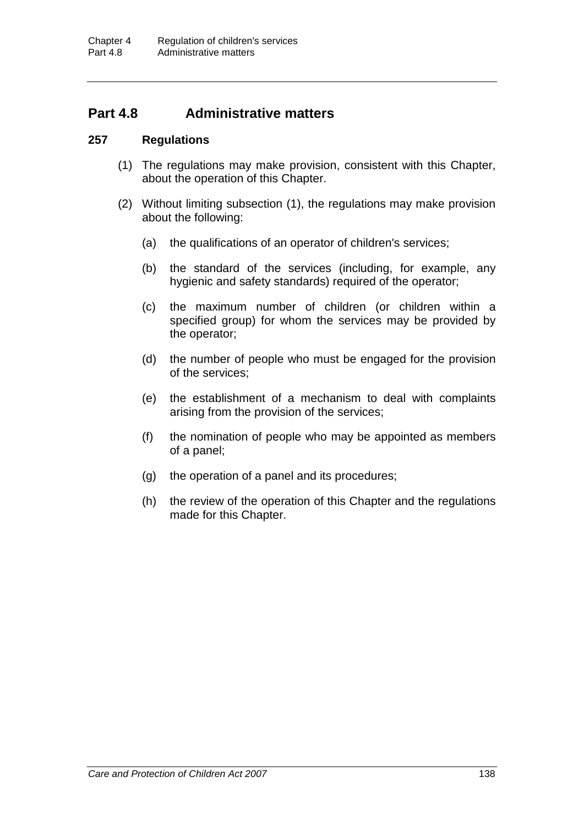## **Part 4.8 Administrative matters**

## **257 Regulations**

- (1) The regulations may make provision, consistent with this Chapter, about the operation of this Chapter.
- (2) Without limiting subsection (1), the regulations may make provision about the following:
	- (a) the qualifications of an operator of children's services;
	- (b) the standard of the services (including, for example, any hygienic and safety standards) required of the operator;
	- (c) the maximum number of children (or children within a specified group) for whom the services may be provided by the operator;
	- (d) the number of people who must be engaged for the provision of the services;
	- (e) the establishment of a mechanism to deal with complaints arising from the provision of the services;
	- (f) the nomination of people who may be appointed as members of a panel;
	- (g) the operation of a panel and its procedures;
	- (h) the review of the operation of this Chapter and the regulations made for this Chapter.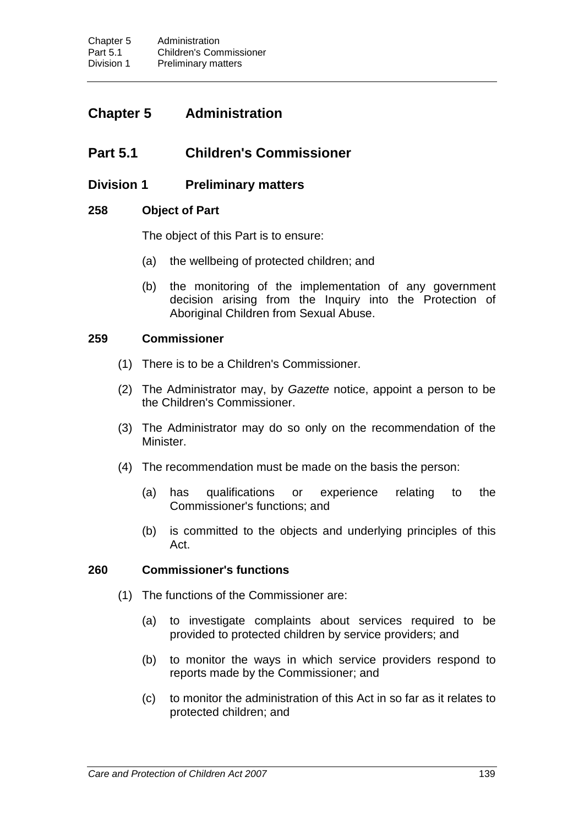# **Chapter 5 Administration**

# **Part 5.1 Children's Commissioner**

## **Division 1 Preliminary matters**

## **258 Object of Part**

The object of this Part is to ensure:

- (a) the wellbeing of protected children; and
- (b) the monitoring of the implementation of any government decision arising from the Inquiry into the Protection of Aboriginal Children from Sexual Abuse.

## **259 Commissioner**

- (1) There is to be a Children's Commissioner.
- (2) The Administrator may, by *Gazette* notice, appoint a person to be the Children's Commissioner.
- (3) The Administrator may do so only on the recommendation of the Minister.
- (4) The recommendation must be made on the basis the person:
	- (a) has qualifications or experience relating to the Commissioner's functions; and
	- (b) is committed to the objects and underlying principles of this Act.

#### **260 Commissioner's functions**

- (1) The functions of the Commissioner are:
	- (a) to investigate complaints about services required to be provided to protected children by service providers; and
	- (b) to monitor the ways in which service providers respond to reports made by the Commissioner; and
	- (c) to monitor the administration of this Act in so far as it relates to protected children; and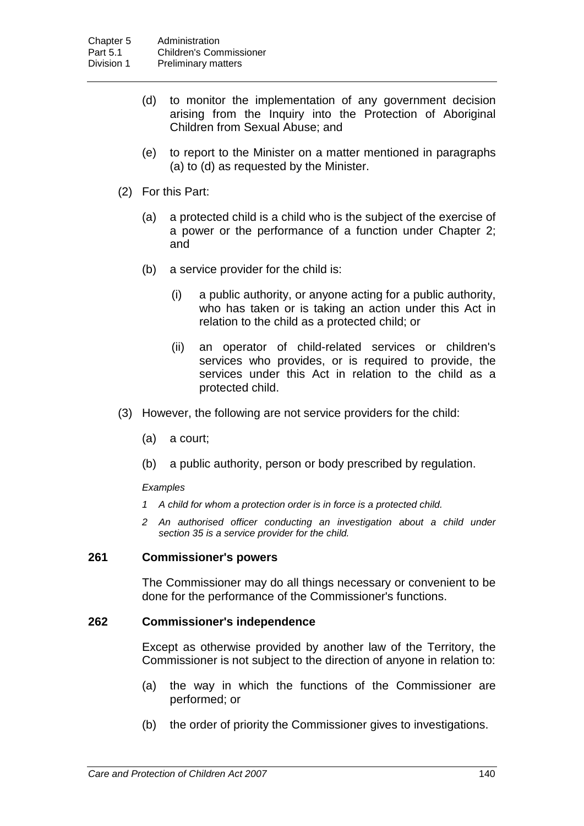- (d) to monitor the implementation of any government decision arising from the Inquiry into the Protection of Aboriginal Children from Sexual Abuse; and
- (e) to report to the Minister on a matter mentioned in paragraphs (a) to (d) as requested by the Minister.
- (2) For this Part:
	- (a) a protected child is a child who is the subject of the exercise of a power or the performance of a function under Chapter 2; and
	- (b) a service provider for the child is:
		- (i) a public authority, or anyone acting for a public authority, who has taken or is taking an action under this Act in relation to the child as a protected child; or
		- (ii) an operator of child-related services or children's services who provides, or is required to provide, the services under this Act in relation to the child as a protected child.
- (3) However, the following are not service providers for the child:
	- (a) a court;
	- (b) a public authority, person or body prescribed by regulation.

#### *Examples*

- *1 A child for whom a protection order is in force is a protected child.*
- *2 An authorised officer conducting an investigation about a child under section 35 is a service provider for the child.*

## **261 Commissioner's powers**

The Commissioner may do all things necessary or convenient to be done for the performance of the Commissioner's functions.

#### **262 Commissioner's independence**

Except as otherwise provided by another law of the Territory, the Commissioner is not subject to the direction of anyone in relation to:

- (a) the way in which the functions of the Commissioner are performed; or
- (b) the order of priority the Commissioner gives to investigations.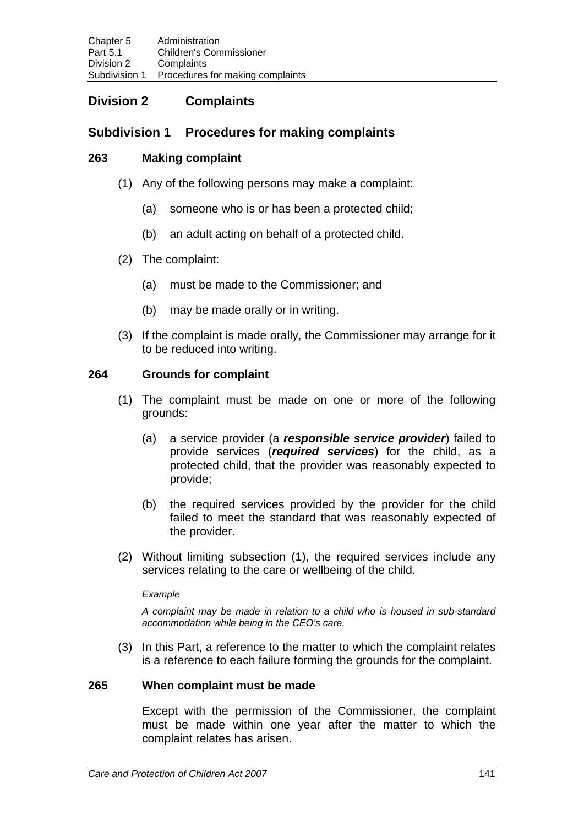# **Division 2 Complaints**

## **Subdivision 1 Procedures for making complaints**

## **263 Making complaint**

- (1) Any of the following persons may make a complaint:
	- (a) someone who is or has been a protected child;
	- (b) an adult acting on behalf of a protected child.
- (2) The complaint:
	- (a) must be made to the Commissioner; and
	- (b) may be made orally or in writing.
- (3) If the complaint is made orally, the Commissioner may arrange for it to be reduced into writing.

## **264 Grounds for complaint**

- (1) The complaint must be made on one or more of the following grounds:
	- (a) a service provider (a *responsible service provider*) failed to provide services (*required services*) for the child, as a protected child, that the provider was reasonably expected to provide;
	- (b) the required services provided by the provider for the child failed to meet the standard that was reasonably expected of the provider.
- (2) Without limiting subsection (1), the required services include any services relating to the care or wellbeing of the child.

#### *Example*

*A complaint may be made in relation to a child who is housed in sub-standard accommodation while being in the CEO's care.*

(3) In this Part, a reference to the matter to which the complaint relates is a reference to each failure forming the grounds for the complaint.

## **265 When complaint must be made**

Except with the permission of the Commissioner, the complaint must be made within one year after the matter to which the complaint relates has arisen.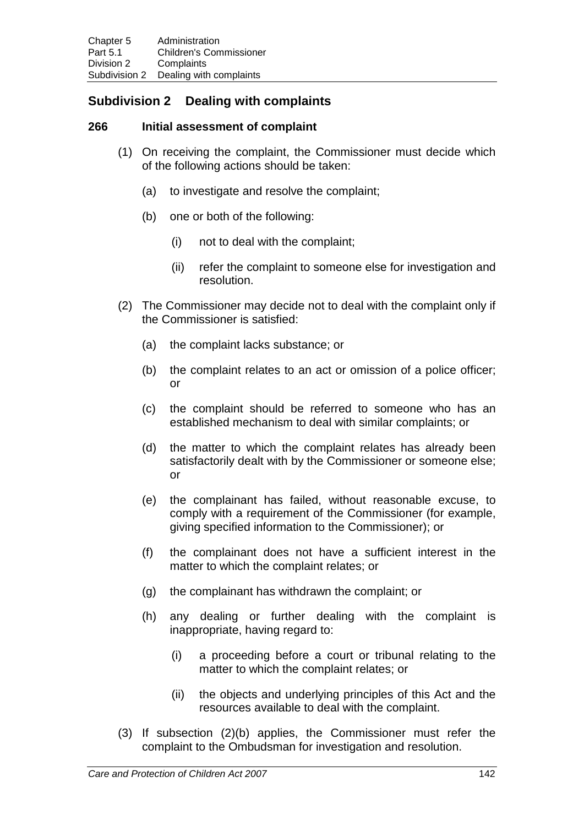# **Subdivision 2 Dealing with complaints**

## **266 Initial assessment of complaint**

- (1) On receiving the complaint, the Commissioner must decide which of the following actions should be taken:
	- (a) to investigate and resolve the complaint;
	- (b) one or both of the following:
		- (i) not to deal with the complaint;
		- (ii) refer the complaint to someone else for investigation and resolution.
- (2) The Commissioner may decide not to deal with the complaint only if the Commissioner is satisfied:
	- (a) the complaint lacks substance; or
	- (b) the complaint relates to an act or omission of a police officer; or
	- (c) the complaint should be referred to someone who has an established mechanism to deal with similar complaints; or
	- (d) the matter to which the complaint relates has already been satisfactorily dealt with by the Commissioner or someone else; or
	- (e) the complainant has failed, without reasonable excuse, to comply with a requirement of the Commissioner (for example, giving specified information to the Commissioner); or
	- (f) the complainant does not have a sufficient interest in the matter to which the complaint relates; or
	- (g) the complainant has withdrawn the complaint; or
	- (h) any dealing or further dealing with the complaint is inappropriate, having regard to:
		- (i) a proceeding before a court or tribunal relating to the matter to which the complaint relates; or
		- (ii) the objects and underlying principles of this Act and the resources available to deal with the complaint.
- (3) If subsection (2)(b) applies, the Commissioner must refer the complaint to the Ombudsman for investigation and resolution.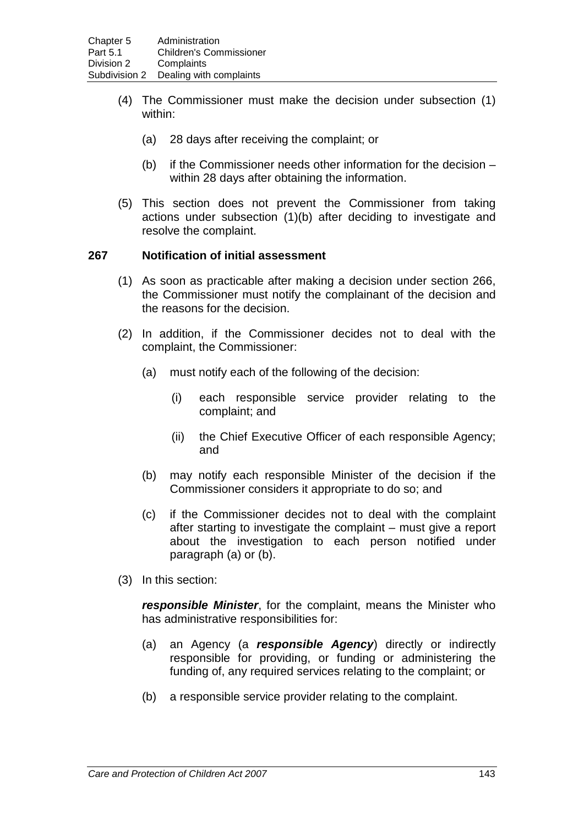- (4) The Commissioner must make the decision under subsection (1) within:
	- (a) 28 days after receiving the complaint; or
	- (b) if the Commissioner needs other information for the decision within 28 days after obtaining the information.
- (5) This section does not prevent the Commissioner from taking actions under subsection (1)(b) after deciding to investigate and resolve the complaint.

## **267 Notification of initial assessment**

- (1) As soon as practicable after making a decision under section 266, the Commissioner must notify the complainant of the decision and the reasons for the decision.
- (2) In addition, if the Commissioner decides not to deal with the complaint, the Commissioner:
	- (a) must notify each of the following of the decision:
		- (i) each responsible service provider relating to the complaint; and
		- (ii) the Chief Executive Officer of each responsible Agency; and
	- (b) may notify each responsible Minister of the decision if the Commissioner considers it appropriate to do so; and
	- (c) if the Commissioner decides not to deal with the complaint after starting to investigate the complaint – must give a report about the investigation to each person notified under paragraph (a) or (b).
- (3) In this section:

*responsible Minister*, for the complaint, means the Minister who has administrative responsibilities for:

- (a) an Agency (a *responsible Agency*) directly or indirectly responsible for providing, or funding or administering the funding of, any required services relating to the complaint; or
- (b) a responsible service provider relating to the complaint.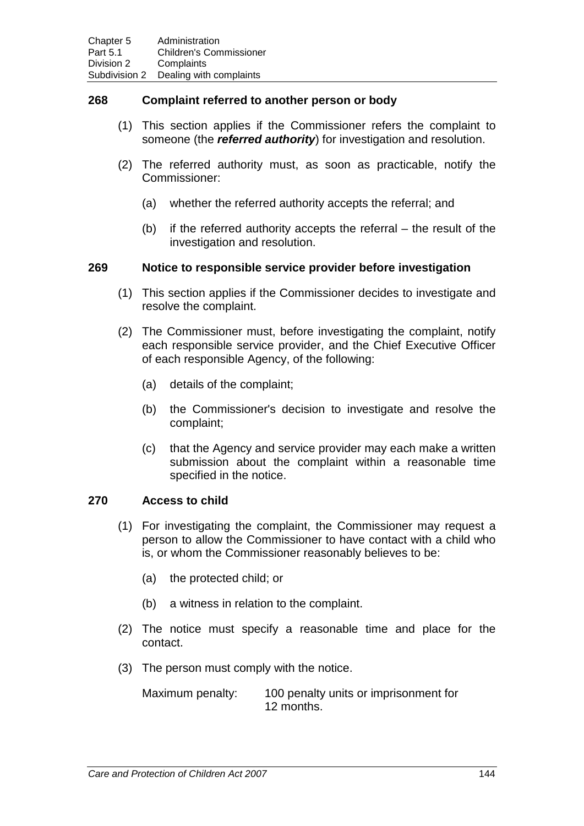## **268 Complaint referred to another person or body**

- (1) This section applies if the Commissioner refers the complaint to someone (the *referred authority*) for investigation and resolution.
- (2) The referred authority must, as soon as practicable, notify the Commissioner:
	- (a) whether the referred authority accepts the referral; and
	- (b) if the referred authority accepts the referral the result of the investigation and resolution.

#### **269 Notice to responsible service provider before investigation**

- (1) This section applies if the Commissioner decides to investigate and resolve the complaint.
- (2) The Commissioner must, before investigating the complaint, notify each responsible service provider, and the Chief Executive Officer of each responsible Agency, of the following:
	- (a) details of the complaint;
	- (b) the Commissioner's decision to investigate and resolve the complaint;
	- (c) that the Agency and service provider may each make a written submission about the complaint within a reasonable time specified in the notice.

## **270 Access to child**

- (1) For investigating the complaint, the Commissioner may request a person to allow the Commissioner to have contact with a child who is, or whom the Commissioner reasonably believes to be:
	- (a) the protected child; or
	- (b) a witness in relation to the complaint.
- (2) The notice must specify a reasonable time and place for the contact.
- (3) The person must comply with the notice.

Maximum penalty: 100 penalty units or imprisonment for 12 months.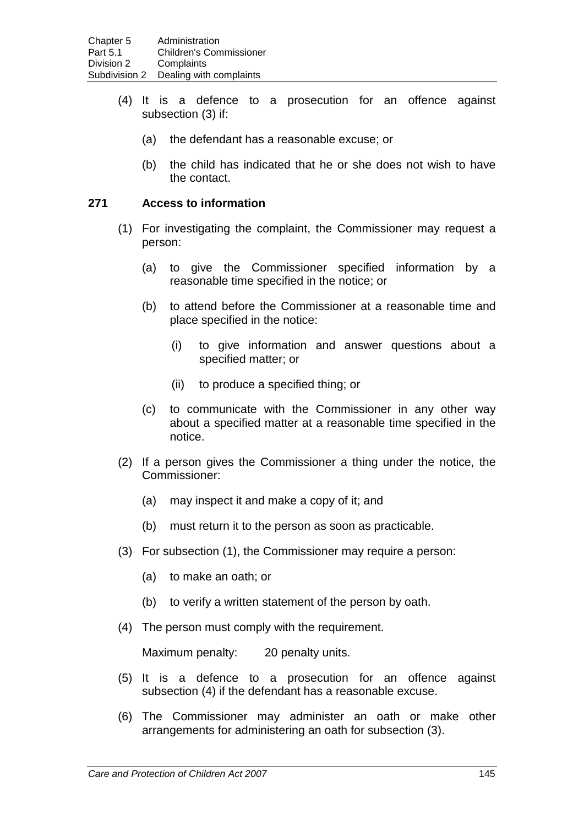- (4) It is a defence to a prosecution for an offence against subsection (3) if:
	- (a) the defendant has a reasonable excuse; or
	- (b) the child has indicated that he or she does not wish to have the contact.

## **271 Access to information**

- (1) For investigating the complaint, the Commissioner may request a person:
	- (a) to give the Commissioner specified information by a reasonable time specified in the notice; or
	- (b) to attend before the Commissioner at a reasonable time and place specified in the notice:
		- (i) to give information and answer questions about a specified matter; or
		- (ii) to produce a specified thing; or
	- (c) to communicate with the Commissioner in any other way about a specified matter at a reasonable time specified in the notice.
- (2) If a person gives the Commissioner a thing under the notice, the Commissioner:
	- (a) may inspect it and make a copy of it; and
	- (b) must return it to the person as soon as practicable.
- (3) For subsection (1), the Commissioner may require a person:
	- (a) to make an oath; or
	- (b) to verify a written statement of the person by oath.
- (4) The person must comply with the requirement.

Maximum penalty: 20 penalty units.

- (5) It is a defence to a prosecution for an offence against subsection (4) if the defendant has a reasonable excuse.
- (6) The Commissioner may administer an oath or make other arrangements for administering an oath for subsection (3).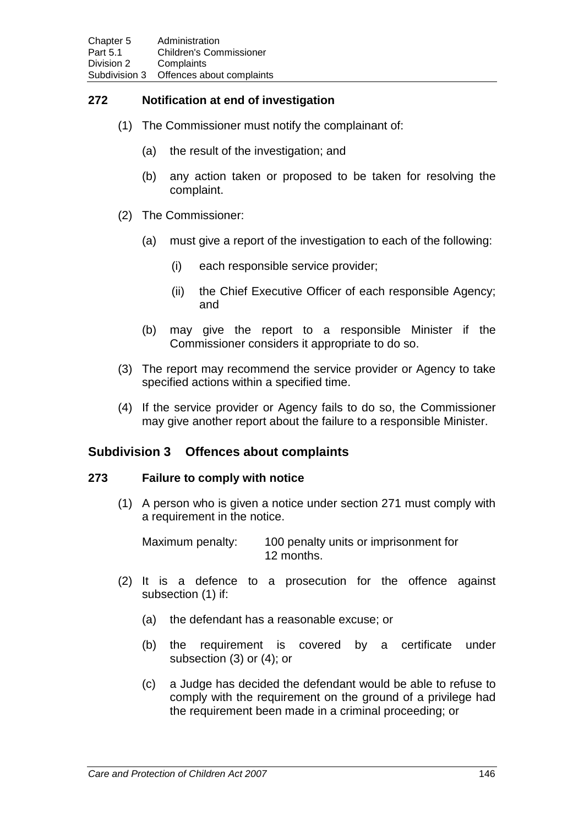## **272 Notification at end of investigation**

- (1) The Commissioner must notify the complainant of:
	- (a) the result of the investigation; and
	- (b) any action taken or proposed to be taken for resolving the complaint.
- (2) The Commissioner:
	- (a) must give a report of the investigation to each of the following:
		- (i) each responsible service provider;
		- (ii) the Chief Executive Officer of each responsible Agency; and
	- (b) may give the report to a responsible Minister if the Commissioner considers it appropriate to do so.
- (3) The report may recommend the service provider or Agency to take specified actions within a specified time.
- (4) If the service provider or Agency fails to do so, the Commissioner may give another report about the failure to a responsible Minister.

## **Subdivision 3 Offences about complaints**

#### **273 Failure to comply with notice**

(1) A person who is given a notice under section 271 must comply with a requirement in the notice.

Maximum penalty: 100 penalty units or imprisonment for 12 months.

- (2) It is a defence to a prosecution for the offence against subsection (1) if:
	- (a) the defendant has a reasonable excuse; or
	- (b) the requirement is covered by a certificate under subsection (3) or (4); or
	- (c) a Judge has decided the defendant would be able to refuse to comply with the requirement on the ground of a privilege had the requirement been made in a criminal proceeding; or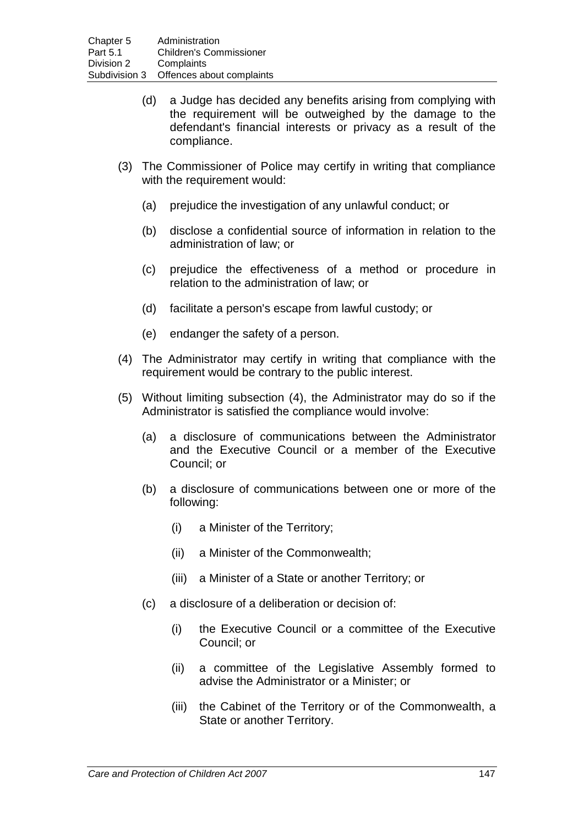- (d) a Judge has decided any benefits arising from complying with the requirement will be outweighed by the damage to the defendant's financial interests or privacy as a result of the compliance.
- (3) The Commissioner of Police may certify in writing that compliance with the requirement would:
	- (a) prejudice the investigation of any unlawful conduct; or
	- (b) disclose a confidential source of information in relation to the administration of law; or
	- (c) prejudice the effectiveness of a method or procedure in relation to the administration of law; or
	- (d) facilitate a person's escape from lawful custody; or
	- (e) endanger the safety of a person.
- (4) The Administrator may certify in writing that compliance with the requirement would be contrary to the public interest.
- (5) Without limiting subsection (4), the Administrator may do so if the Administrator is satisfied the compliance would involve:
	- (a) a disclosure of communications between the Administrator and the Executive Council or a member of the Executive Council; or
	- (b) a disclosure of communications between one or more of the following:
		- (i) a Minister of the Territory;
		- (ii) a Minister of the Commonwealth;
		- (iii) a Minister of a State or another Territory; or
	- (c) a disclosure of a deliberation or decision of:
		- (i) the Executive Council or a committee of the Executive Council; or
		- (ii) a committee of the Legislative Assembly formed to advise the Administrator or a Minister; or
		- (iii) the Cabinet of the Territory or of the Commonwealth, a State or another Territory.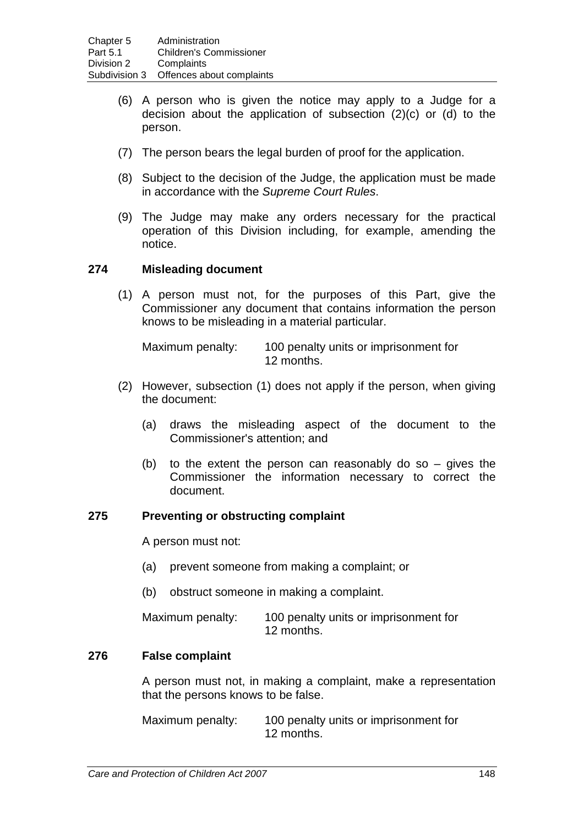- (6) A person who is given the notice may apply to a Judge for a decision about the application of subsection (2)(c) or (d) to the person.
- (7) The person bears the legal burden of proof for the application.
- (8) Subject to the decision of the Judge, the application must be made in accordance with the *Supreme Court Rules*.
- (9) The Judge may make any orders necessary for the practical operation of this Division including, for example, amending the notice.

## **274 Misleading document**

(1) A person must not, for the purposes of this Part, give the Commissioner any document that contains information the person knows to be misleading in a material particular.

Maximum penalty: 100 penalty units or imprisonment for 12 months.

- (2) However, subsection (1) does not apply if the person, when giving the document:
	- (a) draws the misleading aspect of the document to the Commissioner's attention; and
	- (b) to the extent the person can reasonably do so gives the Commissioner the information necessary to correct the document.

#### **275 Preventing or obstructing complaint**

A person must not:

- (a) prevent someone from making a complaint; or
- (b) obstruct someone in making a complaint.

| Maximum penalty: | 100 penalty units or imprisonment for |
|------------------|---------------------------------------|
|                  | 12 months.                            |

#### **276 False complaint**

A person must not, in making a complaint, make a representation that the persons knows to be false.

Maximum penalty: 100 penalty units or imprisonment for 12 months.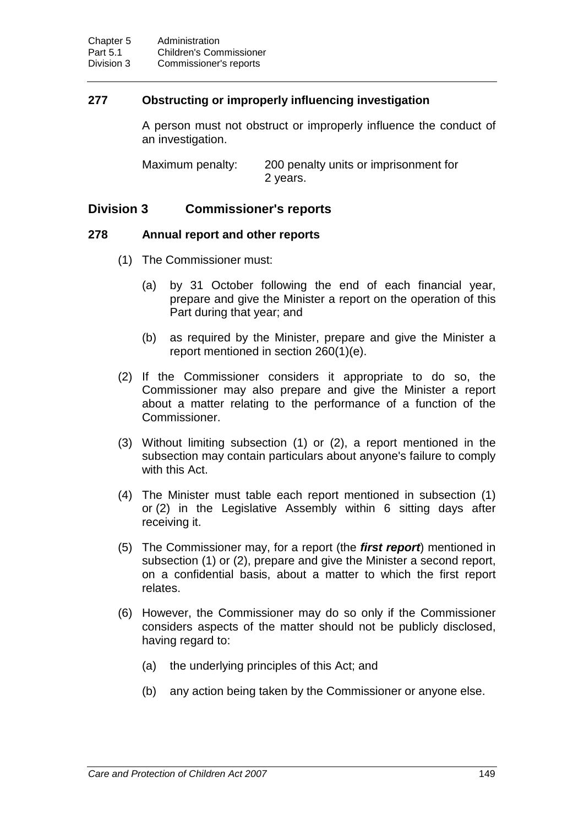## **277 Obstructing or improperly influencing investigation**

A person must not obstruct or improperly influence the conduct of an investigation.

Maximum penalty: 200 penalty units or imprisonment for 2 years.

## **Division 3 Commissioner's reports**

#### **278 Annual report and other reports**

- (1) The Commissioner must:
	- (a) by 31 October following the end of each financial year, prepare and give the Minister a report on the operation of this Part during that year; and
	- (b) as required by the Minister, prepare and give the Minister a report mentioned in section 260(1)(e).
- (2) If the Commissioner considers it appropriate to do so, the Commissioner may also prepare and give the Minister a report about a matter relating to the performance of a function of the Commissioner.
- (3) Without limiting subsection (1) or (2), a report mentioned in the subsection may contain particulars about anyone's failure to comply with this Act.
- (4) The Minister must table each report mentioned in subsection (1) or (2) in the Legislative Assembly within 6 sitting days after receiving it.
- (5) The Commissioner may, for a report (the *first report*) mentioned in subsection (1) or (2), prepare and give the Minister a second report, on a confidential basis, about a matter to which the first report relates.
- (6) However, the Commissioner may do so only if the Commissioner considers aspects of the matter should not be publicly disclosed, having regard to:
	- (a) the underlying principles of this Act; and
	- (b) any action being taken by the Commissioner or anyone else.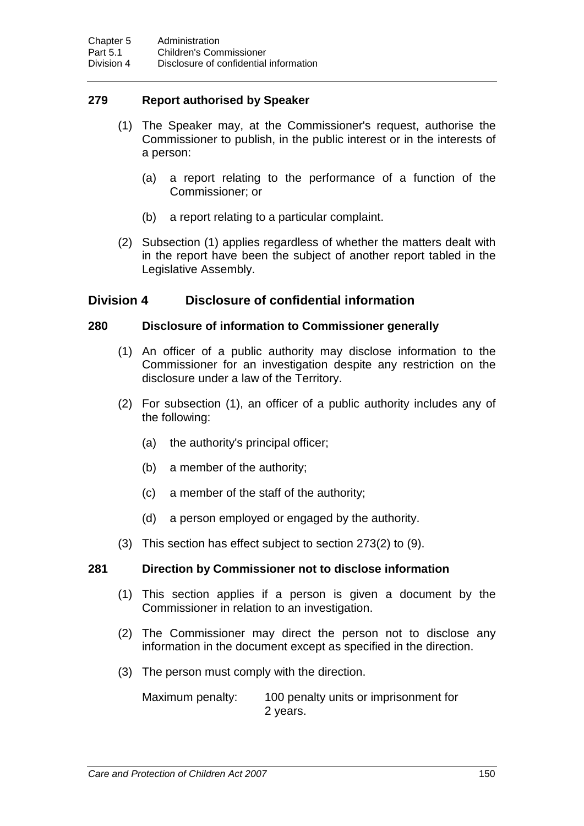## **279 Report authorised by Speaker**

- (1) The Speaker may, at the Commissioner's request, authorise the Commissioner to publish, in the public interest or in the interests of a person:
	- (a) a report relating to the performance of a function of the Commissioner; or
	- (b) a report relating to a particular complaint.
- (2) Subsection (1) applies regardless of whether the matters dealt with in the report have been the subject of another report tabled in the Legislative Assembly.

## **Division 4 Disclosure of confidential information**

## **280 Disclosure of information to Commissioner generally**

- (1) An officer of a public authority may disclose information to the Commissioner for an investigation despite any restriction on the disclosure under a law of the Territory.
- (2) For subsection (1), an officer of a public authority includes any of the following:
	- (a) the authority's principal officer;
	- (b) a member of the authority;
	- (c) a member of the staff of the authority;
	- (d) a person employed or engaged by the authority.
- (3) This section has effect subject to section 273(2) to (9).

## **281 Direction by Commissioner not to disclose information**

- (1) This section applies if a person is given a document by the Commissioner in relation to an investigation.
- (2) The Commissioner may direct the person not to disclose any information in the document except as specified in the direction.
- (3) The person must comply with the direction.

Maximum penalty: 100 penalty units or imprisonment for 2 years.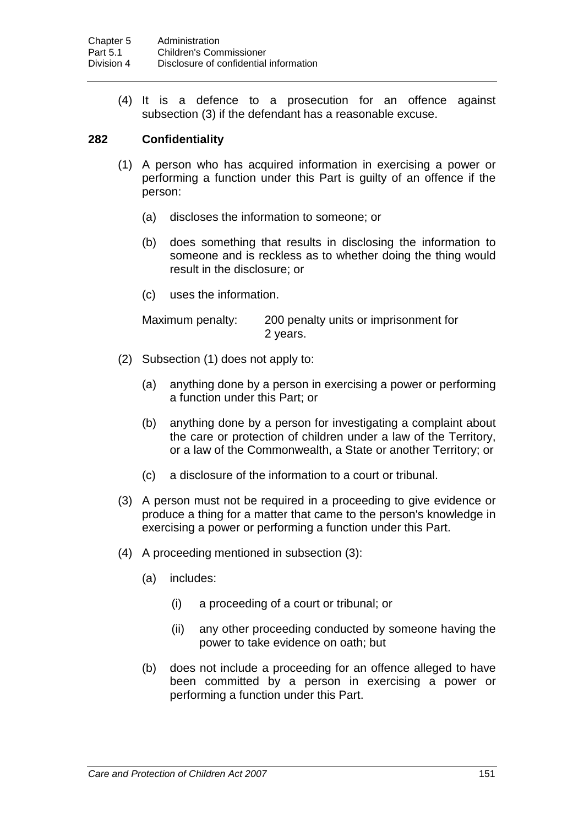(4) It is a defence to a prosecution for an offence against subsection (3) if the defendant has a reasonable excuse.

## **282 Confidentiality**

- (1) A person who has acquired information in exercising a power or performing a function under this Part is guilty of an offence if the person:
	- (a) discloses the information to someone; or
	- (b) does something that results in disclosing the information to someone and is reckless as to whether doing the thing would result in the disclosure; or
	- (c) uses the information.

Maximum penalty: 200 penalty units or imprisonment for 2 years.

- (2) Subsection (1) does not apply to:
	- (a) anything done by a person in exercising a power or performing a function under this Part; or
	- (b) anything done by a person for investigating a complaint about the care or protection of children under a law of the Territory, or a law of the Commonwealth, a State or another Territory; or
	- (c) a disclosure of the information to a court or tribunal.
- (3) A person must not be required in a proceeding to give evidence or produce a thing for a matter that came to the person's knowledge in exercising a power or performing a function under this Part.
- (4) A proceeding mentioned in subsection (3):
	- (a) includes:
		- (i) a proceeding of a court or tribunal; or
		- (ii) any other proceeding conducted by someone having the power to take evidence on oath; but
	- (b) does not include a proceeding for an offence alleged to have been committed by a person in exercising a power or performing a function under this Part.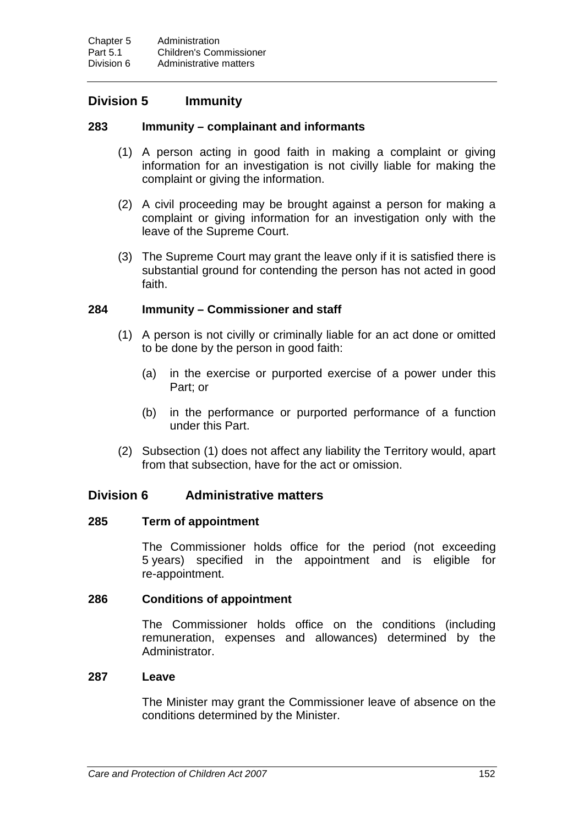## **Division 5 Immunity**

## **283 Immunity – complainant and informants**

- (1) A person acting in good faith in making a complaint or giving information for an investigation is not civilly liable for making the complaint or giving the information.
- (2) A civil proceeding may be brought against a person for making a complaint or giving information for an investigation only with the leave of the Supreme Court.
- (3) The Supreme Court may grant the leave only if it is satisfied there is substantial ground for contending the person has not acted in good faith.

## **284 Immunity – Commissioner and staff**

- (1) A person is not civilly or criminally liable for an act done or omitted to be done by the person in good faith:
	- (a) in the exercise or purported exercise of a power under this Part; or
	- (b) in the performance or purported performance of a function under this Part.
- (2) Subsection (1) does not affect any liability the Territory would, apart from that subsection, have for the act or omission.

## **Division 6 Administrative matters**

#### **285 Term of appointment**

The Commissioner holds office for the period (not exceeding 5 years) specified in the appointment and is eligible for re-appointment.

## **286 Conditions of appointment**

The Commissioner holds office on the conditions (including remuneration, expenses and allowances) determined by the Administrator.

## **287 Leave**

The Minister may grant the Commissioner leave of absence on the conditions determined by the Minister.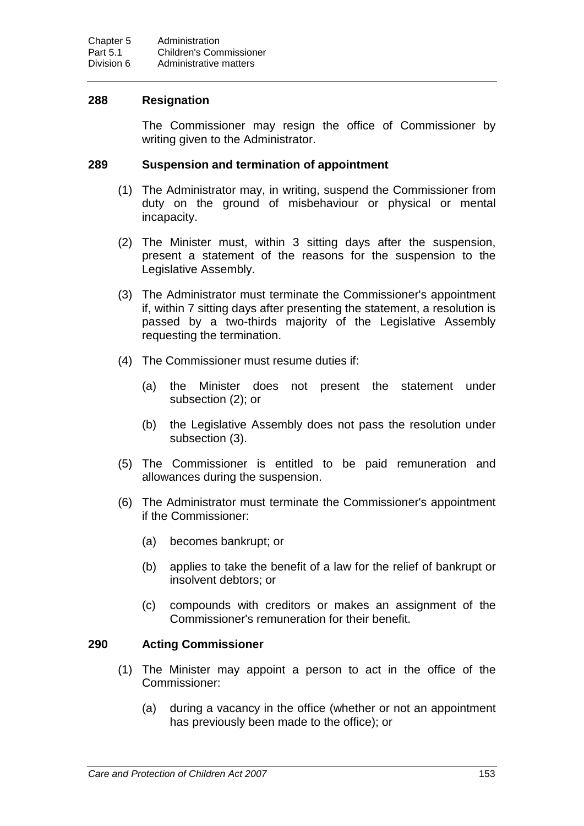## **288 Resignation**

The Commissioner may resign the office of Commissioner by writing given to the Administrator.

#### **289 Suspension and termination of appointment**

- (1) The Administrator may, in writing, suspend the Commissioner from duty on the ground of misbehaviour or physical or mental incapacity.
- (2) The Minister must, within 3 sitting days after the suspension, present a statement of the reasons for the suspension to the Legislative Assembly.
- (3) The Administrator must terminate the Commissioner's appointment if, within 7 sitting days after presenting the statement, a resolution is passed by a two-thirds majority of the Legislative Assembly requesting the termination.
- (4) The Commissioner must resume duties if:
	- (a) the Minister does not present the statement under subsection (2); or
	- (b) the Legislative Assembly does not pass the resolution under subsection (3).
- (5) The Commissioner is entitled to be paid remuneration and allowances during the suspension.
- (6) The Administrator must terminate the Commissioner's appointment if the Commissioner:
	- (a) becomes bankrupt; or
	- (b) applies to take the benefit of a law for the relief of bankrupt or insolvent debtors; or
	- (c) compounds with creditors or makes an assignment of the Commissioner's remuneration for their benefit.

## **290 Acting Commissioner**

- (1) The Minister may appoint a person to act in the office of the Commissioner:
	- (a) during a vacancy in the office (whether or not an appointment has previously been made to the office); or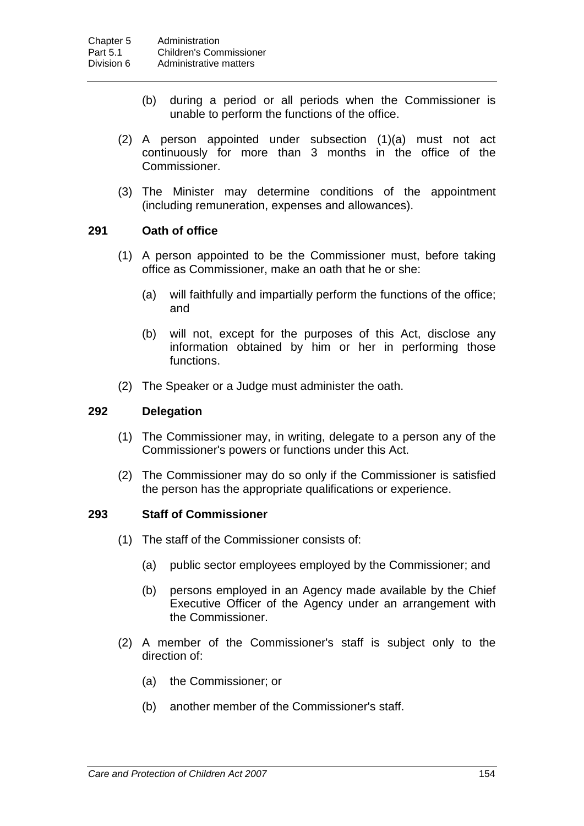- (b) during a period or all periods when the Commissioner is unable to perform the functions of the office.
- (2) A person appointed under subsection (1)(a) must not act continuously for more than 3 months in the office of the Commissioner.
- (3) The Minister may determine conditions of the appointment (including remuneration, expenses and allowances).

## **291 Oath of office**

- (1) A person appointed to be the Commissioner must, before taking office as Commissioner, make an oath that he or she:
	- (a) will faithfully and impartially perform the functions of the office; and
	- (b) will not, except for the purposes of this Act, disclose any information obtained by him or her in performing those functions.
- (2) The Speaker or a Judge must administer the oath.

#### **292 Delegation**

- (1) The Commissioner may, in writing, delegate to a person any of the Commissioner's powers or functions under this Act.
- (2) The Commissioner may do so only if the Commissioner is satisfied the person has the appropriate qualifications or experience.

#### **293 Staff of Commissioner**

- (1) The staff of the Commissioner consists of:
	- (a) public sector employees employed by the Commissioner; and
	- (b) persons employed in an Agency made available by the Chief Executive Officer of the Agency under an arrangement with the Commissioner.
- (2) A member of the Commissioner's staff is subject only to the direction of:
	- (a) the Commissioner; or
	- (b) another member of the Commissioner's staff.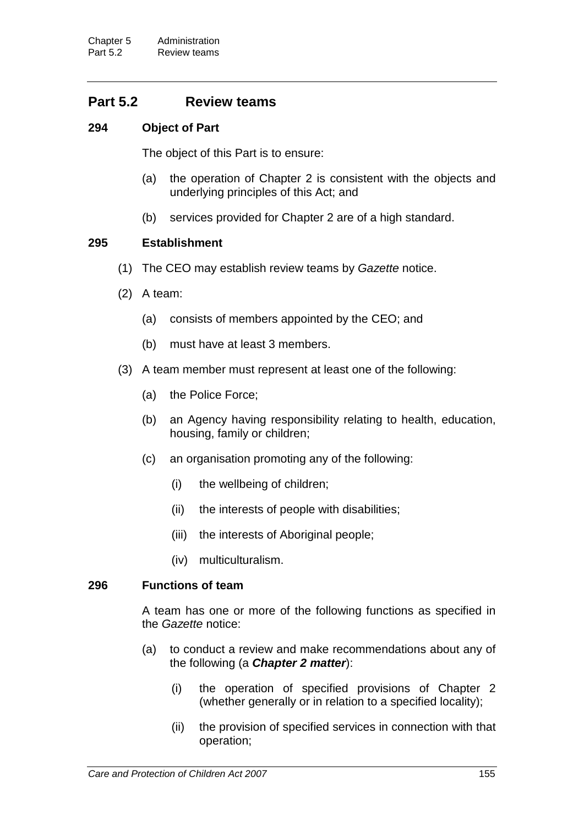# **Part 5.2 Review teams**

## **294 Object of Part**

The object of this Part is to ensure:

- (a) the operation of Chapter 2 is consistent with the objects and underlying principles of this Act; and
- (b) services provided for Chapter 2 are of a high standard.

## **295 Establishment**

- (1) The CEO may establish review teams by *Gazette* notice.
- (2) A team:
	- (a) consists of members appointed by the CEO; and
	- (b) must have at least 3 members.
- (3) A team member must represent at least one of the following:
	- (a) the Police Force;
	- (b) an Agency having responsibility relating to health, education, housing, family or children;
	- (c) an organisation promoting any of the following:
		- (i) the wellbeing of children;
		- (ii) the interests of people with disabilities;
		- (iii) the interests of Aboriginal people;
		- (iv) multiculturalism.

## **296 Functions of team**

A team has one or more of the following functions as specified in the *Gazette* notice:

- (a) to conduct a review and make recommendations about any of the following (a *Chapter 2 matter*):
	- (i) the operation of specified provisions of Chapter 2 (whether generally or in relation to a specified locality);
	- (ii) the provision of specified services in connection with that operation;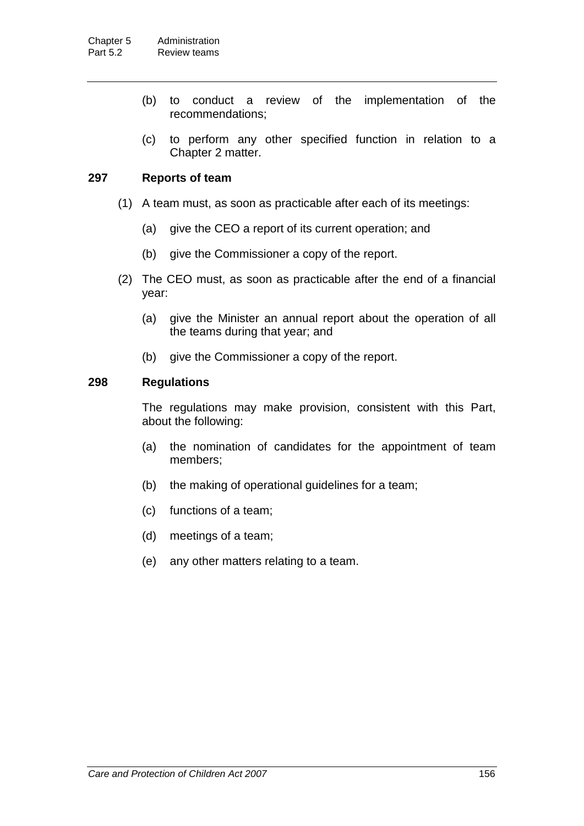- (b) to conduct a review of the implementation of the recommendations;
- (c) to perform any other specified function in relation to a Chapter 2 matter.

## **297 Reports of team**

- (1) A team must, as soon as practicable after each of its meetings:
	- (a) give the CEO a report of its current operation; and
	- (b) give the Commissioner a copy of the report.
- (2) The CEO must, as soon as practicable after the end of a financial year:
	- (a) give the Minister an annual report about the operation of all the teams during that year; and
	- (b) give the Commissioner a copy of the report.

## **298 Regulations**

The regulations may make provision, consistent with this Part, about the following:

- (a) the nomination of candidates for the appointment of team members;
- (b) the making of operational guidelines for a team;
- (c) functions of a team;
- (d) meetings of a team;
- (e) any other matters relating to a team.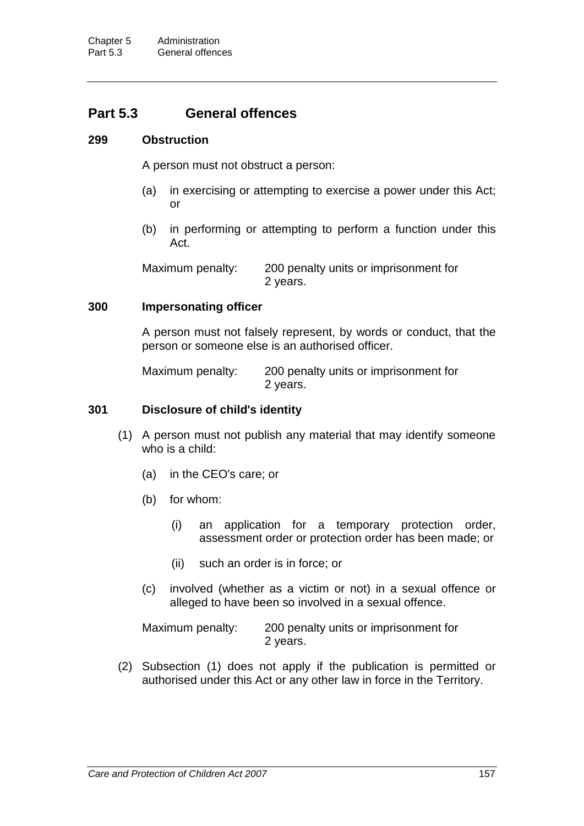# **Part 5.3 General offences**

## **299 Obstruction**

A person must not obstruct a person:

- (a) in exercising or attempting to exercise a power under this Act; or
- (b) in performing or attempting to perform a function under this Act.

Maximum penalty: 200 penalty units or imprisonment for 2 years.

## **300 Impersonating officer**

A person must not falsely represent, by words or conduct, that the person or someone else is an authorised officer.

Maximum penalty: 200 penalty units or imprisonment for 2 years.

## **301 Disclosure of child's identity**

- (1) A person must not publish any material that may identify someone who is a child:
	- (a) in the CEO's care; or
	- (b) for whom:
		- (i) an application for a temporary protection order, assessment order or protection order has been made; or
		- (ii) such an order is in force; or
	- (c) involved (whether as a victim or not) in a sexual offence or alleged to have been so involved in a sexual offence.

Maximum penalty: 200 penalty units or imprisonment for 2 years.

(2) Subsection (1) does not apply if the publication is permitted or authorised under this Act or any other law in force in the Territory.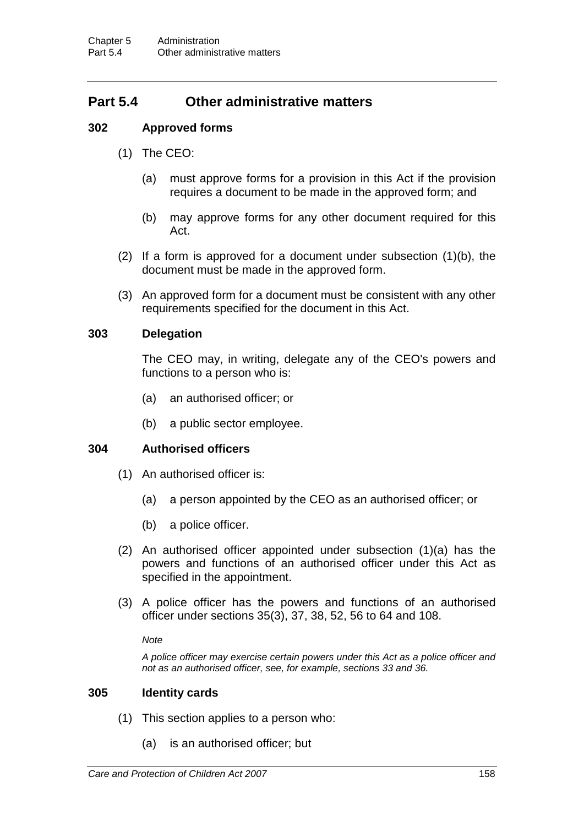# **Part 5.4 Other administrative matters**

## **302 Approved forms**

- (1) The CEO:
	- (a) must approve forms for a provision in this Act if the provision requires a document to be made in the approved form; and
	- (b) may approve forms for any other document required for this Act.
- (2) If a form is approved for a document under subsection (1)(b), the document must be made in the approved form.
- (3) An approved form for a document must be consistent with any other requirements specified for the document in this Act.

## **303 Delegation**

The CEO may, in writing, delegate any of the CEO's powers and functions to a person who is:

- (a) an authorised officer; or
- (b) a public sector employee.

## **304 Authorised officers**

- (1) An authorised officer is:
	- (a) a person appointed by the CEO as an authorised officer; or
	- (b) a police officer.
- (2) An authorised officer appointed under subsection (1)(a) has the powers and functions of an authorised officer under this Act as specified in the appointment.
- (3) A police officer has the powers and functions of an authorised officer under sections 35(3), 37, 38, 52, 56 to 64 and 108.

*Note*

*A police officer may exercise certain powers under this Act as a police officer and not as an authorised officer, see, for example, sections 33 and 36.*

## **305 Identity cards**

- (1) This section applies to a person who:
	- (a) is an authorised officer; but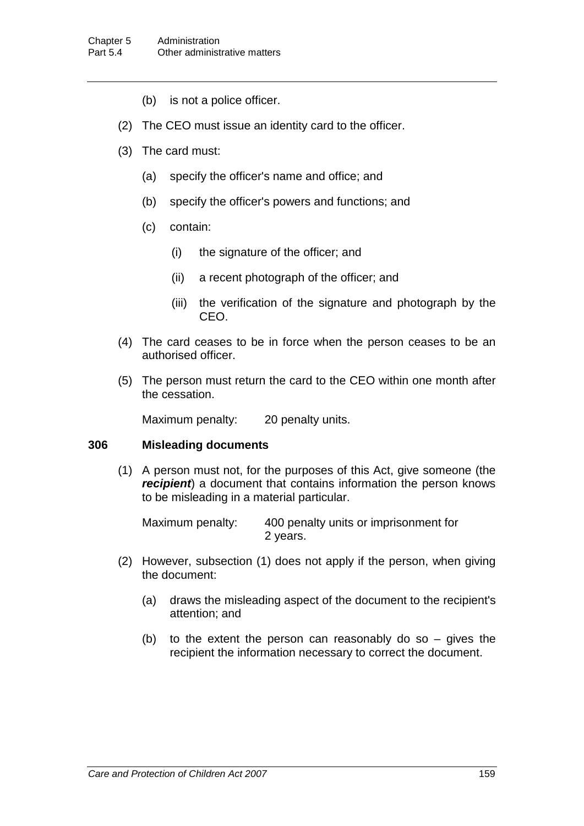- (b) is not a police officer.
- (2) The CEO must issue an identity card to the officer.
- (3) The card must:
	- (a) specify the officer's name and office; and
	- (b) specify the officer's powers and functions; and
	- (c) contain:
		- (i) the signature of the officer; and
		- (ii) a recent photograph of the officer; and
		- (iii) the verification of the signature and photograph by the CEO.
- (4) The card ceases to be in force when the person ceases to be an authorised officer.
- (5) The person must return the card to the CEO within one month after the cessation.

Maximum penalty: 20 penalty units.

## **306 Misleading documents**

(1) A person must not, for the purposes of this Act, give someone (the *recipient*) a document that contains information the person knows to be misleading in a material particular.

Maximum penalty: 400 penalty units or imprisonment for 2 years.

- (2) However, subsection (1) does not apply if the person, when giving the document:
	- (a) draws the misleading aspect of the document to the recipient's attention; and
	- (b) to the extent the person can reasonably do so  $-$  gives the recipient the information necessary to correct the document.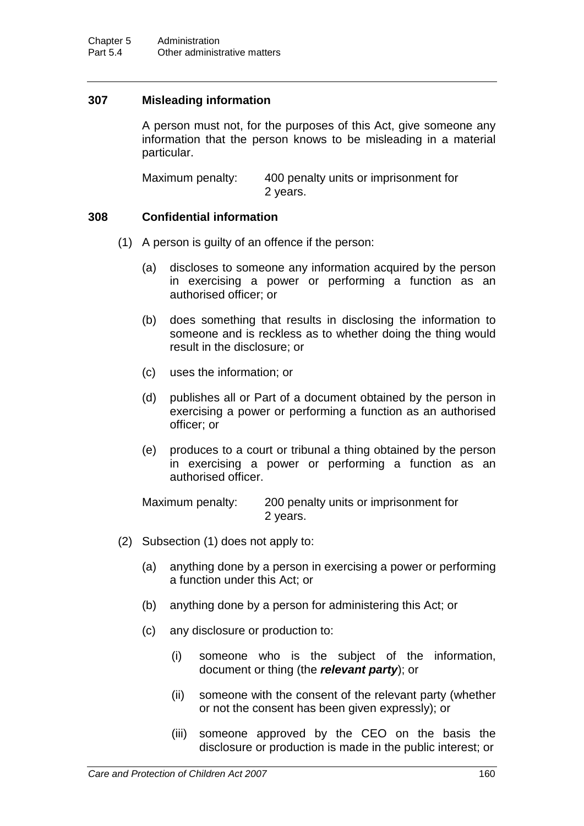## **307 Misleading information**

A person must not, for the purposes of this Act, give someone any information that the person knows to be misleading in a material particular.

Maximum penalty: 400 penalty units or imprisonment for 2 years.

## **308 Confidential information**

- (1) A person is guilty of an offence if the person:
	- (a) discloses to someone any information acquired by the person in exercising a power or performing a function as an authorised officer; or
	- (b) does something that results in disclosing the information to someone and is reckless as to whether doing the thing would result in the disclosure; or
	- (c) uses the information; or
	- (d) publishes all or Part of a document obtained by the person in exercising a power or performing a function as an authorised officer; or
	- (e) produces to a court or tribunal a thing obtained by the person in exercising a power or performing a function as an authorised officer.

| Maximum penalty: | 200 penalty units or imprisonment for |
|------------------|---------------------------------------|
|                  | 2 years.                              |

- (2) Subsection (1) does not apply to:
	- (a) anything done by a person in exercising a power or performing a function under this Act; or
	- (b) anything done by a person for administering this Act; or
	- (c) any disclosure or production to:
		- (i) someone who is the subject of the information, document or thing (the *relevant party*); or
		- (ii) someone with the consent of the relevant party (whether or not the consent has been given expressly); or
		- (iii) someone approved by the CEO on the basis the disclosure or production is made in the public interest; or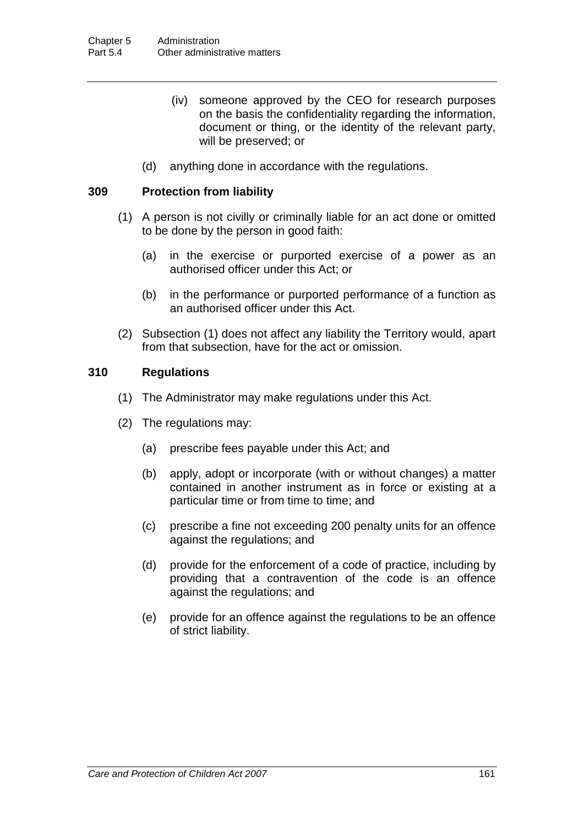- (iv) someone approved by the CEO for research purposes on the basis the confidentiality regarding the information, document or thing, or the identity of the relevant party, will be preserved; or
- (d) anything done in accordance with the regulations.

## **309 Protection from liability**

- (1) A person is not civilly or criminally liable for an act done or omitted to be done by the person in good faith:
	- (a) in the exercise or purported exercise of a power as an authorised officer under this Act; or
	- (b) in the performance or purported performance of a function as an authorised officer under this Act.
- (2) Subsection (1) does not affect any liability the Territory would, apart from that subsection, have for the act or omission.

## **310 Regulations**

- (1) The Administrator may make regulations under this Act.
- (2) The regulations may:
	- (a) prescribe fees payable under this Act; and
	- (b) apply, adopt or incorporate (with or without changes) a matter contained in another instrument as in force or existing at a particular time or from time to time; and
	- (c) prescribe a fine not exceeding 200 penalty units for an offence against the regulations; and
	- (d) provide for the enforcement of a code of practice, including by providing that a contravention of the code is an offence against the regulations; and
	- (e) provide for an offence against the regulations to be an offence of strict liability.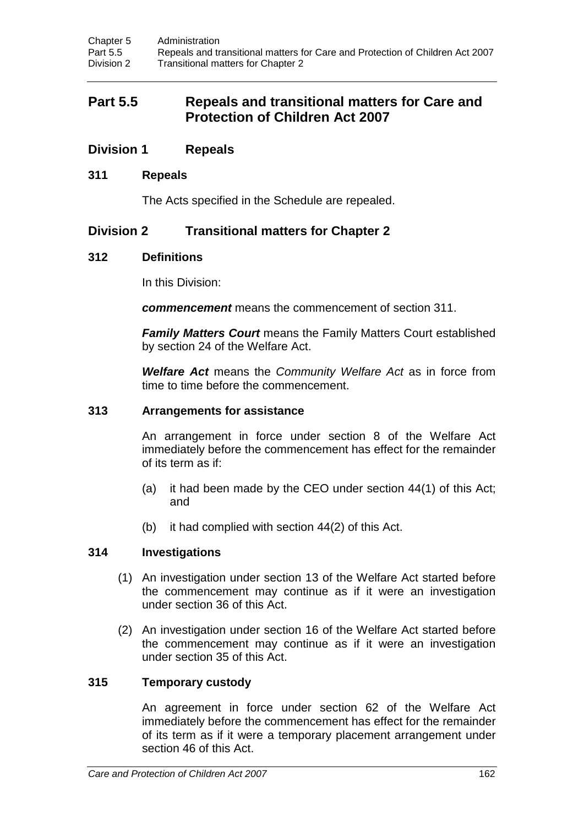# **Part 5.5 Repeals and transitional matters for Care and Protection of Children Act 2007**

## **Division 1 Repeals**

## **311 Repeals**

The Acts specified in the Schedule are repealed.

## **Division 2 Transitional matters for Chapter 2**

## **312 Definitions**

In this Division:

*commencement* means the commencement of section 311.

*Family Matters Court* means the Family Matters Court established by section 24 of the Welfare Act.

*Welfare Act* means the *Community Welfare Act* as in force from time to time before the commencement.

#### **313 Arrangements for assistance**

An arrangement in force under section 8 of the Welfare Act immediately before the commencement has effect for the remainder of its term as if:

- (a) it had been made by the CEO under section 44(1) of this Act; and
- (b) it had complied with section 44(2) of this Act.

## **314 Investigations**

- (1) An investigation under section 13 of the Welfare Act started before the commencement may continue as if it were an investigation under section 36 of this Act.
- (2) An investigation under section 16 of the Welfare Act started before the commencement may continue as if it were an investigation under section 35 of this Act.

## **315 Temporary custody**

An agreement in force under section 62 of the Welfare Act immediately before the commencement has effect for the remainder of its term as if it were a temporary placement arrangement under section 46 of this Act.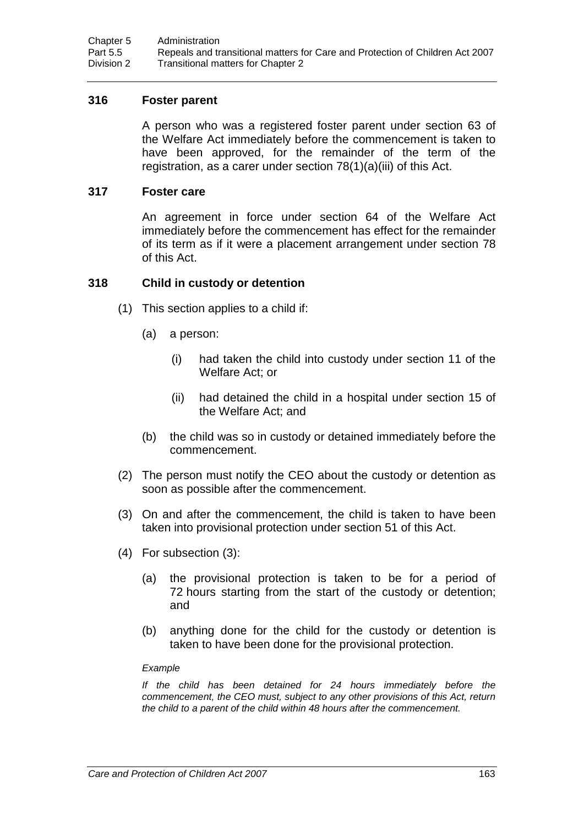## **316 Foster parent**

A person who was a registered foster parent under section 63 of the Welfare Act immediately before the commencement is taken to have been approved, for the remainder of the term of the registration, as a carer under section 78(1)(a)(iii) of this Act.

## **317 Foster care**

An agreement in force under section 64 of the Welfare Act immediately before the commencement has effect for the remainder of its term as if it were a placement arrangement under section 78 of this Act.

## **318 Child in custody or detention**

- (1) This section applies to a child if:
	- (a) a person:
		- (i) had taken the child into custody under section 11 of the Welfare Act; or
		- (ii) had detained the child in a hospital under section 15 of the Welfare Act; and
	- (b) the child was so in custody or detained immediately before the commencement.
- (2) The person must notify the CEO about the custody or detention as soon as possible after the commencement.
- (3) On and after the commencement, the child is taken to have been taken into provisional protection under section 51 of this Act.
- (4) For subsection (3):
	- (a) the provisional protection is taken to be for a period of 72 hours starting from the start of the custody or detention; and
	- (b) anything done for the child for the custody or detention is taken to have been done for the provisional protection.

#### *Example*

*If the child has been detained for 24 hours immediately before the commencement, the CEO must, subject to any other provisions of this Act, return the child to a parent of the child within 48 hours after the commencement.*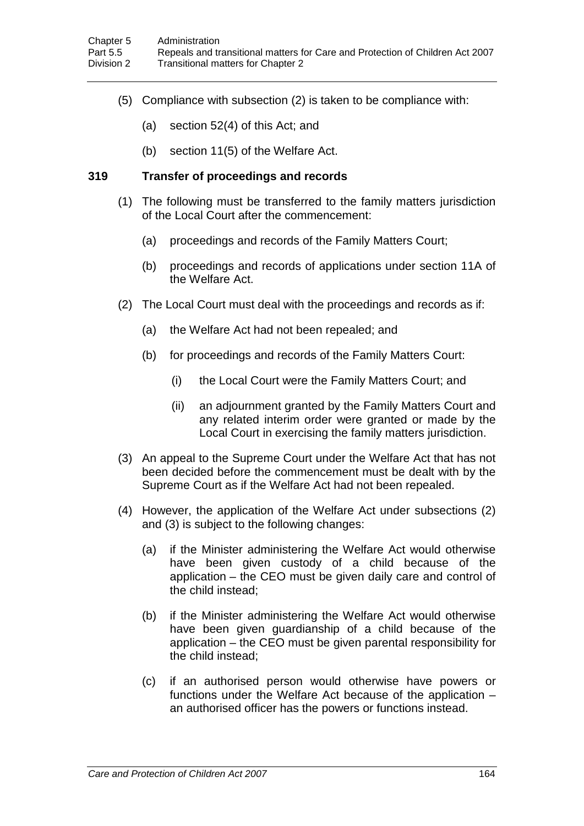- (5) Compliance with subsection (2) is taken to be compliance with:
	- (a) section 52(4) of this Act; and
	- (b) section 11(5) of the Welfare Act.

## **319 Transfer of proceedings and records**

- (1) The following must be transferred to the family matters jurisdiction of the Local Court after the commencement:
	- (a) proceedings and records of the Family Matters Court;
	- (b) proceedings and records of applications under section 11A of the Welfare Act.
- (2) The Local Court must deal with the proceedings and records as if:
	- (a) the Welfare Act had not been repealed; and
	- (b) for proceedings and records of the Family Matters Court:
		- (i) the Local Court were the Family Matters Court; and
		- (ii) an adjournment granted by the Family Matters Court and any related interim order were granted or made by the Local Court in exercising the family matters jurisdiction.
- (3) An appeal to the Supreme Court under the Welfare Act that has not been decided before the commencement must be dealt with by the Supreme Court as if the Welfare Act had not been repealed.
- (4) However, the application of the Welfare Act under subsections (2) and (3) is subject to the following changes:
	- (a) if the Minister administering the Welfare Act would otherwise have been given custody of a child because of the application – the CEO must be given daily care and control of the child instead;
	- (b) if the Minister administering the Welfare Act would otherwise have been given guardianship of a child because of the application – the CEO must be given parental responsibility for the child instead;
	- (c) if an authorised person would otherwise have powers or functions under the Welfare Act because of the application – an authorised officer has the powers or functions instead.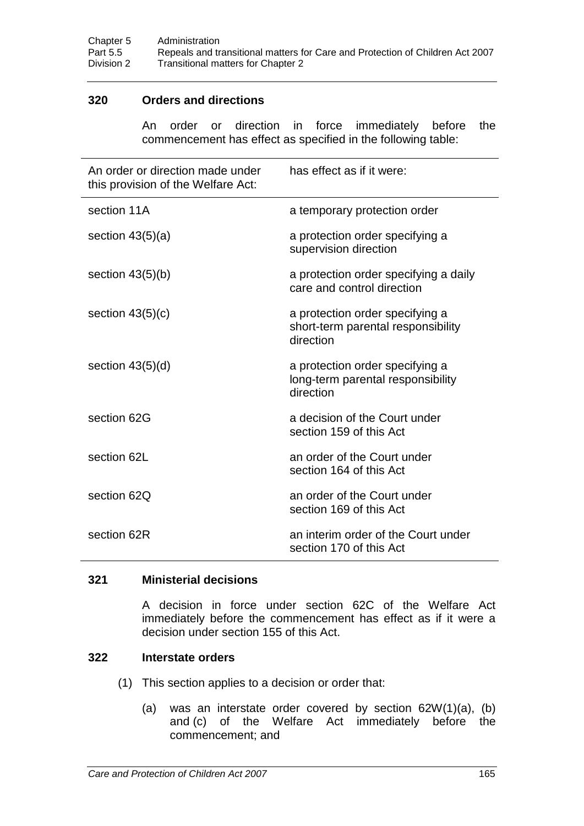## **320 Orders and directions**

An order or direction in force immediately before the commencement has effect as specified in the following table:

| An order or direction made under<br>this provision of the Welfare Act: | has effect as if it were:                                                          |
|------------------------------------------------------------------------|------------------------------------------------------------------------------------|
| section 11A                                                            | a temporary protection order                                                       |
| section $43(5)(a)$                                                     | a protection order specifying a<br>supervision direction                           |
| section $43(5)(b)$                                                     | a protection order specifying a daily<br>care and control direction                |
| section $43(5)(c)$                                                     | a protection order specifying a<br>short-term parental responsibility<br>direction |
| section $43(5)(d)$                                                     | a protection order specifying a<br>long-term parental responsibility<br>direction  |
| section 62G                                                            | a decision of the Court under<br>section 159 of this Act                           |
| section 62L                                                            | an order of the Court under<br>section 164 of this Act                             |
| section 62Q                                                            | an order of the Court under<br>section 169 of this Act                             |
| section 62R                                                            | an interim order of the Court under<br>section 170 of this Act                     |

## **321 Ministerial decisions**

A decision in force under section 62C of the Welfare Act immediately before the commencement has effect as if it were a decision under section 155 of this Act.

## **322 Interstate orders**

- (1) This section applies to a decision or order that:
	- (a) was an interstate order covered by section 62W(1)(a), (b) and (c) of the Welfare Act immediately before the commencement; and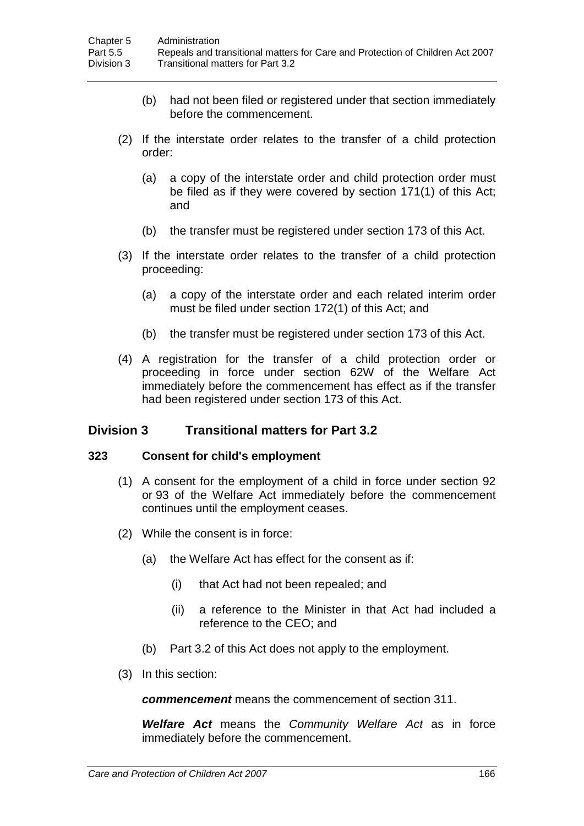- (b) had not been filed or registered under that section immediately before the commencement.
- (2) If the interstate order relates to the transfer of a child protection order:
	- (a) a copy of the interstate order and child protection order must be filed as if they were covered by section 171(1) of this Act; and
	- (b) the transfer must be registered under section 173 of this Act.
- (3) If the interstate order relates to the transfer of a child protection proceeding:
	- (a) a copy of the interstate order and each related interim order must be filed under section 172(1) of this Act; and
	- (b) the transfer must be registered under section 173 of this Act.
- (4) A registration for the transfer of a child protection order or proceeding in force under section 62W of the Welfare Act immediately before the commencement has effect as if the transfer had been registered under section 173 of this Act.

## **Division 3 Transitional matters for Part 3.2**

#### **323 Consent for child's employment**

- (1) A consent for the employment of a child in force under section 92 or 93 of the Welfare Act immediately before the commencement continues until the employment ceases.
- (2) While the consent is in force:
	- (a) the Welfare Act has effect for the consent as if:
		- (i) that Act had not been repealed; and
		- (ii) a reference to the Minister in that Act had included a reference to the CEO; and
	- (b) Part 3.2 of this Act does not apply to the employment.
- (3) In this section:

*commencement* means the commencement of section 311.

*Welfare Act* means the *Community Welfare Act* as in force immediately before the commencement.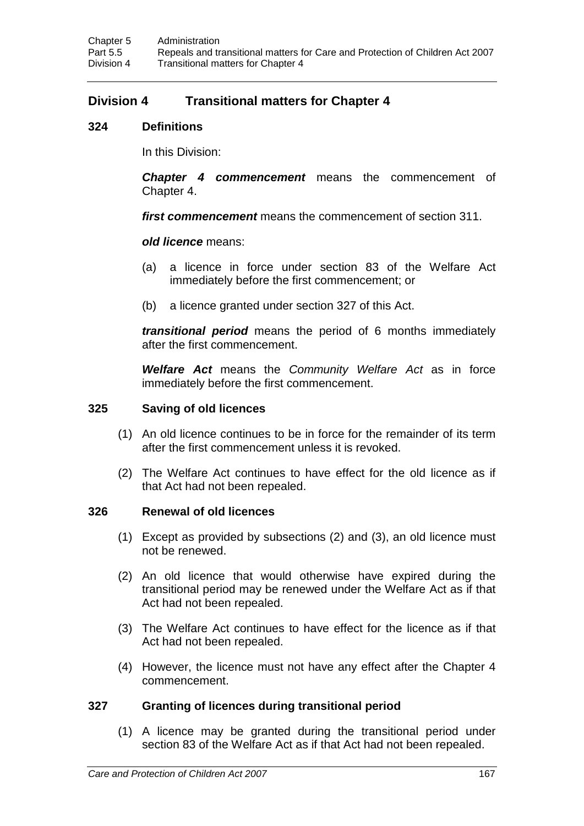# **Division 4 Transitional matters for Chapter 4**

### **324 Definitions**

In this Division:

*Chapter 4 commencement* means the commencement of Chapter 4.

*first commencement* means the commencement of section 311.

### *old licence* means:

- (a) a licence in force under section 83 of the Welfare Act immediately before the first commencement; or
- (b) a licence granted under section 327 of this Act.

*transitional period* means the period of 6 months immediately after the first commencement.

*Welfare Act* means the *Community Welfare Act* as in force immediately before the first commencement.

### **325 Saving of old licences**

- (1) An old licence continues to be in force for the remainder of its term after the first commencement unless it is revoked.
- (2) The Welfare Act continues to have effect for the old licence as if that Act had not been repealed.

### **326 Renewal of old licences**

- (1) Except as provided by subsections (2) and (3), an old licence must not be renewed.
- (2) An old licence that would otherwise have expired during the transitional period may be renewed under the Welfare Act as if that Act had not been repealed.
- (3) The Welfare Act continues to have effect for the licence as if that Act had not been repealed.
- (4) However, the licence must not have any effect after the Chapter 4 commencement.

### **327 Granting of licences during transitional period**

(1) A licence may be granted during the transitional period under section 83 of the Welfare Act as if that Act had not been repealed.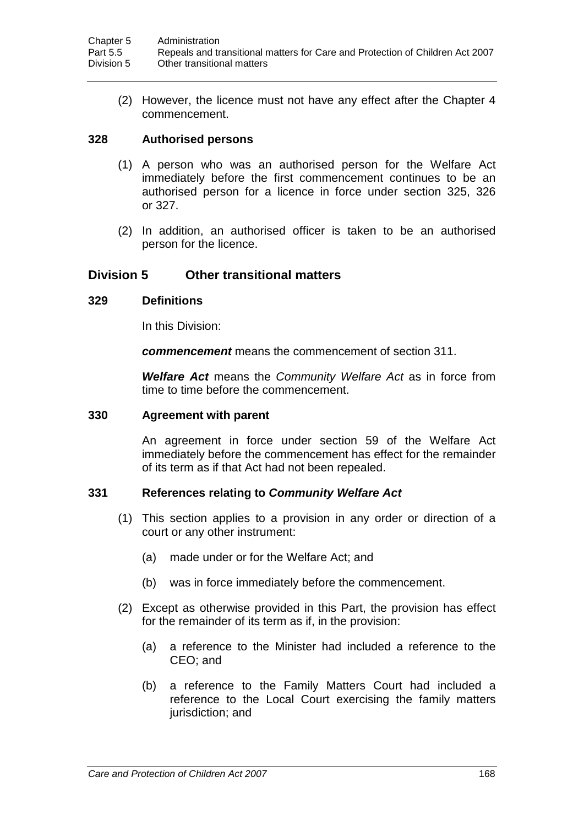(2) However, the licence must not have any effect after the Chapter 4 commencement.

### **328 Authorised persons**

- (1) A person who was an authorised person for the Welfare Act immediately before the first commencement continues to be an authorised person for a licence in force under section 325, 326 or 327.
- (2) In addition, an authorised officer is taken to be an authorised person for the licence.

# **Division 5 Other transitional matters**

### **329 Definitions**

In this Division:

*commencement* means the commencement of section 311.

*Welfare Act* means the *Community Welfare Act* as in force from time to time before the commencement.

#### **330 Agreement with parent**

An agreement in force under section 59 of the Welfare Act immediately before the commencement has effect for the remainder of its term as if that Act had not been repealed.

### **331 References relating to** *Community Welfare Act*

- (1) This section applies to a provision in any order or direction of a court or any other instrument:
	- (a) made under or for the Welfare Act; and
	- (b) was in force immediately before the commencement.
- (2) Except as otherwise provided in this Part, the provision has effect for the remainder of its term as if, in the provision:
	- (a) a reference to the Minister had included a reference to the CEO; and
	- (b) a reference to the Family Matters Court had included a reference to the Local Court exercising the family matters jurisdiction; and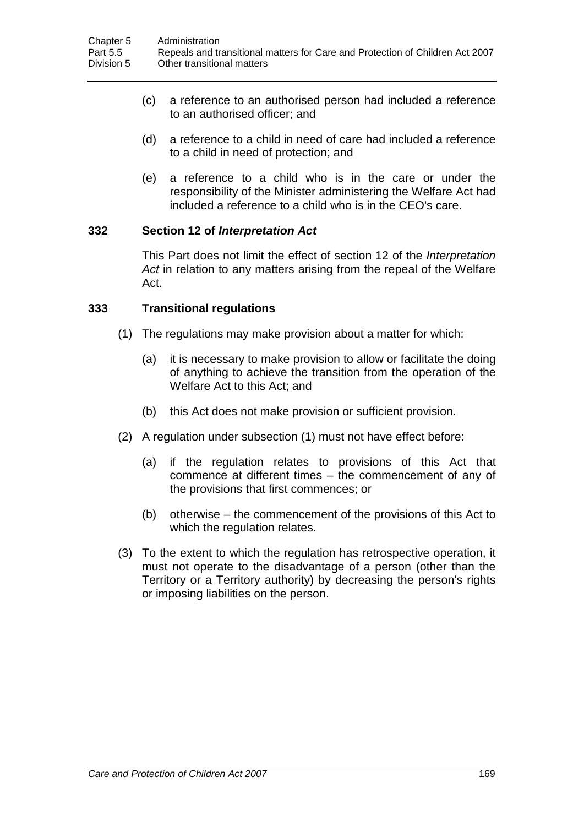- (c) a reference to an authorised person had included a reference to an authorised officer; and
- (d) a reference to a child in need of care had included a reference to a child in need of protection; and
- (e) a reference to a child who is in the care or under the responsibility of the Minister administering the Welfare Act had included a reference to a child who is in the CEO's care.

### **332 Section 12 of** *Interpretation Act*

This Part does not limit the effect of section 12 of the *Interpretation Act* in relation to any matters arising from the repeal of the Welfare Act.

### **333 Transitional regulations**

- (1) The regulations may make provision about a matter for which:
	- (a) it is necessary to make provision to allow or facilitate the doing of anything to achieve the transition from the operation of the Welfare Act to this Act; and
	- (b) this Act does not make provision or sufficient provision.
- (2) A regulation under subsection (1) must not have effect before:
	- (a) if the regulation relates to provisions of this Act that commence at different times – the commencement of any of the provisions that first commences; or
	- (b) otherwise the commencement of the provisions of this Act to which the regulation relates.
- (3) To the extent to which the regulation has retrospective operation, it must not operate to the disadvantage of a person (other than the Territory or a Territory authority) by decreasing the person's rights or imposing liabilities on the person.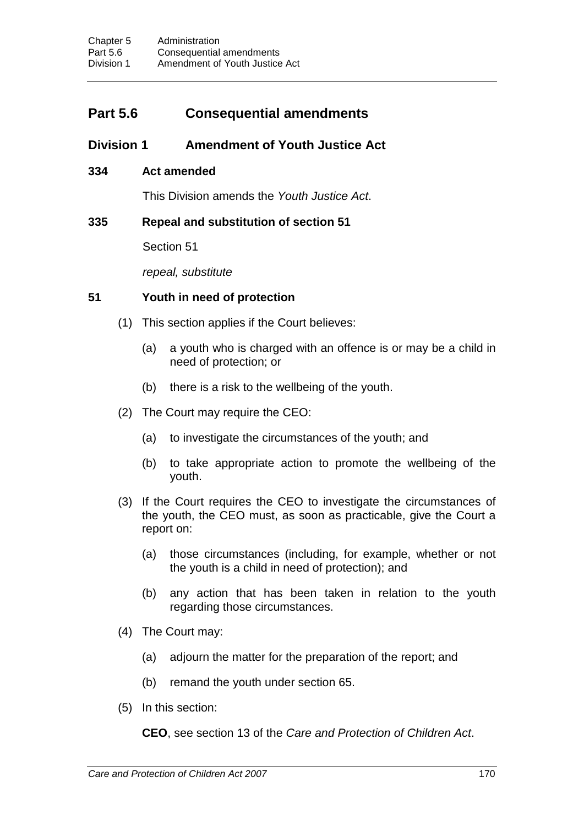# **Part 5.6 Consequential amendments**

# **Division 1 Amendment of Youth Justice Act**

### **334 Act amended**

This Division amends the *Youth Justice Act*.

### **335 Repeal and substitution of section 51**

Section 51

*repeal, substitute*

### **51 Youth in need of protection**

- (1) This section applies if the Court believes:
	- (a) a youth who is charged with an offence is or may be a child in need of protection; or
	- (b) there is a risk to the wellbeing of the youth.
- (2) The Court may require the CEO:
	- (a) to investigate the circumstances of the youth; and
	- (b) to take appropriate action to promote the wellbeing of the youth.
- (3) If the Court requires the CEO to investigate the circumstances of the youth, the CEO must, as soon as practicable, give the Court a report on:
	- (a) those circumstances (including, for example, whether or not the youth is a child in need of protection); and
	- (b) any action that has been taken in relation to the youth regarding those circumstances.
- (4) The Court may:
	- (a) adjourn the matter for the preparation of the report; and
	- (b) remand the youth under section 65.
- (5) In this section:

**CEO**, see section 13 of the *Care and Protection of Children Act*.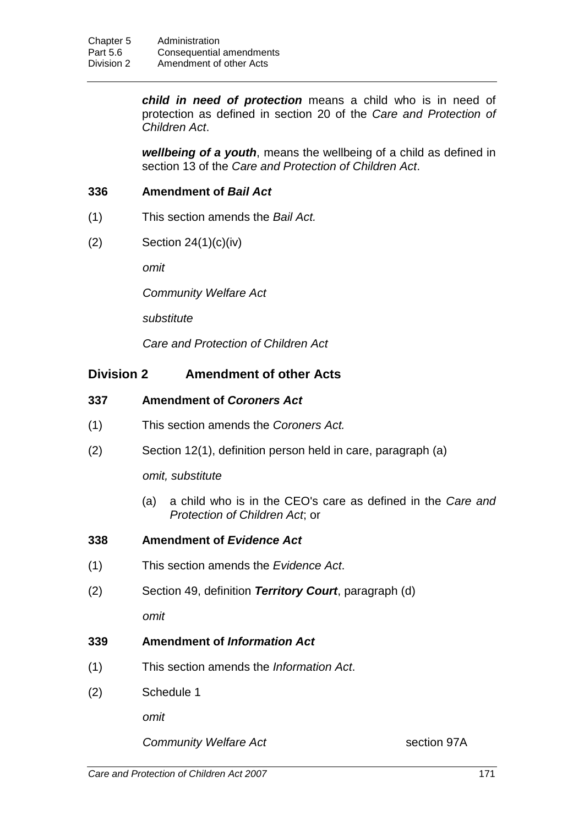*child in need of protection* means a child who is in need of protection as defined in section 20 of the *Care and Protection of Children Act*.

*wellbeing of a youth*, means the wellbeing of a child as defined in section 13 of the *Care and Protection of Children Act*.

### **336 Amendment of** *Bail Act*

- (1) This section amends the *Bail Act.*
- (2) Section 24(1)(c)(iv)

*omit*

*Community Welfare Act*

*substitute*

*Care and Protection of Children Act*

### **Division 2 Amendment of other Acts**

### **337 Amendment of** *Coroners Act*

- (1) This section amends the *Coroners Act.*
- (2) Section 12(1), definition person held in care, paragraph (a)

#### *omit, substitute*

(a) a child who is in the CEO's care as defined in the *Care and Protection of Children Act*; or

### **338 Amendment of** *Evidence Act*

- (1) This section amends the *Evidence Act*.
- (2) Section 49, definition *Territory Court*, paragraph (d)

*omit*

- **339 Amendment of** *Information Act*
- (1) This section amends the *Information Act*.
- (2) Schedule 1

*omit*

**Community Welfare Act** Section 97A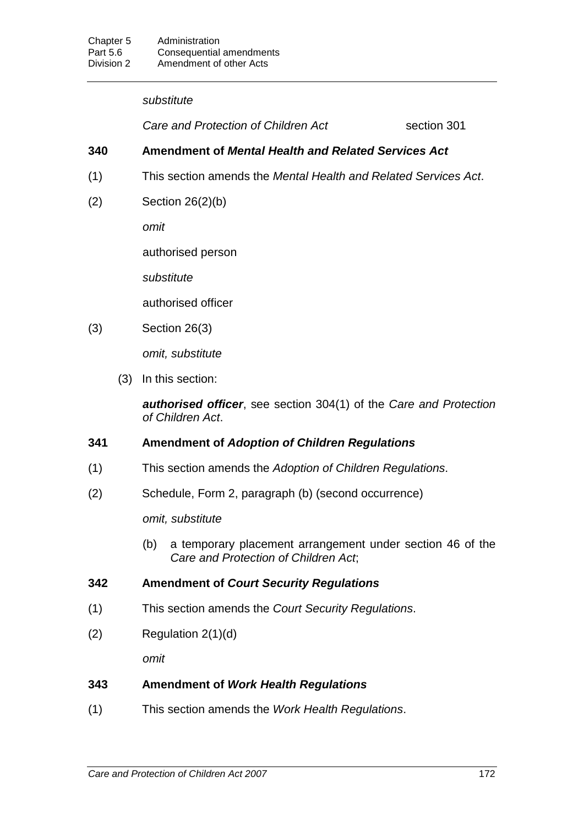#### *substitute*

**Care and Protection of Children Act** section 301

### **340 Amendment of** *Mental Health and Related Services Act*

- (1) This section amends the *Mental Health and Related Services Act*.
- (2) Section 26(2)(b)

*omit*

authorised person

*substitute*

authorised officer

(3) Section 26(3)

*omit, substitute*

(3) In this section:

*authorised officer*, see section 304(1) of the *Care and Protection of Children Act*.

### **341 Amendment of** *Adoption of Children Regulations*

- (1) This section amends the *Adoption of Children Regulations*.
- (2) Schedule, Form 2, paragraph (b) (second occurrence)

*omit, substitute*

(b) a temporary placement arrangement under section 46 of the *Care and Protection of Children Act*;

### **342 Amendment of** *Court Security Regulations*

- (1) This section amends the *Court Security Regulations*.
- $(2)$  Regulation  $2(1)(d)$

*omit*

### **343 Amendment of** *Work Health Regulations*

(1) This section amends the *Work Health Regulations*.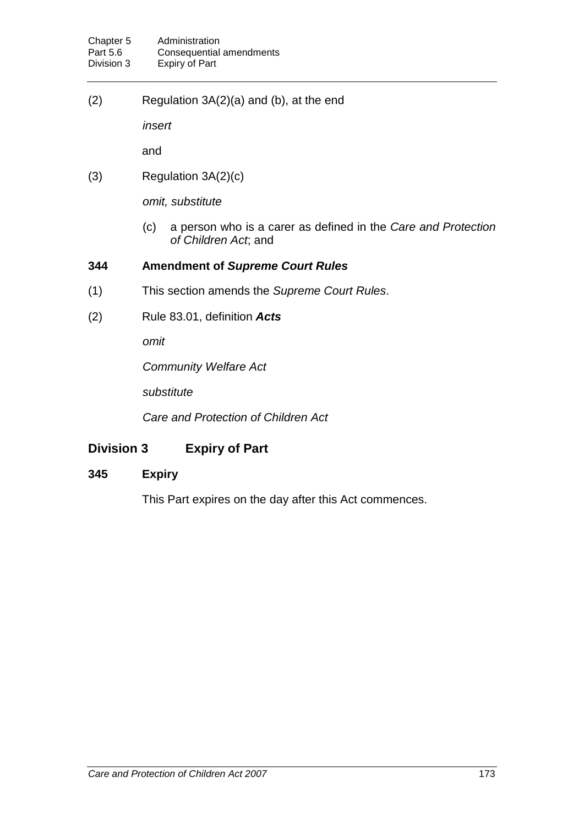(2) Regulation 3A(2)(a) and (b), at the end

*insert*

and

 $(3)$  Regulation  $3A(2)(c)$ 

*omit, substitute*

(c) a person who is a carer as defined in the *Care and Protection of Children Act*; and

### **344 Amendment of** *Supreme Court Rules*

- (1) This section amends the *Supreme Court Rules*.
- (2) Rule 83.01, definition *Acts*

*omit*

*Community Welfare Act*

*substitute*

*Care and Protection of Children Act*

# **Division 3 Expiry of Part**

### **345 Expiry**

This Part expires on the day after this Act commences.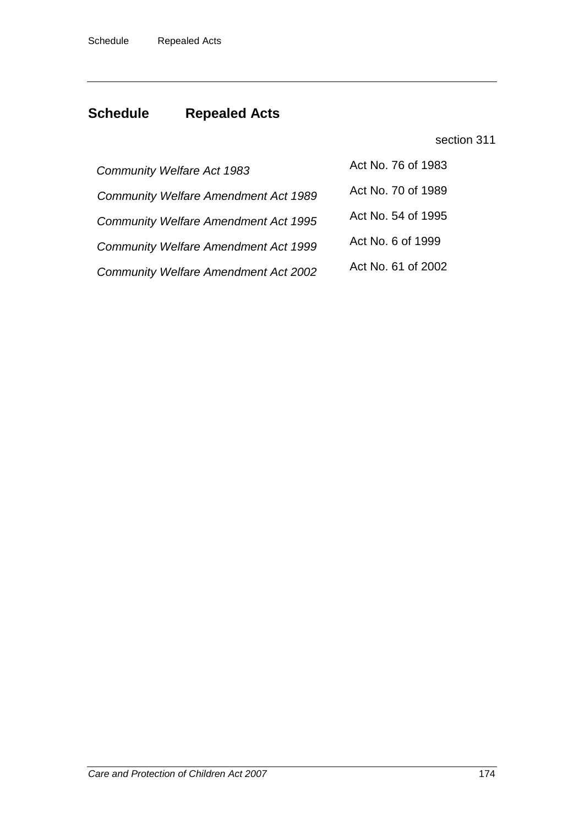# **Schedule Repealed Acts**

### section 311

| <b>Community Welfare Act 1983</b>           | Act No. 76 of 1983 |
|---------------------------------------------|--------------------|
| <b>Community Welfare Amendment Act 1989</b> | Act No. 70 of 1989 |
| <b>Community Welfare Amendment Act 1995</b> | Act No. 54 of 1995 |
| <b>Community Welfare Amendment Act 1999</b> | Act No. 6 of 1999  |
| <b>Community Welfare Amendment Act 2002</b> | Act No. 61 of 2002 |
|                                             |                    |